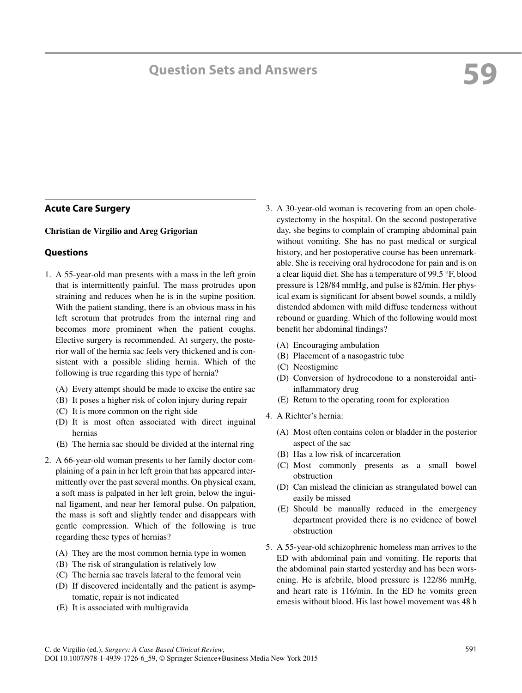# **Question Sets and Answers**

# **Acute Care Surgery**

# **Christian de Virgilio and Areg Grigorian**

# **Questions**

- 1. A 55-year-old man presents with a mass in the left groin that is intermittently painful. The mass protrudes upon straining and reduces when he is in the supine position. With the patient standing, there is an obvious mass in his left scrotum that protrudes from the internal ring and becomes more prominent when the patient coughs. Elective surgery is recommended. At surgery, the posterior wall of the hernia sac feels very thickened and is consistent with a possible sliding hernia. Which of the following is true regarding this type of hernia?
	- (A) Every attempt should be made to excise the entire sac
	- (B) It poses a higher risk of colon injury during repair
	- (C) It is more common on the right side
	- (D) It is most often associated with direct inguinal hernias
	- (E) The hernia sac should be divided at the internal ring
- 2. A 66-year-old woman presents to her family doctor complaining of a pain in her left groin that has appeared intermittently over the past several months. On physical exam, a soft mass is palpated in her left groin, below the inguinal ligament, and near her femoral pulse. On palpation, the mass is soft and slightly tender and disappears with gentle compression. Which of the following is true regarding these types of hernias?
	- (A) They are the most common hernia type in women
	- (B) The risk of strangulation is relatively low
	- (C) The hernia sac travels lateral to the femoral vein
	- (D) If discovered incidentally and the patient is asymptomatic, repair is not indicated
	- (E) It is associated with multigravida
- 3. A 30-year-old woman is recovering from an open cholecystectomy in the hospital. On the second postoperative day, she begins to complain of cramping abdominal pain without vomiting. She has no past medical or surgical history, and her postoperative course has been unremarkable. She is receiving oral hydrocodone for pain and is on a clear liquid diet. She has a temperature of 99.5 °F, blood pressure is 128/84 mmHg, and pulse is 82/min. Her physical exam is significant for absent bowel sounds, a mildly distended abdomen with mild diffuse tenderness without rebound or guarding. Which of the following would most benefit her abdominal findings?
	- (A) Encouraging ambulation
	- (B) Placement of a nasogastric tube
	- (C) Neostigmine
	- (D) Conversion of hydrocodone to a nonsteroidal antiinflammatory drug
	- (E) Return to the operating room for exploration
- 4. A Richter's hernia:
	- (A) Most often contains colon or bladder in the posterior aspect of the sac
	- (B) Has a low risk of incarceration
	- (C) Most commonly presents as a small bowel obstruction
	- (D) Can mislead the clinician as strangulated bowel can easily be missed
	- (E) Should be manually reduced in the emergency department provided there is no evidence of bowel obstruction
- 5. A 55-year-old schizophrenic homeless man arrives to the ED with abdominal pain and vomiting. He reports that the abdominal pain started yesterday and has been worsening. He is afebrile, blood pressure is 122/86 mmHg, and heart rate is 116/min. In the ED he vomits green emesis without blood. His last bowel movement was 48 h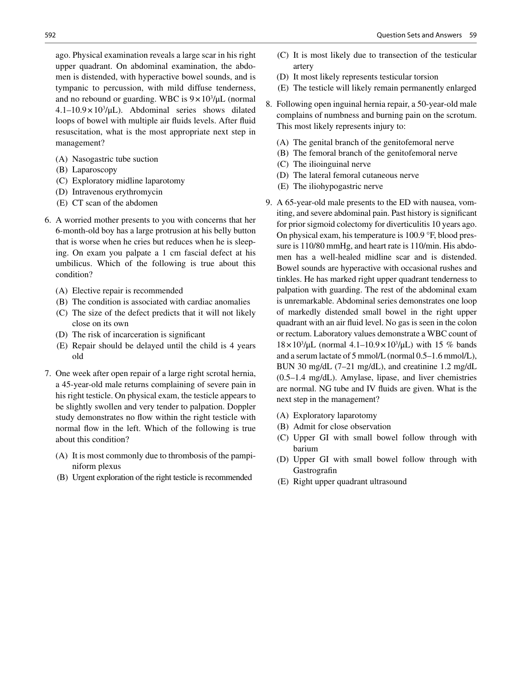ago. Physical examination reveals a large scar in his right upper quadrant. On abdominal examination, the abdomen is distended, with hyperactive bowel sounds, and is tympanic to percussion, with mild diffuse tenderness, and no rebound or guarding. WBC is  $9 \times 10^3/\mu$ L (normal  $4.1 - 10.9 \times 10^3/\mu L$ ). Abdominal series shows dilated loops of bowel with multiple air fluids levels. After fluid resuscitation, what is the most appropriate next step in management?

- (A) Nasogastric tube suction
- (B) Laparoscopy
- (C) Exploratory midline laparotomy
- (D) Intravenous erythromycin
- (E) CT scan of the abdomen
- 6. A worried mother presents to you with concerns that her 6-month-old boy has a large protrusion at his belly button that is worse when he cries but reduces when he is sleeping. On exam you palpate a 1 cm fascial defect at his umbilicus. Which of the following is true about this condition?
	- (A) Elective repair is recommended
	- (B) The condition is associated with cardiac anomalies
	- (C) The size of the defect predicts that it will not likely close on its own
	- $(D)$  The risk of incarceration is significant
	- (E) Repair should be delayed until the child is 4 years old
- 7. One week after open repair of a large right scrotal hernia, a 45-year-old male returns complaining of severe pain in his right testicle. On physical exam, the testicle appears to be slightly swollen and very tender to palpation. Doppler study demonstrates no flow within the right testicle with normal flow in the left. Which of the following is true about this condition?
	- (A) It is most commonly due to thrombosis of the pampiniform plexus
	- (B) Urgent exploration of the right testicle is recommended
- (C) It is most likely due to transection of the testicular artery
- (D) It most likely represents testicular torsion
- (E) The testicle will likely remain permanently enlarged
- 8. Following open inguinal hernia repair, a 50-year-old male complains of numbness and burning pain on the scrotum. This most likely represents injury to:
	- (A) The genital branch of the genitofemoral nerve
	- (B) The femoral branch of the genitofemoral nerve
	- (C) The ilioinguinal nerve
	- (D) The lateral femoral cutaneous nerve
	- (E) The iliohypogastric nerve
- 9. A 65-year-old male presents to the ED with nausea, vomiting, and severe abdominal pain. Past history is significant for prior sigmoid colectomy for diverticulitis 10 years ago. On physical exam, his temperature is 100.9 °F, blood pressure is 110/80 mmHg, and heart rate is 110/min. His abdomen has a well-healed midline scar and is distended. Bowel sounds are hyperactive with occasional rushes and tinkles. He has marked right upper quadrant tenderness to palpation with guarding. The rest of the abdominal exam is unremarkable. Abdominal series demonstrates one loop of markedly distended small bowel in the right upper quadrant with an air fluid level. No gas is seen in the colon or rectum. Laboratory values demonstrate a WBC count of  $18 \times 10^3$ /μL (normal 4.1–10.9 × 10<sup>3</sup>/μL) with 15 % bands and a serum lactate of 5 mmol/L (normal 0.5–1.6 mmol/L), BUN 30 mg/dL (7–21 mg/dL), and creatinine 1.2 mg/dL (0.5–1.4 mg/dL). Amylase, lipase, and liver chemistries are normal. NG tube and IV fluids are given. What is the next step in the management?
	- (A) Exploratory laparotomy
	- (B) Admit for close observation
	- (C) Upper GI with small bowel follow through with barium
	- (D) Upper GI with small bowel follow through with Gastrografin
	- (E) Right upper quadrant ultrasound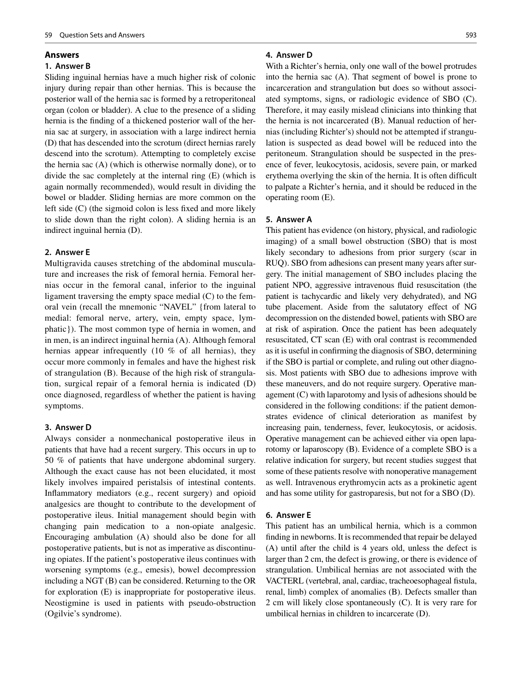#### **Answers**

### **1. Answer B**

 Sliding inguinal hernias have a much higher risk of colonic injury during repair than other hernias. This is because the posterior wall of the hernia sac is formed by a retroperitoneal organ (colon or bladder). A clue to the presence of a sliding hernia is the finding of a thickened posterior wall of the hernia sac at surgery, in association with a large indirect hernia (D) that has descended into the scrotum (direct hernias rarely descend into the scrotum). Attempting to completely excise the hernia sac (A) (which is otherwise normally done), or to divide the sac completely at the internal ring (E) (which is again normally recommended), would result in dividing the bowel or bladder. Sliding hernias are more common on the left side  $(C)$  (the sigmoid colon is less fixed and more likely to slide down than the right colon). A sliding hernia is an indirect inguinal hernia (D).

# **2. Answer E**

 Multigravida causes stretching of the abdominal musculature and increases the risk of femoral hernia. Femoral hernias occur in the femoral canal, inferior to the inguinal ligament traversing the empty space medial (C) to the femoral vein (recall the mnemonic "NAVEL" {from lateral to medial: femoral nerve, artery, vein, empty space, lymphatic}). The most common type of hernia in women, and in men, is an indirect inguinal hernia (A). Although femoral hernias appear infrequently (10 % of all hernias), they occur more commonly in females and have the highest risk of strangulation (B). Because of the high risk of strangulation, surgical repair of a femoral hernia is indicated (D) once diagnosed, regardless of whether the patient is having symptoms.

### **3. Answer D**

 Always consider a nonmechanical postoperative ileus in patients that have had a recent surgery. This occurs in up to 50 % of patients that have undergone abdominal surgery. Although the exact cause has not been elucidated, it most likely involves impaired peristalsis of intestinal contents. Inflammatory mediators (e.g., recent surgery) and opioid analgesics are thought to contribute to the development of postoperative ileus. Initial management should begin with changing pain medication to a non-opiate analgesic. Encouraging ambulation (A) should also be done for all postoperative patients, but is not as imperative as discontinuing opiates. If the patient's postoperative ileus continues with worsening symptoms (e.g., emesis), bowel decompression including a NGT (B) can be considered. Returning to the OR for exploration (E) is inappropriate for postoperative ileus. Neostigmine is used in patients with pseudo-obstruction (Ogilvie's syndrome).

### **4. Answer D**

 With a Richter's hernia, only one wall of the bowel protrudes into the hernia sac (A). That segment of bowel is prone to incarceration and strangulation but does so without associated symptoms, signs, or radiologic evidence of SBO (C). Therefore, it may easily mislead clinicians into thinking that the hernia is not incarcerated (B). Manual reduction of hernias (including Richter's) should not be attempted if strangulation is suspected as dead bowel will be reduced into the peritoneum. Strangulation should be suspected in the presence of fever, leukocytosis, acidosis, severe pain, or marked erythema overlying the skin of the hernia. It is often difficult to palpate a Richter's hernia, and it should be reduced in the operating room (E).

# **5. Answer A**

 This patient has evidence (on history, physical, and radiologic imaging) of a small bowel obstruction (SBO) that is most likely secondary to adhesions from prior surgery (scar in RUQ). SBO from adhesions can present many years after surgery. The initial management of SBO includes placing the patient NPO, aggressive intravenous fluid resuscitation (the patient is tachycardic and likely very dehydrated), and NG tube placement. Aside from the salutatory effect of NG decompression on the distended bowel, patients with SBO are at risk of aspiration. Once the patient has been adequately resuscitated, CT scan (E) with oral contrast is recommended as it is useful in confirming the diagnosis of SBO, determining if the SBO is partial or complete, and ruling out other diagnosis. Most patients with SBO due to adhesions improve with these maneuvers, and do not require surgery. Operative management (C) with laparotomy and lysis of adhesions should be considered in the following conditions: if the patient demonstrates evidence of clinical deterioration as manifest by increasing pain, tenderness, fever, leukocytosis, or acidosis. Operative management can be achieved either via open laparotomy or laparoscopy (B). Evidence of a complete SBO is a relative indication for surgery, but recent studies suggest that some of these patients resolve with nonoperative management as well. Intravenous erythromycin acts as a prokinetic agent and has some utility for gastroparesis, but not for a SBO (D).

# **6. Answer E**

 This patient has an umbilical hernia, which is a common finding in newborns. It is recommended that repair be delayed (A) until after the child is 4 years old, unless the defect is larger than 2 cm, the defect is growing, or there is evidence of strangulation. Umbilical hernias are not associated with the VACTERL (vertebral, anal, cardiac, tracheoesophageal fistula, renal, limb) complex of anomalies (B). Defects smaller than 2 cm will likely close spontaneously (C). It is very rare for umbilical hernias in children to incarcerate (D).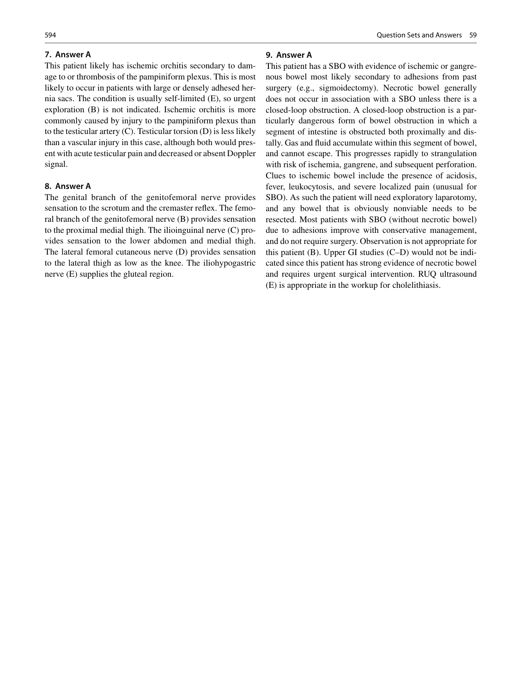#### **7. Answer A**

 This patient likely has ischemic orchitis secondary to damage to or thrombosis of the pampiniform plexus. This is most likely to occur in patients with large or densely adhesed hernia sacs. The condition is usually self-limited (E), so urgent exploration (B) is not indicated. Ischemic orchitis is more commonly caused by injury to the pampiniform plexus than to the testicular artery (C). Testicular torsion (D) is less likely than a vascular injury in this case, although both would pres-

### **8. Answer A**

signal.

 The genital branch of the genitofemoral nerve provides sensation to the scrotum and the cremaster reflex. The femoral branch of the genitofemoral nerve (B) provides sensation to the proximal medial thigh. The ilioinguinal nerve (C) provides sensation to the lower abdomen and medial thigh. The lateral femoral cutaneous nerve (D) provides sensation to the lateral thigh as low as the knee. The iliohypogastric nerve (E) supplies the gluteal region.

ent with acute testicular pain and decreased or absent Doppler

#### Question Sets and Answers 59

#### **9. Answer A**

 This patient has a SBO with evidence of ischemic or gangrenous bowel most likely secondary to adhesions from past surgery (e.g., sigmoidectomy). Necrotic bowel generally does not occur in association with a SBO unless there is a closed-loop obstruction. A closed-loop obstruction is a particularly dangerous form of bowel obstruction in which a segment of intestine is obstructed both proximally and distally. Gas and fluid accumulate within this segment of bowel, and cannot escape. This progresses rapidly to strangulation with risk of ischemia, gangrene, and subsequent perforation. Clues to ischemic bowel include the presence of acidosis, fever, leukocytosis, and severe localized pain (unusual for SBO). As such the patient will need exploratory laparotomy, and any bowel that is obviously nonviable needs to be resected. Most patients with SBO (without necrotic bowel) due to adhesions improve with conservative management, and do not require surgery. Observation is not appropriate for this patient (B). Upper GI studies (C–D) would not be indicated since this patient has strong evidence of necrotic bowel and requires urgent surgical intervention. RUQ ultrasound (E) is appropriate in the workup for cholelithiasis.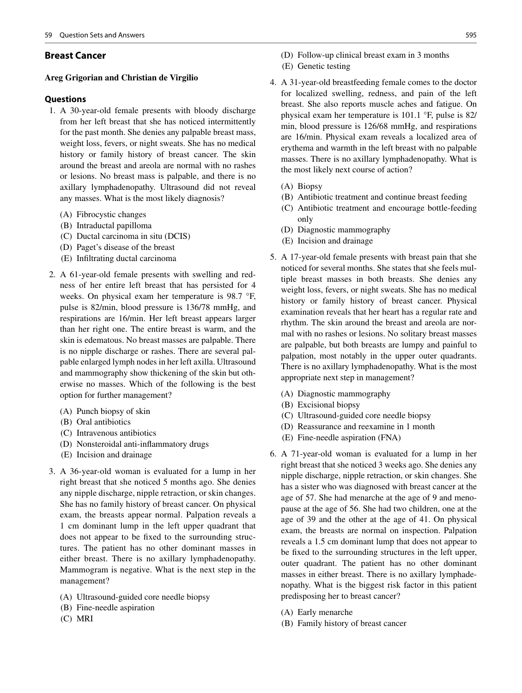# **Breast Cancer**

# **Areg Grigorian and Christian de Virgilio**

# **Questions**

- 1. A 30-year-old female presents with bloody discharge from her left breast that she has noticed intermittently for the past month. She denies any palpable breast mass, weight loss, fevers, or night sweats. She has no medical history or family history of breast cancer. The skin around the breast and areola are normal with no rashes or lesions. No breast mass is palpable, and there is no axillary lymphadenopathy. Ultrasound did not reveal any masses. What is the most likely diagnosis?
	- (A) Fibrocystic changes
	- (B) Intraductal papilloma
	- (C) Ductal carcinoma in situ (DCIS)
	- (D) Paget's disease of the breast
	- (E) Infiltrating ductal carcinoma
- 2. A 61-year-old female presents with swelling and redness of her entire left breast that has persisted for 4 weeks. On physical exam her temperature is 98.7 °F, pulse is 82/min, blood pressure is 136/78 mmHg, and respirations are 16/min. Her left breast appears larger than her right one. The entire breast is warm, and the skin is edematous. No breast masses are palpable. There is no nipple discharge or rashes. There are several palpable enlarged lymph nodes in her left axilla. Ultrasound and mammography show thickening of the skin but otherwise no masses. Which of the following is the best option for further management?
	- (A) Punch biopsy of skin
	- (B) Oral antibiotics
	- (C) Intravenous antibiotics
	- (D) Nonsteroidal anti-inflammatory drugs
	- (E) Incision and drainage
- 3. A 36-year-old woman is evaluated for a lump in her right breast that she noticed 5 months ago. She denies any nipple discharge, nipple retraction, or skin changes. She has no family history of breast cancer. On physical exam, the breasts appear normal. Palpation reveals a 1 cm dominant lump in the left upper quadrant that does not appear to be fixed to the surrounding structures. The patient has no other dominant masses in either breast. There is no axillary lymphadenopathy. Mammogram is negative. What is the next step in the management?
	- (A) Ultrasound-guided core needle biopsy
	- (B) Fine-needle aspiration
	- (C) MRI
- (D) Follow-up clinical breast exam in 3 months
- (E) Genetic testing
- 4. A 31-year-old breastfeeding female comes to the doctor for localized swelling, redness, and pain of the left breast. She also reports muscle aches and fatigue. On physical exam her temperature is 101.1 °F, pulse is 82/ min, blood pressure is 126/68 mmHg, and respirations are 16/min. Physical exam reveals a localized area of erythema and warmth in the left breast with no palpable masses. There is no axillary lymphadenopathy. What is the most likely next course of action?
	- (A) Biopsy
	- (B) Antibiotic treatment and continue breast feeding
	- (C) Antibiotic treatment and encourage bottle-feeding only
	- (D) Diagnostic mammography
	- (E) Incision and drainage
- 5. A 17-year-old female presents with breast pain that she noticed for several months. She states that she feels multiple breast masses in both breasts. She denies any weight loss, fevers, or night sweats. She has no medical history or family history of breast cancer. Physical examination reveals that her heart has a regular rate and rhythm. The skin around the breast and areola are normal with no rashes or lesions. No solitary breast masses are palpable, but both breasts are lumpy and painful to palpation, most notably in the upper outer quadrants. There is no axillary lymphadenopathy. What is the most appropriate next step in management?
	- (A) Diagnostic mammography
	- (B) Excisional biopsy
	- (C) Ultrasound-guided core needle biopsy
	- (D) Reassurance and reexamine in 1 month
	- (E) Fine-needle aspiration (FNA)
- 6. A 71-year-old woman is evaluated for a lump in her right breast that she noticed 3 weeks ago. She denies any nipple discharge, nipple retraction, or skin changes. She has a sister who was diagnosed with breast cancer at the age of 57. She had menarche at the age of 9 and menopause at the age of 56. She had two children, one at the age of 39 and the other at the age of 41. On physical exam, the breasts are normal on inspection. Palpation reveals a 1.5 cm dominant lump that does not appear to be fixed to the surrounding structures in the left upper, outer quadrant. The patient has no other dominant masses in either breast. There is no axillary lymphadenopathy. What is the biggest risk factor in this patient predisposing her to breast cancer?
	- (A) Early menarche
	- (B) Family history of breast cancer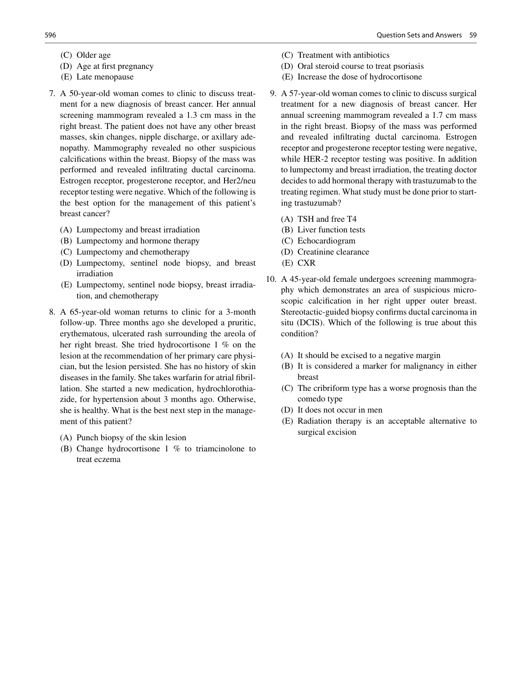- (C) Older age
- (D) Age at first pregnancy
- (E) Late menopause
- 7. A 50-year-old woman comes to clinic to discuss treatment for a new diagnosis of breast cancer. Her annual screening mammogram revealed a 1.3 cm mass in the right breast. The patient does not have any other breast masses, skin changes, nipple discharge, or axillary adenopathy. Mammography revealed no other suspicious calcifications within the breast. Biopsy of the mass was performed and revealed infiltrating ductal carcinoma. Estrogen receptor, progesterone receptor, and Her2/neu receptor testing were negative. Which of the following is the best option for the management of this patient's breast cancer?
	- (A) Lumpectomy and breast irradiation
	- (B) Lumpectomy and hormone therapy
	- (C) Lumpectomy and chemotherapy
	- (D) Lumpectomy, sentinel node biopsy, and breast irradiation
	- (E) Lumpectomy, sentinel node biopsy, breast irradiation, and chemotherapy
- 8. A 65-year-old woman returns to clinic for a 3-month follow-up. Three months ago she developed a pruritic, erythematous, ulcerated rash surrounding the areola of her right breast. She tried hydrocortisone 1 % on the lesion at the recommendation of her primary care physician, but the lesion persisted. She has no history of skin diseases in the family. She takes warfarin for atrial fibrillation. She started a new medication, hydrochlorothiazide, for hypertension about 3 months ago. Otherwise, she is healthy. What is the best next step in the management of this patient?
	- (A) Punch biopsy of the skin lesion
	- (B) Change hydrocortisone 1 % to triamcinolone to treat eczema
- (C) Treatment with antibiotics
- (D) Oral steroid course to treat psoriasis
- (E) Increase the dose of hydrocortisone
- 9. A 57-year-old woman comes to clinic to discuss surgical treatment for a new diagnosis of breast cancer. Her annual screening mammogram revealed a 1.7 cm mass in the right breast. Biopsy of the mass was performed and revealed infiltrating ductal carcinoma. Estrogen receptor and progesterone receptor testing were negative, while HER-2 receptor testing was positive. In addition to lumpectomy and breast irradiation, the treating doctor decides to add hormonal therapy with trastuzumab to the treating regimen. What study must be done prior to starting trastuzumab?
	- (A) TSH and free T4
	- (B) Liver function tests
	- (C) Echocardiogram
	- (D) Creatinine clearance
	- (E) CXR
- 10. A 45-year-old female undergoes screening mammography which demonstrates an area of suspicious microscopic calcification in her right upper outer breast. Stereotactic-guided biopsy confirms ductal carcinoma in situ (DCIS). Which of the following is true about this condition?
	- (A) It should be excised to a negative margin
	- (B) It is considered a marker for malignancy in either breast
	- (C) The cribriform type has a worse prognosis than the comedo type
	- (D) It does not occur in men
	- (E) Radiation therapy is an acceptable alternative to surgical excision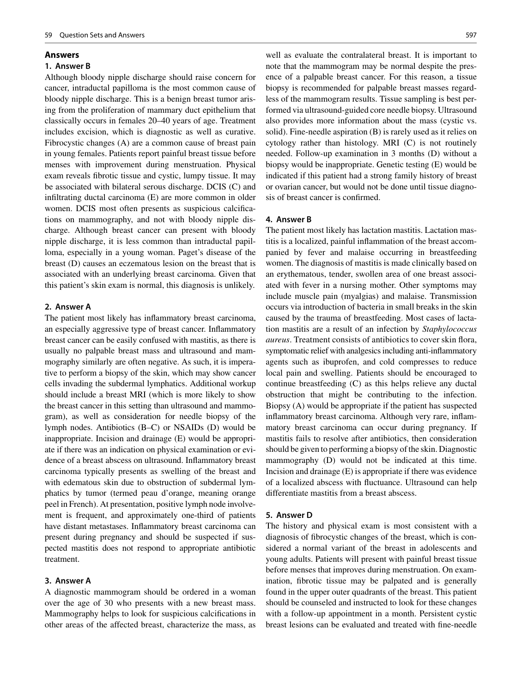#### **Answers**

# **1. Answer B**

 Although bloody nipple discharge should raise concern for cancer, intraductal papilloma is the most common cause of bloody nipple discharge. This is a benign breast tumor arising from the proliferation of mammary duct epithelium that classically occurs in females 20–40 years of age. Treatment includes excision, which is diagnostic as well as curative. Fibrocystic changes (A) are a common cause of breast pain in young females. Patients report painful breast tissue before menses with improvement during menstruation. Physical exam reveals fibrotic tissue and cystic, lumpy tissue. It may be associated with bilateral serous discharge. DCIS (C) and infiltrating ductal carcinoma (E) are more common in older women. DCIS most often presents as suspicious calcifications on mammography, and not with bloody nipple discharge. Although breast cancer can present with bloody nipple discharge, it is less common than intraductal papilloma, especially in a young woman. Paget's disease of the breast (D) causes an eczematous lesion on the breast that is associated with an underlying breast carcinoma. Given that this patient's skin exam is normal, this diagnosis is unlikely.

# **2. Answer A**

The patient most likely has inflammatory breast carcinoma, an especially aggressive type of breast cancer. Inflammatory breast cancer can be easily confused with mastitis, as there is usually no palpable breast mass and ultrasound and mammography similarly are often negative. As such, it is imperative to perform a biopsy of the skin, which may show cancer cells invading the subdermal lymphatics. Additional workup should include a breast MRI (which is more likely to show the breast cancer in this setting than ultrasound and mammogram), as well as consideration for needle biopsy of the lymph nodes. Antibiotics (B–C) or NSAIDs (D) would be inappropriate. Incision and drainage (E) would be appropriate if there was an indication on physical examination or evidence of a breast abscess on ultrasound. Inflammatory breast carcinoma typically presents as swelling of the breast and with edematous skin due to obstruction of subdermal lymphatics by tumor (termed peau d'orange, meaning orange peel in French). At presentation, positive lymph node involvement is frequent, and approximately one-third of patients have distant metastases. Inflammatory breast carcinoma can present during pregnancy and should be suspected if suspected mastitis does not respond to appropriate antibiotic treatment.

### **3. Answer A**

 A diagnostic mammogram should be ordered in a woman over the age of 30 who presents with a new breast mass. Mammography helps to look for suspicious calcifications in other areas of the affected breast, characterize the mass, as

well as evaluate the contralateral breast. It is important to note that the mammogram may be normal despite the presence of a palpable breast cancer. For this reason, a tissue biopsy is recommended for palpable breast masses regardless of the mammogram results. Tissue sampling is best performed via ultrasound-guided core needle biopsy. Ultrasound also provides more information about the mass (cystic vs. solid). Fine-needle aspiration (B) is rarely used as it relies on cytology rather than histology. MRI (C) is not routinely needed. Follow-up examination in 3 months (D) without a biopsy would be inappropriate. Genetic testing (E) would be indicated if this patient had a strong family history of breast or ovarian cancer, but would not be done until tissue diagnosis of breast cancer is confirmed.

# **4. Answer B**

 The patient most likely has lactation mastitis. Lactation mastitis is a localized, painful inflammation of the breast accompanied by fever and malaise occurring in breastfeeding women. The diagnosis of mastitis is made clinically based on an erythematous, tender, swollen area of one breast associated with fever in a nursing mother. Other symptoms may include muscle pain (myalgias) and malaise. Transmission occurs via introduction of bacteria in small breaks in the skin caused by the trauma of breastfeeding. Most cases of lactation mastitis are a result of an infection by *Staphylococcus aureus*. Treatment consists of antibiotics to cover skin flora, symptomatic relief with analgesics including anti-inflammatory agents such as ibuprofen, and cold compresses to reduce local pain and swelling. Patients should be encouraged to continue breastfeeding (C) as this helps relieve any ductal obstruction that might be contributing to the infection. Biopsy (A) would be appropriate if the patient has suspected inflammatory breast carcinoma. Although very rare, inflammatory breast carcinoma can occur during pregnancy. If mastitis fails to resolve after antibiotics, then consideration should be given to performing a biopsy of the skin. Diagnostic mammography (D) would not be indicated at this time. Incision and drainage (E) is appropriate if there was evidence of a localized abscess with fluctuance. Ultrasound can help differentiate mastitis from a breast abscess.

# **5. Answer D**

 The history and physical exam is most consistent with a diagnosis of fibrocystic changes of the breast, which is considered a normal variant of the breast in adolescents and young adults. Patients will present with painful breast tissue before menses that improves during menstruation. On examination, fibrotic tissue may be palpated and is generally found in the upper outer quadrants of the breast. This patient should be counseled and instructed to look for these changes with a follow-up appointment in a month. Persistent cystic breast lesions can be evaluated and treated with fine-needle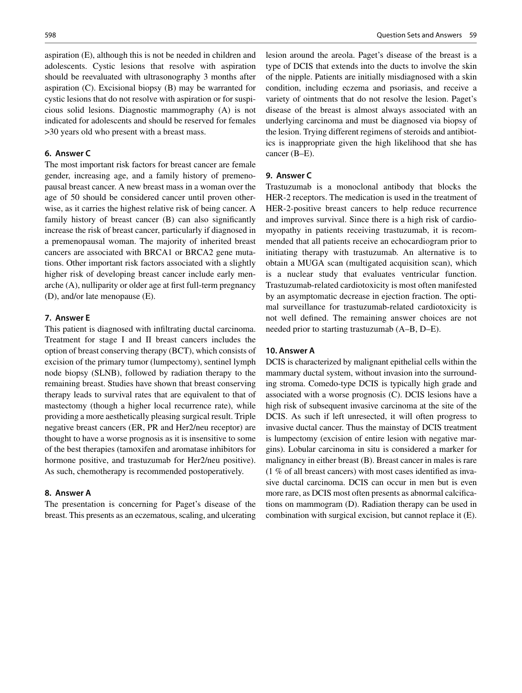aspiration (E), although this is not be needed in children and adolescents. Cystic lesions that resolve with aspiration should be reevaluated with ultrasonography 3 months after aspiration (C). Excisional biopsy (B) may be warranted for cystic lesions that do not resolve with aspiration or for suspicious solid lesions. Diagnostic mammography (A) is not indicated for adolescents and should be reserved for females >30 years old who present with a breast mass.

# **6. Answer C**

 The most important risk factors for breast cancer are female gender, increasing age, and a family history of premenopausal breast cancer. A new breast mass in a woman over the age of 50 should be considered cancer until proven otherwise, as it carries the highest relative risk of being cancer. A family history of breast cancer  $(B)$  can also significantly increase the risk of breast cancer, particularly if diagnosed in a premenopausal woman. The majority of inherited breast cancers are associated with BRCA1 or BRCA2 gene mutations. Other important risk factors associated with a slightly higher risk of developing breast cancer include early menarche  $(A)$ , nulliparity or older age at first full-term pregnancy (D), and/or late menopause (E).

### **7. Answer E**

This patient is diagnosed with infiltrating ductal carcinoma. Treatment for stage I and II breast cancers includes the option of breast conserving therapy (BCT), which consists of excision of the primary tumor (lumpectomy), sentinel lymph node biopsy (SLNB), followed by radiation therapy to the remaining breast. Studies have shown that breast conserving therapy leads to survival rates that are equivalent to that of mastectomy (though a higher local recurrence rate), while providing a more aesthetically pleasing surgical result. Triple negative breast cancers (ER, PR and Her2/neu receptor) are thought to have a worse prognosis as it is insensitive to some of the best therapies (tamoxifen and aromatase inhibitors for hormone positive, and trastuzumab for Her2/neu positive). As such, chemotherapy is recommended postoperatively.

# **8. Answer A**

 The presentation is concerning for Paget's disease of the breast. This presents as an eczematous, scaling, and ulcerating lesion around the areola. Paget's disease of the breast is a type of DCIS that extends into the ducts to involve the skin of the nipple. Patients are initially misdiagnosed with a skin condition, including eczema and psoriasis, and receive a variety of ointments that do not resolve the lesion. Paget's disease of the breast is almost always associated with an underlying carcinoma and must be diagnosed via biopsy of the lesion. Trying different regimens of steroids and antibiotics is inappropriate given the high likelihood that she has cancer (B–E).

# **9. Answer C**

 Trastuzumab is a monoclonal antibody that blocks the HER-2 receptors. The medication is used in the treatment of HER-2- positive breast cancers to help reduce recurrence and improves survival. Since there is a high risk of cardiomyopathy in patients receiving trastuzumab, it is recommended that all patients receive an echocardiogram prior to initiating therapy with trastuzumab. An alternative is to obtain a MUGA scan (multigated acquisition scan), which is a nuclear study that evaluates ventricular function. Trastuzumab-related cardiotoxicity is most often manifested by an asymptomatic decrease in ejection fraction. The optimal surveillance for trastuzumab-related cardiotoxicity is not well defined. The remaining answer choices are not needed prior to starting trastuzumab (A–B, D–E).

#### **10. Answer A**

 DCIS is characterized by malignant epithelial cells within the mammary ductal system, without invasion into the surrounding stroma. Comedo-type DCIS is typically high grade and associated with a worse prognosis (C). DCIS lesions have a high risk of subsequent invasive carcinoma at the site of the DCIS. As such if left unresected, it will often progress to invasive ductal cancer. Thus the mainstay of DCIS treatment is lumpectomy (excision of entire lesion with negative margins). Lobular carcinoma in situ is considered a marker for malignancy in either breast (B). Breast cancer in males is rare  $(1\% \text{ of all breast cancers})$  with most cases identified as invasive ductal carcinoma. DCIS can occur in men but is even more rare, as DCIS most often presents as abnormal calcifications on mammogram (D). Radiation therapy can be used in combination with surgical excision, but cannot replace it (E).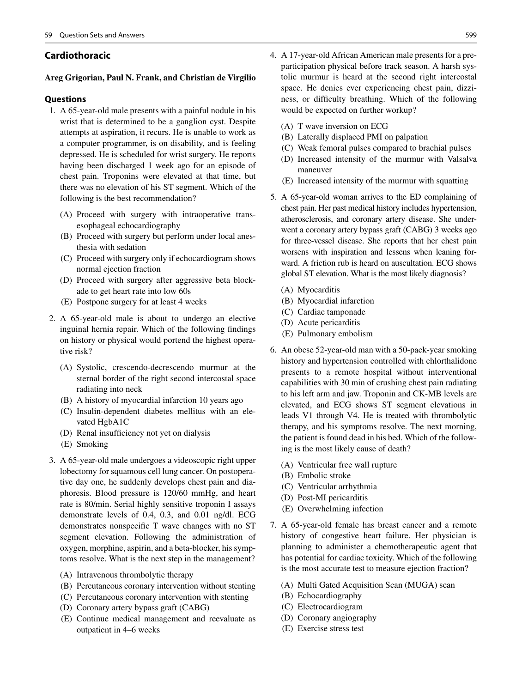# **Cardiothoracic**

# **Areg Grigorian, Paul N. Frank, and Christian de Virgilio**

# **Questions**

- 1. A 65-year-old male presents with a painful nodule in his wrist that is determined to be a ganglion cyst. Despite attempts at aspiration, it recurs. He is unable to work as a computer programmer, is on disability, and is feeling depressed. He is scheduled for wrist surgery. He reports having been discharged 1 week ago for an episode of chest pain. Troponins were elevated at that time, but there was no elevation of his ST segment. Which of the following is the best recommendation?
	- (A) Proceed with surgery with intraoperative transesophageal echocardiography
	- (B) Proceed with surgery but perform under local anesthesia with sedation
	- (C) Proceed with surgery only if echocardiogram shows normal ejection fraction
	- (D) Proceed with surgery after aggressive beta blockade to get heart rate into low 60s
	- (E) Postpone surgery for at least 4 weeks
- 2. A 65-year-old male is about to undergo an elective inguinal hernia repair. Which of the following findings on history or physical would portend the highest operative risk?
	- (A) Systolic, crescendo-decrescendo murmur at the sternal border of the right second intercostal space radiating into neck
	- (B) A history of myocardial infarction 10 years ago
	- (C) Insulin-dependent diabetes mellitus with an elevated HgbA1C
	- (D) Renal insufficiency not yet on dialysis
	- (E) Smoking
- 3. A 65-year-old male undergoes a videoscopic right upper lobectomy for squamous cell lung cancer. On postoperative day one, he suddenly develops chest pain and diaphoresis. Blood pressure is 120/60 mmHg, and heart rate is 80/min. Serial highly sensitive troponin I assays demonstrate levels of 0.4, 0.3, and 0.01 ng/dl. ECG demonstrates nonspecific T wave changes with no ST segment elevation. Following the administration of oxygen, morphine, aspirin, and a beta-blocker, his symptoms resolve. What is the next step in the management?
	- (A) Intravenous thrombolytic therapy
	- (B) Percutaneous coronary intervention without stenting
	- (C) Percutaneous coronary intervention with stenting
	- (D) Coronary artery bypass graft (CABG)
	- (E) Continue medical management and reevaluate as outpatient in 4–6 weeks
- 4. A 17-year-old African American male presents for a preparticipation physical before track season. A harsh systolic murmur is heard at the second right intercostal space. He denies ever experiencing chest pain, dizziness, or difficulty breathing. Which of the following would be expected on further workup?
	- (A) T wave inversion on ECG
	- (B) Laterally displaced PMI on palpation
	- (C) Weak femoral pulses compared to brachial pulses
	- (D) Increased intensity of the murmur with Valsalva maneuver
	- (E) Increased intensity of the murmur with squatting
- 5. A 65-year-old woman arrives to the ED complaining of chest pain. Her past medical history includes hypertension, atherosclerosis, and coronary artery disease. She underwent a coronary artery bypass graft (CABG) 3 weeks ago for three-vessel disease. She reports that her chest pain worsens with inspiration and lessens when leaning forward. A friction rub is heard on auscultation. ECG shows global ST elevation. What is the most likely diagnosis?
	- (A) Myocarditis
	- (B) Myocardial infarction
	- (C) Cardiac tamponade
	- (D) Acute pericarditis
	- (E) Pulmonary embolism
- 6. An obese 52-year-old man with a 50-pack-year smoking history and hypertension controlled with chlorthalidone presents to a remote hospital without interventional capabilities with 30 min of crushing chest pain radiating to his left arm and jaw. Troponin and CK-MB levels are elevated, and ECG shows ST segment elevations in leads V1 through V4. He is treated with thrombolytic therapy, and his symptoms resolve. The next morning, the patient is found dead in his bed. Which of the following is the most likely cause of death?
	- (A) Ventricular free wall rupture
	- (B) Embolic stroke
	- (C) Ventricular arrhythmia
	- (D) Post-MI pericarditis
	- (E) Overwhelming infection
- 7. A 65-year-old female has breast cancer and a remote history of congestive heart failure. Her physician is planning to administer a chemotherapeutic agent that has potential for cardiac toxicity. Which of the following is the most accurate test to measure ejection fraction?
	- (A) Multi Gated Acquisition Scan (MUGA) scan
	- (B) Echocardiography
	- (C) Electrocardiogram
	- (D) Coronary angiography
	- (E) Exercise stress test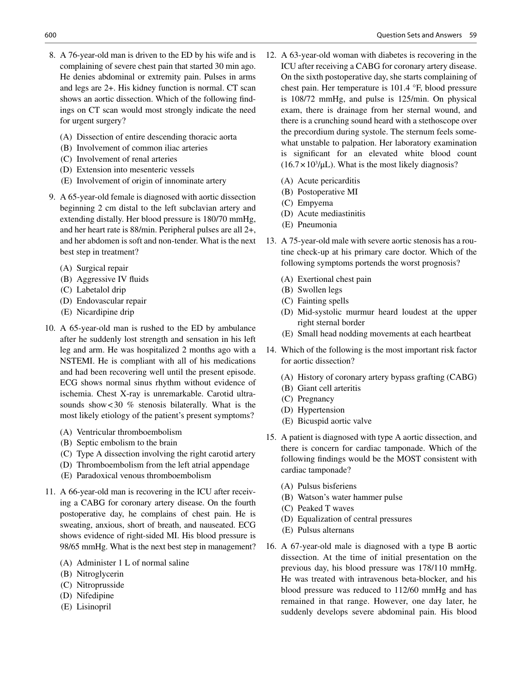- 8. A 76-year-old man is driven to the ED by his wife and is complaining of severe chest pain that started 30 min ago. He denies abdominal or extremity pain. Pulses in arms and legs are 2+. His kidney function is normal. CT scan shows an aortic dissection. Which of the following findings on CT scan would most strongly indicate the need for urgent surgery?
	- (A) Dissection of entire descending thoracic aorta
	- (B) Involvement of common iliac arteries
	- (C) Involvement of renal arteries
	- (D) Extension into mesenteric vessels
	- (E) Involvement of origin of innominate artery
- 9. A 65-year-old female is diagnosed with aortic dissection beginning 2 cm distal to the left subclavian artery and extending distally. Her blood pressure is 180/70 mmHg, and her heart rate is 88/min. Peripheral pulses are all 2+, and her abdomen is soft and non-tender. What is the next best step in treatment?
	- (A) Surgical repair
	- (B) Aggressive IV fluids
	- (C) Labetalol drip
	- (D) Endovascular repair
	- (E) Nicardipine drip
- 10. A 65-year-old man is rushed to the ED by ambulance after he suddenly lost strength and sensation in his left leg and arm. He was hospitalized 2 months ago with a NSTEMI. He is compliant with all of his medications and had been recovering well until the present episode. ECG shows normal sinus rhythm without evidence of ischemia. Chest X-ray is unremarkable. Carotid ultrasounds show < 30 % stenosis bilaterally. What is the most likely etiology of the patient's present symptoms?
	- (A) Ventricular thromboembolism
	- (B) Septic embolism to the brain
	- (C) Type A dissection involving the right carotid artery
	- (D) Thromboembolism from the left atrial appendage
	- (E) Paradoxical venous thromboembolism
- 11. A 66-year-old man is recovering in the ICU after receiving a CABG for coronary artery disease. On the fourth postoperative day, he complains of chest pain. He is sweating, anxious, short of breath, and nauseated. ECG shows evidence of right-sided MI. His blood pressure is 98/65 mmHg. What is the next best step in management?
	- (A) Administer 1 L of normal saline
	- (B) Nitroglycerin
	- (C) Nitroprusside
	- (D) Nifedipine
	- (E) Lisinopril
- 12. A 63-year-old woman with diabetes is recovering in the ICU after receiving a CABG for coronary artery disease. On the sixth postoperative day, she starts complaining of chest pain. Her temperature is 101.4 °F, blood pressure is 108/72 mmHg, and pulse is 125/min. On physical exam, there is drainage from her sternal wound, and there is a crunching sound heard with a stethoscope over the precordium during systole. The sternum feels somewhat unstable to palpation. Her laboratory examination is significant for an elevated white blood count  $(16.7 \times 10^3/\mu L)$ . What is the most likely diagnosis?
	- (A) Acute pericarditis
	- (B) Postoperative MI
	- (C) Empyema
	- (D) Acute mediastinitis
	- (E) Pneumonia
- 13. A 75-year-old male with severe aortic stenosis has a routine check-up at his primary care doctor. Which of the following symptoms portends the worst prognosis?
	- (A) Exertional chest pain
	- (B) Swollen legs
	- (C) Fainting spells
	- (D) Mid-systolic murmur heard loudest at the upper right sternal border
	- (E) Small head nodding movements at each heartbeat
- 14. Which of the following is the most important risk factor for aortic dissection?
	- (A) History of coronary artery bypass grafting (CABG)
	- (B) Giant cell arteritis
	- (C) Pregnancy
	- (D) Hypertension
	- (E) Bicuspid aortic valve
- 15. A patient is diagnosed with type A aortic dissection, and there is concern for cardiac tamponade. Which of the following findings would be the MOST consistent with cardiac tamponade?
	- (A) Pulsus bisferiens
	- (B) Watson's water hammer pulse
	- (C) Peaked T waves
	- (D) Equalization of central pressures
	- (E) Pulsus alternans
- 16. A 67-year-old male is diagnosed with a type B aortic dissection. At the time of initial presentation on the previous day, his blood pressure was 178/110 mmHg. He was treated with intravenous beta-blocker, and his blood pressure was reduced to 112/60 mmHg and has remained in that range. However, one day later, he suddenly develops severe abdominal pain. His blood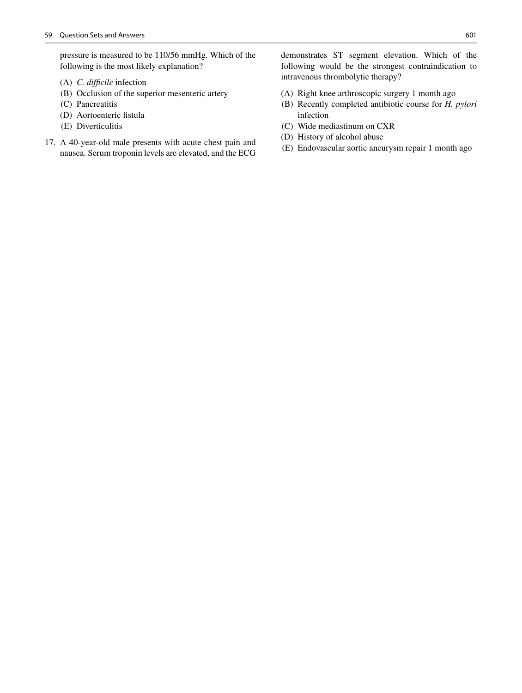pressure is measured to be 110/56 mmHg. Which of the following is the most likely explanation?

- (A) *C. difficile* infection
- (B) Occlusion of the superior mesenteric artery
- (C) Pancreatitis
- (D) Aortoenteric fistula
- (E) Diverticulitis
- 17. A 40-year-old male presents with acute chest pain and nausea. Serum troponin levels are elevated, and the ECG

demonstrates ST segment elevation. Which of the following would be the strongest contraindication to intravenous thrombolytic therapy?

- (A) Right knee arthroscopic surgery 1 month ago
- (B) Recently completed antibiotic course for *H. pylori* infection
- (C) Wide mediastinum on CXR
- (D) History of alcohol abuse
- (E) Endovascular aortic aneurysm repair 1 month ago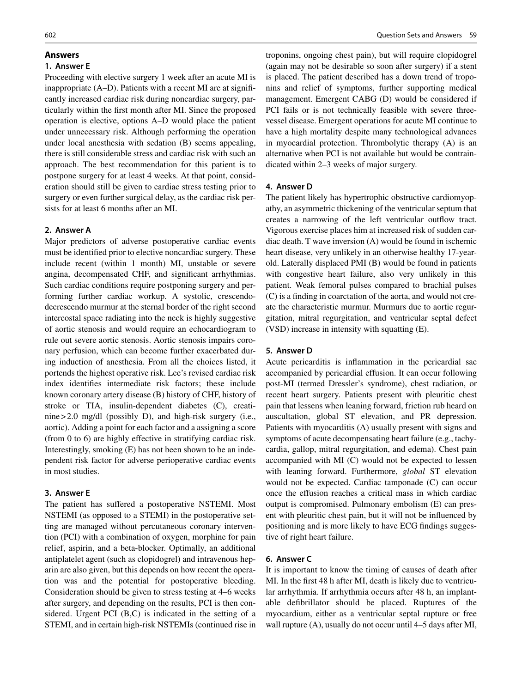### **Answers**

# **1. Answer E**

 Proceeding with elective surgery 1 week after an acute MI is inappropriate  $(A-D)$ . Patients with a recent MI are at significantly increased cardiac risk during noncardiac surgery, particularly within the first month after MI. Since the proposed operation is elective, options A–D would place the patient under unnecessary risk. Although performing the operation under local anesthesia with sedation (B) seems appealing, there is still considerable stress and cardiac risk with such an approach. The best recommendation for this patient is to postpone surgery for at least 4 weeks. At that point, consideration should still be given to cardiac stress testing prior to surgery or even further surgical delay, as the cardiac risk persists for at least 6 months after an MI.

# **2. Answer A**

 Major predictors of adverse postoperative cardiac events must be identified prior to elective noncardiac surgery. These include recent (within 1 month) MI, unstable or severe angina, decompensated CHF, and significant arrhythmias. Such cardiac conditions require postponing surgery and performing further cardiac workup. A systolic, crescendodecrescendo murmur at the sternal border of the right second intercostal space radiating into the neck is highly suggestive of aortic stenosis and would require an echocardiogram to rule out severe aortic stenosis. Aortic stenosis impairs coronary perfusion, which can become further exacerbated during induction of anesthesia. From all the choices listed, it portends the highest operative risk. Lee's revised cardiac risk index identifies intermediate risk factors; these include known coronary artery disease (B) history of CHF, history of stroke or TIA, insulin-dependent diabetes (C), creatinine > 2.0 mg/dl (possibly D), and high-risk surgery (i.e., aortic). Adding a point for each factor and a assigning a score (from 0 to 6) are highly effective in stratifying cardiac risk. Interestingly, smoking (E) has not been shown to be an independent risk factor for adverse perioperative cardiac events in most studies.

# **3. Answer E**

 The patient has suffered a postoperative NSTEMI. Most NSTEMI (as opposed to a STEMI) in the postoperative setting are managed without percutaneous coronary intervention (PCI) with a combination of oxygen, morphine for pain relief, aspirin, and a beta-blocker. Optimally, an additional antiplatelet agent (such as clopidogrel) and intravenous heparin are also given, but this depends on how recent the operation was and the potential for postoperative bleeding. Consideration should be given to stress testing at 4–6 weeks after surgery, and depending on the results, PCI is then considered. Urgent PCI (B,C) is indicated in the setting of a STEMI, and in certain high-risk NSTEMIs (continued rise in

troponins, ongoing chest pain), but will require clopidogrel (again may not be desirable so soon after surgery) if a stent is placed. The patient described has a down trend of troponins and relief of symptoms, further supporting medical management. Emergent CABG (D) would be considered if PCI fails or is not technically feasible with severe threevessel disease. Emergent operations for acute MI continue to have a high mortality despite many technological advances in myocardial protection. Thrombolytic therapy (A) is an alternative when PCI is not available but would be contraindicated within 2–3 weeks of major surgery.

#### **4. Answer D**

 The patient likely has hypertrophic obstructive cardiomyopathy, an asymmetric thickening of the ventricular septum that creates a narrowing of the left ventricular outflow tract. Vigorous exercise places him at increased risk of sudden cardiac death. T wave inversion (A) would be found in ischemic heart disease, very unlikely in an otherwise healthy 17-yearold. Laterally displaced PMI (B) would be found in patients with congestive heart failure, also very unlikely in this patient. Weak femoral pulses compared to brachial pulses  $(C)$  is a finding in coarctation of the aorta, and would not create the characteristic murmur. Murmurs due to aortic regurgitation, mitral regurgitation, and ventricular septal defect (VSD) increase in intensity with squatting (E).

#### **5. Answer D**

Acute pericarditis is inflammation in the pericardial sac accompanied by pericardial effusion. It can occur following post-MI (termed Dressler's syndrome), chest radiation, or recent heart surgery. Patients present with pleuritic chest pain that lessens when leaning forward, friction rub heard on auscultation, global ST elevation, and PR depression. Patients with myocarditis (A) usually present with signs and symptoms of acute decompensating heart failure (e.g., tachycardia, gallop, mitral regurgitation, and edema). Chest pain accompanied with MI (C) would not be expected to lessen with leaning forward. Furthermore, *global* ST elevation would not be expected. Cardiac tamponade (C) can occur once the effusion reaches a critical mass in which cardiac output is compromised. Pulmonary embolism (E) can present with pleuritic chest pain, but it will not be influenced by positioning and is more likely to have ECG findings suggestive of right heart failure.

# **6. Answer C**

 It is important to know the timing of causes of death after MI. In the first 48 h after MI, death is likely due to ventricular arrhythmia. If arrhythmia occurs after 48 h, an implantable defibrillator should be placed. Ruptures of the myocardium, either as a ventricular septal rupture or free wall rupture (A), usually do not occur until 4–5 days after MI,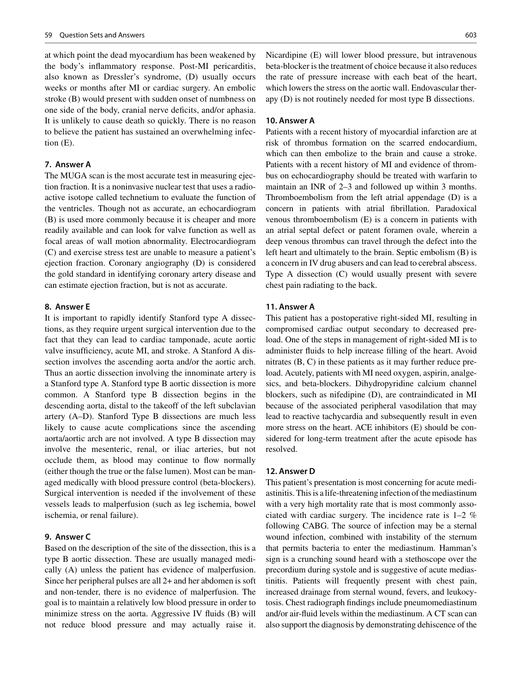at which point the dead myocardium has been weakened by the body's inflammatory response. Post-MI pericarditis, also known as Dressler's syndrome, (D) usually occurs weeks or months after MI or cardiac surgery. An embolic stroke (B) would present with sudden onset of numbness on one side of the body, cranial nerve deficits, and/or aphasia. It is unlikely to cause death so quickly. There is no reason to believe the patient has sustained an overwhelming infection (E).

# **7. Answer A**

 The MUGA scan is the most accurate test in measuring ejection fraction. It is a noninvasive nuclear test that uses a radioactive isotope called technetium to evaluate the function of the ventricles. Though not as accurate, an echocardiogram (B) is used more commonly because it is cheaper and more readily available and can look for valve function as well as focal areas of wall motion abnormality. Electrocardiogram (C) and exercise stress test are unable to measure a patient's ejection fraction. Coronary angiography (D) is considered the gold standard in identifying coronary artery disease and can estimate ejection fraction, but is not as accurate.

#### **8. Answer E**

 It is important to rapidly identify Stanford type A dissections, as they require urgent surgical intervention due to the fact that they can lead to cardiac tamponade, acute aortic valve insufficiency, acute MI, and stroke. A Stanford A dissection involves the ascending aorta and/or the aortic arch. Thus an aortic dissection involving the innominate artery is a Stanford type A. Stanford type B aortic dissection is more common. A Stanford type B dissection begins in the descending aorta, distal to the takeoff of the left subclavian artery (A–D). Stanford Type B dissections are much less likely to cause acute complications since the ascending aorta/aortic arch are not involved. A type B dissection may involve the mesenteric, renal, or iliac arteries, but not occlude them, as blood may continue to flow normally (either though the true or the false lumen). Most can be managed medically with blood pressure control (beta-blockers). Surgical intervention is needed if the involvement of these vessels leads to malperfusion (such as leg ischemia, bowel ischemia, or renal failure).

# **9. Answer C**

 Based on the description of the site of the dissection, this is a type B aortic dissection. These are usually managed medically (A) unless the patient has evidence of malperfusion. Since her peripheral pulses are all 2+ and her abdomen is soft and non- tender, there is no evidence of malperfusion. The goal is to maintain a relatively low blood pressure in order to minimize stress on the aorta. Aggressive IV fluids  $(B)$  will not reduce blood pressure and may actually raise it.

Nicardipine (E) will lower blood pressure, but intravenous beta-blocker is the treatment of choice because it also reduces the rate of pressure increase with each beat of the heart, which lowers the stress on the aortic wall. Endovascular therapy (D) is not routinely needed for most type B dissections.

# **10. Answer A**

 Patients with a recent history of myocardial infarction are at risk of thrombus formation on the scarred endocardium, which can then embolize to the brain and cause a stroke. Patients with a recent history of MI and evidence of thrombus on echocardiography should be treated with warfarin to maintain an INR of 2–3 and followed up within 3 months. Thromboembolism from the left atrial appendage (D) is a concern in patients with atrial fibrillation. Paradoxical venous thromboembolism (E) is a concern in patients with an atrial septal defect or patent foramen ovale, wherein a deep venous thrombus can travel through the defect into the left heart and ultimately to the brain. Septic embolism (B) is a concern in IV drug abusers and can lead to cerebral abscess. Type A dissection (C) would usually present with severe chest pain radiating to the back.

### **11. Answer A**

 This patient has a postoperative right-sided MI, resulting in compromised cardiac output secondary to decreased preload. One of the steps in management of right-sided MI is to administer fluids to help increase filling of the heart. Avoid nitrates (B, C) in these patients as it may further reduce preload. Acutely, patients with MI need oxygen, aspirin, analgesics, and beta-blockers. Dihydropyridine calcium channel blockers, such as nifedipine (D), are contraindicated in MI because of the associated peripheral vasodilation that may lead to reactive tachycardia and subsequently result in even more stress on the heart. ACE inhibitors (E) should be considered for long-term treatment after the acute episode has resolved.

### **12. Answer D**

 This patient's presentation is most concerning for acute mediastinitis. This is a life-threatening infection of the mediastinum with a very high mortality rate that is most commonly associated with cardiac surgery. The incidence rate is 1–2 % following CABG. The source of infection may be a sternal wound infection, combined with instability of the sternum that permits bacteria to enter the mediastinum. Hamman's sign is a crunching sound heard with a stethoscope over the precordium during systole and is suggestive of acute mediastinitis. Patients will frequently present with chest pain, increased drainage from sternal wound, fevers, and leukocytosis. Chest radiograph findings include pneumomediastinum and/or air-fluid levels within the mediastinum. A CT scan can also support the diagnosis by demonstrating dehiscence of the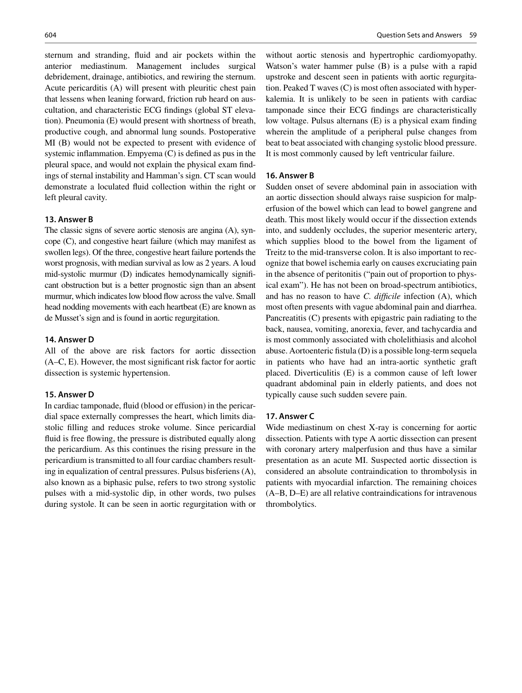sternum and stranding, fluid and air pockets within the anterior mediastinum. Management includes surgical debridement, drainage, antibiotics, and rewiring the sternum. Acute pericarditis (A) will present with pleuritic chest pain that lessens when leaning forward, friction rub heard on auscultation, and characteristic ECG findings (global ST elevation). Pneumonia (E) would present with shortness of breath, productive cough, and abnormal lung sounds. Postoperative MI (B) would not be expected to present with evidence of systemic inflammation. Empyema  $(C)$  is defined as pus in the pleural space, and would not explain the physical exam findings of sternal instability and Hamman's sign. CT scan would demonstrate a loculated fluid collection within the right or left pleural cavity.

# **13. Answer B**

 The classic signs of severe aortic stenosis are angina (A), syncope (C), and congestive heart failure (which may manifest as swollen legs). Of the three, congestive heart failure portends the worst prognosis, with median survival as low as 2 years. A loud mid-systolic murmur (D) indicates hemodynamically significant obstruction but is a better prognostic sign than an absent murmur, which indicates low blood flow across the valve. Small head nodding movements with each heartbeat (E) are known as de Musset's sign and is found in aortic regurgitation.

# **14. Answer D**

 All of the above are risk factors for aortic dissection  $(A-C, E)$ . However, the most significant risk factor for aortic dissection is systemic hypertension.

#### **15. Answer D**

In cardiac tamponade, fluid (blood or effusion) in the pericardial space externally compresses the heart, which limits diastolic filling and reduces stroke volume. Since pericardial fluid is free flowing, the pressure is distributed equally along the pericardium. As this continues the rising pressure in the pericardium is transmitted to all four cardiac chambers resulting in equalization of central pressures. Pulsus bisferiens (A), also known as a biphasic pulse, refers to two strong systolic pulses with a mid-systolic dip, in other words, two pulses during systole. It can be seen in aortic regurgitation with or

without aortic stenosis and hypertrophic cardiomyopathy. Watson's water hammer pulse (B) is a pulse with a rapid upstroke and descent seen in patients with aortic regurgitation. Peaked T waves (C) is most often associated with hyperkalemia. It is unlikely to be seen in patients with cardiac tamponade since their ECG findings are characteristically low voltage. Pulsus alternans  $(E)$  is a physical exam finding wherein the amplitude of a peripheral pulse changes from beat to beat associated with changing systolic blood pressure. It is most commonly caused by left ventricular failure.

# **16. Answer B**

 Sudden onset of severe abdominal pain in association with an aortic dissection should always raise suspicion for malperfusion of the bowel which can lead to bowel gangrene and death. This most likely would occur if the dissection extends into, and suddenly occludes, the superior mesenteric artery, which supplies blood to the bowel from the ligament of Treitz to the mid-transverse colon. It is also important to recognize that bowel ischemia early on causes excruciating pain in the absence of peritonitis ("pain out of proportion to physical exam"). He has not been on broad-spectrum antibiotics, and has no reason to have *C. difficile* infection (A), which most often presents with vague abdominal pain and diarrhea. Pancreatitis (C) presents with epigastric pain radiating to the back, nausea, vomiting, anorexia, fever, and tachycardia and is most commonly associated with cholelithiasis and alcohol abuse. Aortoenteric fistula (D) is a possible long-term sequela in patients who have had an intra-aortic synthetic graft placed. Diverticulitis (E) is a common cause of left lower quadrant abdominal pain in elderly patients, and does not typically cause such sudden severe pain.

# **17. Answer C**

 Wide mediastinum on chest X-ray is concerning for aortic dissection. Patients with type A aortic dissection can present with coronary artery malperfusion and thus have a similar presentation as an acute MI. Suspected aortic dissection is considered an absolute contraindication to thrombolysis in patients with myocardial infarction. The remaining choices (A–B, D–E) are all relative contraindications for intravenous thrombolytics.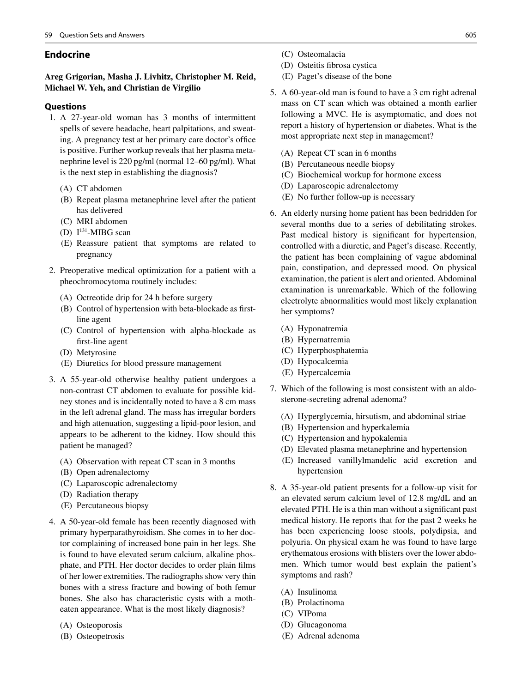# **Endocrine**

# Areg Grigorian, Masha J. Livhitz, Christopher M. Reid,  **Michael W. Yeh, and Christian de Virgilio**

# **Questions**

- 1. A 27-year-old woman has 3 months of intermittent spells of severe headache, heart palpitations, and sweating. A pregnancy test at her primary care doctor's office is positive. Further workup reveals that her plasma metanephrine level is 220 pg/ml (normal 12–60 pg/ml). What is the next step in establishing the diagnosis?
	- (A) CT abdomen
	- (B) Repeat plasma metanephrine level after the patient has delivered
	- (C) MRI abdomen
	- (D)  $I^{131}$ -MIBG scan
	- (E) Reassure patient that symptoms are related to pregnancy
- 2. Preoperative medical optimization for a patient with a pheochromocytoma routinely includes:
	- (A) Octreotide drip for 24 h before surgery
	- (B) Control of hypertension with beta-blockade as firstline agent
	- (C) Control of hypertension with alpha-blockade as first-line agent
	- (D) Metyrosine
	- (E) Diuretics for blood pressure management
- 3. A 55-year-old otherwise healthy patient undergoes a non-contrast CT abdomen to evaluate for possible kidney stones and is incidentally noted to have a 8 cm mass in the left adrenal gland. The mass has irregular borders and high attenuation, suggesting a lipid-poor lesion, and appears to be adherent to the kidney. How should this patient be managed?
	- (A) Observation with repeat CT scan in 3 months
	- (B) Open adrenalectomy
	- (C) Laparoscopic adrenalectomy
	- (D) Radiation therapy
	- (E) Percutaneous biopsy
- 4. A 50-year-old female has been recently diagnosed with primary hyperparathyroidism. She comes in to her doctor complaining of increased bone pain in her legs. She is found to have elevated serum calcium, alkaline phosphate, and PTH. Her doctor decides to order plain films of her lower extremities. The radiographs show very thin bones with a stress fracture and bowing of both femur bones. She also has characteristic cysts with a motheaten appearance. What is the most likely diagnosis?
	- (A) Osteoporosis
	- (B) Osteopetrosis
- (C) Osteomalacia
- (D) Osteitis fibrosa cystica
- (E) Paget's disease of the bone
- 5. A 60-year-old man is found to have a 3 cm right adrenal mass on CT scan which was obtained a month earlier following a MVC. He is asymptomatic, and does not report a history of hypertension or diabetes. What is the most appropriate next step in management?
	- (A) Repeat CT scan in 6 months
	- (B) Percutaneous needle biopsy
	- (C) Biochemical workup for hormone excess
	- (D) Laparoscopic adrenalectomy
	- (E) No further follow-up is necessary
- 6. An elderly nursing home patient has been bedridden for several months due to a series of debilitating strokes. Past medical history is significant for hypertension, controlled with a diuretic, and Paget's disease. Recently, the patient has been complaining of vague abdominal pain, constipation, and depressed mood. On physical examination, the patient is alert and oriented. Abdominal examination is unremarkable. Which of the following electrolyte abnormalities would most likely explanation her symptoms?
	- (A) Hyponatremia
	- (B) Hypernatremia
	- (C) Hyperphosphatemia
	- (D) Hypocalcemia
	- (E) Hypercalcemia
- 7. Which of the following is most consistent with an aldosterone-secreting adrenal adenoma?
	- (A) Hyperglycemia, hirsutism, and abdominal striae
	- (B) Hypertension and hyperkalemia
	- (C) Hypertension and hypokalemia
	- (D) Elevated plasma metanephrine and hypertension
	- (E) Increased vanillylmandelic acid excretion and hypertension
- 8. A 35-year-old patient presents for a follow-up visit for an elevated serum calcium level of 12.8 mg/dL and an elevated PTH. He is a thin man without a significant past medical history. He reports that for the past 2 weeks he has been experiencing loose stools, polydipsia, and polyuria. On physical exam he was found to have large erythematous erosions with blisters over the lower abdomen. Which tumor would best explain the patient's symptoms and rash?
	- (A) Insulinoma
	- (B) Prolactinoma
	- (C) VIPoma
	- (D) Glucagonoma
	- (E) Adrenal adenoma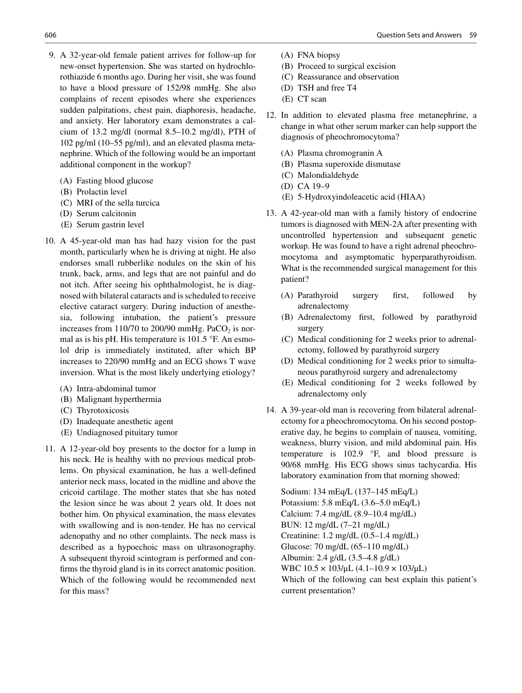- 9. A 32-year-old female patient arrives for follow-up for new-onset hypertension. She was started on hydrochlorothiazide 6 months ago. During her visit, she was found to have a blood pressure of 152/98 mmHg. She also complains of recent episodes where she experiences sudden palpitations, chest pain, diaphoresis, headache, and anxiety. Her laboratory exam demonstrates a calcium of 13.2 mg/dl (normal 8.5–10.2 mg/dl), PTH of 102 pg/ml (10–55 pg/ml), and an elevated plasma metanephrine. Which of the following would be an important additional component in the workup?
	- (A) Fasting blood glucose
	- (B) Prolactin level
	- (C) MRI of the sella turcica
	- (D) Serum calcitonin
	- (E) Serum gastrin level
- 10. A 45-year-old man has had hazy vision for the past month, particularly when he is driving at night. He also endorses small rubberlike nodules on the skin of his trunk, back, arms, and legs that are not painful and do not itch. After seeing his ophthalmologist, he is diagnosed with bilateral cataracts and is scheduled to receive elective cataract surgery. During induction of anesthesia, following intubation, the patient's pressure increases from  $110/70$  to  $200/90$  mmHg. PaCO<sub>2</sub> is normal as is his pH. His temperature is 101.5 °F. An esmolol drip is immediately instituted, after which BP increases to 220/90 mmHg and an ECG shows T wave inversion. What is the most likely underlying etiology?
	- (A) Intra-abdominal tumor
	- (B) Malignant hyperthermia
	- (C) Thyrotoxicosis
	- (D) Inadequate anesthetic agent
	- (E) Undiagnosed pituitary tumor
- 11. A 12-year-old boy presents to the doctor for a lump in his neck. He is healthy with no previous medical problems. On physical examination, he has a well-defined anterior neck mass, located in the midline and above the cricoid cartilage. The mother states that she has noted the lesion since he was about 2 years old. It does not bother him. On physical examination, the mass elevates with swallowing and is non-tender. He has no cervical adenopathy and no other complaints. The neck mass is described as a hypoechoic mass on ultrasonography. A subsequent thyroid scintogram is performed and confirms the thyroid gland is in its correct anatomic position. Which of the following would be recommended next for this mass?
- (A) FNA biopsy
- (B) Proceed to surgical excision
- (C) Reassurance and observation
- (D) TSH and free T4
- (E) CT scan
- 12. In addition to elevated plasma free metanephrine, a change in what other serum marker can help support the diagnosis of pheochromocytoma?
	- (A) Plasma chromogranin A
	- (B) Plasma superoxide dismutase
	- (C) Malondialdehyde
	- (D) CA 19–9
	- (E) 5-Hydroxyindoleacetic acid (HIAA)
- 13. A 42-year-old man with a family history of endocrine tumors is diagnosed with MEN-2A after presenting with uncontrolled hypertension and subsequent genetic workup. He was found to have a right adrenal pheochromocytoma and asymptomatic hyperparathyroidism. What is the recommended surgical management for this patient?
	- (A) Parathyroid surgery first, followed by adrenalectomy
	- (B) Adrenalectomy first, followed by parathyroid surgery
	- (C) Medical conditioning for 2 weeks prior to adrenalectomy, followed by parathyroid surgery
	- (D) Medical conditioning for 2 weeks prior to simultaneous parathyroid surgery and adrenalectomy
	- (E) Medical conditioning for 2 weeks followed by adrenalectomy only
- 14. A 39-year-old man is recovering from bilateral adrenalectomy for a pheochromocytoma. On his second postoperative day, he begins to complain of nausea, vomiting, weakness, blurry vision, and mild abdominal pain. His temperature is 102.9 °F, and blood pressure is 90/68 mmHg. His ECG shows sinus tachycardia. His laboratory examination from that morning showed:

 Sodium: 134 mEq/L (137–145 mEq/L) Potassium: 5.8 mEq/L (3.6–5.0 mEq/L) Calcium: 7.4 mg/dL (8.9–10.4 mg/dL) BUN: 12 mg/dL (7–21 mg/dL) Creatinine: 1.2 mg/dL (0.5–1.4 mg/dL) Glucose: 70 mg/dL (65–110 mg/dL) Albumin: 2.4 g/dL (3.5–4.8 g/dL) WBC 10.5 × 103/μL (4.1–10.9 × 103/μL) Which of the following can best explain this patient's current presentation?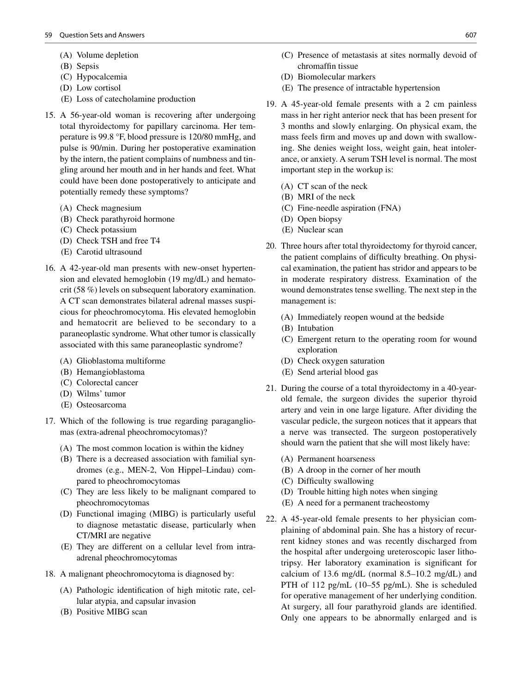- (A) Volume depletion
- (B) Sepsis
- (C) Hypocalcemia
- (D) Low cortisol
- (E) Loss of catecholamine production
- 15. A 56-year-old woman is recovering after undergoing total thyroidectomy for papillary carcinoma. Her temperature is 99.8 °F, blood pressure is 120/80 mmHg, and pulse is 90/min. During her postoperative examination by the intern, the patient complains of numbness and tingling around her mouth and in her hands and feet. What could have been done postoperatively to anticipate and potentially remedy these symptoms?
	- (A) Check magnesium
	- (B) Check parathyroid hormone
	- (C) Check potassium
	- (D) Check TSH and free T4
	- (E) Carotid ultrasound
- 16. A 42-year-old man presents with new-onset hypertension and elevated hemoglobin (19 mg/dL) and hematocrit (58 %) levels on subsequent laboratory examination. A CT scan demonstrates bilateral adrenal masses suspicious for pheochromocytoma. His elevated hemoglobin and hematocrit are believed to be secondary to a paraneoplastic syndrome. What other tumor is classically associated with this same paraneoplastic syndrome?
	- (A) Glioblastoma multiforme
	- (B) Hemangioblastoma
	- (C) Colorectal cancer
	- (D) Wilms' tumor
	- (E) Osteosarcoma
- 17. Which of the following is true regarding paragangliomas (extra-adrenal pheochromocytomas)?
	- (A) The most common location is within the kidney
	- (B) There is a decreased association with familial syndromes (e.g., MEN-2, Von Hippel–Lindau) compared to pheochromocytomas
	- (C) They are less likely to be malignant compared to pheochromocytomas
	- (D) Functional imaging (MIBG) is particularly useful to diagnose metastatic disease, particularly when CT/MRI are negative
	- (E) They are different on a cellular level from intraadrenal pheochromocytomas
- 18. A malignant pheochromocytoma is diagnosed by:
	- (A) Pathologic identification of high mitotic rate, cellular atypia, and capsular invasion
	- (B) Positive MIBG scan
- (C) Presence of metastasis at sites normally devoid of chromaffin tissue
- (D) Biomolecular markers
- (E) The presence of intractable hypertension
- 19. A 45-year-old female presents with a 2 cm painless mass in her right anterior neck that has been present for 3 months and slowly enlarging. On physical exam, the mass feels firm and moves up and down with swallowing. She denies weight loss, weight gain, heat intolerance, or anxiety. A serum TSH level is normal. The most important step in the workup is:
	- (A) CT scan of the neck
	- (B) MRI of the neck
	- (C) Fine-needle aspiration (FNA)
	- (D) Open biopsy
	- (E) Nuclear scan
- 20. Three hours after total thyroidectomy for thyroid cancer, the patient complains of difficulty breathing. On physical examination, the patient has stridor and appears to be in moderate respiratory distress. Examination of the wound demonstrates tense swelling. The next step in the management is:
	- (A) Immediately reopen wound at the bedside
	- (B) Intubation
	- (C) Emergent return to the operating room for wound exploration
	- (D) Check oxygen saturation
	- (E) Send arterial blood gas
- 21. During the course of a total thyroidectomy in a 40-yearold female, the surgeon divides the superior thyroid artery and vein in one large ligature. After dividing the vascular pedicle, the surgeon notices that it appears that a nerve was transected. The surgeon postoperatively should warn the patient that she will most likely have:
	- (A) Permanent hoarseness
	- (B) A droop in the corner of her mouth
	- (C) Difficulty swallowing
	- (D) Trouble hitting high notes when singing
	- (E) A need for a permanent tracheostomy
- 22. A 45-year-old female presents to her physician complaining of abdominal pain. She has a history of recurrent kidney stones and was recently discharged from the hospital after undergoing ureteroscopic laser lithotripsy. Her laboratory examination is significant for calcium of 13.6 mg/dL (normal 8.5–10.2 mg/dL) and PTH of 112 pg/mL (10–55 pg/mL). She is scheduled for operative management of her underlying condition. At surgery, all four parathyroid glands are identified. Only one appears to be abnormally enlarged and is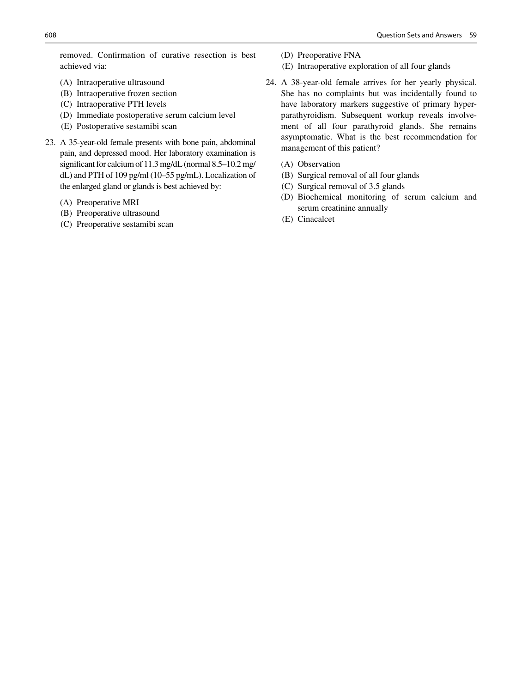removed. Confirmation of curative resection is best achieved via:

- (A) Intraoperative ultrasound
- (B) Intraoperative frozen section
- (C) Intraoperative PTH levels
- (D) Immediate postoperative serum calcium level
- (E) Postoperative sestamibi scan
- 23. A 35-year-old female presents with bone pain, abdominal pain, and depressed mood. Her laboratory examination is significant for calcium of 11.3 mg/dL (normal  $8.5-10.2$  mg/ dL) and PTH of 109 pg/ml (10–55 pg/mL). Localization of the enlarged gland or glands is best achieved by:
	- (A) Preoperative MRI
	- (B) Preoperative ultrasound
	- (C) Preoperative sestamibi scan
- (D) Preoperative FNA
- (E) Intraoperative exploration of all four glands
- 24. A 38-year-old female arrives for her yearly physical. She has no complaints but was incidentally found to have laboratory markers suggestive of primary hyperparathyroidism. Subsequent workup reveals involvement of all four parathyroid glands. She remains asymptomatic. What is the best recommendation for management of this patient?
	- (A) Observation
	- (B) Surgical removal of all four glands
	- (C) Surgical removal of 3.5 glands
	- (D) Biochemical monitoring of serum calcium and serum creatinine annually
	- (E) Cinacalcet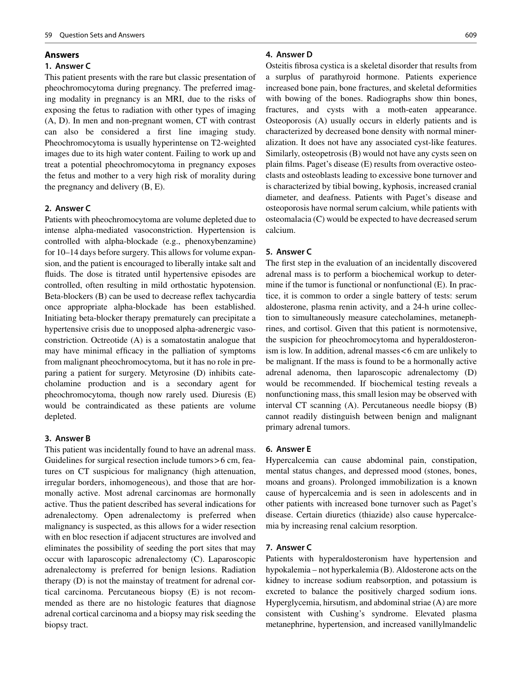#### **Answers**

# **1. Answer C**

 This patient presents with the rare but classic presentation of pheochromocytoma during pregnancy. The preferred imaging modality in pregnancy is an MRI, due to the risks of exposing the fetus to radiation with other types of imaging (A, D). In men and non-pregnant women, CT with contrast can also be considered a first line imaging study. Pheochromocytoma is usually hyperintense on T2-weighted images due to its high water content. Failing to work up and treat a potential pheochromocytoma in pregnancy exposes the fetus and mother to a very high risk of morality during the pregnancy and delivery (B, E).

# **2. Answer C**

 Patients with pheochromocytoma are volume depleted due to intense alpha-mediated vasoconstriction. Hypertension is controlled with alpha-blockade (e.g., phenoxybenzamine) for 10–14 days before surgery. This allows for volume expansion, and the patient is encouraged to liberally intake salt and fluids. The dose is titrated until hypertensive episodes are controlled, often resulting in mild orthostatic hypotension. Beta-blockers (B) can be used to decrease reflex tachycardia once appropriate alpha-blockade has been established. Initiating beta-blocker therapy prematurely can precipitate a hypertensive crisis due to unopposed alpha-adrenergic vasoconstriction. Octreotide (A) is a somatostatin analogue that may have minimal efficacy in the palliation of symptoms from malignant pheochromocytoma, but it has no role in preparing a patient for surgery. Metyrosine (D) inhibits catecholamine production and is a secondary agent for pheochromocytoma, though now rarely used. Diuresis (E) would be contraindicated as these patients are volume depleted.

### **3. Answer B**

 This patient was incidentally found to have an adrenal mass. Guidelines for surgical resection include tumors > 6 cm, features on CT suspicious for malignancy (high attenuation, irregular borders, inhomogeneous), and those that are hormonally active. Most adrenal carcinomas are hormonally active. Thus the patient described has several indications for adrenalectomy. Open adrenalectomy is preferred when malignancy is suspected, as this allows for a wider resection with en bloc resection if adjacent structures are involved and eliminates the possibility of seeding the port sites that may occur with laparoscopic adrenalectomy (C). Laparoscopic adrenalectomy is preferred for benign lesions. Radiation therapy (D) is not the mainstay of treatment for adrenal cortical carcinoma. Percutaneous biopsy (E) is not recommended as there are no histologic features that diagnose adrenal cortical carcinoma and a biopsy may risk seeding the biopsy tract.

### **4. Answer D**

Osteitis fibrosa cystica is a skeletal disorder that results from a surplus of parathyroid hormone. Patients experience increased bone pain, bone fractures, and skeletal deformities with bowing of the bones. Radiographs show thin bones, fractures, and cysts with a moth-eaten appearance. Osteoporosis (A) usually occurs in elderly patients and is characterized by decreased bone density with normal mineralization. It does not have any associated cyst-like features. Similarly, osteopetrosis (B) would not have any cysts seen on plain films. Paget's disease (E) results from overactive osteoclasts and osteoblasts leading to excessive bone turnover and is characterized by tibial bowing, kyphosis, increased cranial diameter, and deafness. Patients with Paget's disease and osteoporosis have normal serum calcium, while patients with osteomalacia (C) would be expected to have decreased serum calcium.

### **5. Answer C**

The first step in the evaluation of an incidentally discovered adrenal mass is to perform a biochemical workup to determine if the tumor is functional or nonfunctional (E). In practice, it is common to order a single battery of tests: serum aldosterone, plasma renin activity, and a 24-h urine collection to simultaneously measure catecholamines, metanephrines, and cortisol. Given that this patient is normotensive, the suspicion for pheochromocytoma and hyperaldosteronism is low. In addition, adrenal masses < 6 cm are unlikely to be malignant. If the mass is found to be a hormonally active adrenal adenoma, then laparoscopic adrenalectomy (D) would be recommended. If biochemical testing reveals a nonfunctioning mass, this small lesion may be observed with interval CT scanning (A). Percutaneous needle biopsy (B) cannot readily distinguish between benign and malignant primary adrenal tumors.

# **6. Answer E**

 Hypercalcemia can cause abdominal pain, constipation, mental status changes, and depressed mood (stones, bones, moans and groans). Prolonged immobilization is a known cause of hypercalcemia and is seen in adolescents and in other patients with increased bone turnover such as Paget's disease. Certain diuretics (thiazide) also cause hypercalcemia by increasing renal calcium resorption.

### **7. Answer C**

 Patients with hyperaldosteronism have hypertension and hypokalemia – not hyperkalemia (B). Aldosterone acts on the kidney to increase sodium reabsorption, and potassium is excreted to balance the positively charged sodium ions. Hyperglycemia, hirsutism, and abdominal striae (A) are more consistent with Cushing's syndrome. Elevated plasma metanephrine, hypertension, and increased vanillylmandelic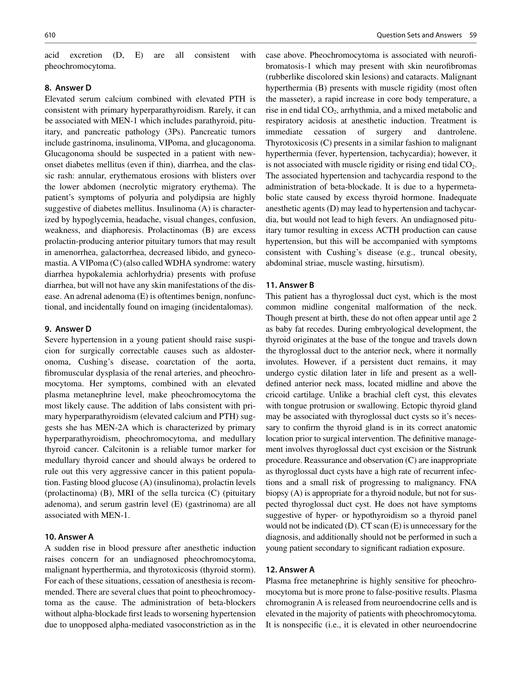acid excretion (D, E) are all consistent with pheochromocytoma.

# **8. Answer D**

 Elevated serum calcium combined with elevated PTH is consistent with primary hyperparathyroidism. Rarely, it can be associated with MEN-1 which includes parathyroid, pituitary, and pancreatic pathology (3Ps). Pancreatic tumors include gastrinoma, insulinoma, VIPoma, and glucagonoma. Glucagonoma should be suspected in a patient with newonset diabetes mellitus (even if thin), diarrhea, and the classic rash: annular, erythematous erosions with blisters over the lower abdomen (necrolytic migratory erythema). The patient's symptoms of polyuria and polydipsia are highly suggestive of diabetes mellitus. Insulinoma (A) is characterized by hypoglycemia, headache, visual changes, confusion, weakness, and diaphoresis. Prolactinomas (B) are excess prolactin-producing anterior pituitary tumors that may result in amenorrhea, galactorrhea, decreased libido, and gynecomastia. A VIPoma (C) (also called WDHA syndrome: watery diarrhea hypokalemia achlorhydria) presents with profuse diarrhea, but will not have any skin manifestations of the disease. An adrenal adenoma (E) is oftentimes benign, nonfunctional, and incidentally found on imaging (incidentalomas).

# **9. Answer D**

 Severe hypertension in a young patient should raise suspicion for surgically correctable causes such as aldosteronoma, Cushing's disease, coarctation of the aorta, fibromuscular dysplasia of the renal arteries, and pheochromocytoma. Her symptoms, combined with an elevated plasma metanephrine level, make pheochromocytoma the most likely cause. The addition of labs consistent with primary hyperparathyroidism (elevated calcium and PTH) suggests she has MEN-2A which is characterized by primary hyperparathyroidism, pheochromocytoma, and medullary thyroid cancer. Calcitonin is a reliable tumor marker for medullary thyroid cancer and should always be ordered to rule out this very aggressive cancer in this patient population. Fasting blood glucose (A) (insulinoma), prolactin levels (prolactinoma) (B), MRI of the sella turcica (C) (pituitary adenoma), and serum gastrin level (E) (gastrinoma) are all associated with MEN-1.

# **10. Answer A**

 A sudden rise in blood pressure after anesthetic induction raises concern for an undiagnosed pheochromocytoma, malignant hyperthermia, and thyrotoxicosis (thyroid storm). For each of these situations, cessation of anesthesia is recommended. There are several clues that point to pheochromocytoma as the cause. The administration of beta-blockers without alpha-blockade first leads to worsening hypertension due to unopposed alpha-mediated vasoconstriction as in the

case above. Pheochromocytoma is associated with neurofibromatosis-1 which may present with skin neurofibromas (rubberlike discolored skin lesions) and cataracts. Malignant hyperthermia (B) presents with muscle rigidity (most often the masseter), a rapid increase in core body temperature, a rise in end tidal  $CO<sub>2</sub>$ , arrhythmia, and a mixed metabolic and respiratory acidosis at anesthetic induction. Treatment is immediate cessation of surgery and dantrolene. Thyrotoxicosis (C) presents in a similar fashion to malignant hyperthermia (fever, hypertension, tachycardia); however, it is not associated with muscle rigidity or rising end tidal  $CO<sub>2</sub>$ . The associated hypertension and tachycardia respond to the administration of beta-blockade. It is due to a hypermetabolic state caused by excess thyroid hormone. Inadequate anesthetic agents (D) may lead to hypertension and tachycardia, but would not lead to high fevers. An undiagnosed pituitary tumor resulting in excess ACTH production can cause hypertension, but this will be accompanied with symptoms consistent with Cushing's disease (e.g., truncal obesity, abdominal striae, muscle wasting, hirsutism).

#### **11. Answer B**

 This patient has a thyroglossal duct cyst, which is the most common midline congenital malformation of the neck. Though present at birth, these do not often appear until age 2 as baby fat recedes. During embryological development, the thyroid originates at the base of the tongue and travels down the thyroglossal duct to the anterior neck, where it normally involutes. However, if a persistent duct remains, it may undergo cystic dilation later in life and present as a welldefined anterior neck mass, located midline and above the cricoid cartilage. Unlike a brachial cleft cyst, this elevates with tongue protrusion or swallowing. Ectopic thyroid gland may be associated with thyroglossal duct cysts so it's necessary to confirm the thyroid gland is in its correct anatomic location prior to surgical intervention. The definitive management involves thyroglossal duct cyst excision or the Sistrunk procedure. Reassurance and observation (C) are inappropriate as thyroglossal duct cysts have a high rate of recurrent infections and a small risk of progressing to malignancy. FNA biopsy (A) is appropriate for a thyroid nodule, but not for suspected thyroglossal duct cyst. He does not have symptoms suggestive of hyper- or hypothyroidism so a thyroid panel would not be indicated (D). CT scan (E) is unnecessary for the diagnosis, and additionally should not be performed in such a young patient secondary to significant radiation exposure.

# **12. Answer A**

 Plasma free metanephrine is highly sensitive for pheochromocytoma but is more prone to false-positive results. Plasma chromogranin A is released from neuroendocrine cells and is elevated in the majority of patients with pheochromocytoma. It is nonspecific (i.e., it is elevated in other neuroendocrine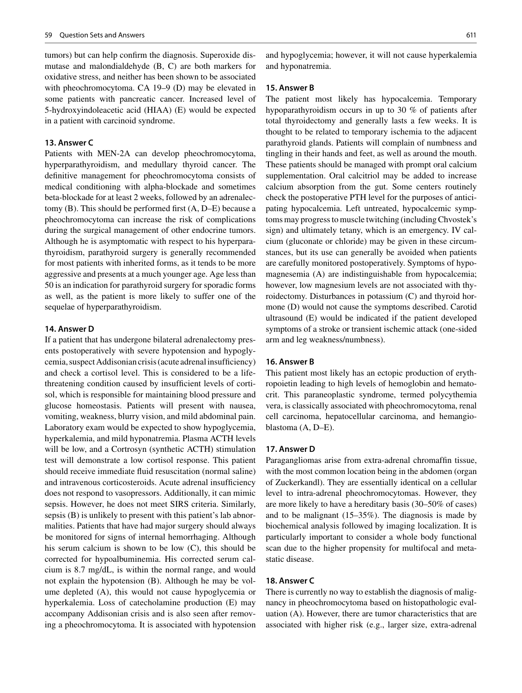tumors) but can help confirm the diagnosis. Superoxide dismutase and malondialdehyde (B, C) are both markers for oxidative stress, and neither has been shown to be associated with pheochromocytoma. CA 19–9 (D) may be elevated in some patients with pancreatic cancer. Increased level of 5-hydroxyindoleacetic acid (HIAA) (E) would be expected in a patient with carcinoid syndrome.

# **13. Answer C**

 Patients with MEN-2A can develop pheochromocytoma, hyperparathyroidism, and medullary thyroid cancer. The definitive management for pheochromocytoma consists of medical conditioning with alpha-blockade and sometimes beta-blockade for at least 2 weeks, followed by an adrenalectomy (B). This should be performed first  $(A, D-E)$  because a pheochromocytoma can increase the risk of complications during the surgical management of other endocrine tumors. Although he is asymptomatic with respect to his hyperparathyroidism, parathyroid surgery is generally recommended for most patients with inherited forms, as it tends to be more aggressive and presents at a much younger age. Age less than 50 is an indication for parathyroid surgery for sporadic forms as well, as the patient is more likely to suffer one of the sequelae of hyperparathyroidism.

# **14. Answer D**

 If a patient that has undergone bilateral adrenalectomy presents postoperatively with severe hypotension and hypoglycemia, suspect Addisonian crisis (acute adrenal insufficiency) and check a cortisol level. This is considered to be a lifethreatening condition caused by insufficient levels of cortisol, which is responsible for maintaining blood pressure and glucose homeostasis. Patients will present with nausea, vomiting, weakness, blurry vision, and mild abdominal pain. Laboratory exam would be expected to show hypoglycemia, hyperkalemia, and mild hyponatremia. Plasma ACTH levels will be low, and a Cortrosyn (synthetic ACTH) stimulation test will demonstrate a low cortisol response. This patient should receive immediate fluid resuscitation (normal saline) and intravenous corticosteroids. Acute adrenal insufficiency does not respond to vasopressors. Additionally, it can mimic sepsis. However, he does not meet SIRS criteria. Similarly, sepsis (B) is unlikely to present with this patient's lab abnormalities. Patients that have had major surgery should always be monitored for signs of internal hemorrhaging. Although his serum calcium is shown to be low (C), this should be corrected for hypoalbuminemia. His corrected serum calcium is 8.7 mg/dL, is within the normal range, and would not explain the hypotension (B). Although he may be volume depleted (A), this would not cause hypoglycemia or hyperkalemia. Loss of catecholamine production (E) may accompany Addisonian crisis and is also seen after removing a pheochromocytoma. It is associated with hypotension

and hypoglycemia; however, it will not cause hyperkalemia and hyponatremia.

### **15. Answer B**

 The patient most likely has hypocalcemia. Temporary hypoparathyroidism occurs in up to 30 % of patients after total thyroidectomy and generally lasts a few weeks. It is thought to be related to temporary ischemia to the adjacent parathyroid glands. Patients will complain of numbness and tingling in their hands and feet, as well as around the mouth. These patients should be managed with prompt oral calcium supplementation. Oral calcitriol may be added to increase calcium absorption from the gut. Some centers routinely check the postoperative PTH level for the purposes of anticipating hypocalcemia. Left untreated, hypocalcemic symptoms may progress to muscle twitching (including Chvostek's sign) and ultimately tetany, which is an emergency. IV calcium (gluconate or chloride) may be given in these circumstances, but its use can generally be avoided when patients are carefully monitored postoperatively. Symptoms of hypomagnesemia (A) are indistinguishable from hypocalcemia; however, low magnesium levels are not associated with thyroidectomy. Disturbances in potassium (C) and thyroid hormone (D) would not cause the symptoms described. Carotid ultrasound (E) would be indicated if the patient developed symptoms of a stroke or transient ischemic attack (one-sided arm and leg weakness/numbness).

# **16. Answer B**

 This patient most likely has an ectopic production of erythropoietin leading to high levels of hemoglobin and hematocrit. This paraneoplastic syndrome, termed polycythemia vera, is classically associated with pheochromocytoma, renal cell carcinoma, hepatocellular carcinoma, and hemangioblastoma (A, D–E).

# **17. Answer D**

Paragangliomas arise from extra-adrenal chromaffin tissue, with the most common location being in the abdomen (organ of Zuckerkandl). They are essentially identical on a cellular level to intra-adrenal pheochromocytomas. However, they are more likely to have a hereditary basis (30–50% of cases) and to be malignant (15–35%). The diagnosis is made by biochemical analysis followed by imaging localization. It is particularly important to consider a whole body functional scan due to the higher propensity for multifocal and metastatic disease.

#### **18. Answer C**

 There is currently no way to establish the diagnosis of malignancy in pheochromocytoma based on histopathologic evaluation (A). However, there are tumor characteristics that are associated with higher risk (e.g., larger size, extra-adrenal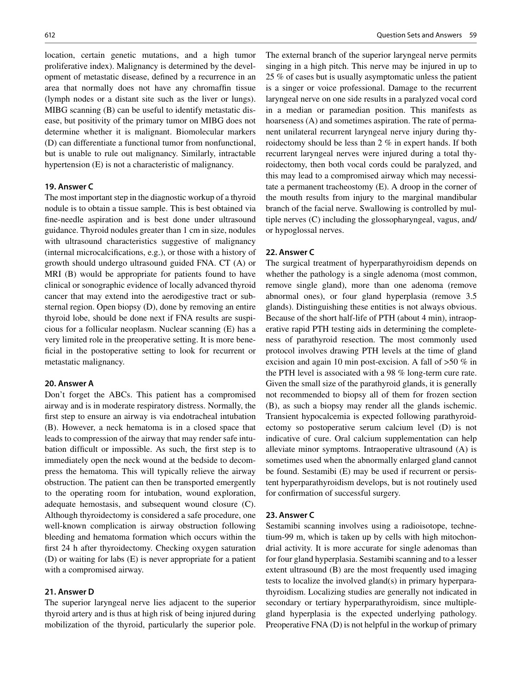location, certain genetic mutations, and a high tumor proliferative index). Malignancy is determined by the development of metastatic disease, defined by a recurrence in an area that normally does not have any chromaffin tissue (lymph nodes or a distant site such as the liver or lungs). MIBG scanning (B) can be useful to identify metastatic disease, but positivity of the primary tumor on MIBG does not determine whether it is malignant. Biomolecular markers (D) can differentiate a functional tumor from nonfunctional, but is unable to rule out malignancy. Similarly, intractable hypertension (E) is not a characteristic of malignancy.

# **19. Answer C**

 The most important step in the diagnostic workup of a thyroid nodule is to obtain a tissue sample. This is best obtained via fine-needle aspiration and is best done under ultrasound guidance. Thyroid nodules greater than 1 cm in size, nodules with ultrasound characteristics suggestive of malignancy  $(internal microcalculations, e.g.), or those with a history of$ growth should undergo ultrasound guided FNA. CT (A) or MRI (B) would be appropriate for patients found to have clinical or sonographic evidence of locally advanced thyroid cancer that may extend into the aerodigestive tract or substernal region. Open biopsy (D), done by removing an entire thyroid lobe, should be done next if FNA results are suspicious for a follicular neoplasm. Nuclear scanning (E) has a very limited role in the preoperative setting. It is more beneficial in the postoperative setting to look for recurrent or metastatic malignancy.

### **20. Answer A**

 Don't forget the ABCs. This patient has a compromised airway and is in moderate respiratory distress. Normally, the first step to ensure an airway is via endotracheal intubation (B). However, a neck hematoma is in a closed space that leads to compression of the airway that may render safe intubation difficult or impossible. As such, the first step is to immediately open the neck wound at the bedside to decompress the hematoma. This will typically relieve the airway obstruction. The patient can then be transported emergently to the operating room for intubation, wound exploration, adequate hemostasis, and subsequent wound closure (C). Although thyroidectomy is considered a safe procedure, one well-known complication is airway obstruction following bleeding and hematoma formation which occurs within the first 24 h after thyroidectomy. Checking oxygen saturation (D) or waiting for labs (E) is never appropriate for a patient with a compromised airway.

# **21. Answer D**

 The superior laryngeal nerve lies adjacent to the superior thyroid artery and is thus at high risk of being injured during mobilization of the thyroid, particularly the superior pole. The external branch of the superior laryngeal nerve permits singing in a high pitch. This nerve may be injured in up to 25 % of cases but is usually asymptomatic unless the patient is a singer or voice professional. Damage to the recurrent laryngeal nerve on one side results in a paralyzed vocal cord in a median or paramedian position. This manifests as hoarseness (A) and sometimes aspiration. The rate of permanent unilateral recurrent laryngeal nerve injury during thyroidectomy should be less than 2 % in expert hands. If both recurrent laryngeal nerves were injured during a total thyroidectomy, then both vocal cords could be paralyzed, and this may lead to a compromised airway which may necessitate a permanent tracheostomy (E). A droop in the corner of the mouth results from injury to the marginal mandibular branch of the facial nerve. Swallowing is controlled by multiple nerves (C) including the glossopharyngeal, vagus, and/ or hypoglossal nerves.

# **22. Answer C**

 The surgical treatment of hyperparathyroidism depends on whether the pathology is a single adenoma (most common, remove single gland), more than one adenoma (remove abnormal ones), or four gland hyperplasia (remove 3.5 glands ). Distinguishing these entities is not always obvious. Because of the short half-life of PTH (about 4 min), intraoperative rapid PTH testing aids in determining the completeness of parathyroid resection. The most commonly used protocol involves drawing PTH levels at the time of gland excision and again 10 min post-excision. A fall of >50 % in the PTH level is associated with a 98 % long-term cure rate. Given the small size of the parathyroid glands, it is generally not recommended to biopsy all of them for frozen section (B), as such a biopsy may render all the glands ischemic. Transient hypocalcemia is expected following parathyroidectomy so postoperative serum calcium level (D) is not indicative of cure. Oral calcium supplementation can help alleviate minor symptoms. Intraoperative ultrasound (A) is sometimes used when the abnormally enlarged gland cannot be found. Sestamibi (E) may be used if recurrent or persistent hyperparathyroidism develops, but is not routinely used for confirmation of successful surgery.

# **23. Answer C**

 Sestamibi scanning involves using a radioisotope, technetium-99 m, which is taken up by cells with high mitochondrial activity. It is more accurate for single adenomas than for four gland hyperplasia. Sestamibi scanning and to a lesser extent ultrasound (B) are the most frequently used imaging tests to localize the involved gland(s) in primary hyperparathyroidism. Localizing studies are generally not indicated in secondary or tertiary hyperparathyroidism, since multiplegland hyperplasia is the expected underlying pathology. Preoperative FNA (D) is not helpful in the workup of primary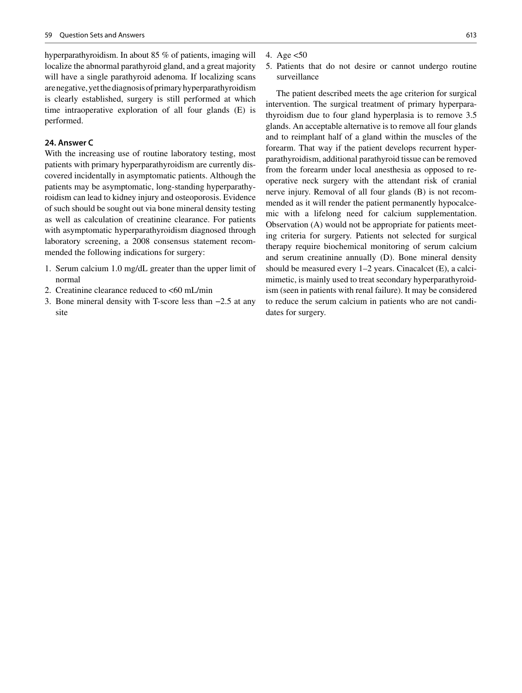hyperparathyroidism. In about 85 % of patients, imaging will localize the abnormal parathyroid gland, and a great majority will have a single parathyroid adenoma. If localizing scans are negative, yet the diagnosis of primary hyperparathyroidism is clearly established, surgery is still performed at which time intraoperative exploration of all four glands (E) is performed.

# **24. Answer C**

 With the increasing use of routine laboratory testing, most patients with primary hyperparathyroidism are currently discovered incidentally in asymptomatic patients. Although the patients may be asymptomatic, long-standing hyperparathyroidism can lead to kidney injury and osteoporosis. Evidence of such should be sought out via bone mineral density testing as well as calculation of creatinine clearance. For patients with asymptomatic hyperparathyroidism diagnosed through laboratory screening, a 2008 consensus statement recommended the following indications for surgery:

- 1. Serum calcium 1.0 mg/dL greater than the upper limit of normal
- 2. Creatinine clearance reduced to <60 mL/min
- 3. Bone mineral density with T-score less than −2.5 at any site

 5. Patients that do not desire or cannot undergo routine surveillance

 The patient described meets the age criterion for surgical intervention. The surgical treatment of primary hyperparathyroidism due to four gland hyperplasia is to remove 3.5 glands. An acceptable alternative is to remove all four glands and to reimplant half of a gland within the muscles of the forearm. That way if the patient develops recurrent hyperparathyroidism, additional parathyroid tissue can be removed from the forearm under local anesthesia as opposed to reoperative neck surgery with the attendant risk of cranial nerve injury. Removal of all four glands (B) is not recommended as it will render the patient permanently hypocalcemic with a lifelong need for calcium supplementation. Observation (A) would not be appropriate for patients meeting criteria for surgery. Patients not selected for surgical therapy require biochemical monitoring of serum calcium and serum creatinine annually (D). Bone mineral density should be measured every 1–2 years. Cinacalcet (E), a calcimimetic, is mainly used to treat secondary hyperparathyroidism (seen in patients with renal failure). It may be considered to reduce the serum calcium in patients who are not candidates for surgery.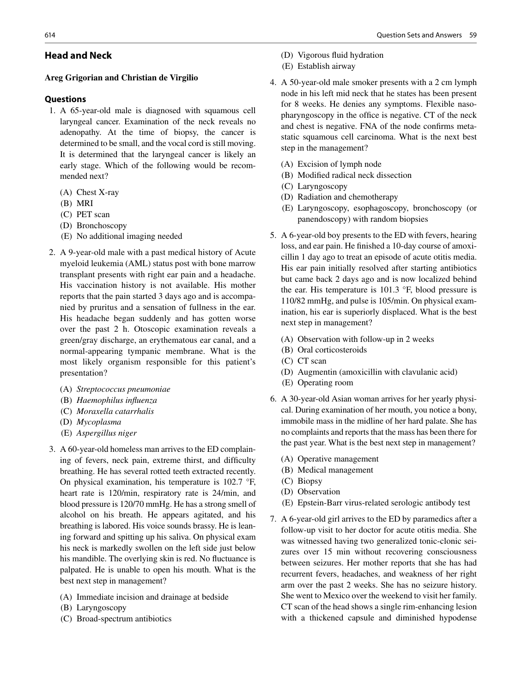# **Head and Neck**

# **Areg Grigorian and Christian de Virgilio**

# **Questions**

- 1. A 65-year-old male is diagnosed with squamous cell laryngeal cancer. Examination of the neck reveals no adenopathy. At the time of biopsy, the cancer is determined to be small, and the vocal cord is still moving. It is determined that the laryngeal cancer is likely an early stage. Which of the following would be recommended next?
	- (A) Chest X-ray
	- (B) MRI
	- (C) PET scan
	- (D) Bronchoscopy
	- (E) No additional imaging needed
- 2. A 9-year-old male with a past medical history of Acute myeloid leukemia (AML) status post with bone marrow transplant presents with right ear pain and a headache. His vaccination history is not available. His mother reports that the pain started 3 days ago and is accompanied by pruritus and a sensation of fullness in the ear. His headache began suddenly and has gotten worse over the past 2 h. Otoscopic examination reveals a green/gray discharge, an erythematous ear canal, and a normal-appearing tympanic membrane. What is the most likely organism responsible for this patient's presentation?
	- (A) *Streptococcus pneumoniae*
	- (B) *Haemophilus infl uenza*
	- (C) *Moraxella catarrhalis*
	- (D) *Mycoplasma*
	- (E) *Aspergillus niger*
- 3. A 60-year-old homeless man arrives to the ED complaining of fevers, neck pain, extreme thirst, and difficulty breathing. He has several rotted teeth extracted recently. On physical examination, his temperature is 102.7 °F, heart rate is 120/min, respiratory rate is 24/min, and blood pressure is 120/70 mmHg. He has a strong smell of alcohol on his breath. He appears agitated, and his breathing is labored. His voice sounds brassy. He is leaning forward and spitting up his saliva. On physical exam his neck is markedly swollen on the left side just below his mandible. The overlying skin is red. No fluctuance is palpated. He is unable to open his mouth. What is the best next step in management?
	- (A) Immediate incision and drainage at bedside
	- (B) Laryngoscopy
	- (C) Broad-spectrum antibiotics
- (D) Vigorous fluid hydration
- (E) Establish airway
- 4. A 50-year-old male smoker presents with a 2 cm lymph node in his left mid neck that he states has been present for 8 weeks. He denies any symptoms. Flexible nasopharyngoscopy in the office is negative. CT of the neck and chest is negative. FNA of the node confirms metastatic squamous cell carcinoma. What is the next best step in the management?
	- (A) Excision of lymph node
	- (B) Modified radical neck dissection
	- (C) Laryngoscopy
	- (D) Radiation and chemotherapy
	- (E) Laryngoscopy, esophagoscopy, bronchoscopy (or panendoscopy) with random biopsies
- 5. A 6-year-old boy presents to the ED with fevers, hearing loss, and ear pain. He finished a 10-day course of amoxicillin 1 day ago to treat an episode of acute otitis media. His ear pain initially resolved after starting antibiotics but came back 2 days ago and is now localized behind the ear. His temperature is 101.3 °F, blood pressure is 110/82 mmHg, and pulse is 105/min. On physical examination, his ear is superiorly displaced. What is the best next step in management?
	- (A) Observation with follow-up in 2 weeks
	- (B) Oral corticosteroids
	- (C) CT scan
	- (D) Augmentin (amoxicillin with clavulanic acid)
	- (E) Operating room
- 6. A 30-year-old Asian woman arrives for her yearly physical. During examination of her mouth, you notice a bony, immobile mass in the midline of her hard palate. She has no complaints and reports that the mass has been there for the past year. What is the best next step in management?
	- (A) Operative management
	- (B) Medical management
	- (C) Biopsy
	- (D) Observation
	- (E) Epstein-Barr virus-related serologic antibody test
- 7. A 6-year-old girl arrives to the ED by paramedics after a follow-up visit to her doctor for acute otitis media. She was witnessed having two generalized tonic-clonic seizures over 15 min without recovering consciousness between seizures. Her mother reports that she has had recurrent fevers, headaches, and weakness of her right arm over the past 2 weeks. She has no seizure history. She went to Mexico over the weekend to visit her family. CT scan of the head shows a single rim-enhancing lesion with a thickened capsule and diminished hypodense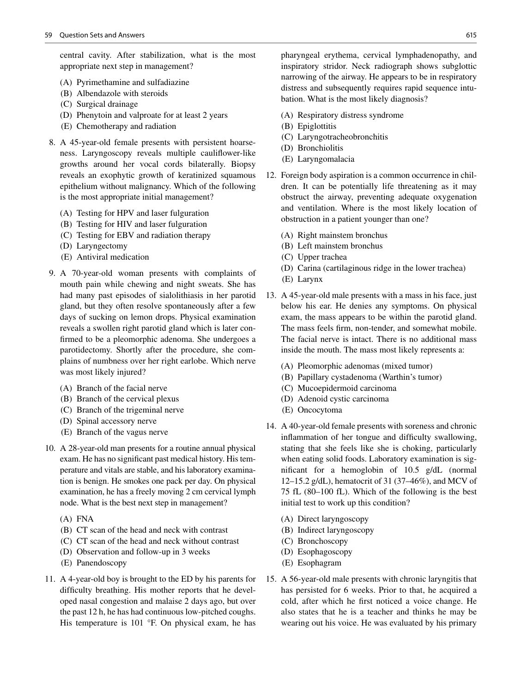central cavity. After stabilization, what is the most appropriate next step in management?

- (A) Pyrimethamine and sulfadiazine
- (B) Albendazole with steroids
- (C) Surgical drainage
- (D) Phenytoin and valproate for at least 2 years
- (E) Chemotherapy and radiation
- 8. A 45-year-old female presents with persistent hoarseness. Laryngoscopy reveals multiple cauliflower-like growths around her vocal cords bilaterally. Biopsy reveals an exophytic growth of keratinized squamous epithelium without malignancy. Which of the following is the most appropriate initial management?
	- (A) Testing for HPV and laser fulguration
	- (B) Testing for HIV and laser fulguration
	- (C) Testing for EBV and radiation therapy
	- (D) Laryngectomy
	- (E) Antiviral medication
- 9. A 70-year-old woman presents with complaints of mouth pain while chewing and night sweats. She has had many past episodes of sialolithiasis in her parotid gland, but they often resolve spontaneously after a few days of sucking on lemon drops. Physical examination reveals a swollen right parotid gland which is later confirmed to be a pleomorphic adenoma. She undergoes a parotidectomy. Shortly after the procedure, she complains of numbness over her right earlobe. Which nerve was most likely injured?
	- (A) Branch of the facial nerve
	- (B) Branch of the cervical plexus
	- (C) Branch of the trigeminal nerve
	- (D) Spinal accessory nerve
	- (E) Branch of the vagus nerve
- 10. A 28-year-old man presents for a routine annual physical exam. He has no significant past medical history. His temperature and vitals are stable, and his laboratory examination is benign. He smokes one pack per day. On physical examination, he has a freely moving 2 cm cervical lymph node. What is the best next step in management?
	- (A) FNA
	- (B) CT scan of the head and neck with contrast
	- (C) CT scan of the head and neck without contrast
	- (D) Observation and follow-up in 3 weeks
	- (E) Panendoscopy
- 11. A 4-year-old boy is brought to the ED by his parents for difficulty breathing. His mother reports that he developed nasal congestion and malaise 2 days ago, but over the past 12 h, he has had continuous low-pitched coughs. His temperature is 101 °F. On physical exam, he has

pharyngeal erythema, cervical lymphadenopathy, and inspiratory stridor. Neck radiograph shows subglottic narrowing of the airway. He appears to be in respiratory distress and subsequently requires rapid sequence intubation. What is the most likely diagnosis?

- (A) Respiratory distress syndrome
- (B) Epiglottitis
- (C) Laryngotracheobronchitis
- (D) Bronchiolitis
- (E) Laryngomalacia
- 12. Foreign body aspiration is a common occurrence in children. It can be potentially life threatening as it may obstruct the airway, preventing adequate oxygenation and ventilation. Where is the most likely location of obstruction in a patient younger than one?
	- (A) Right mainstem bronchus
	- (B) Left mainstem bronchus
	- (C) Upper trachea
	- (D) Carina (cartilaginous ridge in the lower trachea)
	- (E) Larynx
- 13. A 45-year-old male presents with a mass in his face, just below his ear. He denies any symptoms. On physical exam, the mass appears to be within the parotid gland. The mass feels firm, non-tender, and somewhat mobile. The facial nerve is intact. There is no additional mass inside the mouth. The mass most likely represents a:
	- (A) Pleomorphic adenomas (mixed tumor)
	- (B) Papillary cystadenoma (Warthin's tumor)
	- (C) Mucoepidermoid carcinoma
	- (D) Adenoid cystic carcinoma
	- (E) Oncocytoma
- 14. A 40-year-old female presents with soreness and chronic inflammation of her tongue and difficulty swallowing, stating that she feels like she is choking, particularly when eating solid foods. Laboratory examination is significant for a hemoglobin of  $10.5$  g/dL (normal 12–15.2 g/dL), hematocrit of 31 (37–46%), and MCV of 75 fL (80–100 fL). Which of the following is the best initial test to work up this condition?
	- (A) Direct laryngoscopy
	- (B) Indirect laryngoscopy
	- (C) Bronchoscopy
	- (D) Esophagoscopy
	- (E) Esophagram
- 15. A 56-year-old male presents with chronic laryngitis that has persisted for 6 weeks. Prior to that, he acquired a cold, after which he first noticed a voice change. He also states that he is a teacher and thinks he may be wearing out his voice. He was evaluated by his primary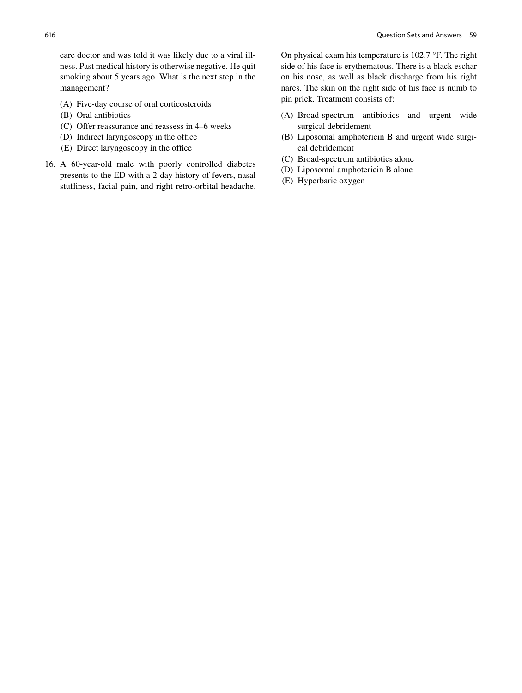care doctor and was told it was likely due to a viral illness. Past medical history is otherwise negative. He quit smoking about 5 years ago. What is the next step in the management?

- (A) Five-day course of oral corticosteroids
- (B) Oral antibiotics
- (C) Offer reassurance and reassess in 4–6 weeks
- (D) Indirect laryngoscopy in the office
- (E) Direct laryngoscopy in the office
- 16. A 60-year-old male with poorly controlled diabetes presents to the ED with a 2-day history of fevers, nasal stuffiness, facial pain, and right retro-orbital headache.

On physical exam his temperature is 102.7 °F. The right side of his face is erythematous. There is a black eschar on his nose, as well as black discharge from his right nares. The skin on the right side of his face is numb to pin prick. Treatment consists of:

- (A) Broad-spectrum antibiotics and urgent wide surgical debridement
- (B) Liposomal amphotericin B and urgent wide surgical debridement
- (C) Broad-spectrum antibiotics alone
- (D) Liposomal amphotericin B alone
- (E) Hyperbaric oxygen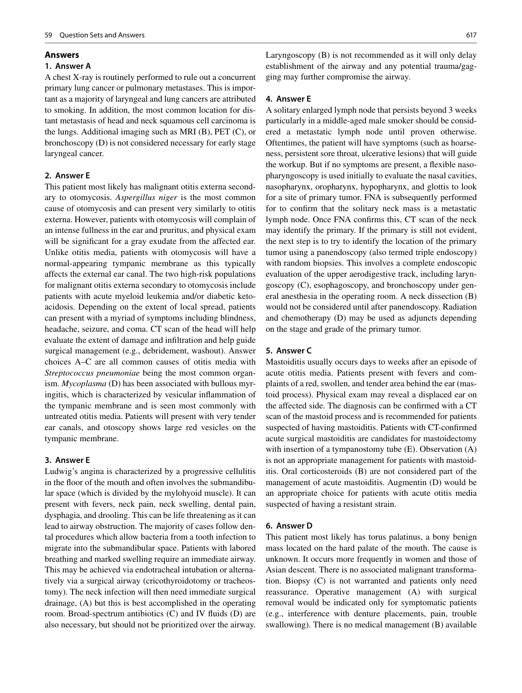#### **Answers**

# **1. Answer A**

 A chest X-ray is routinely performed to rule out a concurrent primary lung cancer or pulmonary metastases. This is important as a majority of laryngeal and lung cancers are attributed to smoking. In addition, the most common location for distant metastasis of head and neck squamous cell carcinoma is the lungs. Additional imaging such as MRI (B), PET (C), or bronchoscopy (D) is not considered necessary for early stage laryngeal cancer.

# **2. Answer E**

 This patient most likely has malignant otitis externa secondary to otomycosis. *Aspergillus niger* is the most common cause of otomycosis and can present very similarly to otitis externa. However, patients with otomycosis will complain of an intense fullness in the ear and pruritus, and physical exam will be significant for a gray exudate from the affected ear. Unlike otitis media, patients with otomycosis will have a normal-appearing tympanic membrane as this typically affects the external ear canal. The two high-risk populations for malignant otitis externa secondary to otomycosis include patients with acute myeloid leukemia and/or diabetic ketoacidosis. Depending on the extent of local spread, patients can present with a myriad of symptoms including blindness, headache, seizure, and coma. CT scan of the head will help evaluate the extent of damage and infiltration and help guide surgical management (e.g., debridement, washout). Answer choices A–C are all common causes of otitis media with *Streptococcus pneumoniae* being the most common organism. *Mycoplasma* (D) has been associated with bullous myringitis, which is characterized by vesicular inflammation of the tympanic membrane and is seen most commonly with untreated otitis media. Patients will present with very tender ear canals, and otoscopy shows large red vesicles on the tympanic membrane.

### **3. Answer E**

 Ludwig's angina is characterized by a progressive cellulitis in the floor of the mouth and often involves the submandibular space (which is divided by the mylohyoid muscle). It can present with fevers, neck pain, neck swelling, dental pain, dysphagia, and drooling. This can be life threatening as it can lead to airway obstruction. The majority of cases follow dental procedures which allow bacteria from a tooth infection to migrate into the submandibular space. Patients with labored breathing and marked swelling require an immediate airway. This may be achieved via endotracheal intubation or alternatively via a surgical airway (cricothyroidotomy or tracheostomy). The neck infection will then need immediate surgical drainage, (A) but this is best accomplished in the operating room. Broad-spectrum antibiotics  $(C)$  and IV fluids  $(D)$  are also necessary, but should not be prioritized over the airway.

Laryngoscopy (B) is not recommended as it will only delay establishment of the airway and any potential trauma/gagging may further compromise the airway.

# **4. Answer E**

 A solitary enlarged lymph node that persists beyond 3 weeks particularly in a middle-aged male smoker should be considered a metastatic lymph node until proven otherwise. Oftentimes, the patient will have symptoms (such as hoarseness, persistent sore throat, ulcerative lesions) that will guide the workup. But if no symptoms are present, a flexible nasopharyngoscopy is used initially to evaluate the nasal cavities, nasopharynx, oropharynx, hypopharynx, and glottis to look for a site of primary tumor. FNA is subsequently performed for to confirm that the solitary neck mass is a metastatic lymph node. Once FNA confirms this, CT scan of the neck may identify the primary. If the primary is still not evident, the next step is to try to identify the location of the primary tumor using a panendoscopy (also termed triple endoscopy) with random biopsies. This involves a complete endoscopic evaluation of the upper aerodigestive track, including laryngoscopy (C), esophagoscopy, and bronchoscopy under general anesthesia in the operating room. A neck dissection (B) would not be considered until after panendoscopy. Radiation and chemotherapy (D) may be used as adjuncts depending on the stage and grade of the primary tumor.

#### **5. Answer C**

 Mastoiditis usually occurs days to weeks after an episode of acute otitis media. Patients present with fevers and complaints of a red, swollen, and tender area behind the ear (mastoid process). Physical exam may reveal a displaced ear on the affected side. The diagnosis can be confirmed with a CT scan of the mastoid process and is recommended for patients suspected of having mastoiditis. Patients with CT-confirmed acute surgical mastoiditis are candidates for mastoidectomy with insertion of a tympanostomy tube (E). Observation (A) is not an appropriate management for patients with mastoiditis. Oral corticosteroids (B) are not considered part of the management of acute mastoiditis. Augmentin (D) would be an appropriate choice for patients with acute otitis media suspected of having a resistant strain.

#### **6. Answer D**

 This patient most likely has torus palatinus, a bony benign mass located on the hard palate of the mouth. The cause is unknown. It occurs more frequently in women and those of Asian descent. There is no associated malignant transformation. Biopsy (C) is not warranted and patients only need reassurance. Operative management (A) with surgical removal would be indicated only for symptomatic patients (e.g., interference with denture placements, pain, trouble swallowing). There is no medical management (B) available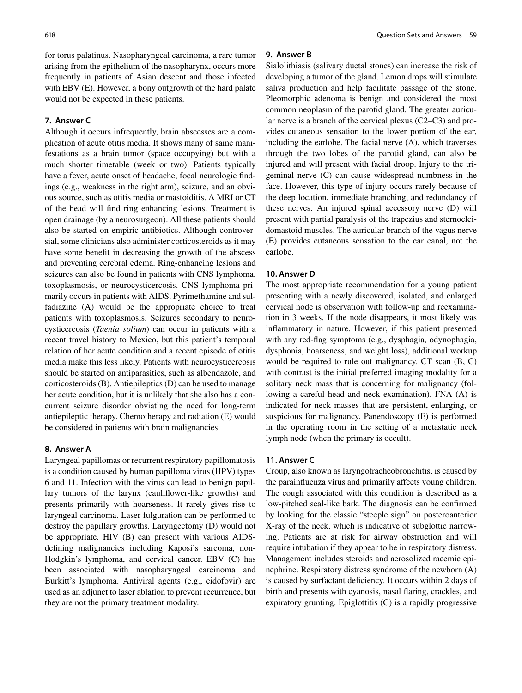for torus palatinus. Nasopharyngeal carcinoma, a rare tumor arising from the epithelium of the nasopharynx, occurs more frequently in patients of Asian descent and those infected with EBV (E). However, a bony outgrowth of the hard palate would not be expected in these patients.

# **7. Answer C**

 Although it occurs infrequently, brain abscesses are a complication of acute otitis media. It shows many of same manifestations as a brain tumor (space occupying) but with a much shorter timetable (week or two). Patients typically have a fever, acute onset of headache, focal neurologic findings (e.g., weakness in the right arm), seizure, and an obvious source, such as otitis media or mastoiditis. A MRI or CT of the head will find ring enhancing lesions. Treatment is open drainage (by a neurosurgeon). All these patients should also be started on empiric antibiotics. Although controversial, some clinicians also administer corticosteroids as it may have some benefit in decreasing the growth of the abscess and preventing cerebral edema. Ring-enhancing lesions and seizures can also be found in patients with CNS lymphoma, toxoplasmosis, or neurocysticercosis. CNS lymphoma primarily occurs in patients with AIDS. Pyrimethamine and sulfadiazine (A) would be the appropriate choice to treat patients with toxoplasmosis. Seizures secondary to neurocysticercosis (*Taenia solium*) can occur in patients with a recent travel history to Mexico, but this patient's temporal relation of her acute condition and a recent episode of otitis media make this less likely. Patients with neurocysticercosis should be started on antiparasitics, such as albendazole, and corticosteroids (B). Antiepileptics (D) can be used to manage her acute condition, but it is unlikely that she also has a concurrent seizure disorder obviating the need for long-term antiepileptic therapy. Chemotherapy and radiation (E) would be considered in patients with brain malignancies.

#### **8. Answer A**

 Laryngeal papillomas or recurrent respiratory papillomatosis is a condition caused by human papilloma virus (HPV) types 6 and 11. Infection with the virus can lead to benign papillary tumors of the larynx (cauliflower-like growths) and presents primarily with hoarseness. It rarely gives rise to laryngeal carcinoma. Laser fulguration can be performed to destroy the papillary growths. Laryngectomy (D) would not be appropriate. HIV (B) can present with various AIDSdefining malignancies including Kaposi's sarcoma, non-Hodgkin's lymphoma, and cervical cancer. EBV (C) has been associated with nasopharyngeal carcinoma and Burkitt's lymphoma. Antiviral agents (e.g., cidofovir) are used as an adjunct to laser ablation to prevent recurrence, but they are not the primary treatment modality.

#### **9. Answer B**

 Sialolithiasis (salivary ductal stones) can increase the risk of developing a tumor of the gland. Lemon drops will stimulate saliva production and help facilitate passage of the stone. Pleomorphic adenoma is benign and considered the most common neoplasm of the parotid gland. The greater auricular nerve is a branch of the cervical plexus (C2–C3) and provides cutaneous sensation to the lower portion of the ear, including the earlobe. The facial nerve (A), which traverses through the two lobes of the parotid gland, can also be injured and will present with facial droop. Injury to the trigeminal nerve (C) can cause widespread numbness in the face. However, this type of injury occurs rarely because of the deep location, immediate branching, and redundancy of these nerves. An injured spinal accessory nerve (D) will present with partial paralysis of the trapezius and sternocleidomastoid muscles. The auricular branch of the vagus nerve (E) provides cutaneous sensation to the ear canal, not the earlobe.

# **10. Answer D**

 The most appropriate recommendation for a young patient presenting with a newly discovered, isolated, and enlarged cervical node is observation with follow-up and reexamination in 3 weeks. If the node disappears, it most likely was inflammatory in nature. However, if this patient presented with any red-flag symptoms (e.g., dysphagia, odynophagia, dysphonia, hoarseness, and weight loss), additional workup would be required to rule out malignancy. CT scan (B, C) with contrast is the initial preferred imaging modality for a solitary neck mass that is concerning for malignancy (following a careful head and neck examination). FNA (A) is indicated for neck masses that are persistent, enlarging, or suspicious for malignancy. Panendoscopy (E) is performed in the operating room in the setting of a metastatic neck lymph node (when the primary is occult).

# **11. Answer C**

 Croup, also known as laryngotracheobronchitis, is caused by the parainfluenza virus and primarily affects young children. The cough associated with this condition is described as a low-pitched seal-like bark. The diagnosis can be confirmed by looking for the classic "steeple sign" on posteroanterior X-ray of the neck, which is indicative of subglottic narrowing. Patients are at risk for airway obstruction and will require intubation if they appear to be in respiratory distress. Management includes steroids and aerosolized racemic epinephrine. Respiratory distress syndrome of the newborn (A) is caused by surfactant deficiency. It occurs within 2 days of birth and presents with cyanosis, nasal flaring, crackles, and expiratory grunting. Epiglottitis (C) is a rapidly progressive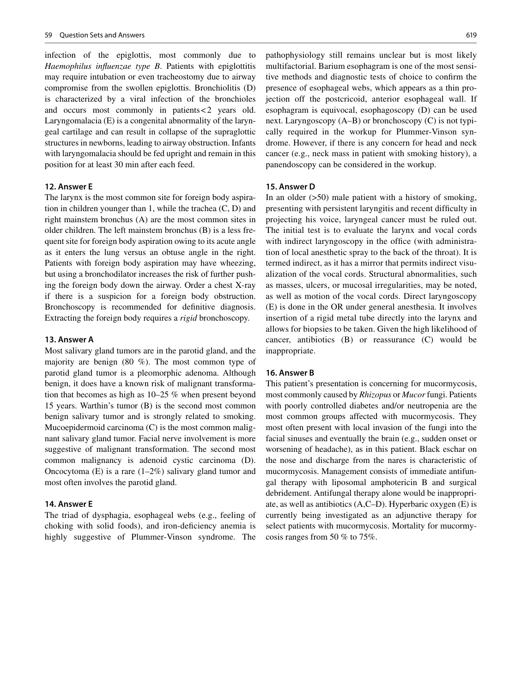infection of the epiglottis, most commonly due to *Haemophilus influenzae type B*. Patients with epiglottitis may require intubation or even tracheostomy due to airway compromise from the swollen epiglottis. Bronchiolitis (D) is characterized by a viral infection of the bronchioles and occurs most commonly in patients < 2 years old. Laryngomalacia (E) is a congenital abnormality of the laryngeal cartilage and can result in collapse of the supraglottic structures in newborns, leading to airway obstruction. Infants with laryngomalacia should be fed upright and remain in this position for at least 30 min after each feed.

# **12. Answer E**

 The larynx is the most common site for foreign body aspiration in children younger than 1, while the trachea (C, D) and right mainstem bronchus (A) are the most common sites in older children. The left mainstem bronchus (B) is a less frequent site for foreign body aspiration owing to its acute angle as it enters the lung versus an obtuse angle in the right. Patients with foreign body aspiration may have wheezing, but using a bronchodilator increases the risk of further pushing the foreign body down the airway. Order a chest X-ray if there is a suspicion for a foreign body obstruction. Bronchoscopy is recommended for definitive diagnosis. Extracting the foreign body requires a *rigid* bronchoscopy.

### **13. Answer A**

 Most salivary gland tumors are in the parotid gland, and the majority are benign (80 %). The most common type of parotid gland tumor is a pleomorphic adenoma. Although benign, it does have a known risk of malignant transformation that becomes as high as 10–25 % when present beyond 15 years. Warthin's tumor (B) is the second most common benign salivary tumor and is strongly related to smoking. Mucoepidermoid carcinoma (C) is the most common malignant salivary gland tumor. Facial nerve involvement is more suggestive of malignant transformation. The second most common malignancy is adenoid cystic carcinoma (D). Oncocytoma  $(E)$  is a rare  $(1-2\%)$  salivary gland tumor and most often involves the parotid gland.

# **14. Answer E**

 The triad of dysphagia, esophageal webs (e.g., feeling of choking with solid foods), and iron-deficiency anemia is highly suggestive of Plummer-Vinson syndrome. The

pathophysiology still remains unclear but is most likely multifactorial. Barium esophagram is one of the most sensitive methods and diagnostic tests of choice to confirm the presence of esophageal webs, which appears as a thin projection off the postcricoid, anterior esophageal wall. If esophagram is equivocal, esophagoscopy (D) can be used next. Laryngoscopy (A–B) or bronchoscopy (C) is not typically required in the workup for Plummer-Vinson syndrome. However, if there is any concern for head and neck cancer (e.g., neck mass in patient with smoking history), a panendoscopy can be considered in the workup.

# **15. Answer D**

 In an older (>50) male patient with a history of smoking, presenting with persistent laryngitis and recent difficulty in projecting his voice, laryngeal cancer must be ruled out. The initial test is to evaluate the larynx and vocal cords with indirect laryngoscopy in the office (with administration of local anesthetic spray to the back of the throat). It is termed indirect, as it has a mirror that permits indirect visualization of the vocal cords. Structural abnormalities, such as masses, ulcers, or mucosal irregularities, may be noted, as well as motion of the vocal cords. Direct laryngoscopy (E) is done in the OR under general anesthesia. It involves insertion of a rigid metal tube directly into the larynx and allows for biopsies to be taken. Given the high likelihood of cancer, antibiotics (B) or reassurance (C) would be inappropriate.

# **16. Answer B**

 This patient's presentation is concerning for mucormycosis, most commonly caused by *Rhizopus* or *Mucor* fungi. Patients with poorly controlled diabetes and/or neutropenia are the most common groups affected with mucormycosis. They most often present with local invasion of the fungi into the facial sinuses and eventually the brain (e.g., sudden onset or worsening of headache), as in this patient. Black eschar on the nose and discharge from the nares is characteristic of mucormycosis. Management consists of immediate antifungal therapy with liposomal amphotericin B and surgical debridement. Antifungal therapy alone would be inappropriate, as well as antibiotics (A,C–D). Hyperbaric oxygen (E) is currently being investigated as an adjunctive therapy for select patients with mucormycosis. Mortality for mucormycosis ranges from 50 % to 75%.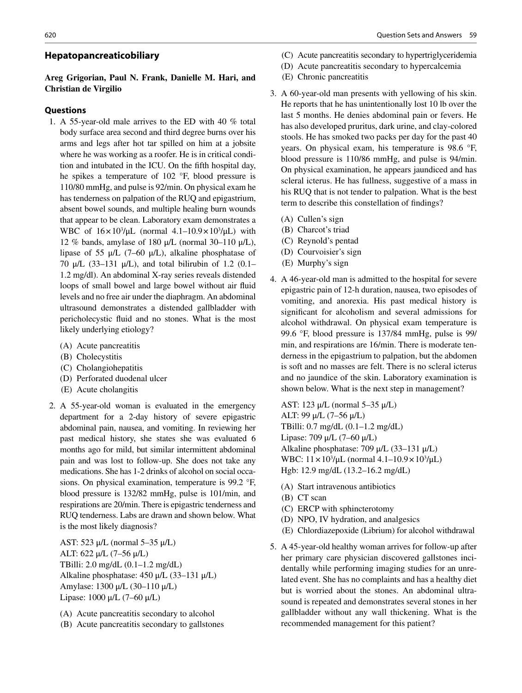# **Hepatopancreaticobiliary**

# **Areg Grigorian, Paul N. Frank, Danielle M. Hari, and Christian de Virgilio**

### **Questions**

- 1. A 55-year-old male arrives to the ED with 40 % total body surface area second and third degree burns over his arms and legs after hot tar spilled on him at a jobsite where he was working as a roofer. He is in critical condition and intubated in the ICU. On the fifth hospital day, he spikes a temperature of 102 °F, blood pressure is 110/80 mmHg, and pulse is 92/min. On physical exam he has tenderness on palpation of the RUQ and epigastrium, absent bowel sounds, and multiple healing burn wounds that appear to be clean. Laboratory exam demonstrates a WBC of  $16 \times 10^3/\mu L$  (normal  $4.1-10.9 \times 10^3/\mu L$ ) with 12 % bands, amylase of 180 μ/L (normal 30–110 μ/L), lipase of 55  $\mu$ /L (7–60  $\mu$ /L), alkaline phosphatase of 70 μ/L (33–131 μ/L), and total bilirubin of 1.2 (0.1– 1.2 mg/dl). An abdominal X-ray series reveals distended loops of small bowel and large bowel without air fluid levels and no free air under the diaphragm. An abdominal ultrasound demonstrates a distended gallbladder with pericholecystic fluid and no stones. What is the most likely underlying etiology?
	- (A) Acute pancreatitis
	- (B) Cholecystitis
	- (C) Cholangiohepatitis
	- (D) Perforated duodenal ulcer
	- (E) Acute cholangitis
- 2. A 55-year-old woman is evaluated in the emergency department for a 2-day history of severe epigastric abdominal pain, nausea, and vomiting. In reviewing her past medical history, she states she was evaluated 6 months ago for mild, but similar intermittent abdominal pain and was lost to follow-up. She does not take any medications. She has 1-2 drinks of alcohol on social occasions. On physical examination, temperature is 99.2 °F, blood pressure is 132/82 mmHg, pulse is 101/min, and respirations are 20/min. There is epigastric tenderness and RUQ tenderness. Labs are drawn and shown below. What is the most likely diagnosis?

 AST: 523 μ/L (normal 5–35 μ/L) ALT: 622 μ/L (7–56 μ/L) TBilli: 2.0 mg/dL (0.1–1.2 mg/dL) Alkaline phosphatase: 450 μ/L (33–131 μ/L) Amylase: 1300 μ/L (30–110 μ/L) Lipase: 1000 μ/L (7–60 μ/L)

- (A) Acute pancreatitis secondary to alcohol
- (B) Acute pancreatitis secondary to gallstones
- (C) Acute pancreatitis secondary to hypertriglyceridemia
- (D) Acute pancreatitis secondary to hypercalcemia
- (E) Chronic pancreatitis
- 3. A 60-year-old man presents with yellowing of his skin. He reports that he has unintentionally lost 10 lb over the last 5 months. He denies abdominal pain or fevers. He has also developed pruritus, dark urine, and clay-colored stools. He has smoked two packs per day for the past 40 years. On physical exam, his temperature is 98.6 °F, blood pressure is 110/86 mmHg, and pulse is 94/min. On physical examination, he appears jaundiced and has scleral icterus. He has fullness, suggestive of a mass in his RUQ that is not tender to palpation. What is the best term to describe this constellation of findings?
	- (A) Cullen's sign
	- (B) Charcot's triad
	- (C) Reynold's pentad
	- (D) Courvoisier's sign
	- (E) Murphy's sign
- 4. A 46-year-old man is admitted to the hospital for severe epigastric pain of 12-h duration, nausea, two episodes of vomiting, and anorexia. His past medical history is significant for alcoholism and several admissions for alcohol withdrawal. On physical exam temperature is 99.6 °F, blood pressure is 137/84 mmHg, pulse is 99/ min, and respirations are 16/min. There is moderate tenderness in the epigastrium to palpation, but the abdomen is soft and no masses are felt. There is no scleral icterus and no jaundice of the skin. Laboratory examination is shown below. What is the next step in management?

 AST: 123 μ/L (normal 5–35 μ/L) ALT: 99 μ/L (7–56 μ/L) TBilli: 0.7 mg/dL (0.1–1.2 mg/dL) Lipase: 709 μ/L (7–60 μ/L) Alkaline phosphatase: 709 μ/L (33–131 μ/L) WBC:  $11 \times 10^3/\mu L$  (normal  $4.1 - 10.9 \times 10^3/\mu L$ ) Hgb: 12.9 mg/dL (13.2–16.2 mg/dL)

- (A) Start intravenous antibiotics
- (B) CT scan
- (C) ERCP with sphincterotomy
- (D) NPO, IV hydration, and analgesics
- (E) Chlordiazepoxide (Librium) for alcohol withdrawal
- 5. A 45-year-old healthy woman arrives for follow-up after her primary care physician discovered gallstones incidentally while performing imaging studies for an unrelated event. She has no complaints and has a healthy diet but is worried about the stones. An abdominal ultrasound is repeated and demonstrates several stones in her gallbladder without any wall thickening. What is the recommended management for this patient?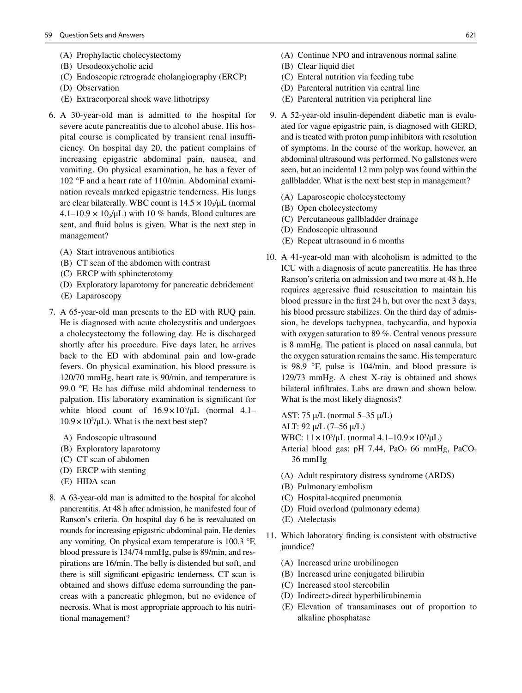- (A) Prophylactic cholecystectomy
- (B) Ursodeoxycholic acid
- (C) Endoscopic retrograde cholangiography (ERCP)
- (D) Observation
- (E) Extracorporeal shock wave lithotripsy
- 6. A 30-year-old man is admitted to the hospital for severe acute pancreatitis due to alcohol abuse. His hospital course is complicated by transient renal insufficiency. On hospital day 20, the patient complains of increasing epigastric abdominal pain, nausea, and vomiting. On physical examination, he has a fever of 102 °F and a heart rate of 110/min. Abdominal examination reveals marked epigastric tenderness. His lungs are clear bilaterally. WBC count is  $14.5 \times 10 \sqrt{\mu L}$  (normal  $4.1-10.9 \times 10<sub>3</sub>/\mu L$ ) with 10 % bands. Blood cultures are sent, and fluid bolus is given. What is the next step in management?
	- (A) Start intravenous antibiotics
	- (B) CT scan of the abdomen with contrast
	- (C) ERCP with sphincterotomy
	- (D) Exploratory laparotomy for pancreatic debridement
	- (E) Laparoscopy
- 7. A 65-year-old man presents to the ED with RUQ pain. He is diagnosed with acute cholecystitis and undergoes a cholecystectomy the following day. He is discharged shortly after his procedure. Five days later, he arrives back to the ED with abdominal pain and low-grade fevers. On physical examination, his blood pressure is 120/70 mmHg, heart rate is 90/min, and temperature is 99.0 °F. He has diffuse mild abdominal tenderness to palpation. His laboratory examination is significant for white blood count of  $16.9 \times 10^3/\mu$ L (normal 4.1–  $10.9 \times 10^{3}$ /µL). What is the next best step?
	- A) Endoscopic ultrasound
	- (B) Exploratory laparotomy
	- (C) CT scan of abdomen
	- (D) ERCP with stenting
	- (E) HIDA scan
- 8. A 63-year-old man is admitted to the hospital for alcohol pancreatitis. At 48 h after admission, he manifested four of Ranson's criteria. On hospital day 6 he is reevaluated on rounds for increasing epigastric abdominal pain. He denies any vomiting. On physical exam temperature is 100.3 °F, blood pressure is 134/74 mmHg, pulse is 89/min, and respirations are 16/min. The belly is distended but soft, and there is still significant epigastric tenderness. CT scan is obtained and shows diffuse edema surrounding the pancreas with a pancreatic phlegmon, but no evidence of necrosis. What is most appropriate approach to his nutritional management?
- (A) Continue NPO and intravenous normal saline
- (B) Clear liquid diet
- (C) Enteral nutrition via feeding tube
- (D) Parenteral nutrition via central line
- (E) Parenteral nutrition via peripheral line
- 9. A 52-year-old insulin-dependent diabetic man is evaluated for vague epigastric pain, is diagnosed with GERD, and is treated with proton pump inhibitors with resolution of symptoms. In the course of the workup, however, an abdominal ultrasound was performed. No gallstones were seen, but an incidental 12 mm polyp was found within the gallbladder. What is the next best step in management?
	- (A) Laparoscopic cholecystectomy
	- (B) Open cholecystectomy
	- (C) Percutaneous gallbladder drainage
	- (D) Endoscopic ultrasound
	- (E) Repeat ultrasound in 6 months
- 10. A 41-year-old man with alcoholism is admitted to the ICU with a diagnosis of acute pancreatitis. He has three Ranson's criteria on admission and two more at 48 h. He requires aggressive fluid resuscitation to maintain his blood pressure in the first 24 h, but over the next 3 days, his blood pressure stabilizes. On the third day of admission, he develops tachypnea, tachycardia, and hypoxia with oxygen saturation to 89 %. Central venous pressure is 8 mmHg. The patient is placed on nasal cannula, but the oxygen saturation remains the same. His temperature is 98.9 °F, pulse is 104/min, and blood pressure is 129/73 mmHg. A chest X-ray is obtained and shows bilateral infiltrates. Labs are drawn and shown below. What is the most likely diagnosis?

 AST: 75 μ/L (normal 5–35 μ/L) ALT: 92 μ/L (7–56 μ/L) WBC:  $11 \times 10^3/\mu L$  (normal  $4.1 - 10.9 \times 10^3/\mu L$ ) Arterial blood gas: pH 7.44,  $PaO<sub>2</sub>$  66 mmHg,  $PaCO<sub>2</sub>$ 36 mmHg

- (A) Adult respiratory distress syndrome (ARDS)
- (B) Pulmonary embolism
- (C) Hospital-acquired pneumonia
- (D) Fluid overload (pulmonary edema)
- (E) Atelectasis
- 11. Which laboratory finding is consistent with obstructive jaundice?
	- (A) Increased urine urobilinogen
	- (B) Increased urine conjugated bilirubin
	- (C) Increased stool stercobilin
	- (D) Indirect > direct hyperbilirubinemia
	- (E) Elevation of transaminases out of proportion to alkaline phosphatase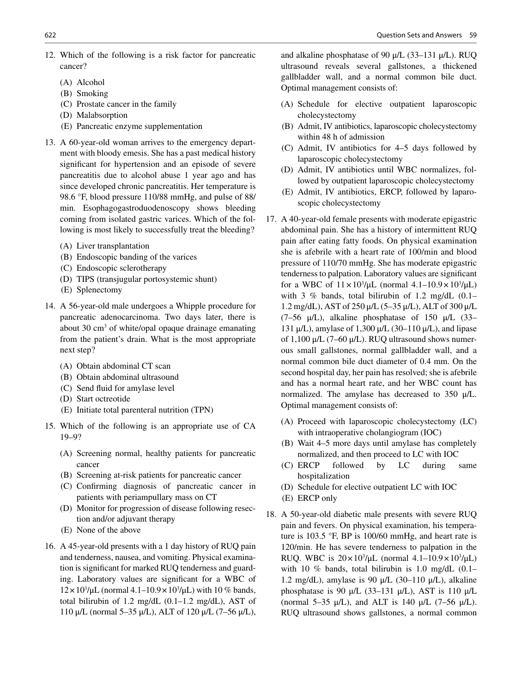- 12. Which of the following is a risk factor for pancreatic cancer?
	- (A) Alcohol
	- (B) Smoking
	- (C) Prostate cancer in the family
	- (D) Malabsorption
	- (E) Pancreatic enzyme supplementation
- 13. A 60-year-old woman arrives to the emergency department with bloody emesis. She has a past medical history significant for hypertension and an episode of severe pancreatitis due to alcohol abuse 1 year ago and has since developed chronic pancreatitis. Her temperature is 98.6 °F, blood pressure 110/88 mmHg, and pulse of 88/ min. Esophagogastroduodenoscopy shows bleeding coming from isolated gastric varices. Which of the following is most likely to successfully treat the bleeding?
	- (A) Liver transplantation
	- (B) Endoscopic banding of the varices
	- (C) Endoscopic sclerotherapy
	- (D) TIPS (transjugular portosystemic shunt)
	- (E) Splenectomy
- 14. A 56-year-old male undergoes a Whipple procedure for pancreatic adenocarcinoma. Two days later, there is about 30  $\text{cm}^3$  of white/opal opaque drainage emanating from the patient's drain. What is the most appropriate next step?
	- (A) Obtain abdominal CT scan
	- (B) Obtain abdominal ultrasound
	- (C) Send fluid for amylase level
	- (D) Start octreotide
	- (E) Initiate total parenteral nutrition (TPN)
- 15. Which of the following is an appropriate use of CA 19–9?
	- (A) Screening normal, healthy patients for pancreatic cancer
	- (B) Screening at-risk patients for pancreatic cancer
	- (C) Confirming diagnosis of pancreatic cancer in patients with periampullary mass on CT
	- (D) Monitor for progression of disease following resection and/or adjuvant therapy
	- (E) None of the above
- 16. A 45-year-old presents with a 1 day history of RUQ pain and tenderness, nausea, and vomiting. Physical examination is significant for marked RUQ tenderness and guarding. Laboratory values are significant for a WBC of  $12 \times 10^3$ /μL (normal 4.1–10.9 × 10<sup>3</sup>/μL) with 10 % bands, total bilirubin of 1.2 mg/dL (0.1–1.2 mg/dL), AST of 110 μ/L (normal 5–35 μ/L), ALT of 120 μ/L (7–56 μ/L),

and alkaline phosphatase of 90 μ/L (33–131 μ/L). RUQ ultrasound reveals several gallstones, a thickened gallbladder wall, and a normal common bile duct. Optimal management consists of:

- (A) Schedule for elective outpatient laparoscopic cholecystectomy
- (B) Admit, IV antibiotics, laparoscopic cholecystectomy within 48 h of admission
- (C) Admit, IV antibiotics for 4–5 days followed by laparoscopic cholecystectomy
- (D) Admit, IV antibiotics until WBC normalizes, followed by outpatient laparoscopic cholecystectomy
- (E) Admit, IV antibiotics, ERCP, followed by laparoscopic cholecystectomy
- 17. A 40-year-old female presents with moderate epigastric abdominal pain. She has a history of intermittent RUQ pain after eating fatty foods. On physical examination she is afebrile with a heart rate of 100/min and blood pressure of 110/70 mmHg. She has moderate epigastric tenderness to palpation. Laboratory values are significant for a WBC of  $11 \times 10^3/\mu$ L (normal  $4.1-10.9 \times 10^3/\mu$ L) with 3 % bands, total bilirubin of 1.2 mg/dL  $(0.1 -$ 1.2 mg/dL), AST of 250 μ/L (5–35 μ/L), ALT of 300 μ/L (7–56  $\mu$ /L), alkaline phosphatase of 150  $\mu$ /L (33– 131 μ/L), amylase of 1,300 μ/L (30–110 μ/L), and lipase of 1,100 μ/L (7–60 μ/L). RUQ ultrasound shows numerous small gallstones, normal gallbladder wall, and a normal common bile duct diameter of 0.4 mm. On the second hospital day, her pain has resolved; she is afebrile and has a normal heart rate, and her WBC count has normalized. The amylase has decreased to 350 μ/L. Optimal management consists of:
	- (A) Proceed with laparoscopic cholecystectomy (LC) with intraoperative cholangiogram (IOC)
	- (B) Wait 4–5 more days until amylase has completely normalized, and then proceed to LC with IOC
	- (C) ERCP followed by LC during same hospitalization
	- (D) Schedule for elective outpatient LC with IOC
	- (E) ERCP only
- 18. A 50-year-old diabetic male presents with severe RUQ pain and fevers. On physical examination, his temperature is 103.5 °F, BP is 100/60 mmHg, and heart rate is 120/min. He has severe tenderness to palpation in the RUQ. WBC is  $20 \times 10^3/\mu$ L (normal  $4.1 - 10.9 \times 10^3/\mu$ L) with 10 % bands, total bilirubin is 1.0 mg/dL (0.1– 1.2 mg/dL), amylase is 90 μ/L (30–110 μ/L), alkaline phosphatase is 90  $\mu$ /L (33–131  $\mu$ /L), AST is 110  $\mu$ /L (normal 5–35  $\mu$ /L), and ALT is 140  $\mu$ /L (7–56  $\mu$ /L). RUQ ultrasound shows gallstones, a normal common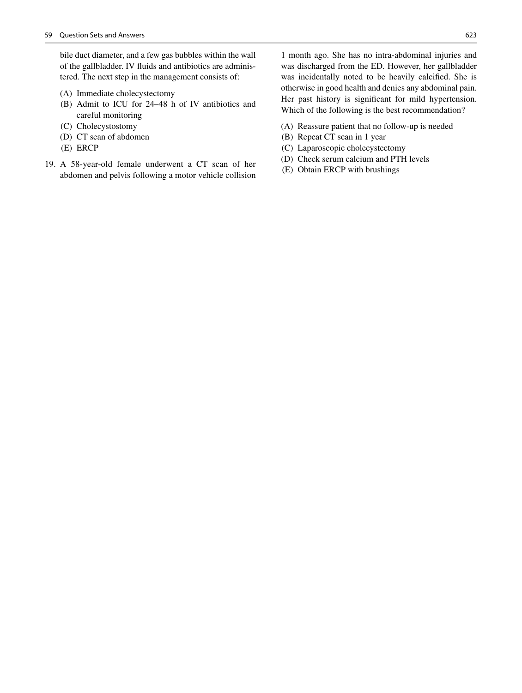bile duct diameter, and a few gas bubbles within the wall of the gallbladder. IV fluids and antibiotics are administered. The next step in the management consists of:

- (A) Immediate cholecystectomy
- (B) Admit to ICU for 24–48 h of IV antibiotics and careful monitoring
- (C) Cholecystostomy
- (D) CT scan of abdomen
- (E) ERCP
- 19. A 58-year-old female underwent a CT scan of her abdomen and pelvis following a motor vehicle collision

1 month ago. She has no intra-abdominal injuries and was discharged from the ED. However, her gallbladder was incidentally noted to be heavily calcified. She is otherwise in good health and denies any abdominal pain. Her past history is significant for mild hypertension. Which of the following is the best recommendation?

- (A) Reassure patient that no follow-up is needed
- (B) Repeat CT scan in 1 year
- (C) Laparoscopic cholecystectomy
- (D) Check serum calcium and PTH levels
- (E) Obtain ERCP with brushings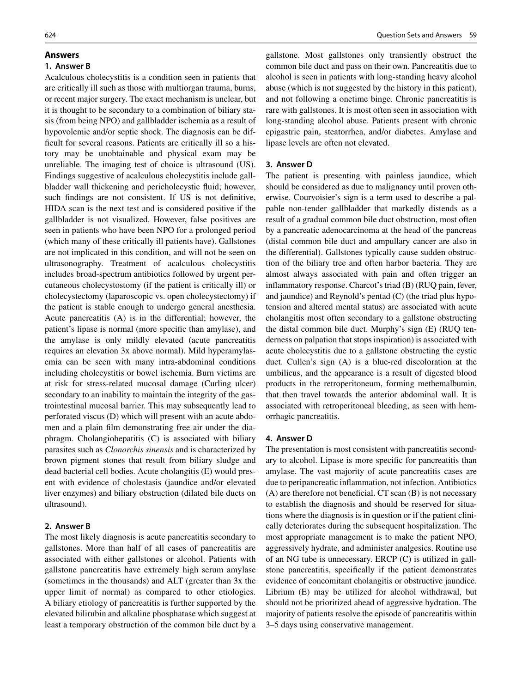#### **Answers**

# **1. Answer B**

 Acalculous cholecystitis is a condition seen in patients that are critically ill such as those with multiorgan trauma, burns, or recent major surgery. The exact mechanism is unclear, but it is thought to be secondary to a combination of biliary stasis (from being NPO) and gallbladder ischemia as a result of hypovolemic and/or septic shock. The diagnosis can be difficult for several reasons. Patients are critically ill so a history may be unobtainable and physical exam may be unreliable. The imaging test of choice is ultrasound (US). Findings suggestive of acalculous cholecystitis include gallbladder wall thickening and pericholecystic fluid; however, such findings are not consistent. If US is not definitive, HIDA scan is the next test and is considered positive if the gallbladder is not visualized. However, false positives are seen in patients who have been NPO for a prolonged period (which many of these critically ill patients have). Gallstones are not implicated in this condition, and will not be seen on ultrasonography. Treatment of acalculous cholecystitis includes broad-spectrum antibiotics followed by urgent percutaneous cholecystostomy (if the patient is critically ill) or cholecystectomy (laparoscopic vs. open cholecystectomy) if the patient is stable enough to undergo general anesthesia. Acute pancreatitis (A) is in the differential; however, the patient's lipase is normal (more specific than amylase), and the amylase is only mildly elevated (acute pancreatitis requires an elevation 3x above normal). Mild hyperamylasemia can be seen with many intra-abdominal conditions including cholecystitis or bowel ischemia. Burn victims are at risk for stress-related mucosal damage (Curling ulcer) secondary to an inability to maintain the integrity of the gastrointestinal mucosal barrier. This may subsequently lead to perforated viscus (D) which will present with an acute abdomen and a plain film demonstrating free air under the diaphragm. Cholangiohepatitis (C) is associated with biliary parasites such as *Clonorchis sinensis* and is characterized by brown pigment stones that result from biliary sludge and dead bacterial cell bodies. Acute cholangitis (E) would present with evidence of cholestasis (jaundice and/or elevated liver enzymes) and biliary obstruction (dilated bile ducts on ultrasound).

### **2. Answer B**

 The most likely diagnosis is acute pancreatitis secondary to gallstones. More than half of all cases of pancreatitis are associated with either gallstones or alcohol. Patients with gallstone pancreatitis have extremely high serum amylase (sometimes in the thousands) and ALT (greater than 3x the upper limit of normal) as compared to other etiologies. A biliary etiology of pancreatitis is further supported by the elevated bilirubin and alkaline phosphatase which suggest at least a temporary obstruction of the common bile duct by a

gallstone. Most gallstones only transiently obstruct the common bile duct and pass on their own. Pancreatitis due to alcohol is seen in patients with long-standing heavy alcohol abuse (which is not suggested by the history in this patient), and not following a onetime binge. Chronic pancreatitis is rare with gallstones. It is most often seen in association with long-standing alcohol abuse. Patients present with chronic epigastric pain, steatorrhea, and/or diabetes. Amylase and lipase levels are often not elevated.

# **3. Answer D**

 The patient is presenting with painless jaundice, which should be considered as due to malignancy until proven otherwise. Courvoisier's sign is a term used to describe a palpable non-tender gallbladder that markedly distends as a result of a gradual common bile duct obstruction, most often by a pancreatic adenocarcinoma at the head of the pancreas (distal common bile duct and ampullary cancer are also in the differential). Gallstones typically cause sudden obstruction of the biliary tree and often harbor bacteria. They are almost always associated with pain and often trigger an inflammatory response. Charcot's triad (B) (RUQ pain, fever, and jaundice) and Reynold's pentad (C) (the triad plus hypotension and altered mental status) are associated with acute cholangitis most often secondary to a gallstone obstructing the distal common bile duct. Murphy's sign (E) (RUQ tenderness on palpation that stops inspiration) is associated with acute cholecystitis due to a gallstone obstructing the cystic duct. Cullen's sign (A) is a blue-red discoloration at the umbilicus, and the appearance is a result of digested blood products in the retroperitoneum, forming methemalbumin, that then travel towards the anterior abdominal wall. It is associated with retroperitoneal bleeding, as seen with hemorrhagic pancreatitis.

### **4. Answer D**

 The presentation is most consistent with pancreatitis secondary to alcohol. Lipase is more specific for pancreatitis than amylase. The vast majority of acute pancreatitis cases are due to peripancreatic inflammation, not infection. Antibiotics  $(A)$  are therefore not beneficial. CT scan  $(B)$  is not necessary to establish the diagnosis and should be reserved for situations where the diagnosis is in question or if the patient clinically deteriorates during the subsequent hospitalization. The most appropriate management is to make the patient NPO, aggressively hydrate, and administer analgesics. Routine use of an NG tube is unnecessary. ERCP (C) is utilized in gallstone pancreatitis, specifically if the patient demonstrates evidence of concomitant cholangitis or obstructive jaundice. Librium (E) may be utilized for alcohol withdrawal, but should not be prioritized ahead of aggressive hydration. The majority of patients resolve the episode of pancreatitis within 3–5 days using conservative management.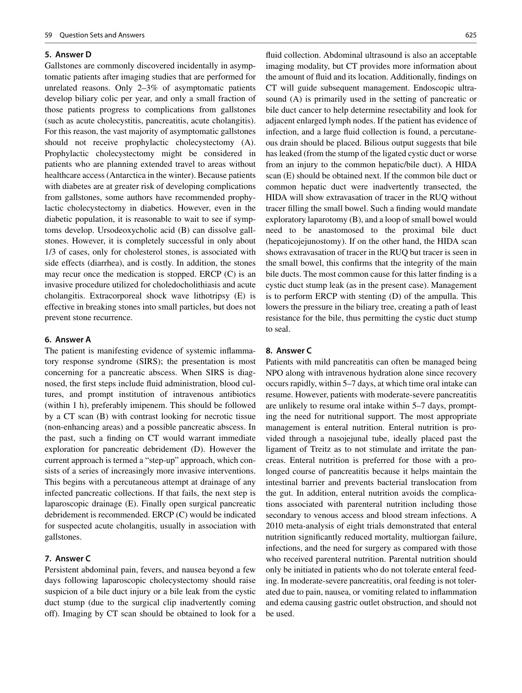#### **5. Answer D**

 Gallstones are commonly discovered incidentally in asymptomatic patients after imaging studies that are performed for unrelated reasons. Only 2–3% of asymptomatic patients develop biliary colic per year, and only a small fraction of those patients progress to complications from gallstones (such as acute cholecystitis, pancreatitis, acute cholangitis). For this reason, the vast majority of asymptomatic gallstones should not receive prophylactic cholecystectomy (A). Prophylactic cholecystectomy might be considered in patients who are planning extended travel to areas without healthcare access (Antarctica in the winter). Because patients with diabetes are at greater risk of developing complications from gallstones, some authors have recommended prophylactic cholecystectomy in diabetics. However, even in the diabetic population, it is reasonable to wait to see if symptoms develop. Ursodeoxycholic acid (B) can dissolve gallstones. However, it is completely successful in only about 1/3 of cases, only for cholesterol stones, is associated with side effects (diarrhea), and is costly. In addition, the stones may recur once the medication is stopped. ERCP (C) is an invasive procedure utilized for choledocholithiasis and acute cholangitis. Extracorporeal shock wave lithotripsy (E) is effective in breaking stones into small particles, but does not prevent stone recurrence.

### **6. Answer A**

The patient is manifesting evidence of systemic inflammatory response syndrome (SIRS); the presentation is most concerning for a pancreatic abscess. When SIRS is diagnosed, the first steps include fluid administration, blood cultures, and prompt institution of intravenous antibiotics (within 1 h), preferably imipenem. This should be followed by a CT scan (B) with contrast looking for necrotic tissue (non-enhancing areas) and a possible pancreatic abscess. In the past, such a finding on CT would warrant immediate exploration for pancreatic debridement (D). However the current approach is termed a "step-up" approach, which consists of a series of increasingly more invasive interventions. This begins with a percutaneous attempt at drainage of any infected pancreatic collections. If that fails, the next step is laparoscopic drainage (E). Finally open surgical pancreatic debridement is recommended. ERCP (C) would be indicated for suspected acute cholangitis, usually in association with gallstones.

# **7. Answer C**

 Persistent abdominal pain, fevers, and nausea beyond a few days following laparoscopic cholecystectomy should raise suspicion of a bile duct injury or a bile leak from the cystic duct stump (due to the surgical clip inadvertently coming off). Imaging by CT scan should be obtained to look for a

fluid collection. Abdominal ultrasound is also an acceptable imaging modality, but CT provides more information about the amount of fluid and its location. Additionally, findings on CT will guide subsequent management. Endoscopic ultrasound (A) is primarily used in the setting of pancreatic or bile duct cancer to help determine resectability and look for adjacent enlarged lymph nodes. If the patient has evidence of infection, and a large fluid collection is found, a percutaneous drain should be placed. Bilious output suggests that bile has leaked (from the stump of the ligated cystic duct or worse from an injury to the common hepatic/bile duct). A HIDA scan (E) should be obtained next. If the common bile duct or common hepatic duct were inadvertently transected, the HIDA will show extravasation of tracer in the RUQ without tracer filling the small bowel. Such a finding would mandate exploratory laparotomy (B), and a loop of small bowel would need to be anastomosed to the proximal bile duct (hepaticojejunostomy). If on the other hand, the HIDA scan shows extravasation of tracer in the RUQ but tracer is seen in the small bowel, this confirms that the integrity of the main bile ducts. The most common cause for this latter finding is a cystic duct stump leak (as in the present case). Management is to perform ERCP with stenting (D) of the ampulla. This lowers the pressure in the biliary tree, creating a path of least resistance for the bile, thus permitting the cystic duct stump to seal.

### **8. Answer C**

 Patients with mild pancreatitis can often be managed being NPO along with intravenous hydration alone since recovery occurs rapidly, within 5–7 days, at which time oral intake can resume. However, patients with moderate-severe pancreatitis are unlikely to resume oral intake within 5–7 days, prompting the need for nutritional support. The most appropriate management is enteral nutrition. Enteral nutrition is provided through a nasojejunal tube, ideally placed past the ligament of Treitz as to not stimulate and irritate the pancreas. Enteral nutrition is preferred for those with a prolonged course of pancreatitis because it helps maintain the intestinal barrier and prevents bacterial translocation from the gut. In addition, enteral nutrition avoids the complications associated with parenteral nutrition including those secondary to venous access and blood stream infections. A 2010 meta-analysis of eight trials demonstrated that enteral nutrition significantly reduced mortality, multiorgan failure, infections, and the need for surgery as compared with those who received parenteral nutrition. Parental nutrition should only be initiated in patients who do not tolerate enteral feeding. In moderate-severe pancreatitis, oral feeding is not tolerated due to pain, nausea, or vomiting related to inflammation and edema causing gastric outlet obstruction, and should not be used.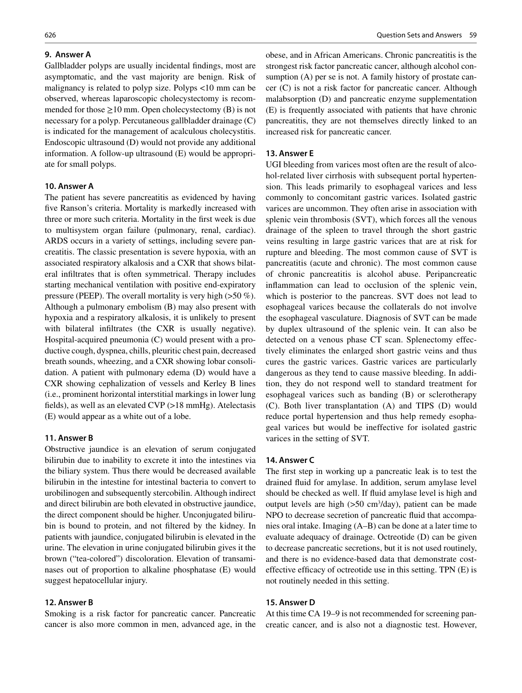### **9. Answer A**

Gallbladder polyps are usually incidental findings, most are asymptomatic, and the vast majority are benign. Risk of malignancy is related to polyp size. Polyps <10 mm can be observed, whereas laparoscopic cholecystectomy is recommended for those  $\geq 10$  mm. Open cholecy stectomy (B) is not necessary for a polyp. Percutaneous gallbladder drainage (C) is indicated for the management of acalculous cholecystitis. Endoscopic ultrasound (D) would not provide any additional information. A follow-up ultrasound (E) would be appropriate for small polyps.

# **10. Answer A**

 The patient has severe pancreatitis as evidenced by having five Ranson's criteria. Mortality is markedly increased with three or more such criteria. Mortality in the first week is due to multisystem organ failure (pulmonary, renal, cardiac). ARDS occurs in a variety of settings, including severe pancreatitis. The classic presentation is severe hypoxia, with an associated respiratory alkalosis and a CXR that shows bilateral infiltrates that is often symmetrical. Therapy includes starting mechanical ventilation with positive end-expiratory pressure (PEEP). The overall mortality is very high (>50 %). Although a pulmonary embolism (B) may also present with hypoxia and a respiratory alkalosis, it is unlikely to present with bilateral infiltrates (the CXR is usually negative). Hospital-acquired pneumonia (C) would present with a productive cough, dyspnea, chills, pleuritic chest pain, decreased breath sounds, wheezing, and a CXR showing lobar consolidation. A patient with pulmonary edema (D) would have a CXR showing cephalization of vessels and Kerley B lines (i.e., prominent horizontal interstitial markings in lower lung fields), as well as an elevated CVP (>18 mmHg). Atelectasis (E) would appear as a white out of a lobe.

#### **11. Answer B**

 Obstructive jaundice is an elevation of serum conjugated bilirubin due to inability to excrete it into the intestines via the biliary system. Thus there would be decreased available bilirubin in the intestine for intestinal bacteria to convert to urobilinogen and subsequently stercobilin. Although indirect and direct bilirubin are both elevated in obstructive jaundice, the direct component should be higher. Unconjugated bilirubin is bound to protein, and not filtered by the kidney. In patients with jaundice, conjugated bilirubin is elevated in the urine. The elevation in urine conjugated bilirubin gives it the brown ("tea-colored") discoloration. Elevation of transaminases out of proportion to alkaline phosphatase (E) would suggest hepatocellular injury.

### **12. Answer B**

 Smoking is a risk factor for pancreatic cancer. Pancreatic cancer is also more common in men, advanced age, in the

obese, and in African Americans. Chronic pancreatitis is the strongest risk factor pancreatic cancer, although alcohol consumption (A) per se is not. A family history of prostate cancer (C) is not a risk factor for pancreatic cancer. Although malabsorption (D) and pancreatic enzyme supplementation (E) is frequently associated with patients that have chronic pancreatitis, they are not themselves directly linked to an increased risk for pancreatic cancer.

### **13. Answer E**

 UGI bleeding from varices most often are the result of alcohol-related liver cirrhosis with subsequent portal hypertension. This leads primarily to esophageal varices and less commonly to concomitant gastric varices. Isolated gastric varices are uncommon. They often arise in association with splenic vein thrombosis (SVT), which forces all the venous drainage of the spleen to travel through the short gastric veins resulting in large gastric varices that are at risk for rupture and bleeding. The most common cause of SVT is pancreatitis (acute and chronic). The most common cause of chronic pancreatitis is alcohol abuse. Peripancreatic inflammation can lead to occlusion of the splenic vein, which is posterior to the pancreas. SVT does not lead to esophageal varices because the collaterals do not involve the esophageal vasculature. Diagnosis of SVT can be made by duplex ultrasound of the splenic vein. It can also be detected on a venous phase CT scan. Splenectomy effectively eliminates the enlarged short gastric veins and thus cures the gastric varices. Gastric varices are particularly dangerous as they tend to cause massive bleeding. In addition, they do not respond well to standard treatment for esophageal varices such as banding (B) or sclerotherapy (C). Both liver transplantation (A) and TIPS (D) would reduce portal hypertension and thus help remedy esophageal varices but would be ineffective for isolated gastric varices in the setting of SVT.

# **14. Answer C**

The first step in working up a pancreatic leak is to test the drained fluid for amylase. In addition, serum amylase level should be checked as well. If fluid amylase level is high and output levels are high  $(50 \text{ cm}^3/\text{day})$ , patient can be made NPO to decrease secretion of pancreatic fluid that accompanies oral intake. Imaging (A–B) can be done at a later time to evaluate adequacy of drainage. Octreotide (D) can be given to decrease pancreatic secretions, but it is not used routinely, and there is no evidence-based data that demonstrate costeffective efficacy of octreotide use in this setting. TPN  $(E)$  is not routinely needed in this setting.

### **15. Answer D**

 At this time CA 19–9 is not recommended for screening pancreatic cancer, and is also not a diagnostic test. However,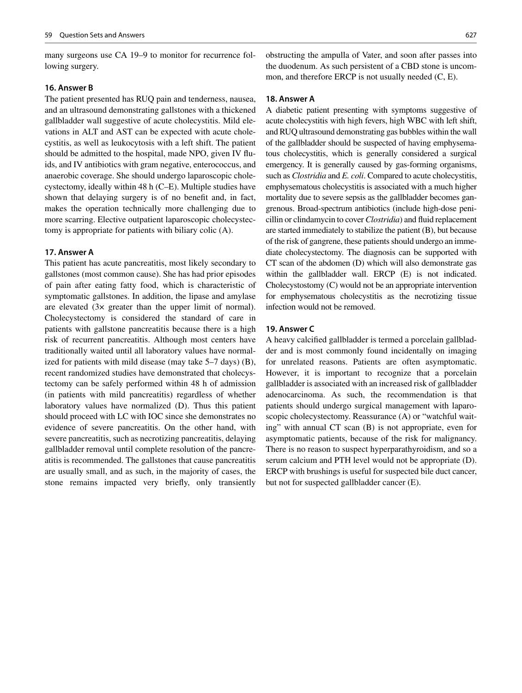many surgeons use CA 19–9 to monitor for recurrence following surgery.

### **16. Answer B**

 The patient presented has RUQ pain and tenderness, nausea, and an ultrasound demonstrating gallstones with a thickened gallbladder wall suggestive of acute cholecystitis. Mild elevations in ALT and AST can be expected with acute cholecystitis, as well as leukocytosis with a left shift. The patient should be admitted to the hospital, made NPO, given IV fluids, and IV antibiotics with gram negative, enterococcus, and anaerobic coverage. She should undergo laparoscopic cholecystectomy, ideally within 48 h (C–E). Multiple studies have shown that delaying surgery is of no benefit and, in fact, makes the operation technically more challenging due to more scarring. Elective outpatient laparoscopic cholecystectomy is appropriate for patients with biliary colic (A).

### **17. Answer A**

 This patient has acute pancreatitis, most likely secondary to gallstones (most common cause). She has had prior episodes of pain after eating fatty food, which is characteristic of symptomatic gallstones. In addition, the lipase and amylase are elevated (3× greater than the upper limit of normal). Cholecystectomy is considered the standard of care in patients with gallstone pancreatitis because there is a high risk of recurrent pancreatitis. Although most centers have traditionally waited until all laboratory values have normalized for patients with mild disease (may take 5–7 days) (B), recent randomized studies have demonstrated that cholecystectomy can be safely performed within 48 h of admission (in patients with mild pancreatitis) regardless of whether laboratory values have normalized (D). Thus this patient should proceed with LC with IOC since she demonstrates no evidence of severe pancreatitis. On the other hand, with severe pancreatitis, such as necrotizing pancreatitis, delaying gallbladder removal until complete resolution of the pancreatitis is recommended. The gallstones that cause pancreatitis are usually small, and as such, in the majority of cases, the stone remains impacted very briefly, only transiently

obstructing the ampulla of Vater, and soon after passes into the duodenum. As such persistent of a CBD stone is uncommon, and therefore ERCP is not usually needed (C, E).

## **18. Answer A**

 A diabetic patient presenting with symptoms suggestive of acute cholecystitis with high fevers, high WBC with left shift, and RUQ ultrasound demonstrating gas bubbles within the wall of the gallbladder should be suspected of having emphysematous cholecystitis, which is generally considered a surgical emergency. It is generally caused by gas-forming organisms, such as *Clostridia* and *E. coli* . Compared to acute cholecystitis, emphysematous cholecystitis is associated with a much higher mortality due to severe sepsis as the gallbladder becomes gangrenous. Broad-spectrum antibiotics (include high-dose penicillin or clindamycin to cover *Clostridia*) and fluid replacement are started immediately to stabilize the patient (B), but because of the risk of gangrene, these patients should undergo an immediate cholecystectomy. The diagnosis can be supported with CT scan of the abdomen (D) which will also demonstrate gas within the gallbladder wall. ERCP (E) is not indicated. Cholecystostomy (C) would not be an appropriate intervention for emphysematous cholecystitis as the necrotizing tissue infection would not be removed.

# **19. Answer C**

A heavy calcified gallbladder is termed a porcelain gallbladder and is most commonly found incidentally on imaging for unrelated reasons. Patients are often asymptomatic. However, it is important to recognize that a porcelain gallbladder is associated with an increased risk of gallbladder adenocarcinoma. As such, the recommendation is that patients should undergo surgical management with laparoscopic cholecystectomy. Reassurance (A) or "watchful waiting" with annual CT scan (B) is not appropriate, even for asymptomatic patients, because of the risk for malignancy. There is no reason to suspect hyperparathyroidism, and so a serum calcium and PTH level would not be appropriate (D). ERCP with brushings is useful for suspected bile duct cancer, but not for suspected gallbladder cancer (E).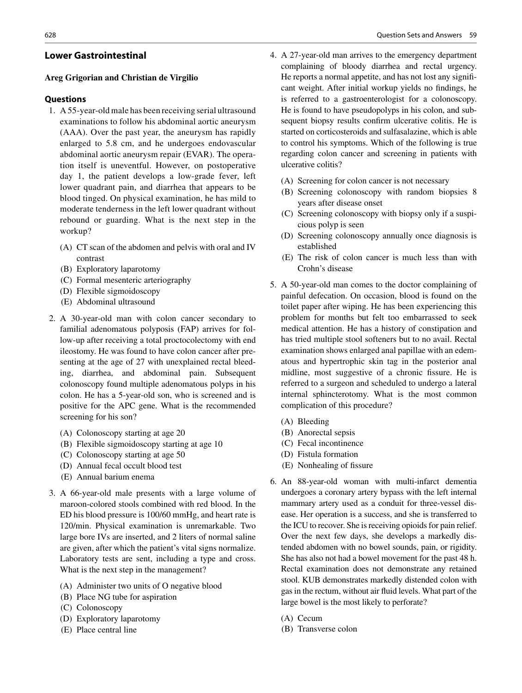# **Lower Gastrointestinal**

### **Areg Grigorian and Christian de Virgilio**

## **Questions**

- 1. A 55-year-old male has been receiving serial ultrasound examinations to follow his abdominal aortic aneurysm (AAA). Over the past year, the aneurysm has rapidly enlarged to 5.8 cm, and he undergoes endovascular abdominal aortic aneurysm repair (EVAR). The operation itself is uneventful. However, on postoperative day 1, the patient develops a low-grade fever, left lower quadrant pain, and diarrhea that appears to be blood tinged. On physical examination, he has mild to moderate tenderness in the left lower quadrant without rebound or guarding. What is the next step in the workup?
	- (A) CT scan of the abdomen and pelvis with oral and IV contrast
	- (B) Exploratory laparotomy
	- (C) Formal mesenteric arteriography
	- (D) Flexible sigmoidoscopy
	- (E) Abdominal ultrasound
- 2. A 30-year-old man with colon cancer secondary to familial adenomatous polyposis (FAP) arrives for follow-up after receiving a total proctocolectomy with end ileostomy. He was found to have colon cancer after presenting at the age of 27 with unexplained rectal bleeding, diarrhea, and abdominal pain. Subsequent colonoscopy found multiple adenomatous polyps in his colon. He has a 5-year-old son, who is screened and is positive for the APC gene. What is the recommended screening for his son?
	- (A) Colonoscopy starting at age 20
	- (B) Flexible sigmoidoscopy starting at age 10
	- (C) Colonoscopy starting at age 50
	- (D) Annual fecal occult blood test
	- (E) Annual barium enema
- 3. A 66-year-old male presents with a large volume of maroon-colored stools combined with red blood. In the ED his blood pressure is 100/60 mmHg, and heart rate is 120/min. Physical examination is unremarkable. Two large bore IVs are inserted, and 2 liters of normal saline are given, after which the patient's vital signs normalize. Laboratory tests are sent, including a type and cross. What is the next step in the management?
	- (A) Administer two units of O negative blood
	- (B) Place NG tube for aspiration
	- (C) Colonoscopy
	- (D) Exploratory laparotomy
	- (E) Place central line
- 4. A 27-year-old man arrives to the emergency department complaining of bloody diarrhea and rectal urgency. He reports a normal appetite, and has not lost any significant weight. After initial workup yields no findings, he is referred to a gastroenterologist for a colonoscopy. He is found to have pseudopolyps in his colon, and subsequent biopsy results confirm ulcerative colitis. He is started on corticosteroids and sulfasalazine, which is able to control his symptoms. Which of the following is true regarding colon cancer and screening in patients with ulcerative colitis?
	- (A) Screening for colon cancer is not necessary
	- (B) Screening colonoscopy with random biopsies 8 years after disease onset
	- (C) Screening colonoscopy with biopsy only if a suspicious polyp is seen
	- (D) Screening colonoscopy annually once diagnosis is established
	- (E) The risk of colon cancer is much less than with Crohn's disease
- 5. A 50-year-old man comes to the doctor complaining of painful defecation. On occasion, blood is found on the toilet paper after wiping. He has been experiencing this problem for months but felt too embarrassed to seek medical attention. He has a history of constipation and has tried multiple stool softeners but to no avail. Rectal examination shows enlarged anal papillae with an edematous and hypertrophic skin tag in the posterior anal midline, most suggestive of a chronic fissure. He is referred to a surgeon and scheduled to undergo a lateral internal sphincterotomy. What is the most common complication of this procedure?
	- (A) Bleeding
	- (B) Anorectal sepsis
	- (C) Fecal incontinence
	- (D) Fistula formation
	- (E) Nonhealing of fissure
- 6. An 88-year-old woman with multi-infarct dementia undergoes a coronary artery bypass with the left internal mammary artery used as a conduit for three-vessel disease. Her operation is a success, and she is transferred to the ICU to recover. She is receiving opioids for pain relief. Over the next few days, she develops a markedly distended abdomen with no bowel sounds, pain, or rigidity. She has also not had a bowel movement for the past 48 h. Rectal examination does not demonstrate any retained stool. KUB demonstrates markedly distended colon with gas in the rectum, without air fluid levels. What part of the large bowel is the most likely to perforate?
	- (A) Cecum
	- (B) Transverse colon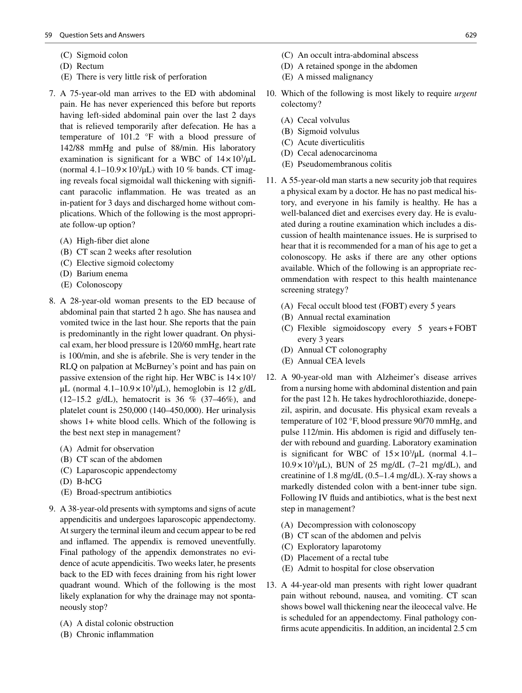- (C) Sigmoid colon
- (D) Rectum
- (E) There is very little risk of perforation
- 7. A 75-year-old man arrives to the ED with abdominal pain. He has never experienced this before but reports having left-sided abdominal pain over the last 2 days that is relieved temporarily after defecation. He has a temperature of 101.2 °F with a blood pressure of 142/88 mmHg and pulse of 88/min. His laboratory examination is significant for a WBC of  $14 \times 10^3/\mu L$ (normal  $4.1-10.9 \times 10^3/\mu L$ ) with 10 % bands. CT imaging reveals focal sigmoidal wall thickening with significant paracolic inflammation. He was treated as an in-patient for 3 days and discharged home without complications. Which of the following is the most appropriate follow-up option?
	- (A) High-fiber diet alone
	- (B) CT scan 2 weeks after resolution
	- (C) Elective sigmoid colectomy
	- (D) Barium enema
	- (E) Colonoscopy
- 8. A 28-year-old woman presents to the ED because of abdominal pain that started 2 h ago. She has nausea and vomited twice in the last hour. She reports that the pain is predominantly in the right lower quadrant. On physical exam, her blood pressure is 120/60 mmHg, heart rate is 100/min, and she is afebrile. She is very tender in the RLQ on palpation at McBurney's point and has pain on passive extension of the right hip. Her WBC is  $14 \times 10^{3}$ / μL (normal  $4.1-10.9 \times 10^3$ /μL), hemoglobin is 12 g/dL (12–15.2 g/dL), hematocrit is 36 % (37–46%), and platelet count is 250,000 (140–450,000). Her urinalysis shows 1+ white blood cells. Which of the following is the best next step in management?
	- (A) Admit for observation
	- (B) CT scan of the abdomen
	- (C) Laparoscopic appendectomy
	- (D) B-hCG
	- (E) Broad-spectrum antibiotics
- 9. A 38-year-old presents with symptoms and signs of acute appendicitis and undergoes laparoscopic appendectomy. At surgery the terminal ileum and cecum appear to be red and inflamed. The appendix is removed uneventfully. Final pathology of the appendix demonstrates no evidence of acute appendicitis. Two weeks later, he presents back to the ED with feces draining from his right lower quadrant wound. Which of the following is the most likely explanation for why the drainage may not spontaneously stop?
	- (A) A distal colonic obstruction
	- (B) Chronic inflammation
- (C) An occult intra-abdominal abscess
- (D) A retained sponge in the abdomen
- (E) A missed malignancy
- 10. Which of the following is most likely to require *urgent* colectomy?
	- (A) Cecal volvulus
	- (B) Sigmoid volvulus
	- (C) Acute diverticulitis
	- (D) Cecal adenocarcinoma
	- (E) Pseudomembranous colitis
- 11. A 55-year-old man starts a new security job that requires a physical exam by a doctor. He has no past medical history, and everyone in his family is healthy. He has a well-balanced diet and exercises every day. He is evaluated during a routine examination which includes a discussion of health maintenance issues. He is surprised to hear that it is recommended for a man of his age to get a colonoscopy. He asks if there are any other options available. Which of the following is an appropriate recommendation with respect to this health maintenance screening strategy?
	- (A) Fecal occult blood test (FOBT) every 5 years
	- (B) Annual rectal examination
	- (C) Flexible sigmoidoscopy every 5 years + FOBT every 3 years
	- (D) Annual CT colonography
	- (E) Annual CEA levels
- 12. A 90-year-old man with Alzheimer's disease arrives from a nursing home with abdominal distention and pain for the past 12 h. He takes hydrochlorothiazide, donepezil, aspirin, and docusate. His physical exam reveals a temperature of 102 °F, blood pressure 90/70 mmHg, and pulse 112/min. His abdomen is rigid and diffusely tender with rebound and guarding. Laboratory examination is significant for WBC of  $15 \times 10^3/\mu$ L (normal 4.1–  $10.9 \times 10^{3}$ /µL), BUN of 25 mg/dL (7–21 mg/dL), and creatinine of 1.8 mg/dL (0.5–1.4 mg/dL). X-ray shows a markedly distended colon with a bent-inner tube sign. Following IV fluids and antibiotics, what is the best next step in management?
	- (A) Decompression with colonoscopy
	- (B) CT scan of the abdomen and pelvis
	- (C) Exploratory laparotomy
	- (D) Placement of a rectal tube
	- (E) Admit to hospital for close observation
- 13. A 44-year-old man presents with right lower quadrant pain without rebound, nausea, and vomiting. CT scan shows bowel wall thickening near the ileocecal valve. He is scheduled for an appendectomy. Final pathology confirms acute appendicitis. In addition, an incidental 2.5 cm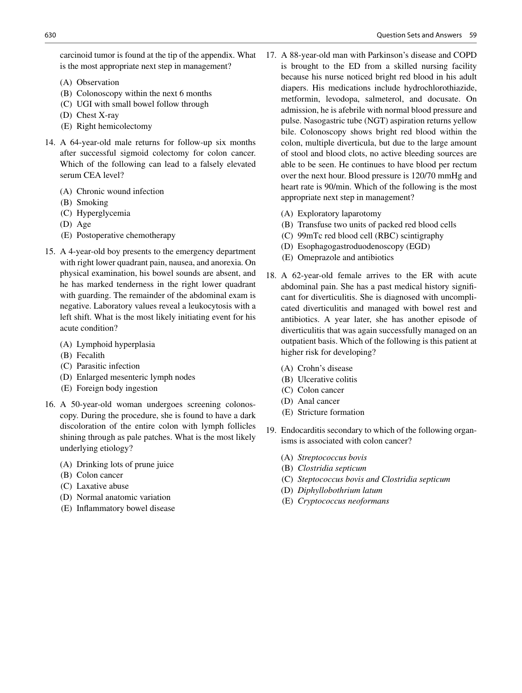carcinoid tumor is found at the tip of the appendix. What is the most appropriate next step in management?

- (A) Observation
- (B) Colonoscopy within the next 6 months
- (C) UGI with small bowel follow through
- (D) Chest X-ray
- (E) Right hemicolectomy
- 14. A 64-year-old male returns for follow-up six months after successful sigmoid colectomy for colon cancer. Which of the following can lead to a falsely elevated serum CEA level?
	- (A) Chronic wound infection
	- (B) Smoking
	- (C) Hyperglycemia
	- (D) Age
	- (E) Postoperative chemotherapy
- 15. A 4-year-old boy presents to the emergency department with right lower quadrant pain, nausea, and anorexia. On physical examination, his bowel sounds are absent, and he has marked tenderness in the right lower quadrant with guarding. The remainder of the abdominal exam is negative. Laboratory values reveal a leukocytosis with a left shift. What is the most likely initiating event for his acute condition?
	- (A) Lymphoid hyperplasia
	- (B) Fecalith
	- (C) Parasitic infection
	- (D) Enlarged mesenteric lymph nodes
	- (E) Foreign body ingestion
- 16. A 50-year-old woman undergoes screening colonoscopy. During the procedure, she is found to have a dark discoloration of the entire colon with lymph follicles shining through as pale patches. What is the most likely underlying etiology?
	- (A) Drinking lots of prune juice
	- (B) Colon cancer
	- (C) Laxative abuse
	- (D) Normal anatomic variation
	- (E) Inflammatory bowel disease

 17. A 88-year-old man with Parkinson's disease and COPD is brought to the ED from a skilled nursing facility because his nurse noticed bright red blood in his adult diapers. His medications include hydrochlorothiazide, metformin, levodopa, salmeterol, and docusate. On admission, he is afebrile with normal blood pressure and pulse. Nasogastric tube (NGT) aspiration returns yellow bile. Colonoscopy shows bright red blood within the colon, multiple diverticula, but due to the large amount of stool and blood clots, no active bleeding sources are able to be seen. He continues to have blood per rectum over the next hour. Blood pressure is 120/70 mmHg and heart rate is 90/min. Which of the following is the most appropriate next step in management?

- (A) Exploratory laparotomy
- (B) Transfuse two units of packed red blood cells
- (C) 99mTc red blood cell (RBC) scintigraphy
- (D) Esophagogastroduodenoscopy (EGD)
- (E) Omeprazole and antibiotics
- 18. A 62-year-old female arrives to the ER with acute abdominal pain. She has a past medical history significant for diverticulitis. She is diagnosed with uncomplicated diverticulitis and managed with bowel rest and antibiotics. A year later, she has another episode of diverticulitis that was again successfully managed on an outpatient basis. Which of the following is this patient at higher risk for developing?
	- (A) Crohn's disease
	- (B) Ulcerative colitis
	- (C) Colon cancer
	- (D) Anal cancer
	- (E) Stricture formation
- 19. Endocarditis secondary to which of the following organisms is associated with colon cancer?
	- (A) *Streptococcus bovis*
	- (B) *Clostridia septicum*
	- (C) *Steptococcus bovis and Clostridia septicum*
	- (D) *Diphyllobothrium latum*
	- (E) *Cryptococcus neoformans*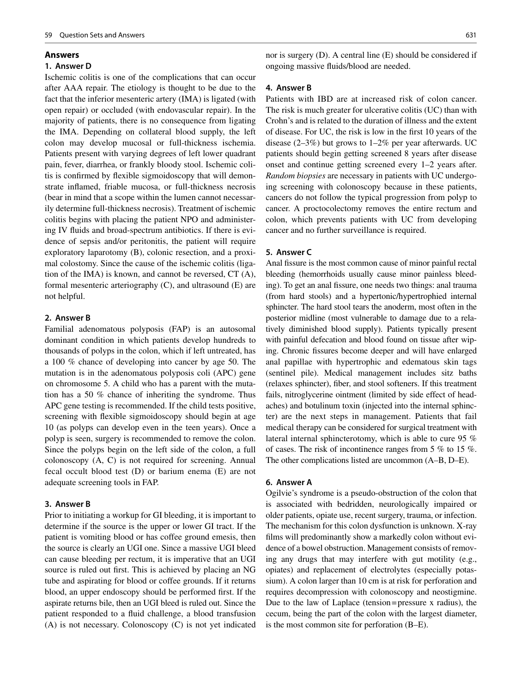#### **Answers**

### **1. Answer D**

 Ischemic colitis is one of the complications that can occur after AAA repair. The etiology is thought to be due to the fact that the inferior mesenteric artery (IMA) is ligated (with open repair) or occluded (with endovascular repair). In the majority of patients, there is no consequence from ligating the IMA. Depending on collateral blood supply, the left colon may develop mucosal or full-thickness ischemia. Patients present with varying degrees of left lower quadrant pain, fever, diarrhea, or frankly bloody stool. Ischemic colitis is confirmed by flexible sigmoidoscopy that will demonstrate inflamed, friable mucosa, or full-thickness necrosis (bear in mind that a scope within the lumen cannot necessarily determine full-thickness necrosis). Treatment of ischemic colitis begins with placing the patient NPO and administering IV fluids and broad-spectrum antibiotics. If there is evidence of sepsis and/or peritonitis, the patient will require exploratory laparotomy (B), colonic resection, and a proximal colostomy. Since the cause of the ischemic colitis (ligation of the IMA) is known, and cannot be reversed, CT (A), formal mesenteric arteriography (C), and ultrasound (E) are not helpful.

#### **2. Answer B**

 Familial adenomatous polyposis (FAP) is an autosomal dominant condition in which patients develop hundreds to thousands of polyps in the colon, which if left untreated, has a 100 % chance of developing into cancer by age 50. The mutation is in the adenomatous polyposis coli (APC) gene on chromosome 5. A child who has a parent with the mutation has a 50 % chance of inheriting the syndrome. Thus APC gene testing is recommended. If the child tests positive, screening with flexible sigmoidoscopy should begin at age 10 (as polyps can develop even in the teen years). Once a polyp is seen, surgery is recommended to remove the colon. Since the polyps begin on the left side of the colon, a full colonoscopy (A, C) is not required for screening. Annual fecal occult blood test (D) or barium enema (E) are not adequate screening tools in FAP.

#### **3. Answer B**

 Prior to initiating a workup for GI bleeding, it is important to determine if the source is the upper or lower GI tract. If the patient is vomiting blood or has coffee ground emesis, then the source is clearly an UGI one. Since a massive UGI bleed can cause bleeding per rectum, it is imperative that an UGI source is ruled out first. This is achieved by placing an NG tube and aspirating for blood or coffee grounds. If it returns blood, an upper endoscopy should be performed first. If the aspirate returns bile, then an UGI bleed is ruled out. Since the patient responded to a fluid challenge, a blood transfusion (A) is not necessary. Colonoscopy (C) is not yet indicated

nor is surgery (D). A central line (E) should be considered if ongoing massive fluids/blood are needed.

#### **4. Answer B**

 Patients with IBD are at increased risk of colon cancer. The risk is much greater for ulcerative colitis (UC) than with Crohn's and is related to the duration of illness and the extent of disease. For UC, the risk is low in the first 10 years of the disease (2–3%) but grows to 1–2% per year afterwards. UC patients should begin getting screened 8 years after disease onset and continue getting screened every 1–2 years after. *Random biopsies* are necessary in patients with UC undergoing screening with colonoscopy because in these patients, cancers do not follow the typical progression from polyp to cancer. A proctocolectomy removes the entire rectum and colon, which prevents patients with UC from developing cancer and no further surveillance is required.

#### **5. Answer C**

Anal fissure is the most common cause of minor painful rectal bleeding (hemorrhoids usually cause minor painless bleeding). To get an anal fissure, one needs two things: anal trauma (from hard stools) and a hypertonic/hypertrophied internal sphincter. The hard stool tears the anoderm, most often in the posterior midline (most vulnerable to damage due to a relatively diminished blood supply). Patients typically present with painful defecation and blood found on tissue after wiping. Chronic fissures become deeper and will have enlarged anal papillae with hypertrophic and edematous skin tags (sentinel pile). Medical management includes sitz baths (relaxes sphincter), fiber, and stool softeners. If this treatment fails, nitroglycerine ointment (limited by side effect of headaches) and botulinum toxin (injected into the internal sphincter) are the next steps in management. Patients that fail medical therapy can be considered for surgical treatment with lateral internal sphincterotomy, which is able to cure 95 % of cases. The risk of incontinence ranges from 5 % to 15 %. The other complications listed are uncommon (A–B, D–E).

### **6. Answer A**

 Ogilvie's syndrome is a pseudo-obstruction of the colon that is associated with bedridden, neurologically impaired or older patients, opiate use, recent surgery, trauma, or infection. The mechanism for this colon dysfunction is unknown. X-ray films will predominantly show a markedly colon without evidence of a bowel obstruction. Management consists of removing any drugs that may interfere with gut motility (e.g., opiates) and replacement of electrolytes (especially potassium). A colon larger than 10 cm is at risk for perforation and requires decompression with colonoscopy and neostigmine. Due to the law of Laplace (tension=pressure  $x$  radius), the cecum, being the part of the colon with the largest diameter, is the most common site for perforation (B–E).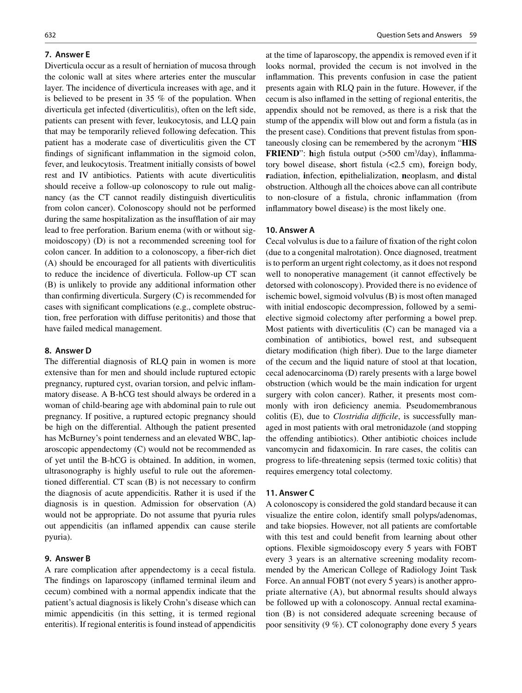#### **7. Answer E**

 Diverticula occur as a result of herniation of mucosa through the colonic wall at sites where arteries enter the muscular layer. The incidence of diverticula increases with age, and it is believed to be present in 35 % of the population. When diverticula get infected (diverticulitis), often on the left side, patients can present with fever, leukocytosis, and LLQ pain that may be temporarily relieved following defecation. This patient has a moderate case of diverticulitis given the CT findings of significant inflammation in the sigmoid colon, fever, and leukocytosis. Treatment initially consists of bowel rest and IV antibiotics. Patients with acute diverticulitis should receive a follow-up colonoscopy to rule out malignancy (as the CT cannot readily distinguish diverticulitis from colon cancer). Colonoscopy should not be performed during the same hospitalization as the insufflation of air may lead to free perforation. Barium enema (with or without sigmoidoscopy) (D) is not a recommended screening tool for colon cancer. In addition to a colonoscopy, a fiber-rich diet (A) should be encouraged for all patients with diverticulitis to reduce the incidence of diverticula. Follow-up CT scan (B) is unlikely to provide any additional information other than confirming diverticula. Surgery  $(C)$  is recommended for cases with significant complications (e.g., complete obstruction, free perforation with diffuse peritonitis) and those that have failed medical management.

### **8. Answer D**

 The differential diagnosis of RLQ pain in women is more extensive than for men and should include ruptured ectopic pregnancy, ruptured cyst, ovarian torsion, and pelvic inflammatory disease. A B-hCG test should always be ordered in a woman of child-bearing age with abdominal pain to rule out pregnancy. If positive, a ruptured ectopic pregnancy should be high on the differential. Although the patient presented has McBurney's point tenderness and an elevated WBC, laparoscopic appendectomy (C) would not be recommended as of yet until the B-hCG is obtained. In addition, in women, ultrasonography is highly useful to rule out the aforementioned differential.  $CT$  scan  $(B)$  is not necessary to confirm the diagnosis of acute appendicitis. Rather it is used if the diagnosis is in question. Admission for observation (A) would not be appropriate. Do not assume that pyuria rules out appendicitis (an inflamed appendix can cause sterile pyuria).

## **9. Answer B**

A rare complication after appendectomy is a cecal fistula. The findings on laparoscopy (inflamed terminal ileum and cecum) combined with a normal appendix indicate that the patient's actual diagnosis is likely Crohn's disease which can mimic appendicitis (in this setting, it is termed regional enteritis). If regional enteritis is found instead of appendicitis

at the time of laparoscopy, the appendix is removed even if it looks normal, provided the cecum is not involved in the inflammation. This prevents confusion in case the patient presents again with RLQ pain in the future. However, if the cecum is also inflamed in the setting of regional enteritis, the appendix should not be removed, as there is a risk that the stump of the appendix will blow out and form a fistula (as in the present case). Conditions that prevent fistulas from spontaneously closing can be remembered by the acronym " **HIS FRIEND**": high fistula output (>500 cm<sup>3</sup>/day), inflammatory bowel disease, short fistula (<2.5 cm), foreign body, **r** adiation, **i** nfection, **e** pithelialization, **n** eoplasm, and **d** istal obstruction. Although all the choices above can all contribute to non-closure of a fistula, chronic inflammation (from inflammatory bowel disease) is the most likely one.

## **10. Answer A**

Cecal volvulus is due to a failure of fixation of the right colon (due to a congenital malrotation). Once diagnosed, treatment is to perform an urgent right colectomy, as it does not respond well to nonoperative management (it cannot effectively be detorsed with colonoscopy). Provided there is no evidence of ischemic bowel, sigmoid volvulus (B) is most often managed with initial endoscopic decompression, followed by a semielective sigmoid colectomy after performing a bowel prep. Most patients with diverticulitis (C) can be managed via a combination of antibiotics, bowel rest, and subsequent dietary modification (high fiber). Due to the large diameter of the cecum and the liquid nature of stool at that location, cecal adenocarcinoma (D) rarely presents with a large bowel obstruction (which would be the main indication for urgent surgery with colon cancer). Rather, it presents most commonly with iron deficiency anemia. Pseudomembranous colitis (E), due to *Clostridia difficile*, is successfully managed in most patients with oral metronidazole (and stopping the offending antibiotics). Other antibiotic choices include vancomycin and fidaxomicin. In rare cases, the colitis can progress to life-threatening sepsis (termed toxic colitis) that requires emergency total colectomy.

## **11. Answer C**

 A colonoscopy is considered the gold standard because it can visualize the entire colon, identify small polyps/adenomas, and take biopsies. However, not all patients are comfortable with this test and could benefit from learning about other options. Flexible sigmoidoscopy every 5 years with FOBT every 3 years is an alternative screening modality recommended by the American College of Radiology Joint Task Force. An annual FOBT (not every 5 years) is another appropriate alternative (A), but abnormal results should always be followed up with a colonoscopy. Annual rectal examination (B) is not considered adequate screening because of poor sensitivity (9 %). CT colonography done every 5 years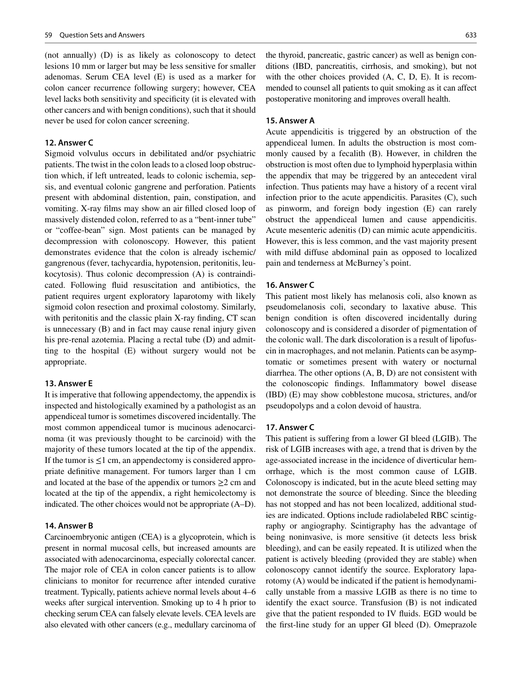(not annually) (D) is as likely as colonoscopy to detect lesions 10 mm or larger but may be less sensitive for smaller adenomas. Serum CEA level (E) is used as a marker for colon cancer recurrence following surgery; however, CEA level lacks both sensitivity and specificity (it is elevated with other cancers and with benign conditions), such that it should never be used for colon cancer screening.

## **12. Answer C**

 Sigmoid volvulus occurs in debilitated and/or psychiatric patients. The twist in the colon leads to a closed loop obstruction which, if left untreated, leads to colonic ischemia, sepsis, and eventual colonic gangrene and perforation. Patients present with abdominal distention, pain, constipation, and vomiting. X-ray films may show an air filled closed loop of massively distended colon, referred to as a "bent-inner tube" or "coffee-bean" sign. Most patients can be managed by decompression with colonoscopy. However, this patient demonstrates evidence that the colon is already ischemic/ gangrenous (fever, tachycardia, hypotension, peritonitis, leukocytosis). Thus colonic decompression (A) is contraindicated. Following fluid resuscitation and antibiotics, the patient requires urgent exploratory laparotomy with likely sigmoid colon resection and proximal colostomy. Similarly, with peritonitis and the classic plain  $X$ -ray finding,  $CT$  scan is unnecessary (B) and in fact may cause renal injury given his pre-renal azotemia. Placing a rectal tube (D) and admitting to the hospital (E) without surgery would not be appropriate.

#### **13. Answer E**

 It is imperative that following appendectomy, the appendix is inspected and histologically examined by a pathologist as an appendiceal tumor is sometimes discovered incidentally. The most common appendiceal tumor is mucinous adenocarcinoma (it was previously thought to be carcinoid) with the majority of these tumors located at the tip of the appendix. If the tumor is  $\leq 1$  cm, an appendectomy is considered appropriate definitive management. For tumors larger than 1 cm and located at the base of the appendix or tumors  $\geq$  2 cm and located at the tip of the appendix, a right hemicolectomy is indicated. The other choices would not be appropriate (A–D).

#### **14. Answer B**

 Carcinoembryonic antigen (CEA) is a glycoprotein, which is present in normal mucosal cells, but increased amounts are associated with adenocarcinoma, especially colorectal cancer. The major role of CEA in colon cancer patients is to allow clinicians to monitor for recurrence after intended curative treatment. Typically, patients achieve normal levels about 4–6 weeks after surgical intervention. Smoking up to 4 h prior to checking serum CEA can falsely elevate levels. CEA levels are also elevated with other cancers (e.g., medullary carcinoma of the thyroid, pancreatic, gastric cancer) as well as benign conditions (IBD, pancreatitis, cirrhosis, and smoking), but not with the other choices provided (A, C, D, E). It is recommended to counsel all patients to quit smoking as it can affect postoperative monitoring and improves overall health.

### **15. Answer A**

 Acute appendicitis is triggered by an obstruction of the appendiceal lumen. In adults the obstruction is most commonly caused by a fecalith (B). However, in children the obstruction is most often due to lymphoid hyperplasia within the appendix that may be triggered by an antecedent viral infection. Thus patients may have a history of a recent viral infection prior to the acute appendicitis. Parasites (C), such as pinworm, and foreign body ingestion (E) can rarely obstruct the appendiceal lumen and cause appendicitis. Acute mesenteric adenitis (D) can mimic acute appendicitis. However, this is less common, and the vast majority present with mild diffuse abdominal pain as opposed to localized pain and tenderness at McBurney's point.

#### **16. Answer C**

 This patient most likely has melanosis coli, also known as pseudomelanosis coli, secondary to laxative abuse. This benign condition is often discovered incidentally during colonoscopy and is considered a disorder of pigmentation of the colonic wall. The dark discoloration is a result of lipofuscin in macrophages, and not melanin. Patients can be asymptomatic or sometimes present with watery or nocturnal diarrhea. The other options (A, B, D) are not consistent with the colonoscopic findings. Inflammatory bowel disease (IBD) (E) may show cobblestone mucosa, strictures, and/or pseudopolyps and a colon devoid of haustra.

#### **17. Answer C**

 This patient is suffering from a lower GI bleed (LGIB). The risk of LGIB increases with age, a trend that is driven by the age-associated increase in the incidence of diverticular hemorrhage, which is the most common cause of LGIB. Colonoscopy is indicated, but in the acute bleed setting may not demonstrate the source of bleeding. Since the bleeding has not stopped and has not been localized, additional studies are indicated. Options include radiolabeled RBC scintigraphy or angiography. Scintigraphy has the advantage of being noninvasive, is more sensitive (it detects less brisk bleeding), and can be easily repeated. It is utilized when the patient is actively bleeding (provided they are stable) when colonoscopy cannot identify the source. Exploratory laparotomy (A) would be indicated if the patient is hemodynamically unstable from a massive LGIB as there is no time to identify the exact source. Transfusion (B) is not indicated give that the patient responded to IV fluids. EGD would be the first-line study for an upper GI bleed (D). Omeprazole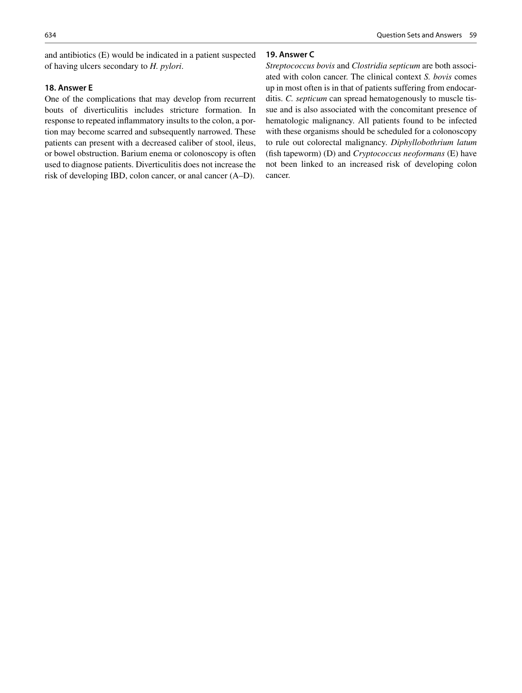and antibiotics (E) would be indicated in a patient suspected of having ulcers secondary to *H. pylori* .

## **18. Answer E**

 One of the complications that may develop from recurrent bouts of diverticulitis includes stricture formation. In response to repeated inflammatory insults to the colon, a portion may become scarred and subsequently narrowed. These patients can present with a decreased caliber of stool, ileus, or bowel obstruction. Barium enema or colonoscopy is often used to diagnose patients. Diverticulitis does not increase the risk of developing IBD, colon cancer, or anal cancer (A–D).

#### **19. Answer C**

*Streptococcus bovis* and *Clostridia septicum* are both associated with colon cancer. The clinical context *S. bovis* comes up in most often is in that of patients suffering from endocarditis. *C. septicum* can spread hematogenously to muscle tissue and is also associated with the concomitant presence of hematologic malignancy. All patients found to be infected with these organisms should be scheduled for a colonoscopy to rule out colorectal malignancy. *Diphyllobothrium latum* (fish tapeworm) (D) and *Cryptococcus neoformans* (E) have not been linked to an increased risk of developing colon cancer.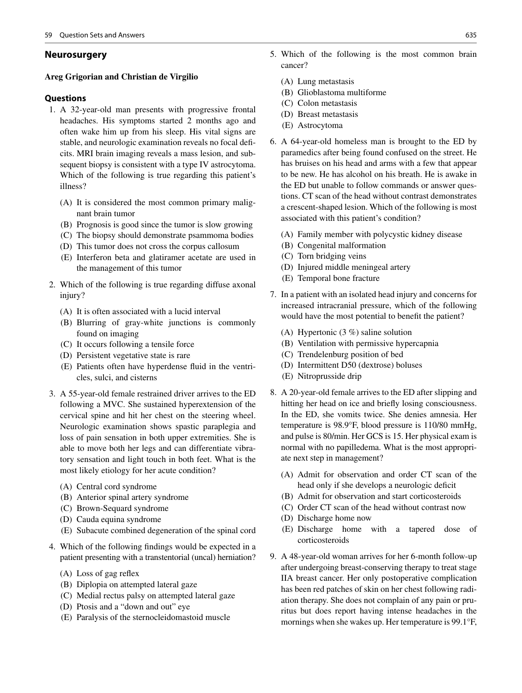### **Neurosurgery**

### **Areg Grigorian and Christian de Virgilio**

#### **Questions**

- 1. A 32-year-old man presents with progressive frontal headaches. His symptoms started 2 months ago and often wake him up from his sleep. His vital signs are stable, and neurologic examination reveals no focal deficits. MRI brain imaging reveals a mass lesion, and subsequent biopsy is consistent with a type IV astrocytoma. Which of the following is true regarding this patient's illness?
	- (A) It is considered the most common primary malignant brain tumor
	- (B) Prognosis is good since the tumor is slow growing
	- (C) The biopsy should demonstrate psammoma bodies
	- (D) This tumor does not cross the corpus callosum
	- (E) Interferon beta and glatiramer acetate are used in the management of this tumor
- 2. Which of the following is true regarding diffuse axonal injury?
	- (A) It is often associated with a lucid interval
	- (B) Blurring of gray-white junctions is commonly found on imaging
	- (C) It occurs following a tensile force
	- (D) Persistent vegetative state is rare
	- (E) Patients often have hyperdense fluid in the ventricles, sulci, and cisterns
- 3. A 55-year-old female restrained driver arrives to the ED following a MVC. She sustained hyperextension of the cervical spine and hit her chest on the steering wheel. Neurologic examination shows spastic paraplegia and loss of pain sensation in both upper extremities. She is able to move both her legs and can differentiate vibratory sensation and light touch in both feet. What is the most likely etiology for her acute condition?
	- (A) Central cord syndrome
	- (B) Anterior spinal artery syndrome
	- (C) Brown-Sequard syndrome
	- (D) Cauda equina syndrome
	- (E) Subacute combined degeneration of the spinal cord
- 4. Which of the following findings would be expected in a patient presenting with a transtentorial (uncal) herniation?
	- $(A)$  Loss of gag reflex
	- (B) Diplopia on attempted lateral gaze
	- (C) Medial rectus palsy on attempted lateral gaze
	- (D) Ptosis and a "down and out" eye
	- (E) Paralysis of the sternocleidomastoid muscle
- 5. Which of the following is the most common brain cancer?
	- (A) Lung metastasis
	- (B) Glioblastoma multiforme
	- (C) Colon metastasis
	- (D) Breast metastasis
	- (E) Astrocytoma
- 6. A 64-year-old homeless man is brought to the ED by paramedics after being found confused on the street. He has bruises on his head and arms with a few that appear to be new. He has alcohol on his breath. He is awake in the ED but unable to follow commands or answer questions. CT scan of the head without contrast demonstrates a crescent-shaped lesion. Which of the following is most associated with this patient's condition?
	- (A) Family member with polycystic kidney disease
	- (B) Congenital malformation
	- (C) Torn bridging veins
	- (D) Injured middle meningeal artery
	- (E) Temporal bone fracture
- 7. In a patient with an isolated head injury and concerns for increased intracranial pressure, which of the following would have the most potential to benefit the patient?
	- (A) Hypertonic (3 %) saline solution
	- (B) Ventilation with permissive hypercapnia
	- (C) Trendelenburg position of bed
	- (D) Intermittent D50 (dextrose) boluses
	- (E) Nitroprusside drip
- 8. A 20-year-old female arrives to the ED after slipping and hitting her head on ice and briefly losing consciousness. In the ED, she vomits twice. She denies amnesia. Her temperature is 98.9°F, blood pressure is 110/80 mmHg, and pulse is 80/min. Her GCS is 15. Her physical exam is normal with no papilledema. What is the most appropriate next step in management?
	- (A) Admit for observation and order CT scan of the head only if she develops a neurologic deficit
	- (B) Admit for observation and start corticosteroids
	- (C) Order CT scan of the head without contrast now
	- (D) Discharge home now
	- (E) Discharge home with a tapered dose of corticosteroids
- 9. A 48-year-old woman arrives for her 6-month follow-up after undergoing breast-conserving therapy to treat stage IIA breast cancer. Her only postoperative complication has been red patches of skin on her chest following radiation therapy. She does not complain of any pain or pruritus but does report having intense headaches in the mornings when she wakes up. Her temperature is 99.1°F,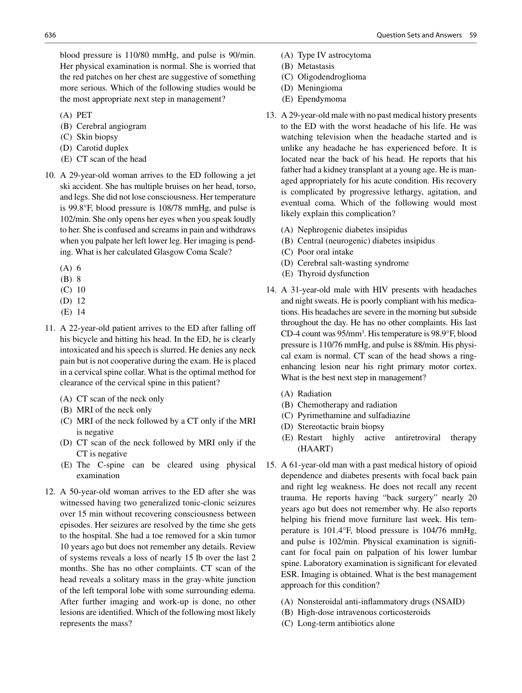blood pressure is 110/80 mmHg, and pulse is 90/min. Her physical examination is normal. She is worried that the red patches on her chest are suggestive of something more serious. Which of the following studies would be the most appropriate next step in management?

- (A) PET
- (B) Cerebral angiogram
- (C) Skin biopsy
- (D) Carotid duplex
- (E) CT scan of the head
- 10. A 29-year-old woman arrives to the ED following a jet ski accident. She has multiple bruises on her head, torso, and legs. She did not lose consciousness. Her temperature is 99.8°F, blood pressure is 108/78 mmHg, and pulse is 102/min. She only opens her eyes when you speak loudly to her. She is confused and screams in pain and withdraws when you palpate her left lower leg. Her imaging is pending. What is her calculated Glasgow Coma Scale?
	- (A) 6
	- (B) 8
	- (C) 10
	- (D) 12
	- (E) 14
- 11. A 22-year-old patient arrives to the ED after falling off his bicycle and hitting his head. In the ED, he is clearly intoxicated and his speech is slurred. He denies any neck pain but is not cooperative during the exam. He is placed in a cervical spine collar. What is the optimal method for clearance of the cervical spine in this patient?
	- (A) CT scan of the neck only
	- (B) MRI of the neck only
	- (C) MRI of the neck followed by a CT only if the MRI is negative
	- (D) CT scan of the neck followed by MRI only if the CT is negative
	- (E) The C-spine can be cleared using physical examination
- 12. A 50-year-old woman arrives to the ED after she was witnessed having two generalized tonic-clonic seizures over 15 min without recovering consciousness between episodes. Her seizures are resolved by the time she gets to the hospital. She had a toe removed for a skin tumor 10 years ago but does not remember any details. Review of systems reveals a loss of nearly 15 lb over the last 2 months. She has no other complaints. CT scan of the head reveals a solitary mass in the gray-white junction of the left temporal lobe with some surrounding edema. After further imaging and work-up is done, no other lesions are identified. Which of the following most likely represents the mass?
- (A) Type IV astrocytoma
- (B) Metastasis
- (C) Oligodendroglioma
- (D) Meningioma
- (E) Ependymoma
- 13. A 29-year-old male with no past medical history presents to the ED with the worst headache of his life. He was watching television when the headache started and is unlike any headache he has experienced before. It is located near the back of his head. He reports that his father had a kidney transplant at a young age. He is managed appropriately for his acute condition. His recovery is complicated by progressive lethargy, agitation, and eventual coma. Which of the following would most likely explain this complication?
	- (A) Nephrogenic diabetes insipidus
	- (B) Central (neurogenic) diabetes insipidus
	- (C) Poor oral intake
	- (D) Cerebral salt-wasting syndrome
	- (E) Thyroid dysfunction
- 14. A 31-year-old male with HIV presents with headaches and night sweats. He is poorly compliant with his medications. His headaches are severe in the morning but subside throughout the day. He has no other complaints. His last CD-4 count was 95/mm<sup>3</sup>. His temperature is 98.9°F, blood pressure is 110/76 mmHg, and pulse is 88/min. His physical exam is normal. CT scan of the head shows a ringenhancing lesion near his right primary motor cortex. What is the best next step in management?
	- (A) Radiation
	- (B) Chemotherapy and radiation
	- (C) Pyrimethamine and sulfadiazine
	- (D) Stereotactic brain biopsy
	- (E) Restart highly active antiretroviral therapy (HAART)
- 15. A 61-year-old man with a past medical history of opioid dependence and diabetes presents with focal back pain and right leg weakness. He does not recall any recent trauma. He reports having "back surgery" nearly 20 years ago but does not remember why. He also reports helping his friend move furniture last week. His temperature is 101.4°F, blood pressure is 104/76 mmHg, and pulse is 102/min. Physical examination is significant for focal pain on palpation of his lower lumbar spine. Laboratory examination is significant for elevated ESR. Imaging is obtained. What is the best management approach for this condition?
	- (A) Nonsteroidal anti-inflammatory drugs (NSAID)
	- (B) High-dose intravenous corticosteroids
	- (C) Long-term antibiotics alone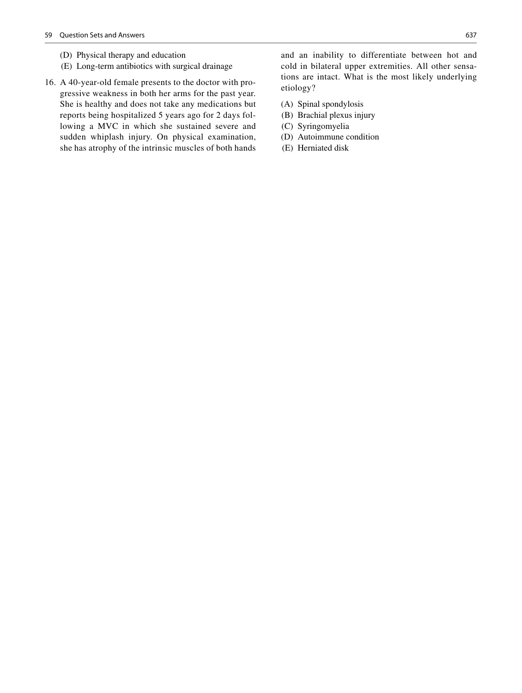- (D) Physical therapy and education
- (E) Long-term antibiotics with surgical drainage
- 16. A 40-year-old female presents to the doctor with progressive weakness in both her arms for the past year. She is healthy and does not take any medications but reports being hospitalized 5 years ago for 2 days following a MVC in which she sustained severe and sudden whiplash injury. On physical examination, she has atrophy of the intrinsic muscles of both hands

and an inability to differentiate between hot and cold in bilateral upper extremities. All other sensations are intact. What is the most likely underlying etiology?

- (A) Spinal spondylosis
- (B) Brachial plexus injury
- (C) Syringomyelia
- (D) Autoimmune condition
- (E) Herniated disk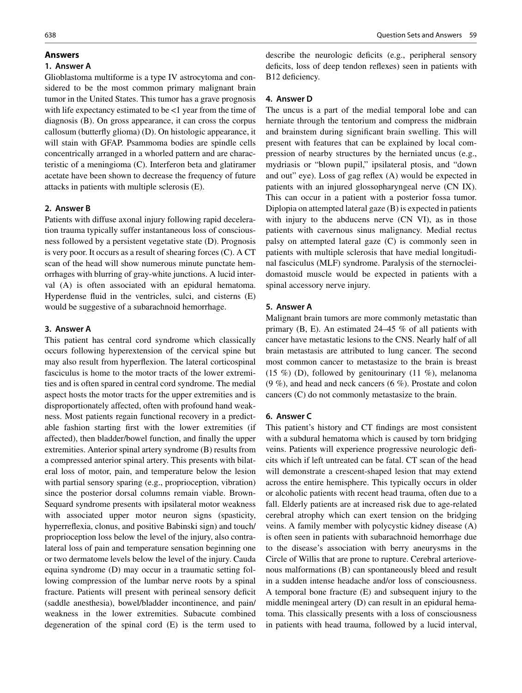### **Answers**

## **1. Answer A**

 Glioblastoma multiforme is a type IV astrocytoma and considered to be the most common primary malignant brain tumor in the United States. This tumor has a grave prognosis with life expectancy estimated to be <1 year from the time of diagnosis (B). On gross appearance, it can cross the corpus callosum (butterfly glioma) (D). On histologic appearance, it will stain with GFAP. Psammoma bodies are spindle cells concentrically arranged in a whorled pattern and are characteristic of a meningioma (C). Interferon beta and glatiramer acetate have been shown to decrease the frequency of future attacks in patients with multiple sclerosis (E).

### **2. Answer B**

 Patients with diffuse axonal injury following rapid deceleration trauma typically suffer instantaneous loss of consciousness followed by a persistent vegetative state (D). Prognosis is very poor. It occurs as a result of shearing forces (C). A CT scan of the head will show numerous minute punctate hemorrhages with blurring of gray-white junctions. A lucid interval (A) is often associated with an epidural hematoma. Hyperdense fluid in the ventricles, sulci, and cisterns (E) would be suggestive of a subarachnoid hemorrhage.

# **3. Answer A**

 This patient has central cord syndrome which classically occurs following hyperextension of the cervical spine but may also result from hyperflexion. The lateral corticospinal fasciculus is home to the motor tracts of the lower extremities and is often spared in central cord syndrome. The medial aspect hosts the motor tracts for the upper extremities and is disproportionately affected, often with profound hand weakness. Most patients regain functional recovery in a predictable fashion starting first with the lower extremities (if affected), then bladder/bowel function, and finally the upper extremities. Anterior spinal artery syndrome (B) results from a compressed anterior spinal artery. This presents with bilateral loss of motor, pain, and temperature below the lesion with partial sensory sparing (e.g., proprioception, vibration) since the posterior dorsal columns remain viable. Brown-Sequard syndrome presents with ipsilateral motor weakness with associated upper motor neuron signs (spasticity, hyperreflexia, clonus, and positive Babinski sign) and touch/ proprioception loss below the level of the injury, also contralateral loss of pain and temperature sensation beginning one or two dermatome levels below the level of the injury. Cauda equina syndrome (D) may occur in a traumatic setting following compression of the lumbar nerve roots by a spinal fracture. Patients will present with perineal sensory deficit (saddle anesthesia), bowel/bladder incontinence, and pain/ weakness in the lower extremities. Subacute combined degeneration of the spinal cord (E) is the term used to

describe the neurologic deficits (e.g., peripheral sensory deficits, loss of deep tendon reflexes) seen in patients with B12 deficiency.

### **4. Answer D**

 The uncus is a part of the medial temporal lobe and can herniate through the tentorium and compress the midbrain and brainstem during significant brain swelling. This will present with features that can be explained by local compression of nearby structures by the herniated uncus (e.g., mydriasis or "blown pupil," ipsilateral ptosis, and "down and out" eye). Loss of gag reflex  $(A)$  would be expected in patients with an injured glossopharyngeal nerve (CN IX). This can occur in a patient with a posterior fossa tumor. Diplopia on attempted lateral gaze (B) is expected in patients with injury to the abducens nerve (CN VI), as in those patients with cavernous sinus malignancy. Medial rectus palsy on attempted lateral gaze (C) is commonly seen in patients with multiple sclerosis that have medial longitudinal fasciculus (MLF) syndrome. Paralysis of the sternocleidomastoid muscle would be expected in patients with a spinal accessory nerve injury.

### **5. Answer A**

 Malignant brain tumors are more commonly metastatic than primary (B, E). An estimated 24–45 % of all patients with cancer have metastatic lesions to the CNS. Nearly half of all brain metastasis are attributed to lung cancer. The second most common cancer to metastasize to the brain is breast (15 %) (D), followed by genitourinary (11 %), melanoma (9 %), and head and neck cancers (6 %). Prostate and colon cancers (C) do not commonly metastasize to the brain.

# **6. Answer C**

This patient's history and CT findings are most consistent with a subdural hematoma which is caused by torn bridging veins. Patients will experience progressive neurologic deficits which if left untreated can be fatal. CT scan of the head will demonstrate a crescent-shaped lesion that may extend across the entire hemisphere. This typically occurs in older or alcoholic patients with recent head trauma, often due to a fall. Elderly patients are at increased risk due to age-related cerebral atrophy which can exert tension on the bridging veins. A family member with polycystic kidney disease (A) is often seen in patients with subarachnoid hemorrhage due to the disease's association with berry aneurysms in the Circle of Willis that are prone to rupture. Cerebral arteriovenous malformations (B) can spontaneously bleed and result in a sudden intense headache and/or loss of consciousness. A temporal bone fracture (E) and subsequent injury to the middle meningeal artery (D) can result in an epidural hematoma. This classically presents with a loss of consciousness in patients with head trauma, followed by a lucid interval,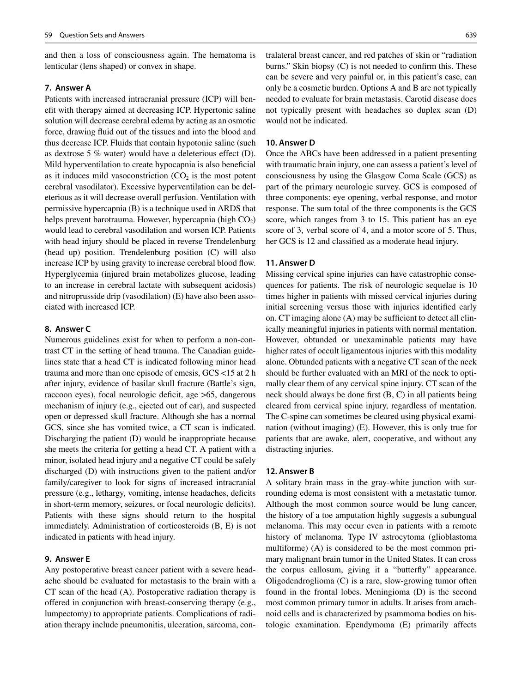and then a loss of consciousness again. The hematoma is lenticular (lens shaped) or convex in shape.

## **7. Answer A**

 Patients with increased intracranial pressure (ICP) will benefit with therapy aimed at decreasing ICP. Hypertonic saline solution will decrease cerebral edema by acting as an osmotic force, drawing fluid out of the tissues and into the blood and thus decrease ICP. Fluids that contain hypotonic saline (such as dextrose 5 % water) would have a deleterious effect (D). Mild hyperventilation to create hypocapnia is also beneficial as it induces mild vasoconstriction  $(CO<sub>2</sub>)$  is the most potent cerebral vasodilator). Excessive hyperventilation can be deleterious as it will decrease overall perfusion. Ventilation with permissive hypercapnia (B) is a technique used in ARDS that helps prevent barotrauma. However, hypercapnia (high  $CO<sub>2</sub>$ ) would lead to cerebral vasodilation and worsen ICP. Patients with head injury should be placed in reverse Trendelenburg (head up) position. Trendelenburg position (C) will also increase ICP by using gravity to increase cerebral blood flow. Hyperglycemia (injured brain metabolizes glucose, leading to an increase in cerebral lactate with subsequent acidosis) and nitroprusside drip (vasodilation) (E) have also been associated with increased ICP.

# **8. Answer C**

 Numerous guidelines exist for when to perform a non-contrast CT in the setting of head trauma. The Canadian guidelines state that a head CT is indicated following minor head trauma and more than one episode of emesis, GCS <15 at 2 h after injury, evidence of basilar skull fracture (Battle's sign, raccoon eyes), focal neurologic deficit, age  $>65$ , dangerous mechanism of injury (e.g., ejected out of car), and suspected open or depressed skull fracture. Although she has a normal GCS, since she has vomited twice, a CT scan is indicated. Discharging the patient (D) would be inappropriate because she meets the criteria for getting a head CT. A patient with a minor, isolated head injury and a negative CT could be safely discharged (D) with instructions given to the patient and/or family/caregiver to look for signs of increased intracranial pressure (e.g., lethargy, vomiting, intense headaches, deficits in short-term memory, seizures, or focal neurologic deficits). Patients with these signs should return to the hospital immediately. Administration of corticosteroids (B, E) is not indicated in patients with head injury.

## **9. Answer E**

 Any postoperative breast cancer patient with a severe headache should be evaluated for metastasis to the brain with a CT scan of the head (A). Postoperative radiation therapy is offered in conjunction with breast-conserving therapy (e.g., lumpectomy) to appropriate patients. Complications of radiation therapy include pneumonitis, ulceration, sarcoma, contralateral breast cancer, and red patches of skin or "radiation burns." Skin biopsy  $(C)$  is not needed to confirm this. These can be severe and very painful or, in this patient's case, can only be a cosmetic burden. Options A and B are not typically needed to evaluate for brain metastasis. Carotid disease does not typically present with headaches so duplex scan (D) would not be indicated.

### **10. Answer D**

 Once the ABCs have been addressed in a patient presenting with traumatic brain injury, one can assess a patient's level of consciousness by using the Glasgow Coma Scale (GCS) as part of the primary neurologic survey. GCS is composed of three components: eye opening, verbal response, and motor response. The sum total of the three components is the GCS score, which ranges from 3 to 15. This patient has an eye score of 3, verbal score of 4, and a motor score of 5. Thus, her GCS is 12 and classified as a moderate head injury.

### **11. Answer D**

 Missing cervical spine injuries can have catastrophic consequences for patients. The risk of neurologic sequelae is 10 times higher in patients with missed cervical injuries during initial screening versus those with injuries identified early on. CT imaging alone  $(A)$  may be sufficient to detect all clinically meaningful injuries in patients with normal mentation. However, obtunded or unexaminable patients may have higher rates of occult ligamentous injuries with this modality alone. Obtunded patients with a negative CT scan of the neck should be further evaluated with an MRI of the neck to optimally clear them of any cervical spine injury. CT scan of the neck should always be done first  $(B, C)$  in all patients being cleared from cervical spine injury, regardless of mentation. The C-spine can sometimes be cleared using physical examination (without imaging) (E). However, this is only true for patients that are awake, alert, cooperative, and without any distracting injuries.

#### **12. Answer B**

 A solitary brain mass in the gray-white junction with surrounding edema is most consistent with a metastatic tumor. Although the most common source would be lung cancer, the history of a toe amputation highly suggests a subungual melanoma. This may occur even in patients with a remote history of melanoma. Type IV astrocytoma (glioblastoma multiforme) (A) is considered to be the most common primary malignant brain tumor in the United States. It can cross the corpus callosum, giving it a "butterfly" appearance. Oligodendroglioma (C) is a rare, slow-growing tumor often found in the frontal lobes. Meningioma (D) is the second most common primary tumor in adults. It arises from arachnoid cells and is characterized by psammoma bodies on histologic examination. Ependymoma (E) primarily affects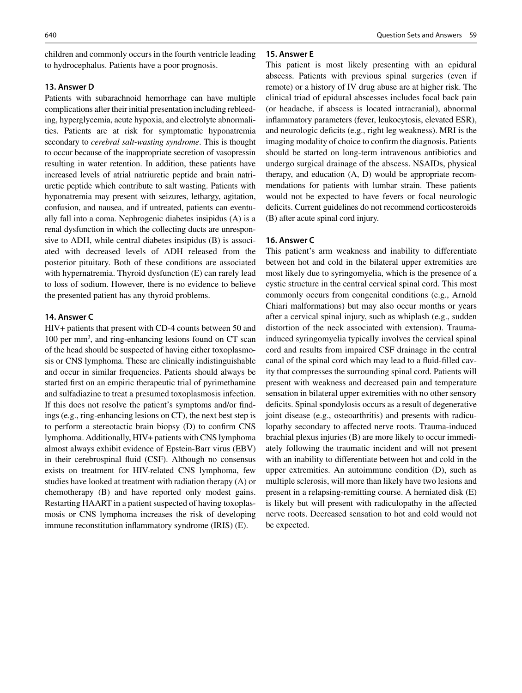children and commonly occurs in the fourth ventricle leading to hydrocephalus. Patients have a poor prognosis.

## **13. Answer D**

 Patients with subarachnoid hemorrhage can have multiple complications after their initial presentation including rebleeding, hyperglycemia, acute hypoxia, and electrolyte abnormalities. Patients are at risk for symptomatic hyponatremia secondary to *cerebral salt-wasting syndrome*. This is thought to occur because of the inappropriate secretion of vasopressin resulting in water retention. In addition, these patients have increased levels of atrial natriuretic peptide and brain natriuretic peptide which contribute to salt wasting. Patients with hyponatremia may present with seizures, lethargy, agitation, confusion, and nausea, and if untreated, patients can eventually fall into a coma. Nephrogenic diabetes insipidus (A) is a renal dysfunction in which the collecting ducts are unresponsive to ADH, while central diabetes insipidus (B) is associated with decreased levels of ADH released from the posterior pituitary. Both of these conditions are associated with hypernatremia. Thyroid dysfunction (E) can rarely lead to loss of sodium. However, there is no evidence to believe the presented patient has any thyroid problems.

## **14. Answer C**

 HIV+ patients that present with CD-4 counts between 50 and 100 per mm<sup>3</sup>, and ring-enhancing lesions found on CT scan of the head should be suspected of having either toxoplasmosis or CNS lymphoma. These are clinically indistinguishable and occur in similar frequencies. Patients should always be started first on an empiric therapeutic trial of pyrimethamine and sulfadiazine to treat a presumed toxoplasmosis infection. If this does not resolve the patient's symptoms and/or findings (e.g., ring-enhancing lesions on CT), the next best step is to perform a stereotactic brain biopsy  $(D)$  to confirm CNS lymphoma. Additionally, HIV+ patients with CNS lymphoma almost always exhibit evidence of Epstein-Barr virus (EBV) in their cerebrospinal fluid (CSF). Although no consensus exists on treatment for HIV-related CNS lymphoma, few studies have looked at treatment with radiation therapy (A) or chemotherapy (B) and have reported only modest gains. Restarting HAART in a patient suspected of having toxoplasmosis or CNS lymphoma increases the risk of developing immune reconstitution inflammatory syndrome (IRIS) (E).

#### **15. Answer E**

 This patient is most likely presenting with an epidural abscess. Patients with previous spinal surgeries (even if remote) or a history of IV drug abuse are at higher risk. The clinical triad of epidural abscesses includes focal back pain (or headache, if abscess is located intracranial), abnormal inflammatory parameters (fever, leukocytosis, elevated ESR), and neurologic deficits (e.g., right leg weakness). MRI is the imaging modality of choice to confirm the diagnosis. Patients should be started on long-term intravenous antibiotics and undergo surgical drainage of the abscess. NSAIDs, physical therapy, and education (A, D) would be appropriate recommendations for patients with lumbar strain. These patients would not be expected to have fevers or focal neurologic deficits. Current guidelines do not recommend corticosteroids (B) after acute spinal cord injury.

## **16. Answer C**

 This patient's arm weakness and inability to differentiate between hot and cold in the bilateral upper extremities are most likely due to syringomyelia, which is the presence of a cystic structure in the central cervical spinal cord. This most commonly occurs from congenital conditions (e.g., Arnold Chiari malformations) but may also occur months or years after a cervical spinal injury, such as whiplash (e.g., sudden distortion of the neck associated with extension). Traumainduced syringomyelia typically involves the cervical spinal cord and results from impaired CSF drainage in the central canal of the spinal cord which may lead to a fluid-filled cavity that compresses the surrounding spinal cord. Patients will present with weakness and decreased pain and temperature sensation in bilateral upper extremities with no other sensory deficits. Spinal spondylosis occurs as a result of degenerative joint disease (e.g., osteoarthritis) and presents with radiculopathy secondary to affected nerve roots. Trauma-induced brachial plexus injuries (B) are more likely to occur immediately following the traumatic incident and will not present with an inability to differentiate between hot and cold in the upper extremities. An autoimmune condition (D), such as multiple sclerosis, will more than likely have two lesions and present in a relapsing-remitting course. A herniated disk (E) is likely but will present with radiculopathy in the affected nerve roots. Decreased sensation to hot and cold would not be expected.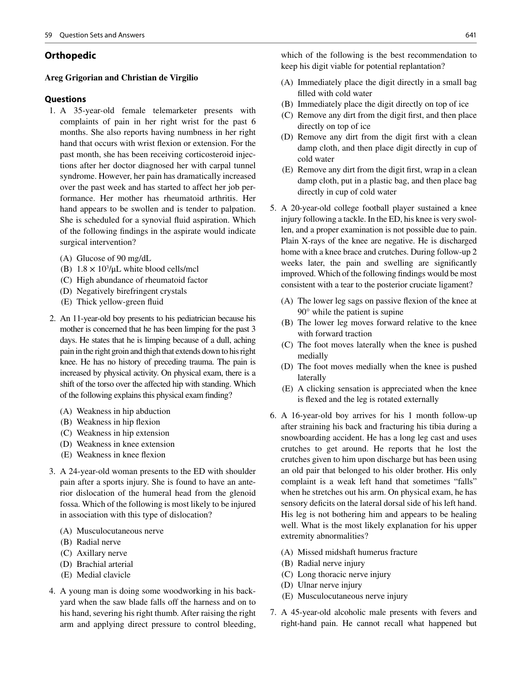## **Orthopedic**

### **Areg Grigorian and Christian de Virgilio**

# **Questions**

- 1. A 35-year-old female telemarketer presents with complaints of pain in her right wrist for the past 6 months. She also reports having numbness in her right hand that occurs with wrist flexion or extension. For the past month, she has been receiving corticosteroid injections after her doctor diagnosed her with carpal tunnel syndrome. However, her pain has dramatically increased over the past week and has started to affect her job performance. Her mother has rheumatoid arthritis. Her hand appears to be swollen and is tender to palpation. She is scheduled for a synovial fluid aspiration. Which of the following findings in the aspirate would indicate surgical intervention?
	- (A) Glucose of 90 mg/dL
	- (B)  $1.8 \times 10^3/\mu L$  white blood cells/mcl
	- (C) High abundance of rheumatoid factor
	- (D) Negatively birefringent crystals
	- (E) Thick yellow-green fluid
- 2. An 11-year-old boy presents to his pediatrician because his mother is concerned that he has been limping for the past 3 days. He states that he is limping because of a dull, aching pain in the right groin and thigh that extends down to his right knee. He has no history of preceding trauma. The pain is increased by physical activity. On physical exam, there is a shift of the torso over the affected hip with standing. Which of the following explains this physical exam finding?
	- (A) Weakness in hip abduction
	- $(B)$  Weakness in hip flexion
	- (C) Weakness in hip extension
	- (D) Weakness in knee extension
	- (E) Weakness in knee flexion
- 3. A 24-year-old woman presents to the ED with shoulder pain after a sports injury. She is found to have an anterior dislocation of the humeral head from the glenoid fossa. Which of the following is most likely to be injured in association with this type of dislocation?
	- (A) Musculocutaneous nerve
	- (B) Radial nerve
	- (C) Axillary nerve
	- (D) Brachial arterial
	- (E) Medial clavicle
- 4. A young man is doing some woodworking in his backyard when the saw blade falls off the harness and on to his hand, severing his right thumb. After raising the right arm and applying direct pressure to control bleeding,

which of the following is the best recommendation to keep his digit viable for potential replantation?

- (A) Immediately place the digit directly in a small bag filled with cold water
- (B) Immediately place the digit directly on top of ice
- (C) Remove any dirt from the digit first, and then place directly on top of ice
- (D) Remove any dirt from the digit first with a clean damp cloth, and then place digit directly in cup of cold water
- (E) Remove any dirt from the digit first, wrap in a clean damp cloth, put in a plastic bag, and then place bag directly in cup of cold water
- 5. A 20-year-old college football player sustained a knee injury following a tackle. In the ED, his knee is very swollen, and a proper examination is not possible due to pain. Plain X-rays of the knee are negative. He is discharged home with a knee brace and crutches. During follow-up 2 weeks later, the pain and swelling are significantly improved. Which of the following findings would be most consistent with a tear to the posterior cruciate ligament?
	- $(A)$  The lower leg sags on passive flexion of the knee at 90° while the patient is supine
	- (B) The lower leg moves forward relative to the knee with forward traction
	- (C) The foot moves laterally when the knee is pushed medially
	- (D) The foot moves medially when the knee is pushed laterally
	- (E) A clicking sensation is appreciated when the knee is flexed and the leg is rotated externally
- 6. A 16-year-old boy arrives for his 1 month follow-up after straining his back and fracturing his tibia during a snowboarding accident. He has a long leg cast and uses crutches to get around. He reports that he lost the crutches given to him upon discharge but has been using an old pair that belonged to his older brother. His only complaint is a weak left hand that sometimes "falls" when he stretches out his arm. On physical exam, he has sensory deficits on the lateral dorsal side of his left hand. His leg is not bothering him and appears to be healing well. What is the most likely explanation for his upper extremity abnormalities?
	- (A) Missed midshaft humerus fracture
	- (B) Radial nerve injury
	- (C) Long thoracic nerve injury
	- (D) Ulnar nerve injury
	- (E) Musculocutaneous nerve injury
- 7. A 45-year-old alcoholic male presents with fevers and right-hand pain. He cannot recall what happened but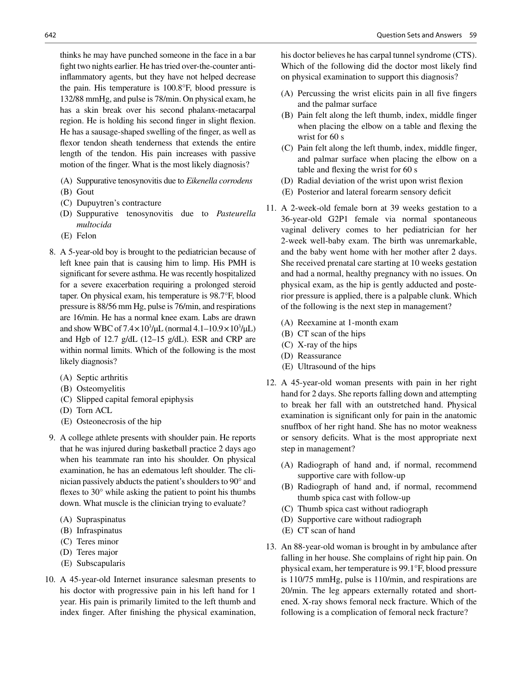thinks he may have punched someone in the face in a bar fight two nights earlier. He has tried over-the-counter antiinflammatory agents, but they have not helped decrease the pain. His temperature is 100.8°F, blood pressure is 132/88 mmHg, and pulse is 78/min. On physical exam, he has a skin break over his second phalanx-metacarpal region. He is holding his second finger in slight flexion. He has a sausage-shaped swelling of the finger, as well as flexor tendon sheath tenderness that extends the entire length of the tendon. His pain increases with passive motion of the finger. What is the most likely diagnosis?

- (A) Suppurative tenosynovitis due to *Eikenella corrodens*
- (B) Gout
- (C) Dupuytren's contracture
- (D) Suppurative tenosynovitis due to *Pasteurella multocida*
- (E) Felon
- 8. A 5-year-old boy is brought to the pediatrician because of left knee pain that is causing him to limp. His PMH is significant for severe asthma. He was recently hospitalized for a severe exacerbation requiring a prolonged steroid taper. On physical exam, his temperature is 98.7°F, blood pressure is 88/56 mm Hg, pulse is 76/min, and respirations are 16/min. He has a normal knee exam. Labs are drawn and show WBC of  $7.4 \times 10^3/\mu L$  (normal  $4.1-10.9 \times 10^3/\mu L$ ) and Hgb of 12.7 g/dL (12–15 g/dL). ESR and CRP are within normal limits. Which of the following is the most likely diagnosis?
	- (A) Septic arthritis
	- (B) Osteomyelitis
	- (C) Slipped capital femoral epiphysis
	- (D) Torn ACL
	- (E) Osteonecrosis of the hip
- 9. A college athlete presents with shoulder pain. He reports that he was injured during basketball practice 2 days ago when his teammate ran into his shoulder. On physical examination, he has an edematous left shoulder. The clinician passively abducts the patient's shoulders to 90° and flexes to  $30^{\circ}$  while asking the patient to point his thumbs down. What muscle is the clinician trying to evaluate?
	- (A) Supraspinatus
	- (B) Infraspinatus
	- (C) Teres minor
	- (D) Teres major
	- (E) Subscapularis
- 10. A 45-year-old Internet insurance salesman presents to his doctor with progressive pain in his left hand for 1 year. His pain is primarily limited to the left thumb and index finger. After finishing the physical examination,

his doctor believes he has carpal tunnel syndrome (CTS). Which of the following did the doctor most likely find on physical examination to support this diagnosis?

- $(A)$  Percussing the wrist elicits pain in all five fingers and the palmar surface
- (B) Pain felt along the left thumb, index, middle finger when placing the elbow on a table and flexing the wrist for 60 s
- $(C)$  Pain felt along the left thumb, index, middle finger, and palmar surface when placing the elbow on a table and flexing the wrist for  $60 s$
- (D) Radial deviation of the wrist upon wrist flexion
- (E) Posterior and lateral forearm sensory deficit
- 11. A 2-week-old female born at 39 weeks gestation to a 36-year-old G2P1 female via normal spontaneous vaginal delivery comes to her pediatrician for her 2-week well-baby exam. The birth was unremarkable, and the baby went home with her mother after 2 days. She received prenatal care starting at 10 weeks gestation and had a normal, healthy pregnancy with no issues. On physical exam, as the hip is gently adducted and posterior pressure is applied, there is a palpable clunk. Which of the following is the next step in management?
	- (A) Reexamine at 1-month exam
	- (B) CT scan of the hips
	- (C) X-ray of the hips
	- (D) Reassurance
	- (E) Ultrasound of the hips
- 12. A 45-year-old woman presents with pain in her right hand for 2 days. She reports falling down and attempting to break her fall with an outstretched hand. Physical examination is significant only for pain in the anatomic snuffbox of her right hand. She has no motor weakness or sensory deficits. What is the most appropriate next step in management?
	- (A) Radiograph of hand and, if normal, recommend supportive care with follow-up
	- (B) Radiograph of hand and, if normal, recommend thumb spica cast with follow-up
	- (C) Thumb spica cast without radiograph
	- (D) Supportive care without radiograph
	- (E) CT scan of hand
- 13. An 88-year-old woman is brought in by ambulance after falling in her house. She complains of right hip pain. On physical exam, her temperature is 99.1°F, blood pressure is 110/75 mmHg, pulse is 110/min, and respirations are 20/min. The leg appears externally rotated and shortened. X-ray shows femoral neck fracture. Which of the following is a complication of femoral neck fracture?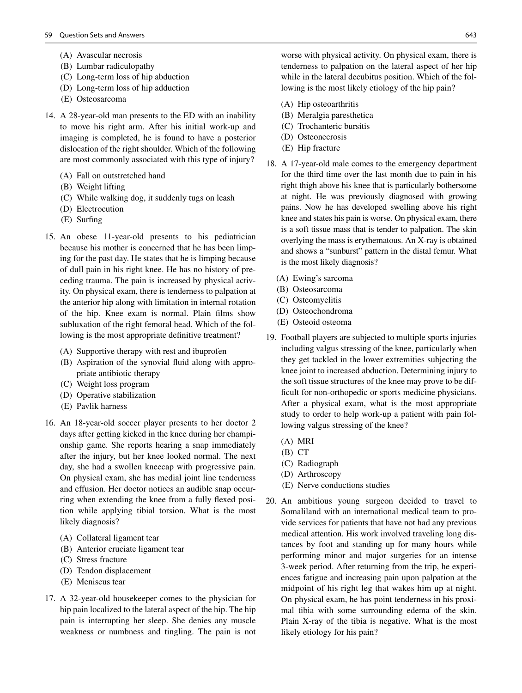- (A) Avascular necrosis
- (B) Lumbar radiculopathy
- (C) Long-term loss of hip abduction
- (D) Long-term loss of hip adduction
- (E) Osteosarcoma
- 14. A 28-year-old man presents to the ED with an inability to move his right arm. After his initial work-up and imaging is completed, he is found to have a posterior dislocation of the right shoulder. Which of the following are most commonly associated with this type of injury?
	- (A) Fall on outstretched hand
	- (B) Weight lifting
	- (C) While walking dog, it suddenly tugs on leash
	- (D) Electrocution
	- (E) Surfing
- 15. An obese 11-year-old presents to his pediatrician because his mother is concerned that he has been limping for the past day. He states that he is limping because of dull pain in his right knee. He has no history of preceding trauma. The pain is increased by physical activity. On physical exam, there is tenderness to palpation at the anterior hip along with limitation in internal rotation of the hip. Knee exam is normal. Plain films show subluxation of the right femoral head. Which of the following is the most appropriate definitive treatment?
	- (A) Supportive therapy with rest and ibuprofen
	- (B) Aspiration of the synovial fluid along with appropriate antibiotic therapy
	- (C) Weight loss program
	- (D) Operative stabilization
	- (E) Pavlik harness
- 16. An 18-year-old soccer player presents to her doctor 2 days after getting kicked in the knee during her championship game. She reports hearing a snap immediately after the injury, but her knee looked normal. The next day, she had a swollen kneecap with progressive pain. On physical exam, she has medial joint line tenderness and effusion. Her doctor notices an audible snap occurring when extending the knee from a fully flexed position while applying tibial torsion. What is the most likely diagnosis?
	- (A) Collateral ligament tear
	- (B) Anterior cruciate ligament tear
	- (C) Stress fracture
	- (D) Tendon displacement
	- (E) Meniscus tear
- 17. A 32-year-old housekeeper comes to the physician for hip pain localized to the lateral aspect of the hip. The hip pain is interrupting her sleep. She denies any muscle weakness or numbness and tingling. The pain is not

worse with physical activity. On physical exam, there is tenderness to palpation on the lateral aspect of her hip while in the lateral decubitus position. Which of the following is the most likely etiology of the hip pain?

- (A) Hip osteoarthritis
- (B) Meralgia paresthetica
- (C) Trochanteric bursitis
- (D) Osteonecrosis
- (E) Hip fracture
- 18. A 17-year-old male comes to the emergency department for the third time over the last month due to pain in his right thigh above his knee that is particularly bothersome at night. He was previously diagnosed with growing pains. Now he has developed swelling above his right knee and states his pain is worse. On physical exam, there is a soft tissue mass that is tender to palpation. The skin overlying the mass is erythematous. An X-ray is obtained and shows a "sunburst" pattern in the distal femur. What is the most likely diagnosis?
	- (A) Ewing's sarcoma
	- (B) Osteosarcoma
	- (C) Osteomyelitis
	- (D) Osteochondroma
	- (E) Osteoid osteoma
- 19. Football players are subjected to multiple sports injuries including valgus stressing of the knee, particularly when they get tackled in the lower extremities subjecting the knee joint to increased abduction. Determining injury to the soft tissue structures of the knee may prove to be difficult for non-orthopedic or sports medicine physicians. After a physical exam, what is the most appropriate study to order to help work-up a patient with pain following valgus stressing of the knee?
	- (A) MRI
	- (B) CT
	- (C) Radiograph
	- (D) Arthroscopy
	- (E) Nerve conductions studies
- 20. An ambitious young surgeon decided to travel to Somaliland with an international medical team to provide services for patients that have not had any previous medical attention. His work involved traveling long distances by foot and standing up for many hours while performing minor and major surgeries for an intense 3-week period. After returning from the trip, he experiences fatigue and increasing pain upon palpation at the midpoint of his right leg that wakes him up at night. On physical exam, he has point tenderness in his proximal tibia with some surrounding edema of the skin. Plain X-ray of the tibia is negative. What is the most likely etiology for his pain?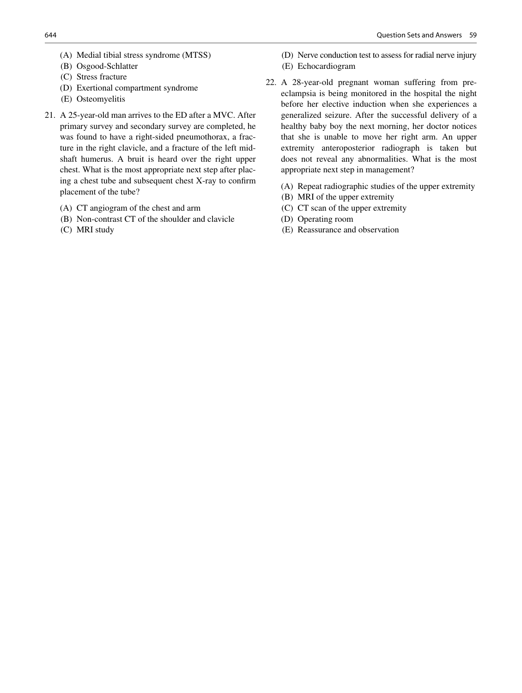- (A) Medial tibial stress syndrome (MTSS)
- (B) Osgood-Schlatter
- (C) Stress fracture
- (D) Exertional compartment syndrome
- (E) Osteomyelitis
- 21. A 25-year-old man arrives to the ED after a MVC. After primary survey and secondary survey are completed, he was found to have a right-sided pneumothorax, a fracture in the right clavicle, and a fracture of the left midshaft humerus. A bruit is heard over the right upper chest. What is the most appropriate next step after placing a chest tube and subsequent chest X-ray to confirm placement of the tube?
	- (A) CT angiogram of the chest and arm
	- (B) Non-contrast CT of the shoulder and clavicle
	- (C) MRI study
- (D) Nerve conduction test to assess for radial nerve injury (E) Echocardiogram
- 22. A 28-year-old pregnant woman suffering from preeclampsia is being monitored in the hospital the night before her elective induction when she experiences a generalized seizure. After the successful delivery of a healthy baby boy the next morning, her doctor notices that she is unable to move her right arm. An upper extremity anteroposterior radiograph is taken but does not reveal any abnormalities. What is the most appropriate next step in management?
	- (A) Repeat radiographic studies of the upper extremity
	- (B) MRI of the upper extremity
	- (C) CT scan of the upper extremity
	- (D) Operating room
	- (E) Reassurance and observation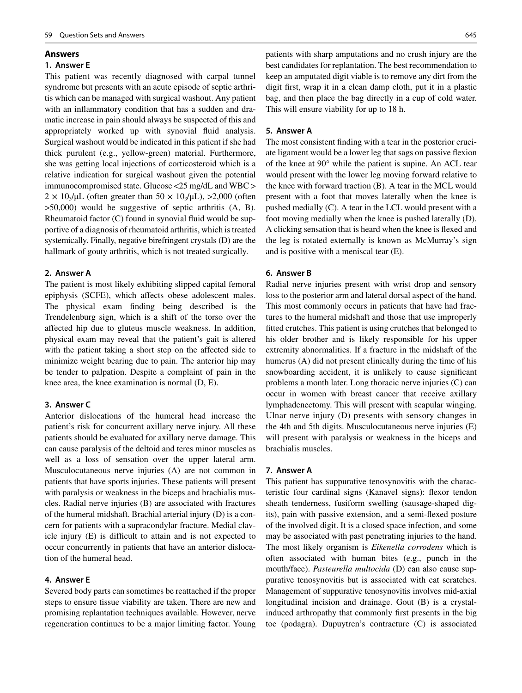#### **Answers**

#### **1. Answer E**

 This patient was recently diagnosed with carpal tunnel syndrome but presents with an acute episode of septic arthritis which can be managed with surgical washout. Any patient with an inflammatory condition that has a sudden and dramatic increase in pain should always be suspected of this and appropriately worked up with synovial fluid analysis. Surgical washout would be indicated in this patient if she had thick purulent (e.g., yellow-green) material. Furthermore, she was getting local injections of corticosteroid which is a relative indication for surgical washout given the potential immunocompromised state. Glucose <25 mg/dL and WBC >  $2 \times 10$ <sub>3</sub>/μL (often greater than  $50 \times 10$ <sub>3</sub>/μL), >2,000 (often  $>50,000$ ) would be suggestive of septic arthritis  $(A, B)$ . Rheumatoid factor  $(C)$  found in synovial fluid would be supportive of a diagnosis of rheumatoid arthritis, which is treated systemically. Finally, negative birefringent crystals (D) are the hallmark of gouty arthritis, which is not treated surgically.

#### **2. Answer A**

 The patient is most likely exhibiting slipped capital femoral epiphysis (SCFE), which affects obese adolescent males. The physical exam finding being described is the Trendelenburg sign, which is a shift of the torso over the affected hip due to gluteus muscle weakness. In addition, physical exam may reveal that the patient's gait is altered with the patient taking a short step on the affected side to minimize weight bearing due to pain. The anterior hip may be tender to palpation. Despite a complaint of pain in the knee area, the knee examination is normal (D, E).

### **3. Answer C**

 Anterior dislocations of the humeral head increase the patient's risk for concurrent axillary nerve injury. All these patients should be evaluated for axillary nerve damage. This can cause paralysis of the deltoid and teres minor muscles as well as a loss of sensation over the upper lateral arm. Musculocutaneous nerve injuries (A) are not common in patients that have sports injuries. These patients will present with paralysis or weakness in the biceps and brachialis muscles. Radial nerve injuries (B) are associated with fractures of the humeral midshaft. Brachial arterial injury (D) is a concern for patients with a supracondylar fracture. Medial clavicle injury  $(E)$  is difficult to attain and is not expected to occur concurrently in patients that have an anterior dislocation of the humeral head.

## **4. Answer E**

 Severed body parts can sometimes be reattached if the proper steps to ensure tissue viability are taken. There are new and promising replantation techniques available. However, nerve regeneration continues to be a major limiting factor. Young

patients with sharp amputations and no crush injury are the best candidates for replantation. The best recommendation to keep an amputated digit viable is to remove any dirt from the digit first, wrap it in a clean damp cloth, put it in a plastic bag, and then place the bag directly in a cup of cold water. This will ensure viability for up to 18 h.

#### **5. Answer A**

The most consistent finding with a tear in the posterior cruciate ligament would be a lower leg that sags on passive flexion of the knee at 90° while the patient is supine. An ACL tear would present with the lower leg moving forward relative to the knee with forward traction (B). A tear in the MCL would present with a foot that moves laterally when the knee is pushed medially (C). A tear in the LCL would present with a foot moving medially when the knee is pushed laterally (D). A clicking sensation that is heard when the knee is flexed and the leg is rotated externally is known as McMurray's sign and is positive with a meniscal tear (E).

### **6. Answer B**

 Radial nerve injuries present with wrist drop and sensory loss to the posterior arm and lateral dorsal aspect of the hand. This most commonly occurs in patients that have had fractures to the humeral midshaft and those that use improperly fitted crutches. This patient is using crutches that belonged to his older brother and is likely responsible for his upper extremity abnormalities. If a fracture in the midshaft of the humerus (A) did not present clinically during the time of his snowboarding accident, it is unlikely to cause significant problems a month later. Long thoracic nerve injuries (C) can occur in women with breast cancer that receive axillary lymphadenectomy. This will present with scapular winging. Ulnar nerve injury (D) presents with sensory changes in the 4th and 5th digits. Musculocutaneous nerve injuries (E) will present with paralysis or weakness in the biceps and brachialis muscles.

#### **7. Answer A**

 This patient has suppurative tenosynovitis with the characteristic four cardinal signs (Kanavel signs): flexor tendon sheath tenderness, fusiform swelling (sausage-shaped digits), pain with passive extension, and a semi-flexed posture of the involved digit. It is a closed space infection, and some may be associated with past penetrating injuries to the hand. The most likely organism is *Eikenella corrodens* which is often associated with human bites (e.g., punch in the mouth/face). *Pasteurella multocida* (D) can also cause suppurative tenosynovitis but is associated with cat scratches. Management of suppurative tenosynovitis involves mid-axial longitudinal incision and drainage. Gout (B) is a crystalinduced arthropathy that commonly first presents in the big toe (podagra). Dupuytren's contracture (C) is associated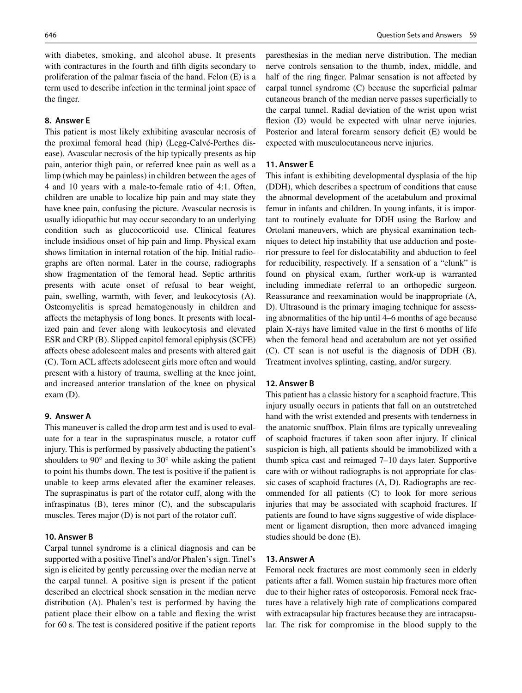with diabetes, smoking, and alcohol abuse. It presents with contractures in the fourth and fifth digits secondary to proliferation of the palmar fascia of the hand. Felon (E) is a term used to describe infection in the terminal joint space of the finger.

# **8. Answer E**

 This patient is most likely exhibiting avascular necrosis of the proximal femoral head (hip) (Legg-Calvé-Perthes disease). Avascular necrosis of the hip typically presents as hip pain, anterior thigh pain, or referred knee pain as well as a limp (which may be painless) in children between the ages of 4 and 10 years with a male-to-female ratio of 4:1. Often, children are unable to localize hip pain and may state they have knee pain, confusing the picture. Avascular necrosis is usually idiopathic but may occur secondary to an underlying condition such as glucocorticoid use. Clinical features include insidious onset of hip pain and limp. Physical exam shows limitation in internal rotation of the hip. Initial radiographs are often normal. Later in the course, radiographs show fragmentation of the femoral head. Septic arthritis presents with acute onset of refusal to bear weight, pain, swelling, warmth, with fever, and leukocytosis (A). Osteomyelitis is spread hematogenously in children and affects the metaphysis of long bones. It presents with localized pain and fever along with leukocytosis and elevated ESR and CRP (B). Slipped capitol femoral epiphysis (SCFE) affects obese adolescent males and presents with altered gait (C). Torn ACL affects adolescent girls more often and would present with a history of trauma, swelling at the knee joint, and increased anterior translation of the knee on physical exam (D).

## **9. Answer A**

 This maneuver is called the drop arm test and is used to evaluate for a tear in the supraspinatus muscle, a rotator cuff injury. This is performed by passively abducting the patient's shoulders to  $90^\circ$  and flexing to  $30^\circ$  while asking the patient to point his thumbs down. The test is positive if the patient is unable to keep arms elevated after the examiner releases. The supraspinatus is part of the rotator cuff, along with the infraspinatus (B), teres minor (C), and the subscapularis muscles. Teres major (D) is not part of the rotator cuff.

## **10. Answer B**

 Carpal tunnel syndrome is a clinical diagnosis and can be supported with a positive Tinel's and/or Phalen's sign. Tinel's sign is elicited by gently percussing over the median nerve at the carpal tunnel. A positive sign is present if the patient described an electrical shock sensation in the median nerve distribution (A). Phalen's test is performed by having the patient place their elbow on a table and flexing the wrist for 60 s. The test is considered positive if the patient reports

paresthesias in the median nerve distribution. The median nerve controls sensation to the thumb, index, middle, and half of the ring finger. Palmar sensation is not affected by carpal tunnel syndrome  $(C)$  because the superficial palmar cutaneous branch of the median nerve passes superficially to the carpal tunnel. Radial deviation of the wrist upon wrist flexion (D) would be expected with ulnar nerve injuries. Posterior and lateral forearm sensory deficit (E) would be expected with musculocutaneous nerve injuries.

# **11. Answer E**

 This infant is exhibiting developmental dysplasia of the hip (DDH), which describes a spectrum of conditions that cause the abnormal development of the acetabulum and proximal femur in infants and children. In young infants, it is important to routinely evaluate for DDH using the Barlow and Ortolani maneuvers, which are physical examination techniques to detect hip instability that use adduction and posterior pressure to feel for dislocatability and abduction to feel for reducibility, respectively. If a sensation of a "clunk" is found on physical exam, further work-up is warranted including immediate referral to an orthopedic surgeon. Reassurance and reexamination would be inappropriate (A, D). Ultrasound is the primary imaging technique for assessing abnormalities of the hip until 4–6 months of age because plain X-rays have limited value in the first 6 months of life when the femoral head and acetabulum are not yet ossified (C). CT scan is not useful is the diagnosis of DDH (B). Treatment involves splinting, casting, and/or surgery.

#### **12. Answer B**

 This patient has a classic history for a scaphoid fracture. This injury usually occurs in patients that fall on an outstretched hand with the wrist extended and presents with tenderness in the anatomic snuffbox. Plain films are typically unrevealing of scaphoid fractures if taken soon after injury. If clinical suspicion is high, all patients should be immobilized with a thumb spica cast and reimaged 7–10 days later. Supportive care with or without radiographs is not appropriate for classic cases of scaphoid fractures (A, D). Radiographs are recommended for all patients (C) to look for more serious injuries that may be associated with scaphoid fractures. If patients are found to have signs suggestive of wide displacement or ligament disruption, then more advanced imaging studies should be done (E).

## **13. Answer A**

 Femoral neck fractures are most commonly seen in elderly patients after a fall. Women sustain hip fractures more often due to their higher rates of osteoporosis. Femoral neck fractures have a relatively high rate of complications compared with extracapsular hip fractures because they are intracapsular. The risk for compromise in the blood supply to the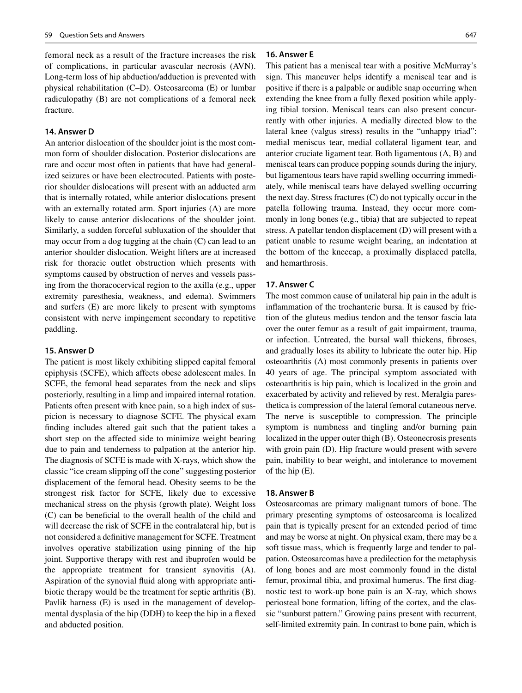femoral neck as a result of the fracture increases the risk of complications, in particular avascular necrosis (AVN). Long-term loss of hip abduction/adduction is prevented with physical rehabilitation (C–D). Osteosarcoma (E) or lumbar radiculopathy (B) are not complications of a femoral neck fracture.

### **14. Answer D**

 An anterior dislocation of the shoulder joint is the most common form of shoulder dislocation. Posterior dislocations are rare and occur most often in patients that have had generalized seizures or have been electrocuted. Patients with posterior shoulder dislocations will present with an adducted arm that is internally rotated, while anterior dislocations present with an externally rotated arm. Sport injuries (A) are more likely to cause anterior dislocations of the shoulder joint. Similarly, a sudden forceful subluxation of the shoulder that may occur from a dog tugging at the chain (C) can lead to an anterior shoulder dislocation. Weight lifters are at increased risk for thoracic outlet obstruction which presents with symptoms caused by obstruction of nerves and vessels passing from the thoracocervical region to the axilla (e.g., upper extremity paresthesia, weakness, and edema). Swimmers and surfers (E) are more likely to present with symptoms consistent with nerve impingement secondary to repetitive paddling.

#### **15. Answer D**

 The patient is most likely exhibiting slipped capital femoral epiphysis (SCFE), which affects obese adolescent males. In SCFE, the femoral head separates from the neck and slips posteriorly, resulting in a limp and impaired internal rotation. Patients often present with knee pain, so a high index of suspicion is necessary to diagnose SCFE. The physical exam finding includes altered gait such that the patient takes a short step on the affected side to minimize weight bearing due to pain and tenderness to palpation at the anterior hip. The diagnosis of SCFE is made with X-rays, which show the classic "ice cream slipping off the cone" suggesting posterior displacement of the femoral head. Obesity seems to be the strongest risk factor for SCFE, likely due to excessive mechanical stress on the physis (growth plate). Weight loss (C) can be beneficial to the overall health of the child and will decrease the risk of SCFE in the contralateral hip, but is not considered a definitive management for SCFE. Treatment involves operative stabilization using pinning of the hip joint. Supportive therapy with rest and ibuprofen would be the appropriate treatment for transient synovitis (A). Aspiration of the synovial fluid along with appropriate antibiotic therapy would be the treatment for septic arthritis (B). Pavlik harness (E) is used in the management of developmental dysplasia of the hip (DDH) to keep the hip in a flexed and abducted position.

#### **16. Answer E**

 This patient has a meniscal tear with a positive McMurray's sign. This maneuver helps identify a meniscal tear and is positive if there is a palpable or audible snap occurring when extending the knee from a fully flexed position while applying tibial torsion. Meniscal tears can also present concurrently with other injuries. A medially directed blow to the lateral knee (valgus stress) results in the "unhappy triad": medial meniscus tear, medial collateral ligament tear, and anterior cruciate ligament tear. Both ligamentous (A, B) and meniscal tears can produce popping sounds during the injury, but ligamentous tears have rapid swelling occurring immediately, while meniscal tears have delayed swelling occurring the next day. Stress fractures (C) do not typically occur in the patella following trauma. Instead, they occur more commonly in long bones (e.g., tibia) that are subjected to repeat stress. A patellar tendon displacement (D) will present with a patient unable to resume weight bearing, an indentation at the bottom of the kneecap, a proximally displaced patella, and hemarthrosis.

# **17. Answer C**

 The most common cause of unilateral hip pain in the adult is inflammation of the trochanteric bursa. It is caused by friction of the gluteus medius tendon and the tensor fascia lata over the outer femur as a result of gait impairment, trauma, or infection. Untreated, the bursal wall thickens, fibroses, and gradually loses its ability to lubricate the outer hip. Hip osteoarthritis (A) most commonly presents in patients over 40 years of age. The principal symptom associated with osteoarthritis is hip pain, which is localized in the groin and exacerbated by activity and relieved by rest. Meralgia paresthetica is compression of the lateral femoral cutaneous nerve. The nerve is susceptible to compression. The principle symptom is numbness and tingling and/or burning pain localized in the upper outer thigh (B). Osteonecrosis presents with groin pain (D). Hip fracture would present with severe pain, inability to bear weight, and intolerance to movement of the hip (E).

#### **18. Answer B**

 Osteosarcomas are primary malignant tumors of bone. The primary presenting symptoms of osteosarcoma is localized pain that is typically present for an extended period of time and may be worse at night. On physical exam, there may be a soft tissue mass, which is frequently large and tender to palpation. Osteosarcomas have a predilection for the metaphysis of long bones and are most commonly found in the distal femur, proximal tibia, and proximal humerus. The first diagnostic test to work-up bone pain is an X-ray, which shows periosteal bone formation, lifting of the cortex, and the classic "sunburst pattern." Growing pains present with recurrent, self-limited extremity pain. In contrast to bone pain, which is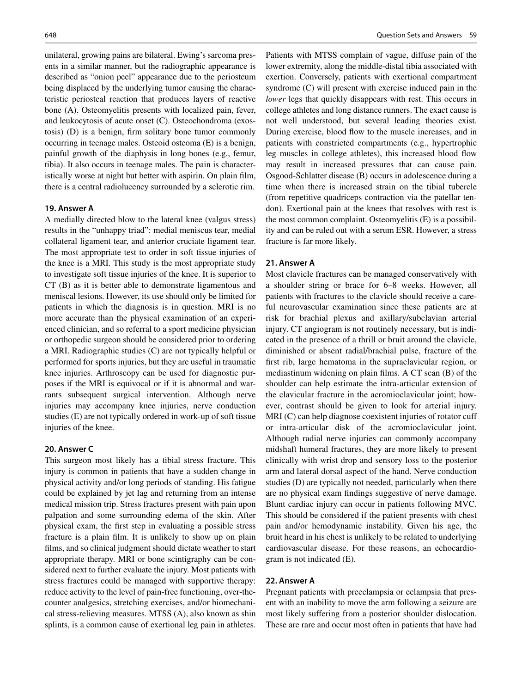unilateral, growing pains are bilateral. Ewing's sarcoma presents in a similar manner, but the radiographic appearance is described as "onion peel" appearance due to the periosteum being displaced by the underlying tumor causing the characteristic periosteal reaction that produces layers of reactive bone (A). Osteomyelitis presents with localized pain, fever, and leukocytosis of acute onset (C). Osteochondroma (exostosis)  $(D)$  is a benign, firm solitary bone tumor commonly occurring in teenage males. Osteoid osteoma (E) is a benign, painful growth of the diaphysis in long bones (e.g., femur, tibia). It also occurs in teenage males. The pain is characteristically worse at night but better with aspirin. On plain film, there is a central radiolucency surrounded by a sclerotic rim.

### **19. Answer A**

 A medially directed blow to the lateral knee (valgus stress) results in the "unhappy triad": medial meniscus tear, medial collateral ligament tear, and anterior cruciate ligament tear. The most appropriate test to order in soft tissue injuries of the knee is a MRI. This study is the most appropriate study to investigate soft tissue injuries of the knee. It is superior to CT (B) as it is better able to demonstrate ligamentous and meniscal lesions. However, its use should only be limited for patients in which the diagnosis is in question. MRI is no more accurate than the physical examination of an experienced clinician, and so referral to a sport medicine physician or orthopedic surgeon should be considered prior to ordering a MRI. Radiographic studies (C) are not typically helpful or performed for sports injuries, but they are useful in traumatic knee injuries. Arthroscopy can be used for diagnostic purposes if the MRI is equivocal or if it is abnormal and warrants subsequent surgical intervention. Although nerve injuries may accompany knee injuries, nerve conduction studies (E) are not typically ordered in work-up of soft tissue injuries of the knee.

### **20. Answer C**

 This surgeon most likely has a tibial stress fracture. This injury is common in patients that have a sudden change in physical activity and/or long periods of standing. His fatigue could be explained by jet lag and returning from an intense medical mission trip. Stress fractures present with pain upon palpation and some surrounding edema of the skin. After physical exam, the first step in evaluating a possible stress fracture is a plain film. It is unlikely to show up on plain films, and so clinical judgment should dictate weather to start appropriate therapy. MRI or bone scintigraphy can be considered next to further evaluate the injury. Most patients with stress fractures could be managed with supportive therapy: reduce activity to the level of pain-free functioning, over-thecounter analgesics, stretching exercises, and/or biomechanical stress-relieving measures. MTSS (A), also known as shin splints, is a common cause of exertional leg pain in athletes.

Patients with MTSS complain of vague, diffuse pain of the lower extremity, along the middle-distal tibia associated with exertion. Conversely, patients with exertional compartment syndrome (C) will present with exercise induced pain in the *lower* legs that quickly disappears with rest. This occurs in college athletes and long distance runners. The exact cause is not well understood, but several leading theories exist. During exercise, blood flow to the muscle increases, and in patients with constricted compartments (e.g., hypertrophic leg muscles in college athletes), this increased blood flow may result in increased pressures that can cause pain. Osgood-Schlatter disease (B) occurs in adolescence during a time when there is increased strain on the tibial tubercle (from repetitive quadriceps contraction via the patellar tendon). Exertional pain at the knees that resolves with rest is the most common complaint. Osteomyelitis (E) is a possibility and can be ruled out with a serum ESR. However, a stress fracture is far more likely.

#### **21. Answer A**

 Most clavicle fractures can be managed conservatively with a shoulder string or brace for 6–8 weeks. However, all patients with fractures to the clavicle should receive a careful neurovascular examination since these patients are at risk for brachial plexus and axillary/subclavian arterial injury. CT angiogram is not routinely necessary, but is indicated in the presence of a thrill or bruit around the clavicle, diminished or absent radial/brachial pulse, fracture of the first rib, large hematoma in the supraclavicular region, or mediastinum widening on plain films. A CT scan  $(B)$  of the shoulder can help estimate the intra-articular extension of the clavicular fracture in the acromioclavicular joint; however, contrast should be given to look for arterial injury. MRI (C) can help diagnose coexistent injuries of rotator cuff or intra-articular disk of the acromioclavicular joint. Although radial nerve injuries can commonly accompany midshaft humeral fractures, they are more likely to present clinically with wrist drop and sensory loss to the posterior arm and lateral dorsal aspect of the hand. Nerve conduction studies (D) are typically not needed, particularly when there are no physical exam findings suggestive of nerve damage. Blunt cardiac injury can occur in patients following MVC. This should be considered if the patient presents with chest pain and/or hemodynamic instability. Given his age, the bruit heard in his chest is unlikely to be related to underlying cardiovascular disease. For these reasons, an echocardiogram is not indicated (E).

#### **22. Answer A**

 Pregnant patients with preeclampsia or eclampsia that present with an inability to move the arm following a seizure are most likely suffering from a posterior shoulder dislocation. These are rare and occur most often in patients that have had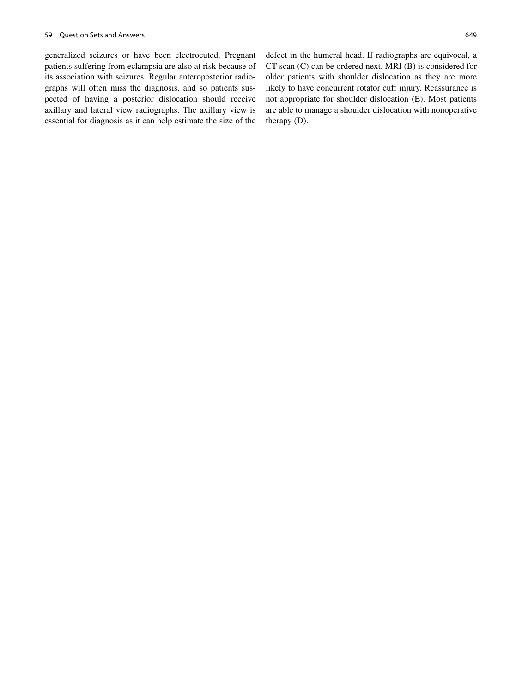generalized seizures or have been electrocuted. Pregnant patients suffering from eclampsia are also at risk because of its association with seizures. Regular anteroposterior radiographs will often miss the diagnosis, and so patients suspected of having a posterior dislocation should receive axillary and lateral view radiographs. The axillary view is essential for diagnosis as it can help estimate the size of the defect in the humeral head. If radiographs are equivocal, a CT scan (C) can be ordered next. MRI (B) is considered for older patients with shoulder dislocation as they are more likely to have concurrent rotator cuff injury. Reassurance is not appropriate for shoulder dislocation (E). Most patients are able to manage a shoulder dislocation with nonoperative therapy (D).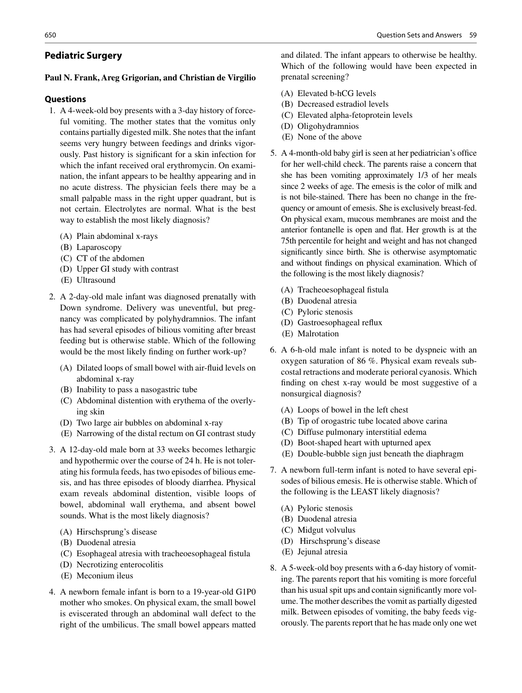# **Pediatric Surgery**

## **Paul N. Frank , Areg Grigorian, and Christian de Virgilio**

# **Questions**

- 1. A 4-week-old boy presents with a 3-day history of forceful vomiting. The mother states that the vomitus only contains partially digested milk. She notes that the infant seems very hungry between feedings and drinks vigorously. Past history is significant for a skin infection for which the infant received oral erythromycin. On examination, the infant appears to be healthy appearing and in no acute distress. The physician feels there may be a small palpable mass in the right upper quadrant, but is not certain. Electrolytes are normal. What is the best way to establish the most likely diagnosis?
	- (A) Plain abdominal x-rays
	- (B) Laparoscopy
	- (C) CT of the abdomen
	- (D) Upper GI study with contrast
	- (E) Ultrasound
- 2. A 2-day-old male infant was diagnosed prenatally with Down syndrome. Delivery was uneventful, but pregnancy was complicated by polyhydramnios. The infant has had several episodes of bilious vomiting after breast feeding but is otherwise stable. Which of the following would be the most likely finding on further work-up?
	- (A) Dilated loops of small bowel with air-fluid levels on abdominal x-ray
	- (B) Inability to pass a nasogastric tube
	- (C) Abdominal distention with erythema of the overlying skin
	- (D) Two large air bubbles on abdominal x-ray
	- (E) Narrowing of the distal rectum on GI contrast study
- 3. A 12-day-old male born at 33 weeks becomes lethargic and hypothermic over the course of 24 h. He is not tolerating his formula feeds, has two episodes of bilious emesis, and has three episodes of bloody diarrhea. Physical exam reveals abdominal distention, visible loops of bowel, abdominal wall erythema, and absent bowel sounds. What is the most likely diagnosis?
	- (A) Hirschsprung's disease
	- (B) Duodenal atresia
	- (C) Esophageal atresia with tracheoesophageal fistula
	- (D) Necrotizing enterocolitis
	- (E) Meconium ileus
- 4. A newborn female infant is born to a 19-year-old G1P0 mother who smokes. On physical exam, the small bowel is eviscerated through an abdominal wall defect to the right of the umbilicus. The small bowel appears matted

and dilated. The infant appears to otherwise be healthy. Which of the following would have been expected in prenatal screening?

- (A) Elevated b-hCG levels
- (B) Decreased estradiol levels
- (C) Elevated alpha-fetoprotein levels
- (D) Oligohydramnios
- (E) None of the above
- 5. A 4-month-old baby girl is seen at her pediatrician's office for her well-child check. The parents raise a concern that she has been vomiting approximately 1/3 of her meals since 2 weeks of age. The emesis is the color of milk and is not bile- stained. There has been no change in the frequency or amount of emesis. She is exclusively breast-fed. On physical exam, mucous membranes are moist and the anterior fontanelle is open and flat. Her growth is at the 75th percentile for height and weight and has not changed significantly since birth. She is otherwise asymptomatic and without findings on physical examination. Which of the following is the most likely diagnosis?
	- (A) Tracheoesophageal fistula
	- (B) Duodenal atresia
	- (C) Pyloric stenosis
	- (D) Gastroesophageal reflux
	- (E) Malrotation
- 6. A 6-h-old male infant is noted to be dyspneic with an oxygen saturation of 86 %. Physical exam reveals subcostal retractions and moderate perioral cyanosis. Which finding on chest x-ray would be most suggestive of a nonsurgical diagnosis?
	- (A) Loops of bowel in the left chest
	- (B) Tip of orogastric tube located above carina
	- (C) Diffuse pulmonary interstitial edema
	- (D) Boot-shaped heart with upturned apex
	- (E) Double-bubble sign just beneath the diaphragm
- 7. A newborn full-term infant is noted to have several episodes of bilious emesis. He is otherwise stable. Which of the following is the LEAST likely diagnosis?
	- (A) Pyloric stenosis
	- (B) Duodenal atresia
	- (C) Midgut volvulus
	- (D) Hirschsprung's disease
	- (E) Jejunal atresia
- 8. A 5-week-old boy presents with a 6-day history of vomiting. The parents report that his vomiting is more forceful than his usual spit ups and contain significantly more volume. The mother describes the vomit as partially digested milk. Between episodes of vomiting, the baby feeds vigorously. The parents report that he has made only one wet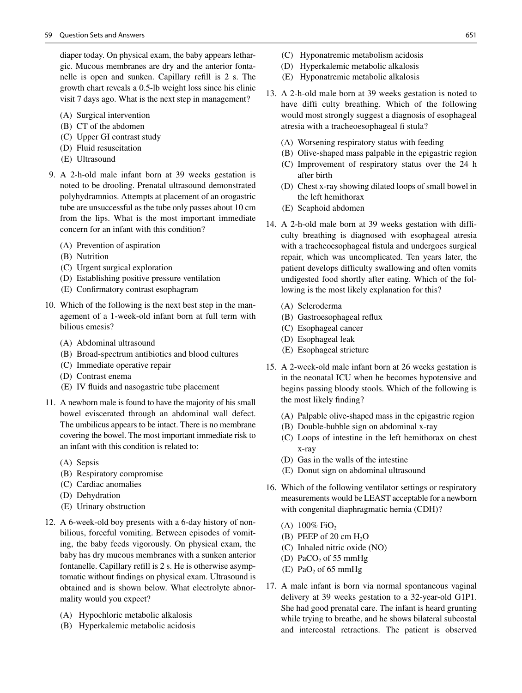diaper today. On physical exam, the baby appears lethargic. Mucous membranes are dry and the anterior fontanelle is open and sunken. Capillary refill is 2 s. The growth chart reveals a 0.5-lb weight loss since his clinic visit 7 days ago. What is the next step in management?

- (A) Surgical intervention
- (B) CT of the abdomen
- (C) Upper GI contrast study
- (D) Fluid resuscitation
- (E) Ultrasound
- 9. A 2-h-old male infant born at 39 weeks gestation is noted to be drooling. Prenatal ultrasound demonstrated polyhydramnios. Attempts at placement of an orogastric tube are unsuccessful as the tube only passes about 10 cm from the lips. What is the most important immediate concern for an infant with this condition?
	- (A) Prevention of aspiration
	- (B) Nutrition
	- (C) Urgent surgical exploration
	- (D) Establishing positive pressure ventilation
	- (E) Confirmatory contrast esophagram
- 10. Which of the following is the next best step in the management of a 1-week-old infant born at full term with bilious emesis?
	- (A) Abdominal ultrasound
	- (B) Broad-spectrum antibiotics and blood cultures
	- (C) Immediate operative repair
	- (D) Contrast enema
	- (E) IV fluids and nasogastric tube placement
- 11. A newborn male is found to have the majority of his small bowel eviscerated through an abdominal wall defect. The umbilicus appears to be intact. There is no membrane covering the bowel. The most important immediate risk to an infant with this condition is related to:
	- (A) Sepsis
	- (B) Respiratory compromise
	- (C) Cardiac anomalies
	- (D) Dehydration
	- (E) Urinary obstruction
- 12. A 6-week-old boy presents with a 6-day history of nonbilious, forceful vomiting. Between episodes of vomiting, the baby feeds vigorously. On physical exam, the baby has dry mucous membranes with a sunken anterior fontanelle. Capillary refill is  $2 s$ . He is otherwise asymptomatic without findings on physical exam. Ultrasound is obtained and is shown below. What electrolyte abnormality would you expect?
	- (A) Hypochloric metabolic alkalosis
	- (B) Hyperkalemic metabolic acidosis
- (C) Hyponatremic metabolism acidosis
- (D) Hyperkalemic metabolic alkalosis
- (E) Hyponatremic metabolic alkalosis
- 13. A 2-h-old male born at 39 weeks gestation is noted to have diffi culty breathing. Which of the following would most strongly suggest a diagnosis of esophageal atresia with a tracheoesophageal fi stula?
	- (A) Worsening respiratory status with feeding
	- (B) Olive-shaped mass palpable in the epigastric region
	- (C) Improvement of respiratory status over the 24 h after birth
	- (D) Chest x-ray showing dilated loops of small bowel in the left hemithorax
	- (E) Scaphoid abdomen
- 14. A 2-h-old male born at 39 weeks gestation with difficulty breathing is diagnosed with esophageal atresia with a tracheoesophageal fistula and undergoes surgical repair, which was uncomplicated. Ten years later, the patient develops difficulty swallowing and often vomits undigested food shortly after eating. Which of the following is the most likely explanation for this?
	- (A) Scleroderma
	- (B) Gastroesophageal reflux
	- (C) Esophageal cancer
	- (D) Esophageal leak
	- (E) Esophageal stricture
- 15. A 2-week-old male infant born at 26 weeks gestation is in the neonatal ICU when he becomes hypotensive and begins passing bloody stools. Which of the following is the most likely finding?
	- (A) Palpable olive-shaped mass in the epigastric region
	- (B) Double-bubble sign on abdominal x-ray
	- (C) Loops of intestine in the left hemithorax on chest x-ray
	- (D) Gas in the walls of the intestine
	- (E) Donut sign on abdominal ultrasound
- 16. Which of the following ventilator settings or respiratory measurements would be LEAST acceptable for a newborn with congenital diaphragmatic hernia (CDH)?
	- (A)  $100\%$  FiO<sub>2</sub>
	- (B) PEEP of 20 cm  $H<sub>2</sub>O$
	- (C) Inhaled nitric oxide (NO)
	- (D) PaCO<sub>2</sub> of 55 mmHg
	- (E) PaO<sub>2</sub> of 65 mmHg
- 17. A male infant is born via normal spontaneous vaginal delivery at 39 weeks gestation to a 32-year-old G1P1. She had good prenatal care. The infant is heard grunting while trying to breathe, and he shows bilateral subcostal and intercostal retractions. The patient is observed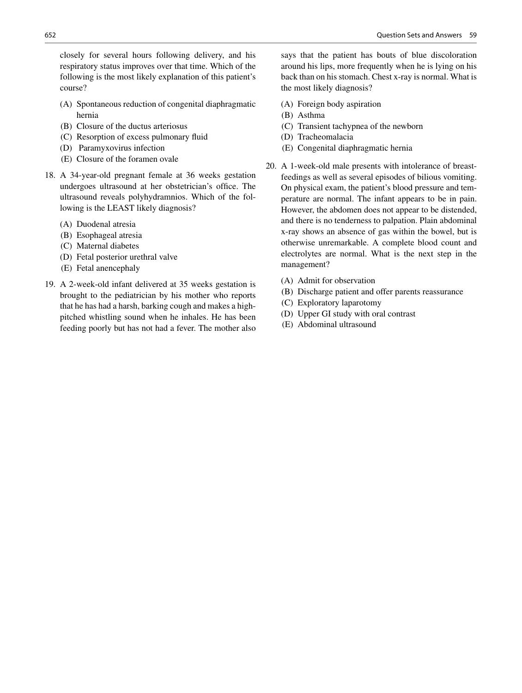closely for several hours following delivery, and his respiratory status improves over that time. Which of the following is the most likely explanation of this patient's course?

- (A) Spontaneous reduction of congenital diaphragmatic hernia
- (B) Closure of the ductus arteriosus
- (C) Resorption of excess pulmonary fluid
- (D) Paramyxovirus infection
- (E) Closure of the foramen ovale
- 18. A 34-year-old pregnant female at 36 weeks gestation undergoes ultrasound at her obstetrician's office. The ultrasound reveals polyhydramnios. Which of the following is the LEAST likely diagnosis?
	- (A) Duodenal atresia
	- (B) Esophageal atresia
	- (C) Maternal diabetes
	- (D) Fetal posterior urethral valve
	- (E) Fetal anencephaly
- 19. A 2-week-old infant delivered at 35 weeks gestation is brought to the pediatrician by his mother who reports that he has had a harsh, barking cough and makes a highpitched whistling sound when he inhales. He has been feeding poorly but has not had a fever. The mother also

says that the patient has bouts of blue discoloration around his lips, more frequently when he is lying on his back than on his stomach. Chest x-ray is normal. What is the most likely diagnosis?

- (A) Foreign body aspiration
- (B) Asthma
- (C) Transient tachypnea of the newborn
- (D) Tracheomalacia
- (E) Congenital diaphragmatic hernia
- 20. A 1-week-old male presents with intolerance of breastfeedings as well as several episodes of bilious vomiting. On physical exam, the patient's blood pressure and temperature are normal. The infant appears to be in pain. However, the abdomen does not appear to be distended, and there is no tenderness to palpation. Plain abdominal x-ray shows an absence of gas within the bowel, but is otherwise unremarkable. A complete blood count and electrolytes are normal. What is the next step in the management?
	- (A) Admit for observation
	- (B) Discharge patient and offer parents reassurance
	- (C) Exploratory laparotomy
	- (D) Upper GI study with oral contrast
	- (E) Abdominal ultrasound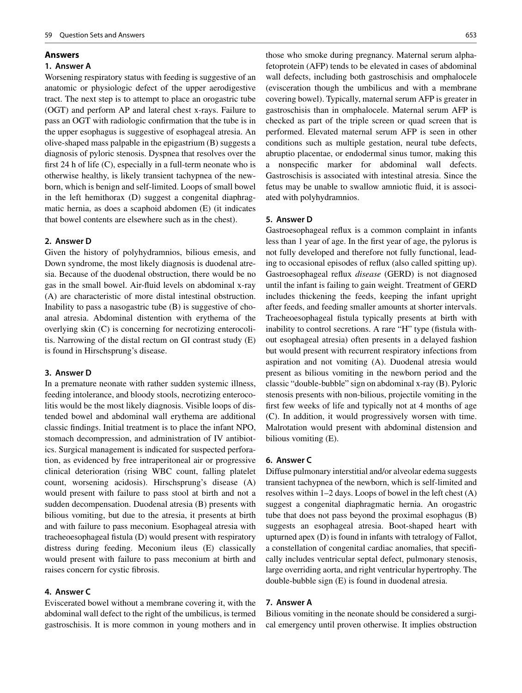#### **Answers**

#### **1. Answer A**

 Worsening respiratory status with feeding is suggestive of an anatomic or physiologic defect of the upper aerodigestive tract. The next step is to attempt to place an orogastric tube (OGT) and perform AP and lateral chest x-rays. Failure to pass an OGT with radiologic confirmation that the tube is in the upper esophagus is suggestive of esophageal atresia. An olive-shaped mass palpable in the epigastrium (B) suggests a diagnosis of pyloric stenosis. Dyspnea that resolves over the first 24 h of life  $(C)$ , especially in a full-term neonate who is otherwise healthy, is likely transient tachypnea of the newborn, which is benign and self-limited. Loops of small bowel in the left hemithorax (D) suggest a congenital diaphragmatic hernia, as does a scaphoid abdomen (E) (it indicates that bowel contents are elsewhere such as in the chest).

#### **2. Answer D**

 Given the history of polyhydramnios, bilious emesis, and Down syndrome, the most likely diagnosis is duodenal atresia. Because of the duodenal obstruction, there would be no gas in the small bowel. Air-fluid levels on abdominal x-ray (A) are characteristic of more distal intestinal obstruction. Inability to pass a nasogastric tube (B) is suggestive of choanal atresia. Abdominal distention with erythema of the overlying skin (C) is concerning for necrotizing enterocolitis. Narrowing of the distal rectum on GI contrast study (E) is found in Hirschsprung's disease.

# **3. Answer D**

 In a premature neonate with rather sudden systemic illness, feeding intolerance, and bloody stools, necrotizing enterocolitis would be the most likely diagnosis. Visible loops of distended bowel and abdominal wall erythema are additional classic findings. Initial treatment is to place the infant NPO, stomach decompression, and administration of IV antibiotics. Surgical management is indicated for suspected perforation, as evidenced by free intraperitoneal air or progressive clinical deterioration (rising WBC count, falling platelet count, worsening acidosis). Hirschsprung's disease (A) would present with failure to pass stool at birth and not a sudden decompensation. Duodenal atresia (B) presents with bilious vomiting, but due to the atresia, it presents at birth and with failure to pass meconium. Esophageal atresia with tracheoesophageal fistula (D) would present with respiratory distress during feeding. Meconium ileus (E) classically would present with failure to pass meconium at birth and raises concern for cystic fibrosis.

# **4. Answer C**

 Eviscerated bowel without a membrane covering it, with the abdominal wall defect to the right of the umbilicus, is termed gastroschisis. It is more common in young mothers and in

those who smoke during pregnancy. Maternal serum alphafetoprotein (AFP) tends to be elevated in cases of abdominal wall defects, including both gastroschisis and omphalocele (evisceration though the umbilicus and with a membrane covering bowel). Typically, maternal serum AFP is greater in gastroschisis than in omphalocele. Maternal serum AFP is checked as part of the triple screen or quad screen that is performed. Elevated maternal serum AFP is seen in other conditions such as multiple gestation, neural tube defects, abruptio placentae, or endodermal sinus tumor, making this a nonspecific marker for abdominal wall defects. Gastroschisis is associated with intestinal atresia. Since the fetus may be unable to swallow amniotic fluid, it is associated with polyhydramnios.

#### **5. Answer D**

Gastroesophageal reflux is a common complaint in infants less than 1 year of age. In the first year of age, the pylorus is not fully developed and therefore not fully functional, leading to occasional episodes of reflux (also called spitting up). Gastroesophageal reflux *disease* (GERD) is not diagnosed until the infant is failing to gain weight. Treatment of GERD includes thickening the feeds, keeping the infant upright after feeds, and feeding smaller amounts at shorter intervals. Tracheoesophageal fistula typically presents at birth with inability to control secretions. A rare "H" type (fistula without esophageal atresia) often presents in a delayed fashion but would present with recurrent respiratory infections from aspiration and not vomiting (A). Duodenal atresia would present as bilious vomiting in the newborn period and the classic "double- bubble" sign on abdominal x-ray (B). Pyloric stenosis presents with non-bilious, projectile vomiting in the first few weeks of life and typically not at 4 months of age (C). In addition, it would progressively worsen with time. Malrotation would present with abdominal distension and bilious vomiting (E).

# **6. Answer C**

 Diffuse pulmonary interstitial and/or alveolar edema suggests transient tachypnea of the newborn, which is self-limited and resolves within 1–2 days. Loops of bowel in the left chest (A) suggest a congenital diaphragmatic hernia. An orogastric tube that does not pass beyond the proximal esophagus (B) suggests an esophageal atresia. Boot-shaped heart with upturned apex (D) is found in infants with tetralogy of Fallot, a constellation of congenital cardiac anomalies, that specifically includes ventricular septal defect, pulmonary stenosis, large overriding aorta, and right ventricular hypertrophy. The double-bubble sign (E) is found in duodenal atresia.

## **7. Answer A**

 Bilious vomiting in the neonate should be considered a surgical emergency until proven otherwise. It implies obstruction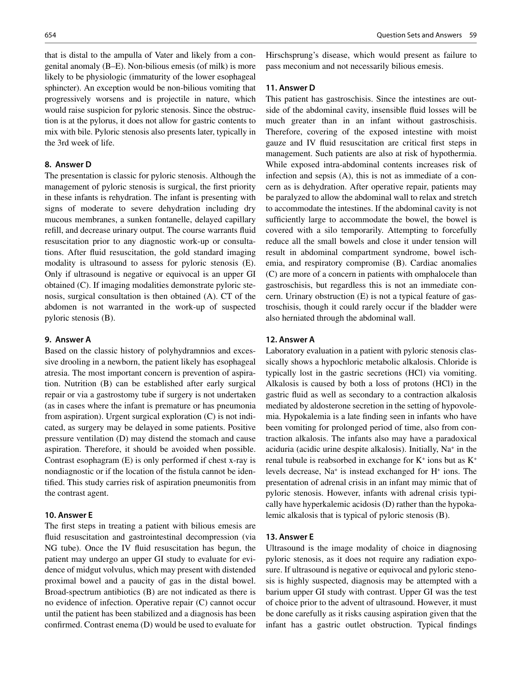that is distal to the ampulla of Vater and likely from a congenital anomaly (B–E). Non-bilious emesis (of milk) is more likely to be physiologic (immaturity of the lower esophageal sphincter). An exception would be non-bilious vomiting that progressively worsens and is projectile in nature, which would raise suspicion for pyloric stenosis. Since the obstruction is at the pylorus, it does not allow for gastric contents to mix with bile. Pyloric stenosis also presents later, typically in the 3rd week of life.

### **8. Answer D**

 The presentation is classic for pyloric stenosis. Although the management of pyloric stenosis is surgical, the first priority in these infants is rehydration. The infant is presenting with signs of moderate to severe dehydration including dry mucous membranes, a sunken fontanelle, delayed capillary refill, and decrease urinary output. The course warrants fluid resuscitation prior to any diagnostic work-up or consultations. After fluid resuscitation, the gold standard imaging modality is ultrasound to assess for pyloric stenosis (E). Only if ultrasound is negative or equivocal is an upper GI obtained (C). If imaging modalities demonstrate pyloric stenosis, surgical consultation is then obtained (A). CT of the abdomen is not warranted in the work-up of suspected pyloric stenosis (B).

### **9. Answer A**

 Based on the classic history of polyhydramnios and excessive drooling in a newborn, the patient likely has esophageal atresia. The most important concern is prevention of aspiration. Nutrition (B) can be established after early surgical repair or via a gastrostomy tube if surgery is not undertaken (as in cases where the infant is premature or has pneumonia from aspiration). Urgent surgical exploration (C) is not indicated, as surgery may be delayed in some patients. Positive pressure ventilation (D) may distend the stomach and cause aspiration. Therefore, it should be avoided when possible. Contrast esophagram (E) is only performed if chest x-ray is nondiagnostic or if the location of the fistula cannot be identified. This study carries risk of aspiration pneumonitis from the contrast agent.

#### **10. Answer E**

The first steps in treating a patient with bilious emesis are fluid resuscitation and gastrointestinal decompression (via NG tube). Once the IV fluid resuscitation has begun, the patient may undergo an upper GI study to evaluate for evidence of midgut volvulus, which may present with distended proximal bowel and a paucity of gas in the distal bowel. Broad-spectrum antibiotics (B) are not indicated as there is no evidence of infection. Operative repair (C) cannot occur until the patient has been stabilized and a diagnosis has been confirmed. Contrast enema (D) would be used to evaluate for

Hirschsprung's disease, which would present as failure to pass meconium and not necessarily bilious emesis.

#### **11. Answer D**

 This patient has gastroschisis. Since the intestines are outside of the abdominal cavity, insensible fluid losses will be much greater than in an infant without gastroschisis. Therefore, covering of the exposed intestine with moist gauze and IV fluid resuscitation are critical first steps in management. Such patients are also at risk of hypothermia. While exposed intra-abdominal contents increases risk of infection and sepsis (A), this is not as immediate of a concern as is dehydration. After operative repair, patients may be paralyzed to allow the abdominal wall to relax and stretch to accommodate the intestines. If the abdominal cavity is not sufficiently large to accommodate the bowel, the bowel is covered with a silo temporarily. Attempting to forcefully reduce all the small bowels and close it under tension will result in abdominal compartment syndrome, bowel ischemia, and respiratory compromise (B). Cardiac anomalies (C) are more of a concern in patients with omphalocele than gastroschisis, but regardless this is not an immediate concern. Urinary obstruction (E) is not a typical feature of gastroschisis, though it could rarely occur if the bladder were also herniated through the abdominal wall.

#### **12. Answer A**

 Laboratory evaluation in a patient with pyloric stenosis classically shows a hypochloric metabolic alkalosis. Chloride is typically lost in the gastric secretions (HCl) via vomiting. Alkalosis is caused by both a loss of protons (HCl) in the gastric fluid as well as secondary to a contraction alkalosis mediated by aldosterone secretion in the setting of hypovolemia. Hypokalemia is a late finding seen in infants who have been vomiting for prolonged period of time, also from contraction alkalosis. The infants also may have a paradoxical aciduria (acidic urine despite alkalosis). Initially, Na<sup>+</sup> in the renal tubule is reabsorbed in exchange for  $K^+$  ions but as  $K^+$ levels decrease,  $Na<sup>+</sup>$  is instead exchanged for  $H<sup>+</sup>$  ions. The presentation of adrenal crisis in an infant may mimic that of pyloric stenosis. However, infants with adrenal crisis typically have hyperkalemic acidosis (D) rather than the hypokalemic alkalosis that is typical of pyloric stenosis (B).

#### **13. Answer E**

 Ultrasound is the image modality of choice in diagnosing pyloric stenosis, as it does not require any radiation exposure. If ultrasound is negative or equivocal and pyloric stenosis is highly suspected, diagnosis may be attempted with a barium upper GI study with contrast. Upper GI was the test of choice prior to the advent of ultrasound. However, it must be done carefully as it risks causing aspiration given that the infant has a gastric outlet obstruction. Typical findings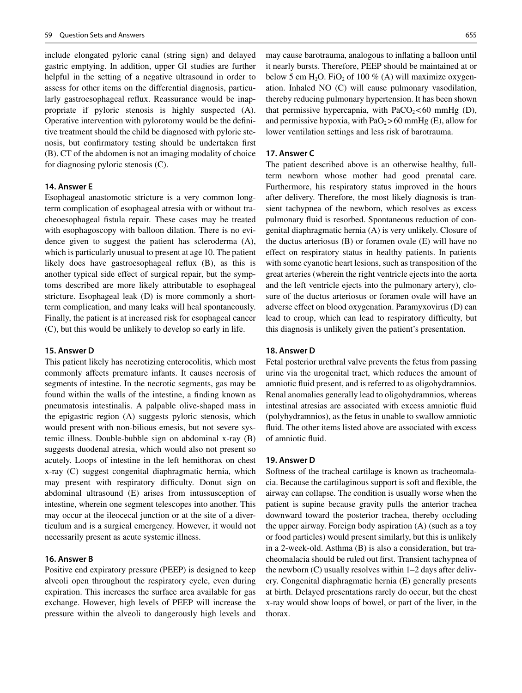include elongated pyloric canal (string sign) and delayed gastric emptying. In addition, upper GI studies are further helpful in the setting of a negative ultrasound in order to assess for other items on the differential diagnosis, particularly gastroesophageal reflux. Reassurance would be inappropriate if pyloric stenosis is highly suspected (A). Operative intervention with pylorotomy would be the definitive treatment should the child be diagnosed with pyloric stenosis, but confirmatory testing should be undertaken first (B). CT of the abdomen is not an imaging modality of choice for diagnosing pyloric stenosis (C).

### **14. Answer E**

 Esophageal anastomotic stricture is a very common longterm complication of esophageal atresia with or without tracheoesophageal fistula repair. These cases may be treated with esophagoscopy with balloon dilation. There is no evidence given to suggest the patient has scleroderma (A), which is particularly unusual to present at age 10. The patient likely does have gastroesophageal reflux  $(B)$ , as this is another typical side effect of surgical repair, but the symptoms described are more likely attributable to esophageal stricture. Esophageal leak (D) is more commonly a shortterm complication, and many leaks will heal spontaneously. Finally, the patient is at increased risk for esophageal cancer (C), but this would be unlikely to develop so early in life.

#### **15. Answer D**

 This patient likely has necrotizing enterocolitis, which most commonly affects premature infants. It causes necrosis of segments of intestine. In the necrotic segments, gas may be found within the walls of the intestine, a finding known as pneumatosis intestinalis. A palpable olive-shaped mass in the epigastric region (A) suggests pyloric stenosis, which would present with non-bilious emesis, but not severe systemic illness. Double-bubble sign on abdominal x-ray (B) suggests duodenal atresia, which would also not present so acutely. Loops of intestine in the left hemithorax on chest x-ray (C) suggest congenital diaphragmatic hernia, which may present with respiratory difficulty. Donut sign on abdominal ultrasound (E) arises from intussusception of intestine, wherein one segment telescopes into another. This may occur at the ileocecal junction or at the site of a diverticulum and is a surgical emergency. However, it would not necessarily present as acute systemic illness.

## **16. Answer B**

 Positive end expiratory pressure (PEEP) is designed to keep alveoli open throughout the respiratory cycle, even during expiration. This increases the surface area available for gas exchange. However, high levels of PEEP will increase the pressure within the alveoli to dangerously high levels and may cause barotrauma, analogous to inflating a balloon until it nearly bursts. Therefore, PEEP should be maintained at or below 5 cm H<sub>2</sub>O. FiO<sub>2</sub> of 100 % (A) will maximize oxygenation. Inhaled NO (C) will cause pulmonary vasodilation, thereby reducing pulmonary hypertension. It has been shown that permissive hypercapnia, with  $PaCO<sub>2</sub> < 60$  mmHg (D), and permissive hypoxia, with  $PaO<sub>2</sub> > 60$  mmHg (E), allow for lower ventilation settings and less risk of barotrauma.

#### **17. Answer C**

 The patient described above is an otherwise healthy, fullterm newborn whose mother had good prenatal care. Furthermore, his respiratory status improved in the hours after delivery. Therefore, the most likely diagnosis is transient tachypnea of the newborn, which resolves as excess pulmonary fluid is resorbed. Spontaneous reduction of congenital diaphragmatic hernia (A) is very unlikely. Closure of the ductus arteriosus (B) or foramen ovale (E) will have no effect on respiratory status in healthy patients. In patients with some cyanotic heart lesions, such as transposition of the great arteries (wherein the right ventricle ejects into the aorta and the left ventricle ejects into the pulmonary artery), closure of the ductus arteriosus or foramen ovale will have an adverse effect on blood oxygenation. Paramyxovirus (D) can lead to croup, which can lead to respiratory difficulty, but this diagnosis is unlikely given the patient's presentation.

#### **18. Answer D**

 Fetal posterior urethral valve prevents the fetus from passing urine via the urogenital tract, which reduces the amount of amniotic fluid present, and is referred to as oligohydramnios. Renal anomalies generally lead to oligohydramnios, whereas intestinal atresias are associated with excess amniotic fluid (polyhydramnios), as the fetus in unable to swallow amniotic fluid. The other items listed above are associated with excess of amniotic fluid.

## **19. Answer D**

 Softness of the tracheal cartilage is known as tracheomalacia. Because the cartilaginous support is soft and flexible, the airway can collapse. The condition is usually worse when the patient is supine because gravity pulls the anterior trachea downward toward the posterior trachea, thereby occluding the upper airway. Foreign body aspiration (A) (such as a toy or food particles) would present similarly, but this is unlikely in a 2-week-old. Asthma (B) is also a consideration, but tracheomalacia should be ruled out first. Transient tachypnea of the newborn  $(C)$  usually resolves within  $1-2$  days after delivery. Congenital diaphragmatic hernia (E) generally presents at birth. Delayed presentations rarely do occur, but the chest x-ray would show loops of bowel, or part of the liver, in the thorax.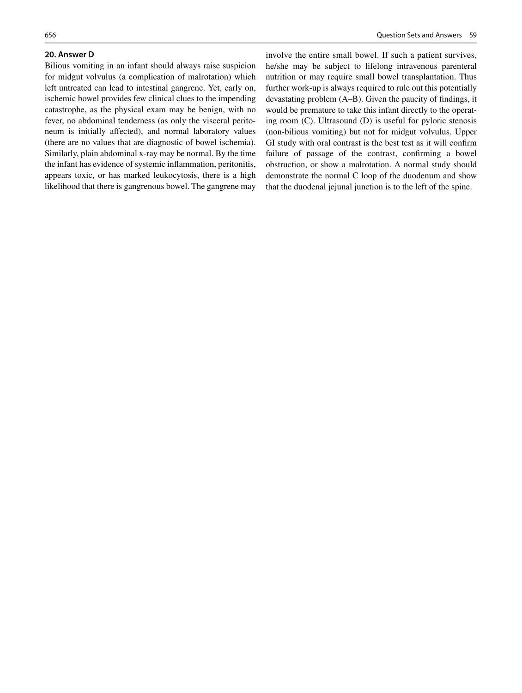#### **20. Answer D**

 Bilious vomiting in an infant should always raise suspicion for midgut volvulus (a complication of malrotation) which left untreated can lead to intestinal gangrene. Yet, early on, ischemic bowel provides few clinical clues to the impending catastrophe, as the physical exam may be benign, with no fever, no abdominal tenderness (as only the visceral peritoneum is initially affected), and normal laboratory values (there are no values that are diagnostic of bowel ischemia). Similarly, plain abdominal x-ray may be normal. By the time the infant has evidence of systemic inflammation, peritonitis, appears toxic, or has marked leukocytosis, there is a high likelihood that there is gangrenous bowel. The gangrene may

involve the entire small bowel. If such a patient survives, he/she may be subject to lifelong intravenous parenteral nutrition or may require small bowel transplantation. Thus further work-up is always required to rule out this potentially devastating problem  $(A-B)$ . Given the paucity of findings, it would be premature to take this infant directly to the operating room (C). Ultrasound (D) is useful for pyloric stenosis (non-bilious vomiting) but not for midgut volvulus. Upper GI study with oral contrast is the best test as it will confirm failure of passage of the contrast, confirming a bowel obstruction, or show a malrotation. A normal study should demonstrate the normal C loop of the duodenum and show that the duodenal jejunal junction is to the left of the spine.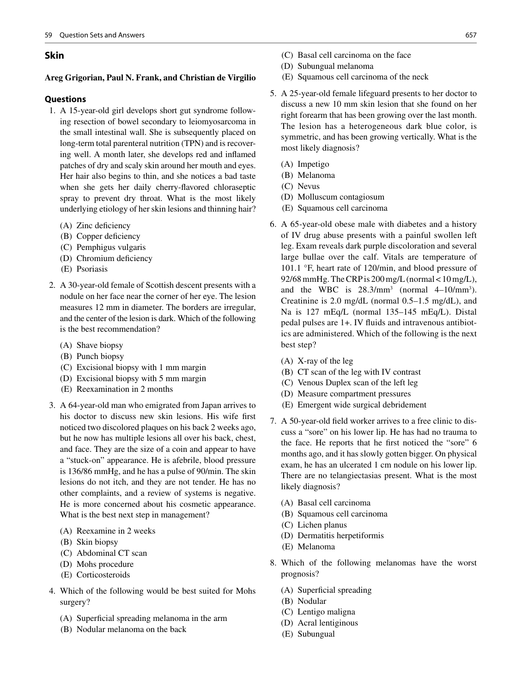### **Skin**

# **Areg Grigorian, Paul N. Frank, and Christian de Virgilio**

# **Questions**

- 1. A 15-year-old girl develops short gut syndrome following resection of bowel secondary to leiomyosarcoma in the small intestinal wall. She is subsequently placed on long-term total parenteral nutrition (TPN) and is recovering well. A month later, she develops red and inflamed patches of dry and scaly skin around her mouth and eyes. Her hair also begins to thin, and she notices a bad taste when she gets her daily cherry-flavored chloraseptic spray to prevent dry throat. What is the most likely underlying etiology of her skin lesions and thinning hair?
	- $(A)$  Zinc deficiency
	- (B) Copper deficiency
	- (C) Pemphigus vulgaris
	- (D) Chromium deficiency
	- (E) Psoriasis
- 2. A 30-year-old female of Scottish descent presents with a nodule on her face near the corner of her eye. The lesion measures 12 mm in diameter. The borders are irregular, and the center of the lesion is dark. Which of the following is the best recommendation?
	- (A) Shave biopsy
	- (B) Punch biopsy
	- (C) Excisional biopsy with 1 mm margin
	- (D) Excisional biopsy with 5 mm margin
	- (E) Reexamination in 2 months
- 3. A 64-year-old man who emigrated from Japan arrives to his doctor to discuss new skin lesions. His wife first noticed two discolored plaques on his back 2 weeks ago, but he now has multiple lesions all over his back, chest, and face. They are the size of a coin and appear to have a "stuck-on" appearance. He is afebrile, blood pressure is 136/86 mmHg, and he has a pulse of 90/min. The skin lesions do not itch, and they are not tender. He has no other complaints, and a review of systems is negative. He is more concerned about his cosmetic appearance. What is the best next step in management?
	- (A) Reexamine in 2 weeks
	- (B) Skin biopsy
	- (C) Abdominal CT scan
	- (D) Mohs procedure
	- (E) Corticosteroids
- 4. Which of the following would be best suited for Mohs surgery?
	- $(A)$  Superficial spreading melanoma in the arm
	- (B) Nodular melanoma on the back
- (C) Basal cell carcinoma on the face
- (D) Subungual melanoma
- (E) Squamous cell carcinoma of the neck
- 5. A 25-year-old female lifeguard presents to her doctor to discuss a new 10 mm skin lesion that she found on her right forearm that has been growing over the last month. The lesion has a heterogeneous dark blue color, is symmetric, and has been growing vertically. What is the most likely diagnosis?
	- (A) Impetigo
	- (B) Melanoma
	- (C) Nevus
	- (D) Molluscum contagiosum
	- (E) Squamous cell carcinoma
- 6. A 65-year-old obese male with diabetes and a history of IV drug abuse presents with a painful swollen left leg. Exam reveals dark purple discoloration and several large bullae over the calf. Vitals are temperature of 101.1 °F, heart rate of 120/min, and blood pressure of 92/68 mmHg. The CRP is 200 mg/L (normal < 10 mg/L), and the WBC is  $28.3/\text{mm}^3$  (normal 4–10/mm<sup>3</sup>). Creatinine is 2.0 mg/dL (normal 0.5–1.5 mg/dL), and Na is 127 mEq/L (normal 135–145 mEq/L). Distal pedal pulses are 1+. IV fluids and intravenous antibiotics are administered. Which of the following is the next best step?
	- (A) X-ray of the leg
	- (B) CT scan of the leg with IV contrast
	- (C) Venous Duplex scan of the left leg
	- (D) Measure compartment pressures
	- (E) Emergent wide surgical debridement
- 7. A 50-year-old field worker arrives to a free clinic to discuss a "sore" on his lower lip. He has had no trauma to the face. He reports that he first noticed the "sore" 6 months ago, and it has slowly gotten bigger. On physical exam, he has an ulcerated 1 cm nodule on his lower lip. There are no telangiectasias present. What is the most likely diagnosis?
	- (A) Basal cell carcinoma
	- (B) Squamous cell carcinoma
	- (C) Lichen planus
	- (D) Dermatitis herpetiformis
	- (E) Melanoma
- 8. Which of the following melanomas have the worst prognosis?
	- (A) Superficial spreading
	- (B) Nodular
	- (C) Lentigo maligna
	- (D) Acral lentiginous
	- (E) Subungual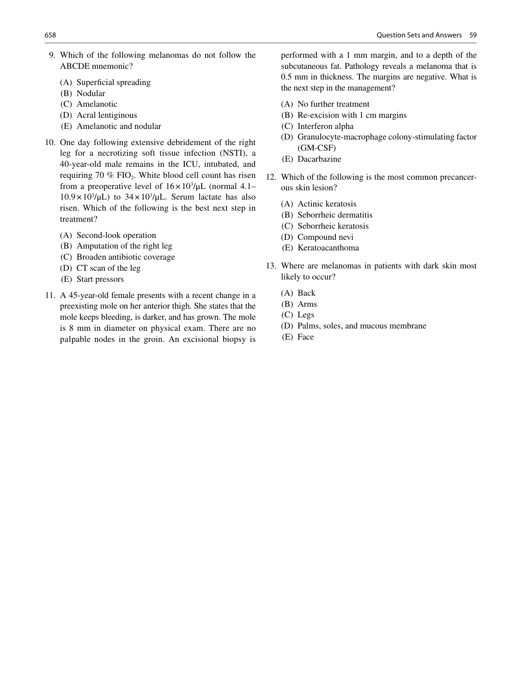- 9. Which of the following melanomas do not follow the ABCDE mnemonic?
	- (A) Superficial spreading
	- (B) Nodular
	- (C) Amelanotic
	- (D) Acral lentiginous
	- (E) Amelanotic and nodular
- 10. One day following extensive debridement of the right leg for a necrotizing soft tissue infection (NSTI), a 40-year-old male remains in the ICU, intubated, and requiring 70  $%$  FIO<sub>2</sub>. White blood cell count has risen from a preoperative level of  $16 \times 10^3/\mu$ L (normal 4.1–  $10.9 \times 10^{3} / \mu L$ ) to  $34 \times 10^{3} / \mu L$ . Serum lactate has also risen. Which of the following is the best next step in treatment?
	- (A) Second-look operation
	- (B) Amputation of the right leg
	- (C) Broaden antibiotic coverage
	- (D) CT scan of the leg
	- (E) Start pressors
- 11. A 45-year-old female presents with a recent change in a preexisting mole on her anterior thigh. She states that the mole keeps bleeding, is darker, and has grown. The mole is 8 mm in diameter on physical exam. There are no palpable nodes in the groin. An excisional biopsy is

performed with a 1 mm margin, and to a depth of the subcutaneous fat. Pathology reveals a melanoma that is 0.5 mm in thickness. The margins are negative. What is the next step in the management?

- (A) No further treatment
- (B) Re-excision with 1 cm margins
- (C) Interferon alpha
- (D) Granulocyte-macrophage colony-stimulating factor (GM-CSF)
- (E) Dacarbazine
- 12. Which of the following is the most common precancerous skin lesion?
	- (A) Actinic keratosis
	- (B) Seborrheic dermatitis
	- (C) Seborrheic keratosis
	- (D) Compound nevi
	- (E) Keratoacanthoma
- 13. Where are melanomas in patients with dark skin most likely to occur?
	- (A) Back
	- (B) Arms
	- (C) Legs
	- (D) Palms, soles, and mucous membrane
	- (E) Face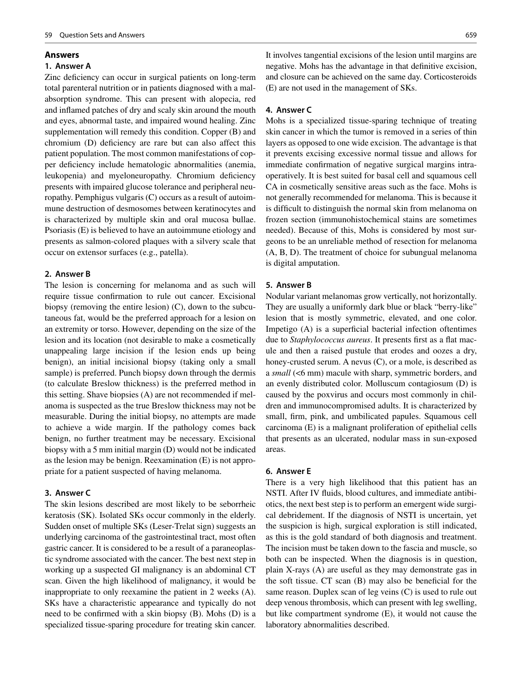#### **Answers**

### **1. Answer A**

Zinc deficiency can occur in surgical patients on long-term total parenteral nutrition or in patients diagnosed with a malabsorption syndrome. This can present with alopecia, red and inflamed patches of dry and scaly skin around the mouth and eyes, abnormal taste, and impaired wound healing. Zinc supplementation will remedy this condition. Copper (B) and chromium (D) deficiency are rare but can also affect this patient population. The most common manifestations of copper deficiency include hematologic abnormalities (anemia, leukopenia) and myeloneuropathy. Chromium deficiency presents with impaired glucose tolerance and peripheral neuropathy. Pemphigus vulgaris (C) occurs as a result of autoimmune destruction of desmosomes between keratinocytes and is characterized by multiple skin and oral mucosa bullae. Psoriasis (E) is believed to have an autoimmune etiology and presents as salmon-colored plaques with a silvery scale that occur on extensor surfaces (e.g., patella).

#### **2. Answer B**

 The lesion is concerning for melanoma and as such will require tissue confirmation to rule out cancer. Excisional biopsy (removing the entire lesion) (C), down to the subcutaneous fat, would be the preferred approach for a lesion on an extremity or torso. However, depending on the size of the lesion and its location (not desirable to make a cosmetically unappealing large incision if the lesion ends up being benign), an initial incisional biopsy (taking only a small sample) is preferred. Punch biopsy down through the dermis (to calculate Breslow thickness) is the preferred method in this setting. Shave biopsies (A) are not recommended if melanoma is suspected as the true Breslow thickness may not be measurable. During the initial biopsy, no attempts are made to achieve a wide margin. If the pathology comes back benign, no further treatment may be necessary. Excisional biopsy with a 5 mm initial margin (D) would not be indicated as the lesion may be benign. Reexamination (E) is not appropriate for a patient suspected of having melanoma.

## **3. Answer C**

 The skin lesions described are most likely to be seborrheic keratosis (SK). Isolated SKs occur commonly in the elderly. Sudden onset of multiple SKs (Leser-Trelat sign) suggests an underlying carcinoma of the gastrointestinal tract, most often gastric cancer. It is considered to be a result of a paraneoplastic syndrome associated with the cancer. The best next step in working up a suspected GI malignancy is an abdominal CT scan. Given the high likelihood of malignancy, it would be inappropriate to only reexamine the patient in 2 weeks (A). SKs have a characteristic appearance and typically do not need to be confirmed with a skin biopsy  $(B)$ . Mohs  $(D)$  is a specialized tissue-sparing procedure for treating skin cancer.

It involves tangential excisions of the lesion until margins are negative. Mohs has the advantage in that definitive excision, and closure can be achieved on the same day. Corticosteroids (E) are not used in the management of SKs.

#### **4. Answer C**

 Mohs is a specialized tissue-sparing technique of treating skin cancer in which the tumor is removed in a series of thin layers as opposed to one wide excision. The advantage is that it prevents excising excessive normal tissue and allows for immediate confirmation of negative surgical margins intraoperatively. It is best suited for basal cell and squamous cell CA in cosmetically sensitive areas such as the face. Mohs is not generally recommended for melanoma. This is because it is difficult to distinguish the normal skin from melanoma on frozen section (immunohistochemical stains are sometimes needed). Because of this, Mohs is considered by most surgeons to be an unreliable method of resection for melanoma (A, B, D). The treatment of choice for subungual melanoma is digital amputation.

#### **5. Answer B**

 Nodular variant melanomas grow vertically, not horizontally. They are usually a uniformly dark blue or black "berry-like" lesion that is mostly symmetric, elevated, and one color. Impetigo  $(A)$  is a superficial bacterial infection oftentimes due to *Staphylococcus aureus*. It presents first as a flat macule and then a raised pustule that erodes and oozes a dry, honey-crusted serum. A nevus (C), or a mole, is described as a *small* (<6 mm) macule with sharp, symmetric borders, and an evenly distributed color. Molluscum contagiosum (D) is caused by the poxvirus and occurs most commonly in children and immunocompromised adults. It is characterized by small, firm, pink, and umbilicated papules. Squamous cell carcinoma (E) is a malignant proliferation of epithelial cells that presents as an ulcerated, nodular mass in sun-exposed areas.

### **6. Answer E**

 There is a very high likelihood that this patient has an NSTI. After IV fluids, blood cultures, and immediate antibiotics, the next best step is to perform an emergent wide surgical debridement. If the diagnosis of NSTI is uncertain, yet the suspicion is high, surgical exploration is still indicated, as this is the gold standard of both diagnosis and treatment. The incision must be taken down to the fascia and muscle, so both can be inspected. When the diagnosis is in question, plain X-rays (A) are useful as they may demonstrate gas in the soft tissue.  $CT$  scan  $(B)$  may also be beneficial for the same reason. Duplex scan of leg veins (C) is used to rule out deep venous thrombosis, which can present with leg swelling, but like compartment syndrome (E), it would not cause the laboratory abnormalities described.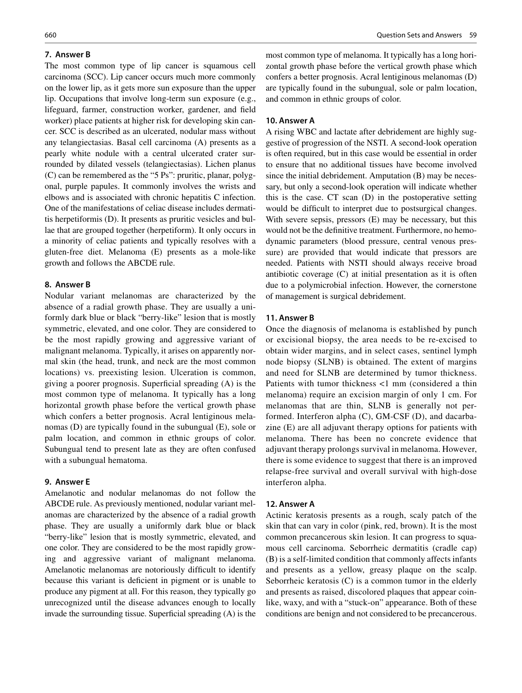#### **7. Answer B**

 The most common type of lip cancer is squamous cell carcinoma (SCC). Lip cancer occurs much more commonly on the lower lip, as it gets more sun exposure than the upper lip. Occupations that involve long-term sun exposure (e.g., lifeguard, farmer, construction worker, gardener, and field worker) place patients at higher risk for developing skin cancer. SCC is described as an ulcerated, nodular mass without any telangiectasias. Basal cell carcinoma (A) presents as a pearly white nodule with a central ulcerated crater surrounded by dilated vessels (telangiectasias). Lichen planus (C) can be remembered as the "5 Ps": pruritic, planar, polygonal, purple papules. It commonly involves the wrists and elbows and is associated with chronic hepatitis C infection. One of the manifestations of celiac disease includes dermatitis herpetiformis (D). It presents as pruritic vesicles and bullae that are grouped together (herpetiform). It only occurs in a minority of celiac patients and typically resolves with a gluten-free diet. Melanoma (E) presents as a mole-like growth and follows the ABCDE rule.

#### **8. Answer B**

 Nodular variant melanomas are characterized by the absence of a radial growth phase. They are usually a uniformly dark blue or black "berry-like" lesion that is mostly symmetric, elevated, and one color. They are considered to be the most rapidly growing and aggressive variant of malignant melanoma. Typically, it arises on apparently normal skin (the head, trunk, and neck are the most common locations) vs. preexisting lesion. Ulceration is common, giving a poorer prognosis. Superficial spreading  $(A)$  is the most common type of melanoma. It typically has a long horizontal growth phase before the vertical growth phase which confers a better prognosis. Acral lentiginous melanomas (D) are typically found in the subungual (E), sole or palm location, and common in ethnic groups of color. Subungual tend to present late as they are often confused with a subungual hematoma.

## **9. Answer E**

 Amelanotic and nodular melanomas do not follow the ABCDE rule. As previously mentioned, nodular variant melanomas are characterized by the absence of a radial growth phase. They are usually a uniformly dark blue or black "berry-like" lesion that is mostly symmetric, elevated, and one color. They are considered to be the most rapidly growing and aggressive variant of malignant melanoma. Amelanotic melanomas are notoriously difficult to identify because this variant is deficient in pigment or is unable to produce any pigment at all. For this reason, they typically go unrecognized until the disease advances enough to locally invade the surrounding tissue. Superficial spreading  $(A)$  is the

most common type of melanoma. It typically has a long horizontal growth phase before the vertical growth phase which confers a better prognosis. Acral lentiginous melanomas (D) are typically found in the subungual, sole or palm location, and common in ethnic groups of color.

## **10. Answer A**

 A rising WBC and lactate after debridement are highly suggestive of progression of the NSTI. A second-look operation is often required, but in this case would be essential in order to ensure that no additional tissues have become involved since the initial debridement. Amputation (B) may be necessary, but only a second-look operation will indicate whether this is the case. CT scan (D) in the postoperative setting would be difficult to interpret due to postsurgical changes. With severe sepsis, pressors (E) may be necessary, but this would not be the definitive treatment. Furthermore, no hemodynamic parameters (blood pressure, central venous pressure) are provided that would indicate that pressors are needed. Patients with NSTI should always receive broad antibiotic coverage (C) at initial presentation as it is often due to a polymicrobial infection. However, the cornerstone of management is surgical debridement.

#### **11. Answer B**

 Once the diagnosis of melanoma is established by punch or excisional biopsy, the area needs to be re-excised to obtain wider margins, and in select cases, sentinel lymph node biopsy (SLNB) is obtained. The extent of margins and need for SLNB are determined by tumor thickness. Patients with tumor thickness <1 mm (considered a thin melanoma) require an excision margin of only 1 cm. For melanomas that are thin, SLNB is generally not performed. Interferon alpha (C), GM-CSF (D), and dacarbazine (E) are all adjuvant therapy options for patients with melanoma. There has been no concrete evidence that adjuvant therapy prolongs survival in melanoma. However, there is some evidence to suggest that there is an improved relapse- free survival and overall survival with high-dose interferon alpha.

## **12. Answer A**

 Actinic keratosis presents as a rough, scaly patch of the skin that can vary in color (pink, red, brown). It is the most common precancerous skin lesion. It can progress to squamous cell carcinoma. Seborrheic dermatitis (cradle cap) (B) is a self-limited condition that commonly affects infants and presents as a yellow, greasy plaque on the scalp. Seborrheic keratosis (C) is a common tumor in the elderly and presents as raised, discolored plaques that appear coinlike, waxy, and with a "stuck-on" appearance. Both of these conditions are benign and not considered to be precancerous.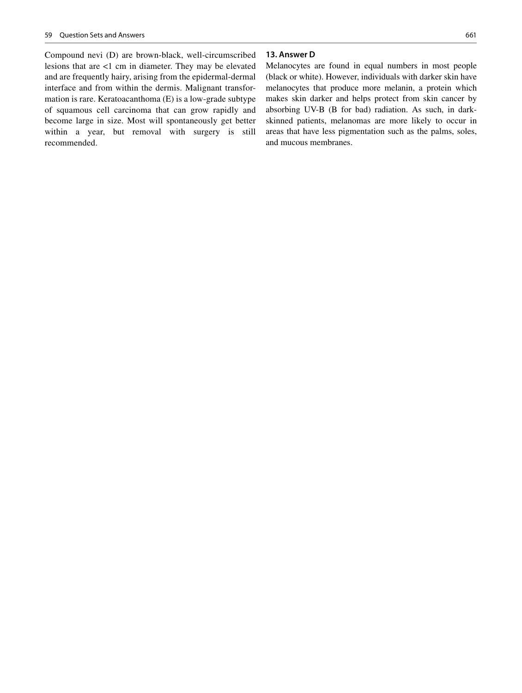Compound nevi (D) are brown- black, well-circumscribed lesions that are <1 cm in diameter. They may be elevated and are frequently hairy, arising from the epidermal-dermal interface and from within the dermis. Malignant transformation is rare. Keratoacanthoma (E) is a low-grade subtype of squamous cell carcinoma that can grow rapidly and become large in size. Most will spontaneously get better within a year, but removal with surgery is still recommended.

## **13. Answer D**

 Melanocytes are found in equal numbers in most people (black or white). However, individuals with darker skin have melanocytes that produce more melanin, a protein which makes skin darker and helps protect from skin cancer by absorbing UV-B (B for bad) radiation. As such, in darkskinned patients, melanomas are more likely to occur in areas that have less pigmentation such as the palms, soles, and mucous membranes.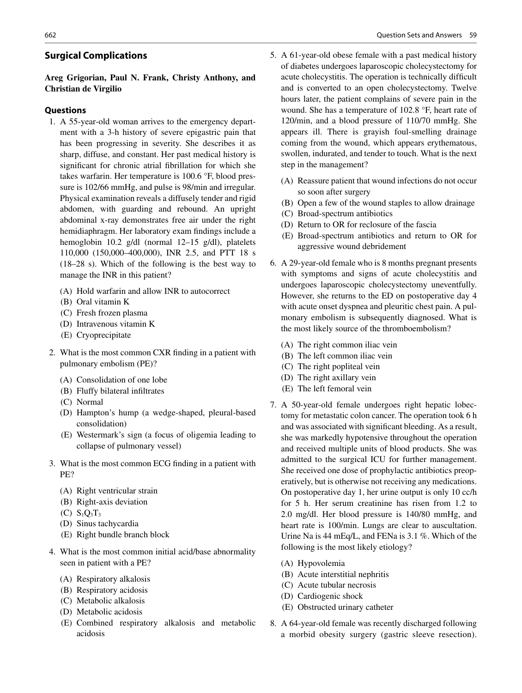# **Surgical Complications**

 **Areg Grigorian, Paul N. Frank, Christy Anthony, and Christian de Virgilio** 

#### **Questions**

- 1. A 55-year-old woman arrives to the emergency department with a 3-h history of severe epigastric pain that has been progressing in severity. She describes it as sharp, diffuse, and constant. Her past medical history is significant for chronic atrial fibrillation for which she takes warfarin. Her temperature is 100.6 °F, blood pressure is 102/66 mmHg, and pulse is 98/min and irregular. Physical examination reveals a diffusely tender and rigid abdomen, with guarding and rebound. An upright abdominal x-ray demonstrates free air under the right hemidiaphragm. Her laboratory exam findings include a hemoglobin 10.2 g/dl (normal 12–15 g/dl), platelets 110,000 (150,000–400,000), INR 2.5, and PTT 18 s (18–28 s). Which of the following is the best way to manage the INR in this patient?
	- (A) Hold warfarin and allow INR to autocorrect
	- (B) Oral vitamin K
	- (C) Fresh frozen plasma
	- (D) Intravenous vitamin K
	- (E) Cryoprecipitate
- 2. What is the most common CXR finding in a patient with pulmonary embolism (PE)?
	- (A) Consolidation of one lobe
	- (B) Fluffy bilateral infiltrates
	- (C) Normal
	- (D) Hampton's hump (a wedge-shaped, pleural-based consolidation)
	- (E) Westermark's sign (a focus of oligemia leading to collapse of pulmonary vessel)
- 3. What is the most common ECG finding in a patient with PE?
	- (A) Right ventricular strain
	- (B) Right-axis deviation
	- (C)  $S_1 Q_3 T_3$
	- (D) Sinus tachycardia
	- (E) Right bundle branch block
- 4. What is the most common initial acid/base abnormality seen in patient with a PE?
	- (A) Respiratory alkalosis
	- (B) Respiratory acidosis
	- (C) Metabolic alkalosis
	- (D) Metabolic acidosis
	- (E) Combined respiratory alkalosis and metabolic acidosis
- 5. A 61-year-old obese female with a past medical history of diabetes undergoes laparoscopic cholecystectomy for acute cholecystitis. The operation is technically difficult and is converted to an open cholecystectomy. Twelve hours later, the patient complains of severe pain in the wound. She has a temperature of 102.8 °F, heart rate of 120/min, and a blood pressure of 110/70 mmHg. She appears ill. There is grayish foul-smelling drainage coming from the wound, which appears erythematous, swollen, indurated, and tender to touch. What is the next step in the management?
	- (A) Reassure patient that wound infections do not occur so soon after surgery
	- (B) Open a few of the wound staples to allow drainage
	- (C) Broad-spectrum antibiotics
	- (D) Return to OR for reclosure of the fascia
	- (E) Broad-spectrum antibiotics and return to OR for aggressive wound debridement
- 6. A 29-year-old female who is 8 months pregnant presents with symptoms and signs of acute cholecystitis and undergoes laparoscopic cholecystectomy uneventfully. However, she returns to the ED on postoperative day 4 with acute onset dyspnea and pleuritic chest pain. A pulmonary embolism is subsequently diagnosed. What is the most likely source of the thromboembolism?
	- (A) The right common iliac vein
	- (B) The left common iliac vein
	- (C) The right popliteal vein
	- (D) The right axillary vein
	- (E) The left femoral vein
- 7. A 50-year-old female undergoes right hepatic lobectomy for metastatic colon cancer. The operation took 6 h and was associated with significant bleeding. As a result, she was markedly hypotensive throughout the operation and received multiple units of blood products. She was admitted to the surgical ICU for further management. She received one dose of prophylactic antibiotics preoperatively, but is otherwise not receiving any medications. On postoperative day 1, her urine output is only 10 cc/h for 5 h. Her serum creatinine has risen from 1.2 to 2.0 mg/dl. Her blood pressure is 140/80 mmHg, and heart rate is 100/min. Lungs are clear to auscultation. Urine Na is 44 mEq/L, and FENa is 3.1 %. Which of the following is the most likely etiology?
	- (A) Hypovolemia
	- (B) Acute interstitial nephritis
	- (C) Acute tubular necrosis
	- (D) Cardiogenic shock
	- (E) Obstructed urinary catheter
- 8. A 64-year-old female was recently discharged following a morbid obesity surgery (gastric sleeve resection).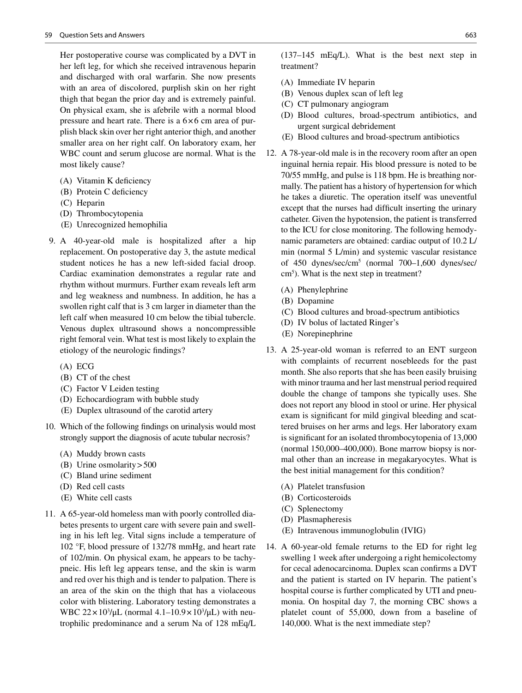Her postoperative course was complicated by a DVT in her left leg, for which she received intravenous heparin and discharged with oral warfarin. She now presents with an area of discolored, purplish skin on her right thigh that began the prior day and is extremely painful. On physical exam, she is afebrile with a normal blood pressure and heart rate. There is a  $6 \times 6$  cm area of purplish black skin over her right anterior thigh, and another smaller area on her right calf. On laboratory exam, her WBC count and serum glucose are normal. What is the most likely cause?

- (A) Vitamin K deficiency
- (B) Protein C deficiency
- (C) Heparin
- (D) Thrombocytopenia
- (E) Unrecognized hemophilia
- 9. A 40-year-old male is hospitalized after a hip replacement. On postoperative day 3, the astute medical student notices he has a new left-sided facial droop. Cardiac examination demonstrates a regular rate and rhythm without murmurs. Further exam reveals left arm and leg weakness and numbness. In addition, he has a swollen right calf that is 3 cm larger in diameter than the left calf when measured 10 cm below the tibial tubercle. Venous duplex ultrasound shows a noncompressible right femoral vein. What test is most likely to explain the etiology of the neurologic findings?
	- (A) ECG
	- (B) CT of the chest
	- (C) Factor V Leiden testing
	- (D) Echocardiogram with bubble study
	- (E) Duplex ultrasound of the carotid artery
- 10. Which of the following findings on urinalysis would most strongly support the diagnosis of acute tubular necrosis?
	- (A) Muddy brown casts
	- (B) Urine osmolarity > 500
	- (C) Bland urine sediment
	- (D) Red cell casts
	- (E) White cell casts
- 11. A 65-year-old homeless man with poorly controlled diabetes presents to urgent care with severe pain and swelling in his left leg. Vital signs include a temperature of 102 °F, blood pressure of 132/78 mmHg, and heart rate of 102/min. On physical exam, he appears to be tachypneic. His left leg appears tense, and the skin is warm and red over his thigh and is tender to palpation. There is an area of the skin on the thigh that has a violaceous color with blistering. Laboratory testing demonstrates a WBC  $22 \times 10^3/\mu L$  (normal  $4.1-10.9 \times 10^3/\mu L$ ) with neutrophilic predominance and a serum Na of 128 mEq/L

(137–145 mEq/L). What is the best next step in treatment?

- (A) Immediate IV heparin
- (B) Venous duplex scan of left leg
- (C) CT pulmonary angiogram
- (D) Blood cultures, broad-spectrum antibiotics, and urgent surgical debridement
- (E) Blood cultures and broad-spectrum antibiotics
- 12. A 78-year-old male is in the recovery room after an open inguinal hernia repair. His blood pressure is noted to be 70/55 mmHg, and pulse is 118 bpm. He is breathing normally. The patient has a history of hypertension for which he takes a diuretic. The operation itself was uneventful except that the nurses had difficult inserting the urinary catheter. Given the hypotension, the patient is transferred to the ICU for close monitoring. The following hemodynamic parameters are obtained: cardiac output of 10.2 L/ min (normal 5 L/min) and systemic vascular resistance of 450 dynes/sec/cm5 (normal 700–1,600 dynes/sec/ cm<sup>5</sup>). What is the next step in treatment?
	- (A) Phenylephrine
	- (B) Dopamine
	- (C) Blood cultures and broad-spectrum antibiotics
	- (D) IV bolus of lactated Ringer's
	- (E) Norepinephrine
- 13. A 25-year-old woman is referred to an ENT surgeon with complaints of recurrent nosebleeds for the past month. She also reports that she has been easily bruising with minor trauma and her last menstrual period required double the change of tampons she typically uses. She does not report any blood in stool or urine. Her physical exam is significant for mild gingival bleeding and scattered bruises on her arms and legs. Her laboratory exam is significant for an isolated thrombocytopenia of 13,000 (normal 150,000–400,000). Bone marrow biopsy is normal other than an increase in megakaryocytes. What is the best initial management for this condition?
	- (A) Platelet transfusion
	- (B) Corticosteroids
	- (C) Splenectomy
	- (D) Plasmapheresis
	- (E) Intravenous immunoglobulin (IVIG)
- 14. A 60-year-old female returns to the ED for right leg swelling 1 week after undergoing a right hemicolectomy for cecal adenocarcinoma. Duplex scan confirms a DVT and the patient is started on IV heparin. The patient's hospital course is further complicated by UTI and pneumonia. On hospital day 7, the morning CBC shows a platelet count of 55,000, down from a baseline of 140,000. What is the next immediate step?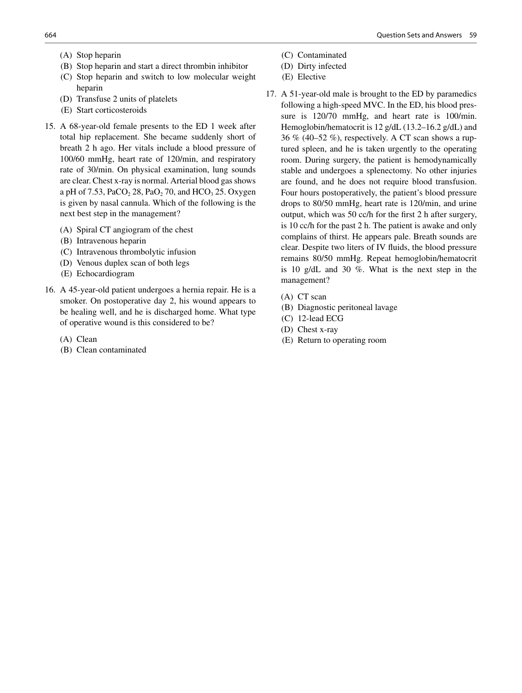- (A) Stop heparin
- (B) Stop heparin and start a direct thrombin inhibitor
- (C) Stop heparin and switch to low molecular weight heparin
- (D) Transfuse 2 units of platelets
- (E) Start corticosteroids
- 15. A 68-year-old female presents to the ED 1 week after total hip replacement. She became suddenly short of breath 2 h ago. Her vitals include a blood pressure of 100/60 mmHg, heart rate of 120/min, and respiratory rate of 30/min. On physical examination, lung sounds are clear. Chest x-ray is normal. Arterial blood gas shows a pH of 7.53, PaCO<sub>2</sub> 28, PaO<sub>2</sub> 70, and HCO<sub>3</sub> 25. Oxygen is given by nasal cannula. Which of the following is the next best step in the management?
	- (A) Spiral CT angiogram of the chest
	- (B) Intravenous heparin
	- (C) Intravenous thrombolytic infusion
	- (D) Venous duplex scan of both legs
	- (E) Echocardiogram
- 16. A 45-year-old patient undergoes a hernia repair. He is a smoker. On postoperative day 2, his wound appears to be healing well, and he is discharged home. What type of operative wound is this considered to be?
	- (A) Clean
	- (B) Clean contaminated
- (C) Contaminated
- (D) Dirty infected
- (E) Elective
- 17. A 51-year-old male is brought to the ED by paramedics following a high-speed MVC. In the ED, his blood pressure is 120/70 mmHg, and heart rate is 100/min. Hemoglobin/hematocrit is 12 g/dL (13.2–16.2 g/dL) and 36 % (40–52 %), respectively. A CT scan shows a ruptured spleen, and he is taken urgently to the operating room. During surgery, the patient is hemodynamically stable and undergoes a splenectomy. No other injuries are found, and he does not require blood transfusion. Four hours postoperatively, the patient's blood pressure drops to 80/50 mmHg, heart rate is 120/min, and urine output, which was  $50$  cc/h for the first 2 h after surgery, is 10 cc/h for the past 2 h. The patient is awake and only complains of thirst. He appears pale. Breath sounds are clear. Despite two liters of IV fluids, the blood pressure remains 80/50 mmHg. Repeat hemoglobin/hematocrit is 10 g/dL and 30 %. What is the next step in the management?
	- (A) CT scan
	- (B) Diagnostic peritoneal lavage
	- (C) 12-lead ECG
	- (D) Chest x-ray
	- (E) Return to operating room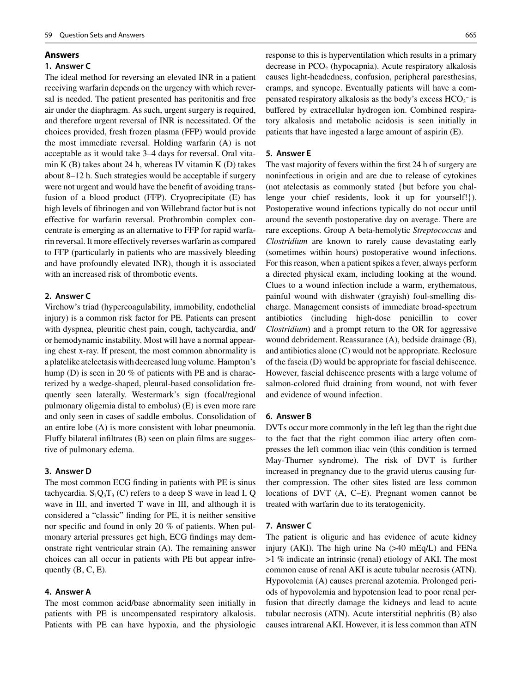#### **Answers**

# **1. Answer C**

 The ideal method for reversing an elevated INR in a patient receiving warfarin depends on the urgency with which reversal is needed. The patient presented has peritonitis and free air under the diaphragm. As such, urgent surgery is required, and therefore urgent reversal of INR is necessitated. Of the choices provided, fresh frozen plasma (FFP) would provide the most immediate reversal. Holding warfarin (A) is not acceptable as it would take 3–4 days for reversal. Oral vitamin K (B) takes about 24 h, whereas IV vitamin K (D) takes about 8–12 h. Such strategies would be acceptable if surgery were not urgent and would have the benefit of avoiding transfusion of a blood product (FFP). Cryoprecipitate (E) has high levels of fibrinogen and von Willebrand factor but is not effective for warfarin reversal. Prothrombin complex concentrate is emerging as an alternative to FFP for rapid warfarin reversal. It more effectively reverses warfarin as compared to FFP (particularly in patients who are massively bleeding and have profoundly elevated INR), though it is associated with an increased risk of thrombotic events.

# **2. Answer C**

 Virchow's triad (hypercoagulability, immobility, endothelial injury) is a common risk factor for PE. Patients can present with dyspnea, pleuritic chest pain, cough, tachycardia, and/ or hemodynamic instability. Most will have a normal appearing chest x-ray. If present, the most common abnormality is a platelike atelectasis with decreased lung volume. Hampton's hump (D) is seen in 20 % of patients with PE and is characterized by a wedge-shaped, pleural-based consolidation frequently seen laterally. Westermark's sign (focal/regional pulmonary oligemia distal to embolus) (E) is even more rare and only seen in cases of saddle embolus. Consolidation of an entire lobe (A) is more consistent with lobar pneumonia. Fluffy bilateral infiltrates (B) seen on plain films are suggestive of pulmonary edema.

### **3. Answer D**

The most common ECG finding in patients with PE is sinus tachycardia.  $S_1 Q_3 T_3$  (C) refers to a deep S wave in lead I, Q wave in III, and inverted T wave in III, and although it is considered a "classic" finding for PE, it is neither sensitive nor specific and found in only 20  $%$  of patients. When pulmonary arterial pressures get high, ECG findings may demonstrate right ventricular strain (A). The remaining answer choices can all occur in patients with PE but appear infrequently  $(B, C, E)$ .

# **4. Answer A**

 The most common acid/base abnormality seen initially in patients with PE is uncompensated respiratory alkalosis. Patients with PE can have hypoxia, and the physiologic

response to this is hyperventilation which results in a primary decrease in  $PCO<sub>2</sub>$  (hypocapnia). Acute respiratory alkalosis causes light-headedness, confusion, peripheral paresthesias, cramps, and syncope. Eventually patients will have a compensated respiratory alkalosis as the body's excess  $HCO<sub>3</sub><sup>-</sup>$  is buffered by extracellular hydrogen ion. Combined respiratory alkalosis and metabolic acidosis is seen initially in patients that have ingested a large amount of aspirin (E).

### **5. Answer E**

The vast majority of fevers within the first 24 h of surgery are noninfectious in origin and are due to release of cytokines (not atelectasis as commonly stated {but before you challenge your chief residents, look it up for yourself!}). Postoperative wound infections typically do not occur until around the seventh postoperative day on average. There are rare exceptions. Group A beta-hemolytic *Streptococcus* and *Clostridium* are known to rarely cause devastating early (sometimes within hours) postoperative wound infections. For this reason, when a patient spikes a fever, always perform a directed physical exam, including looking at the wound. Clues to a wound infection include a warm, erythematous, painful wound with dishwater (grayish) foul-smelling discharge. Management consists of immediate broad-spectrum antibiotics (including high- dose penicillin to cover *Clostridium*) and a prompt return to the OR for aggressive wound debridement. Reassurance (A), bedside drainage (B), and antibiotics alone (C) would not be appropriate. Reclosure of the fascia (D) would be appropriate for fascial dehiscence. However, fascial dehiscence presents with a large volume of salmon-colored fluid draining from wound, not with fever and evidence of wound infection.

#### **6. Answer B**

 DVTs occur more commonly in the left leg than the right due to the fact that the right common iliac artery often compresses the left common iliac vein (this condition is termed May-Thurner syndrome). The risk of DVT is further increased in pregnancy due to the gravid uterus causing further compression. The other sites listed are less common locations of DVT (A, C–E). Pregnant women cannot be treated with warfarin due to its teratogenicity.

#### **7. Answer C**

 The patient is oliguric and has evidence of acute kidney injury (AKI). The high urine Na (>40 mEq/L) and FENa >1 % indicate an intrinsic (renal) etiology of AKI. The most common cause of renal AKI is acute tubular necrosis (ATN). Hypovolemia (A) causes prerenal azotemia. Prolonged periods of hypovolemia and hypotension lead to poor renal perfusion that directly damage the kidneys and lead to acute tubular necrosis (ATN). Acute interstitial nephritis (B) also causes intrarenal AKI. However, it is less common than ATN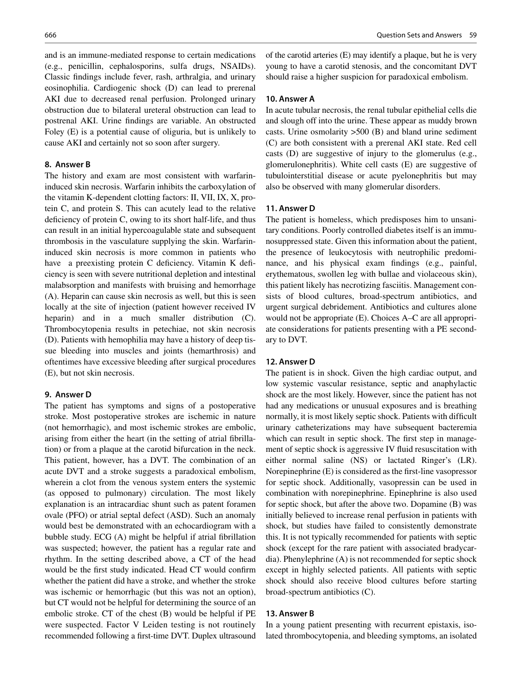and is an immune-mediated response to certain medications (e.g., penicillin, cephalosporins, sulfa drugs, NSAIDs). Classic findings include fever, rash, arthralgia, and urinary eosinophilia. Cardiogenic shock (D) can lead to prerenal AKI due to decreased renal perfusion. Prolonged urinary obstruction due to bilateral ureteral obstruction can lead to postrenal AKI. Urine findings are variable. An obstructed Foley (E) is a potential cause of oliguria, but is unlikely to cause AKI and certainly not so soon after surgery.

# **8. Answer B**

 The history and exam are most consistent with warfarininduced skin necrosis. Warfarin inhibits the carboxylation of the vitamin K-dependent clotting factors: II, VII, IX, X, protein C, and protein S. This can acutely lead to the relative deficiency of protein C, owing to its short half-life, and thus can result in an initial hypercoagulable state and subsequent thrombosis in the vasculature supplying the skin. Warfarininduced skin necrosis is more common in patients who have a preexisting protein C deficiency. Vitamin K deficiency is seen with severe nutritional depletion and intestinal malabsorption and manifests with bruising and hemorrhage (A). Heparin can cause skin necrosis as well, but this is seen locally at the site of injection (patient however received IV heparin) and in a much smaller distribution (C). Thrombocytopenia results in petechiae, not skin necrosis (D). Patients with hemophilia may have a history of deep tissue bleeding into muscles and joints (hemarthrosis) and oftentimes have excessive bleeding after surgical procedures (E), but not skin necrosis.

# **9. Answer D**

 The patient has symptoms and signs of a postoperative stroke. Most postoperative strokes are ischemic in nature (not hemorrhagic), and most ischemic strokes are embolic, arising from either the heart (in the setting of atrial fibrillation) or from a plaque at the carotid bifurcation in the neck. This patient, however, has a DVT. The combination of an acute DVT and a stroke suggests a paradoxical embolism, wherein a clot from the venous system enters the systemic (as opposed to pulmonary) circulation. The most likely explanation is an intracardiac shunt such as patent foramen ovale (PFO) or atrial septal defect (ASD). Such an anomaly would best be demonstrated with an echocardiogram with a bubble study. ECG (A) might be helpful if atrial fibrillation was suspected; however, the patient has a regular rate and rhythm. In the setting described above, a CT of the head would be the first study indicated. Head CT would confirm whether the patient did have a stroke, and whether the stroke was ischemic or hemorrhagic (but this was not an option), but CT would not be helpful for determining the source of an embolic stroke. CT of the chest (B) would be helpful if PE were suspected. Factor V Leiden testing is not routinely recommended following a first-time DVT. Duplex ultrasound of the carotid arteries (E) may identify a plaque, but he is very young to have a carotid stenosis, and the concomitant DVT should raise a higher suspicion for paradoxical embolism.

# **10. Answer A**

 In acute tubular necrosis, the renal tubular epithelial cells die and slough off into the urine. These appear as muddy brown casts. Urine osmolarity >500 (B) and bland urine sediment (C) are both consistent with a prerenal AKI state. Red cell casts (D) are suggestive of injury to the glomerulus (e.g., glomerulonephritis). White cell casts (E) are suggestive of tubulointerstitial disease or acute pyelonephritis but may also be observed with many glomerular disorders.

## **11. Answer D**

 The patient is homeless, which predisposes him to unsanitary conditions. Poorly controlled diabetes itself is an immunosuppressed state. Given this information about the patient, the presence of leukocytosis with neutrophilic predominance, and his physical exam findings (e.g., painful, erythematous, swollen leg with bullae and violaceous skin), this patient likely has necrotizing fasciitis. Management consists of blood cultures, broad-spectrum antibiotics, and urgent surgical debridement. Antibiotics and cultures alone would not be appropriate (E). Choices A–C are all appropriate considerations for patients presenting with a PE secondary to DVT.

#### **12. Answer D**

 The patient is in shock. Given the high cardiac output, and low systemic vascular resistance, septic and anaphylactic shock are the most likely. However, since the patient has not had any medications or unusual exposures and is breathing normally, it is most likely septic shock. Patients with difficult urinary catheterizations may have subsequent bacteremia which can result in septic shock. The first step in management of septic shock is aggressive IV fluid resuscitation with either normal saline (NS) or lactated Ringer's (LR). Norepinephrine  $(E)$  is considered as the first-line vasopressor for septic shock. Additionally, vasopressin can be used in combination with norepinephrine. Epinephrine is also used for septic shock, but after the above two. Dopamine (B) was initially believed to increase renal perfusion in patients with shock, but studies have failed to consistently demonstrate this. It is not typically recommended for patients with septic shock (except for the rare patient with associated bradycardia). Phenylephrine (A) is not recommended for septic shock except in highly selected patients. All patients with septic shock should also receive blood cultures before starting broad-spectrum antibiotics (C).

# **13. Answer B**

 In a young patient presenting with recurrent epistaxis, isolated thrombocytopenia, and bleeding symptoms, an isolated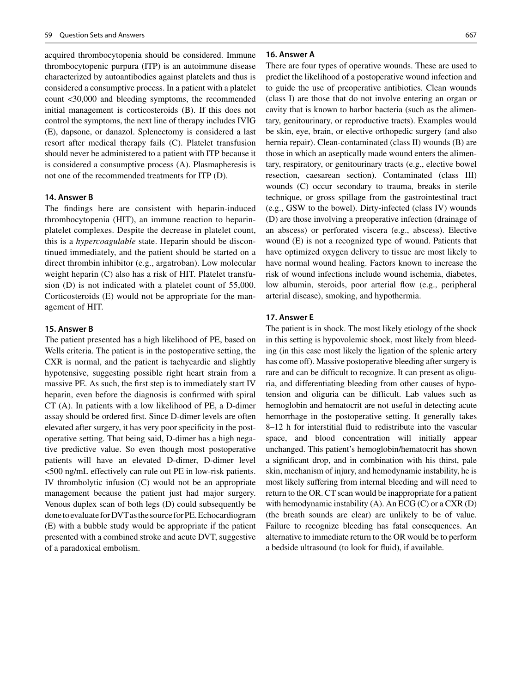acquired thrombocytopenia should be considered. Immune thrombocytopenic purpura (ITP) is an autoimmune disease characterized by autoantibodies against platelets and thus is considered a consumptive process. In a patient with a platelet count <30,000 and bleeding symptoms, the recommended initial management is corticosteroids (B). If this does not control the symptoms, the next line of therapy includes IVIG (E), dapsone, or danazol. Splenectomy is considered a last resort after medical therapy fails (C). Platelet transfusion should never be administered to a patient with ITP because it is considered a consumptive process (A). Plasmapheresis is not one of the recommended treatments for ITP (D).

#### **14. Answer B**

The findings here are consistent with heparin-induced thrombocytopenia (HIT), an immune reaction to heparinplatelet complexes. Despite the decrease in platelet count, this is a *hypercoagulable* state. Heparin should be discontinued immediately, and the patient should be started on a direct thrombin inhibitor (e.g., argatroban). Low molecular weight heparin (C) also has a risk of HIT. Platelet transfusion (D) is not indicated with a platelet count of 55,000. Corticosteroids (E) would not be appropriate for the management of HIT.

#### **15. Answer B**

 The patient presented has a high likelihood of PE, based on Wells criteria. The patient is in the postoperative setting, the CXR is normal, and the patient is tachycardic and slightly hypotensive, suggesting possible right heart strain from a massive PE. As such, the first step is to immediately start IV heparin, even before the diagnosis is confirmed with spiral CT (A). In patients with a low likelihood of PE, a D-dimer assay should be ordered first. Since D-dimer levels are often elevated after surgery, it has very poor specificity in the postoperative setting. That being said, D-dimer has a high negative predictive value. So even though most postoperative patients will have an elevated D-dimer, D-dimer level <500 ng/mL effectively can rule out PE in low-risk patients. IV thrombolytic infusion (C) would not be an appropriate management because the patient just had major surgery. Venous duplex scan of both legs (D) could subsequently be done to evaluate for DVT as the source for PE. Echocardiogram (E) with a bubble study would be appropriate if the patient presented with a combined stroke and acute DVT, suggestive of a paradoxical embolism.

#### 667

#### **16. Answer A**

 There are four types of operative wounds. These are used to predict the likelihood of a postoperative wound infection and to guide the use of preoperative antibiotics. Clean wounds (class I) are those that do not involve entering an organ or cavity that is known to harbor bacteria (such as the alimentary, genitourinary, or reproductive tracts). Examples would be skin, eye, brain, or elective orthopedic surgery (and also hernia repair). Clean-contaminated (class II) wounds (B) are those in which an aseptically made wound enters the alimentary, respiratory, or genitourinary tracts (e.g., elective bowel resection, caesarean section). Contaminated (class III) wounds (C) occur secondary to trauma, breaks in sterile technique, or gross spillage from the gastrointestinal tract (e.g., GSW to the bowel). Dirty-infected (class IV) wounds (D) are those involving a preoperative infection (drainage of an abscess) or perforated viscera (e.g., abscess). Elective wound (E) is not a recognized type of wound. Patients that have optimized oxygen delivery to tissue are most likely to have normal wound healing. Factors known to increase the risk of wound infections include wound ischemia, diabetes, low albumin, steroids, poor arterial flow (e.g., peripheral arterial disease), smoking, and hypothermia.

## **17. Answer E**

 The patient is in shock. The most likely etiology of the shock in this setting is hypovolemic shock, most likely from bleeding (in this case most likely the ligation of the splenic artery has come off). Massive postoperative bleeding after surgery is rare and can be difficult to recognize. It can present as oliguria, and differentiating bleeding from other causes of hypotension and oliguria can be difficult. Lab values such as hemoglobin and hematocrit are not useful in detecting acute hemorrhage in the postoperative setting. It generally takes  $8-12$  h for interstitial fluid to redistribute into the vascular space, and blood concentration will initially appear unchanged. This patient's hemoglobin/hematocrit has shown a significant drop, and in combination with his thirst, pale skin, mechanism of injury, and hemodynamic instability, he is most likely suffering from internal bleeding and will need to return to the OR. CT scan would be inappropriate for a patient with hemodynamic instability (A). An ECG (C) or a CXR (D) (the breath sounds are clear) are unlikely to be of value. Failure to recognize bleeding has fatal consequences. An alternative to immediate return to the OR would be to perform a bedside ultrasound (to look for fluid), if available.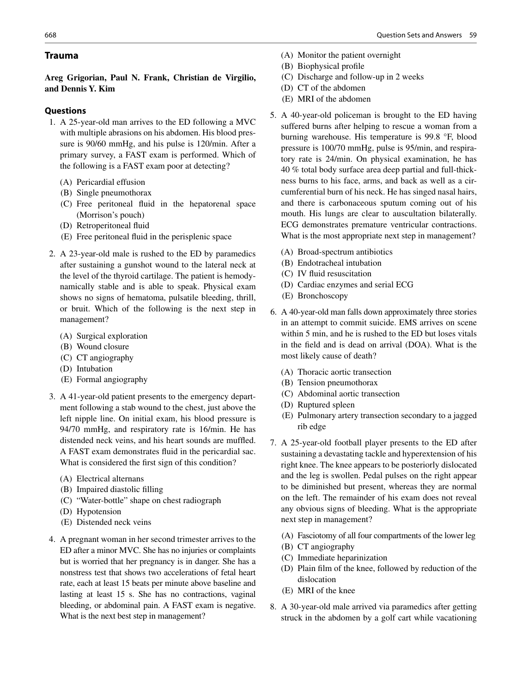# **Trauma**

 **Areg Grigorian, Paul N. Frank, Christian de Virgilio, and Dennis Y. Kim** 

### **Questions**

- 1. A 25-year-old man arrives to the ED following a MVC with multiple abrasions on his abdomen. His blood pressure is 90/60 mmHg, and his pulse is 120/min. After a primary survey, a FAST exam is performed. Which of the following is a FAST exam poor at detecting?
	- (A) Pericardial effusion
	- (B) Single pneumothorax
	- (C) Free peritoneal fluid in the hepatorenal space (Morrison's pouch)
	- (D) Retroperitoneal fluid
	- (E) Free peritoneal fluid in the perisplenic space
- 2. A 23-year-old male is rushed to the ED by paramedics after sustaining a gunshot wound to the lateral neck at the level of the thyroid cartilage. The patient is hemodynamically stable and is able to speak. Physical exam shows no signs of hematoma, pulsatile bleeding, thrill, or bruit. Which of the following is the next step in management?
	- (A) Surgical exploration
	- (B) Wound closure
	- (C) CT angiography
	- (D) Intubation
	- (E) Formal angiography
- 3. A 41-year-old patient presents to the emergency department following a stab wound to the chest, just above the left nipple line. On initial exam, his blood pressure is 94/70 mmHg, and respiratory rate is 16/min. He has distended neck veins, and his heart sounds are muffled. A FAST exam demonstrates fluid in the pericardial sac. What is considered the first sign of this condition?
	- (A) Electrical alternans
	- (B) Impaired diastolic filling
	- (C) "Water-bottle" shape on chest radiograph
	- (D) Hypotension
	- (E) Distended neck veins
- 4. A pregnant woman in her second trimester arrives to the ED after a minor MVC. She has no injuries or complaints but is worried that her pregnancy is in danger. She has a nonstress test that shows two accelerations of fetal heart rate, each at least 15 beats per minute above baseline and lasting at least 15 s. She has no contractions, vaginal bleeding, or abdominal pain. A FAST exam is negative. What is the next best step in management?
- (A) Monitor the patient overnight
- (B) Biophysical profile
- (C) Discharge and follow-up in 2 weeks
- (D) CT of the abdomen
- (E) MRI of the abdomen
- 5. A 40-year-old policeman is brought to the ED having suffered burns after helping to rescue a woman from a burning warehouse. His temperature is 99.8 °F, blood pressure is 100/70 mmHg, pulse is 95/min, and respiratory rate is 24/min. On physical examination, he has 40 % total body surface area deep partial and full-thickness burns to his face, arms, and back as well as a circumferential burn of his neck. He has singed nasal hairs, and there is carbonaceous sputum coming out of his mouth. His lungs are clear to auscultation bilaterally. ECG demonstrates premature ventricular contractions. What is the most appropriate next step in management?
	- (A) Broad-spectrum antibiotics
	- (B) Endotracheal intubation
	- (C) IV fluid resuscitation
	- (D) Cardiac enzymes and serial ECG
	- (E) Bronchoscopy
- 6. A 40-year-old man falls down approximately three stories in an attempt to commit suicide. EMS arrives on scene within 5 min, and he is rushed to the ED but loses vitals in the field and is dead on arrival (DOA). What is the most likely cause of death?
	- (A) Thoracic aortic transection
	- (B) Tension pneumothorax
	- (C) Abdominal aortic transection
	- (D) Ruptured spleen
	- (E) Pulmonary artery transection secondary to a jagged rib edge
- 7. A 25-year-old football player presents to the ED after sustaining a devastating tackle and hyperextension of his right knee. The knee appears to be posteriorly dislocated and the leg is swollen. Pedal pulses on the right appear to be diminished but present, whereas they are normal on the left. The remainder of his exam does not reveal any obvious signs of bleeding. What is the appropriate next step in management?
	- (A) Fasciotomy of all four compartments of the lower leg
	- (B) CT angiography
	- (C) Immediate heparinization
	- (D) Plain film of the knee, followed by reduction of the dislocation
	- (E) MRI of the knee
- 8. A 30-year-old male arrived via paramedics after getting struck in the abdomen by a golf cart while vacationing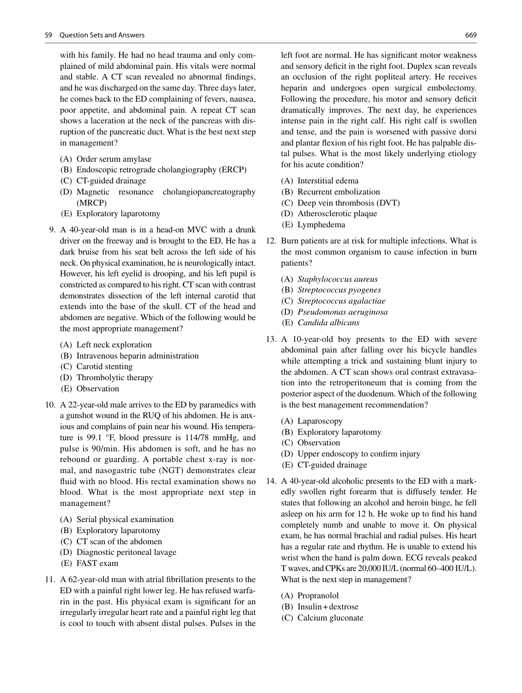with his family. He had no head trauma and only complained of mild abdominal pain. His vitals were normal and stable. A CT scan revealed no abnormal findings, and he was discharged on the same day. Three days later, he comes back to the ED complaining of fevers, nausea, poor appetite, and abdominal pain. A repeat CT scan shows a laceration at the neck of the pancreas with disruption of the pancreatic duct. What is the best next step in management?

- (A) Order serum amylase
- (B) Endoscopic retrograde cholangiography (ERCP)
- (C) CT-guided drainage
- (D) Magnetic resonance cholangiopancreatography (MRCP)
- (E) Exploratory laparotomy
- 9. A 40-year-old man is in a head-on MVC with a drunk driver on the freeway and is brought to the ED. He has a dark bruise from his seat belt across the left side of his neck. On physical examination, he is neurologically intact. However, his left eyelid is drooping, and his left pupil is constricted as compared to his right. CT scan with contrast demonstrates dissection of the left internal carotid that extends into the base of the skull. CT of the head and abdomen are negative. Which of the following would be the most appropriate management?
	- (A) Left neck exploration
	- (B) Intravenous heparin administration
	- (C) Carotid stenting
	- (D) Thrombolytic therapy
	- (E) Observation
- 10. A 22-year-old male arrives to the ED by paramedics with a gunshot wound in the RUQ of his abdomen. He is anxious and complains of pain near his wound. His temperature is 99.1 °F, blood pressure is 114/78 mmHg, and pulse is 90/min. His abdomen is soft, and he has no rebound or guarding. A portable chest x-ray is normal, and nasogastric tube (NGT) demonstrates clear fluid with no blood. His rectal examination shows no blood. What is the most appropriate next step in management?
	- (A) Serial physical examination
	- (B) Exploratory laparotomy
	- (C) CT scan of the abdomen
	- (D) Diagnostic peritoneal lavage
	- (E) FAST exam
- 11. A 62-year-old man with atrial fibrillation presents to the ED with a painful right lower leg. He has refused warfarin in the past. His physical exam is significant for an irregularly irregular heart rate and a painful right leg that is cool to touch with absent distal pulses. Pulses in the

left foot are normal. He has significant motor weakness and sensory deficit in the right foot. Duplex scan reveals an occlusion of the right popliteal artery. He receives heparin and undergoes open surgical embolectomy. Following the procedure, his motor and sensory deficit dramatically improves. The next day, he experiences intense pain in the right calf. His right calf is swollen and tense, and the pain is worsened with passive dorsi and plantar flexion of his right foot. He has palpable distal pulses. What is the most likely underlying etiology for his acute condition?

- (A) Interstitial edema
- (B) Recurrent embolization
- (C) Deep vein thrombosis (DVT)
- (D) Atherosclerotic plaque
- (E) Lymphedema
- 12. Burn patients are at risk for multiple infections. What is the most common organism to cause infection in burn patients?
	- (A) *Staphylococcus aureus*
	- (B) *Streptococcus pyogenes*
	- (C) *Streptococcus agalactiae*
	- (D) *Pseudomonas aeruginosa*
	- (E) *Candida albicans*
- 13. A 10-year-old boy presents to the ED with severe abdominal pain after falling over his bicycle handles while attempting a trick and sustaining blunt injury to the abdomen. A CT scan shows oral contrast extravasation into the retroperitoneum that is coming from the posterior aspect of the duodenum. Which of the following is the best management recommendation?
	- (A) Laparoscopy
	- (B) Exploratory laparotomy
	- (C) Observation
	- (D) Upper endoscopy to confirm injury
	- (E) CT-guided drainage
- 14. A 40-year-old alcoholic presents to the ED with a markedly swollen right forearm that is diffusely tender. He states that following an alcohol and heroin binge, he fell asleep on his arm for  $12$  h. He woke up to find his hand completely numb and unable to move it. On physical exam, he has normal brachial and radial pulses. His heart has a regular rate and rhythm. He is unable to extend his wrist when the hand is palm down. ECG reveals peaked T waves, and CPKs are 20,000 IU/L (normal 60–400 IU/L). What is the next step in management?
	- (A) Propranolol
	- (B) Insulin + dextrose
	- (C) Calcium gluconate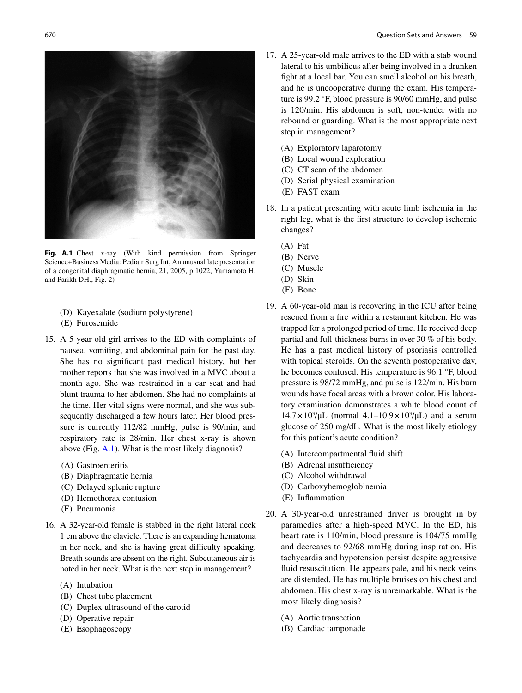

 **Fig. A.1** Chest x-ray (With kind permission from Springer Science+Business Media: Pediatr Surg Int, An unusual late presentation of a congenital diaphragmatic hernia, 21, 2005, p 1022, Yamamoto H. and Parikh DH., Fig. 2)

- (D) Kayexalate (sodium polystyrene)
- (E) Furosemide
- 15. A 5-year-old girl arrives to the ED with complaints of nausea, vomiting, and abdominal pain for the past day. She has no significant past medical history, but her mother reports that she was involved in a MVC about a month ago. She was restrained in a car seat and had blunt trauma to her abdomen. She had no complaints at the time. Her vital signs were normal, and she was subsequently discharged a few hours later. Her blood pressure is currently 112/82 mmHg, pulse is 90/min, and respiratory rate is 28/min. Her chest x-ray is shown above (Fig.  $A.1$ ). What is the most likely diagnosis?
	- (A) Gastroenteritis
	- (B) Diaphragmatic hernia
	- (C) Delayed splenic rupture
	- (D) Hemothorax contusion
	- (E) Pneumonia
- 16. A 32-year-old female is stabbed in the right lateral neck 1 cm above the clavicle. There is an expanding hematoma in her neck, and she is having great difficulty speaking. Breath sounds are absent on the right. Subcutaneous air is noted in her neck. What is the next step in management?
	- (A) Intubation
	- (B) Chest tube placement
	- (C) Duplex ultrasound of the carotid
	- (D) Operative repair
	- (E) Esophagoscopy
- 17. A 25-year-old male arrives to the ED with a stab wound lateral to his umbilicus after being involved in a drunken fight at a local bar. You can smell alcohol on his breath, and he is uncooperative during the exam. His temperature is 99.2 °F, blood pressure is 90/60 mmHg, and pulse is 120/min. His abdomen is soft, non-tender with no rebound or guarding. What is the most appropriate next step in management?
	- (A) Exploratory laparotomy
	- (B) Local wound exploration
	- (C) CT scan of the abdomen
	- (D) Serial physical examination
	- (E) FAST exam
- 18. In a patient presenting with acute limb ischemia in the right leg, what is the first structure to develop ischemic changes?
	- (A) Fat
	- (B) Nerve
	- (C) Muscle
	- (D) Skin
	- (E) Bone
- 19. A 60-year-old man is recovering in the ICU after being rescued from a fire within a restaurant kitchen. He was trapped for a prolonged period of time. He received deep partial and full-thickness burns in over 30 % of his body. He has a past medical history of psoriasis controlled with topical steroids. On the seventh postoperative day, he becomes confused. His temperature is 96.1 °F, blood pressure is 98/72 mmHg, and pulse is 122/min. His burn wounds have focal areas with a brown color. His laboratory examination demonstrates a white blood count of  $14.7 \times 10^3/\mu$ L (normal  $4.1-10.9 \times 10^3/\mu$ L) and a serum glucose of 250 mg/dL. What is the most likely etiology for this patient's acute condition?
	- (A) Intercompartmental fluid shift
	- (B) Adrenal insufficiency
	- (C) Alcohol withdrawal
	- (D) Carboxyhemoglobinemia
	- (E) Inflammation
- 20. A 30-year-old unrestrained driver is brought in by paramedics after a high-speed MVC. In the ED, his heart rate is 110/min, blood pressure is 104/75 mmHg and decreases to 92/68 mmHg during inspiration. His tachycardia and hypotension persist despite aggressive fluid resuscitation. He appears pale, and his neck veins are distended. He has multiple bruises on his chest and abdomen. His chest x-ray is unremarkable. What is the most likely diagnosis?
	- (A) Aortic transection
	- (B) Cardiac tamponade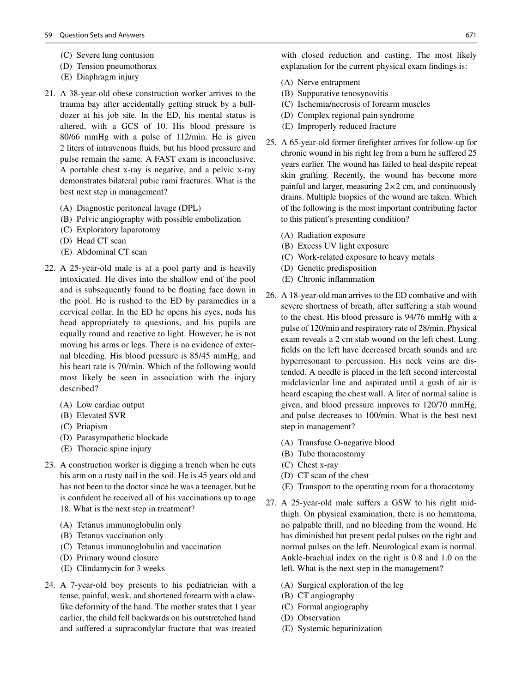- (C) Severe lung contusion
- (D) Tension pneumothorax
- (E) Diaphragm injury
- 21. A 38-year-old obese construction worker arrives to the trauma bay after accidentally getting struck by a bulldozer at his job site. In the ED, his mental status is altered, with a GCS of 10. His blood pressure is 80/66 mmHg with a pulse of 112/min. He is given 2 liters of intravenous fluids, but his blood pressure and pulse remain the same. A FAST exam is inconclusive. A portable chest x-ray is negative, and a pelvic x-ray demonstrates bilateral pubic rami fractures. What is the best next step in management?
	- (A) Diagnostic peritoneal lavage (DPL)
	- (B) Pelvic angiography with possible embolization
	- (C) Exploratory laparotomy
	- (D) Head CT scan
	- (E) Abdominal CT scan
- 22. A 25-year-old male is at a pool party and is heavily intoxicated. He dives into the shallow end of the pool and is subsequently found to be floating face down in the pool. He is rushed to the ED by paramedics in a cervical collar. In the ED he opens his eyes, nods his head appropriately to questions, and his pupils are equally round and reactive to light. However, he is not moving his arms or legs. There is no evidence of external bleeding. His blood pressure is 85/45 mmHg, and his heart rate is 70/min. Which of the following would most likely be seen in association with the injury described?
	- (A) Low cardiac output
	- (B) Elevated SVR
	- (C) Priapism
	- (D) Parasympathetic blockade
	- (E) Thoracic spine injury
- 23. A construction worker is digging a trench when he cuts his arm on a rusty nail in the soil. He is 45 years old and has not been to the doctor since he was a teenager, but he is confident he received all of his vaccinations up to age 18. What is the next step in treatment?
	- (A) Tetanus immunoglobulin only
	- (B) Tetanus vaccination only
	- (C) Tetanus immunoglobulin and vaccination
	- (D) Primary wound closure
	- (E) Clindamycin for 3 weeks
- 24. A 7-year-old boy presents to his pediatrician with a tense, painful, weak, and shortened forearm with a clawlike deformity of the hand. The mother states that 1 year earlier, the child fell backwards on his outstretched hand and suffered a supracondylar fracture that was treated

with closed reduction and casting. The most likely explanation for the current physical exam findings is:

- (A) Nerve entrapment
- (B) Suppurative tenosynovitis
- (C) Ischemia/necrosis of forearm muscles
- (D) Complex regional pain syndrome
- (E) Improperly reduced fracture
- 25. A 65-year-old former firefighter arrives for follow-up for chronic wound in his right leg from a burn he suffered 25 years earlier. The wound has failed to heal despite repeat skin grafting. Recently, the wound has become more painful and larger, measuring  $2 \times 2$  cm, and continuously drains. Multiple biopsies of the wound are taken. Which of the following is the most important contributing factor to this patient's presenting condition?
	- (A) Radiation exposure
	- (B) Excess UV light exposure
	- (C) Work-related exposure to heavy metals
	- (D) Genetic predisposition
	- (E) Chronic inflammation
- 26. A 18-year-old man arrives to the ED combative and with severe shortness of breath, after suffering a stab wound to the chest. His blood pressure is 94/76 mmHg with a pulse of 120/min and respiratory rate of 28/min. Physical exam reveals a 2 cm stab wound on the left chest. Lung fields on the left have decreased breath sounds and are hyperresonant to percussion. His neck veins are distended. A needle is placed in the left second intercostal midclavicular line and aspirated until a gush of air is heard escaping the chest wall. A liter of normal saline is given, and blood pressure improves to 120/70 mmHg, and pulse decreases to 100/min. What is the best next step in management?
	- (A) Transfuse O-negative blood
	- (B) Tube thoracostomy
	- (C) Chest x-ray
	- (D) CT scan of the chest
	- (E) Transport to the operating room for a thoracotomy
- 27. A 25-year-old male suffers a GSW to his right midthigh. On physical examination, there is no hematoma, no palpable thrill, and no bleeding from the wound. He has diminished but present pedal pulses on the right and normal pulses on the left. Neurological exam is normal. Ankle-brachial index on the right is 0.8 and 1.0 on the left. What is the next step in the management?
	- (A) Surgical exploration of the leg
	- (B) CT angiography
	- (C) Formal angiography
	- (D) Observation
	- (E) Systemic heparinization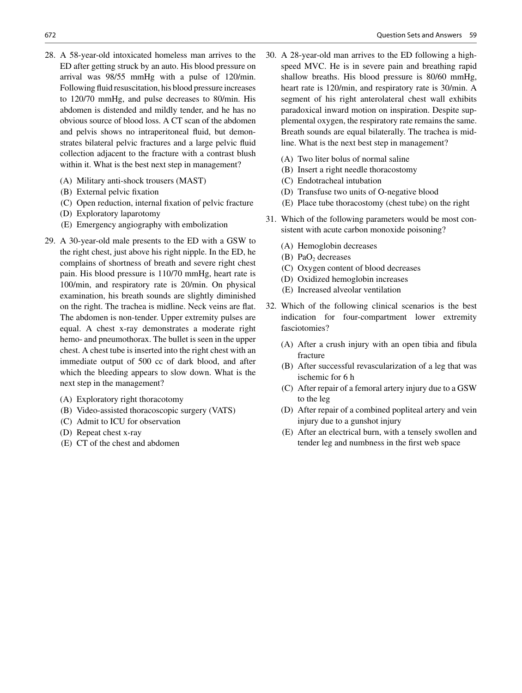- 28. A 58-year-old intoxicated homeless man arrives to the ED after getting struck by an auto. His blood pressure on arrival was 98/55 mmHg with a pulse of 120/min. Following fluid resuscitation, his blood pressure increases to 120/70 mmHg, and pulse decreases to 80/min. His abdomen is distended and mildly tender, and he has no obvious source of blood loss. A CT scan of the abdomen and pelvis shows no intraperitoneal fluid, but demonstrates bilateral pelvic fractures and a large pelvic fluid collection adjacent to the fracture with a contrast blush within it. What is the best next step in management?
	- (A) Military anti-shock trousers (MAST)
	- (B) External pelvic fixation
	- (C) Open reduction, internal fixation of pelvic fracture
	- (D) Exploratory laparotomy
	- (E) Emergency angiography with embolization
- 29. A 30-year-old male presents to the ED with a GSW to the right chest, just above his right nipple. In the ED, he complains of shortness of breath and severe right chest pain. His blood pressure is 110/70 mmHg, heart rate is 100/min, and respiratory rate is 20/min. On physical examination, his breath sounds are slightly diminished on the right. The trachea is midline. Neck veins are flat. The abdomen is non-tender. Upper extremity pulses are equal. A chest x-ray demonstrates a moderate right hemo- and pneumothorax. The bullet is seen in the upper chest. A chest tube is inserted into the right chest with an immediate output of 500 cc of dark blood, and after which the bleeding appears to slow down. What is the next step in the management?
	- (A) Exploratory right thoracotomy
	- (B) Video-assisted thoracoscopic surgery (VATS)
	- (C) Admit to ICU for observation
	- (D) Repeat chest x-ray
	- (E) CT of the chest and abdomen
- 30. A 28-year-old man arrives to the ED following a highspeed MVC. He is in severe pain and breathing rapid shallow breaths. His blood pressure is 80/60 mmHg, heart rate is 120/min, and respiratory rate is 30/min. A segment of his right anterolateral chest wall exhibits paradoxical inward motion on inspiration. Despite supplemental oxygen, the respiratory rate remains the same. Breath sounds are equal bilaterally. The trachea is midline. What is the next best step in management?
	- (A) Two liter bolus of normal saline
	- (B) Insert a right needle thoracostomy
	- (C) Endotracheal intubation
	- (D) Transfuse two units of O-negative blood
	- (E) Place tube thoracostomy (chest tube) on the right
- 31. Which of the following parameters would be most consistent with acute carbon monoxide poisoning?
	- (A) Hemoglobin decreases
	- (B) PaO<sub>2</sub> decreases
	- (C) Oxygen content of blood decreases
	- (D) Oxidized hemoglobin increases
	- (E) Increased alveolar ventilation
- 32. Which of the following clinical scenarios is the best indication for four-compartment lower extremity fasciotomies?
	- $(A)$  After a crush injury with an open tibia and fibula fracture
	- (B) After successful revascularization of a leg that was ischemic for 6 h
	- (C) After repair of a femoral artery injury due to a GSW to the leg
	- (D) After repair of a combined popliteal artery and vein injury due to a gunshot injury
	- (E) After an electrical burn, with a tensely swollen and tender leg and numbness in the first web space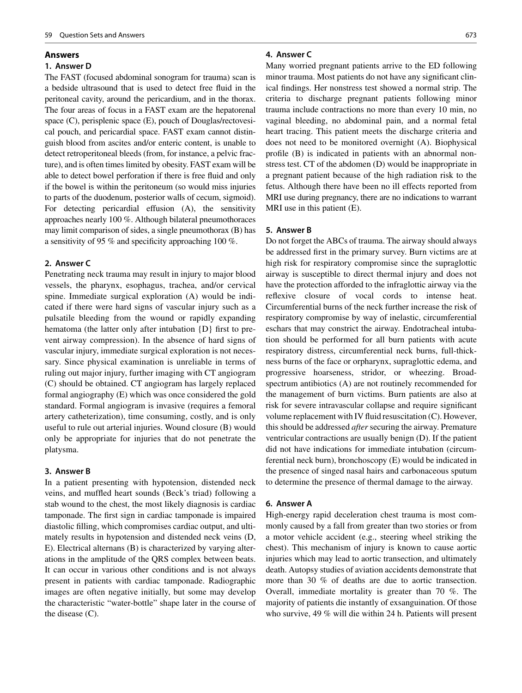#### **Answers**

#### **1. Answer D**

 The FAST (focused abdominal sonogram for trauma) scan is a bedside ultrasound that is used to detect free fluid in the peritoneal cavity, around the pericardium, and in the thorax. The four areas of focus in a FAST exam are the hepatorenal space (C), perisplenic space (E), pouch of Douglas/rectovesical pouch, and pericardial space. FAST exam cannot distinguish blood from ascites and/or enteric content, is unable to detect retroperitoneal bleeds (from, for instance, a pelvic fracture), and is often times limited by obesity. FAST exam will be able to detect bowel perforation if there is free fluid and only if the bowel is within the peritoneum (so would miss injuries to parts of the duodenum, posterior walls of cecum, sigmoid). For detecting pericardial effusion (A), the sensitivity approaches nearly 100 %. Although bilateral pneumothoraces may limit comparison of sides, a single pneumothorax (B) has a sensitivity of 95  $\%$  and specificity approaching 100  $\%$ .

#### **2. Answer C**

 Penetrating neck trauma may result in injury to major blood vessels, the pharynx, esophagus, trachea, and/or cervical spine. Immediate surgical exploration (A) would be indicated if there were hard signs of vascular injury such as a pulsatile bleeding from the wound or rapidly expanding hematoma (the latter only after intubation  $\{D\}$  first to prevent airway compression). In the absence of hard signs of vascular injury, immediate surgical exploration is not necessary. Since physical examination is unreliable in terms of ruling out major injury, further imaging with CT angiogram (C) should be obtained. CT angiogram has largely replaced formal angiography (E) which was once considered the gold standard. Formal angiogram is invasive (requires a femoral artery catheterization), time consuming, costly, and is only useful to rule out arterial injuries. Wound closure (B) would only be appropriate for injuries that do not penetrate the platysma.

# **3. Answer B**

 In a patient presenting with hypotension, distended neck veins, and muffled heart sounds (Beck's triad) following a stab wound to the chest, the most likely diagnosis is cardiac tamponade. The first sign in cardiac tamponade is impaired diastolic filling, which compromises cardiac output, and ultimately results in hypotension and distended neck veins (D, E). Electrical alternans (B) is characterized by varying alterations in the amplitude of the QRS complex between beats. It can occur in various other conditions and is not always present in patients with cardiac tamponade. Radiographic images are often negative initially, but some may develop the characteristic "water-bottle" shape later in the course of the disease (C).

#### **4. Answer C**

 Many worried pregnant patients arrive to the ED following minor trauma. Most patients do not have any significant clinical findings. Her nonstress test showed a normal strip. The criteria to discharge pregnant patients following minor trauma include contractions no more than every 10 min, no vaginal bleeding, no abdominal pain, and a normal fetal heart tracing. This patient meets the discharge criteria and does not need to be monitored overnight (A). Biophysical profile (B) is indicated in patients with an abnormal nonstress test. CT of the abdomen (D) would be inappropriate in a pregnant patient because of the high radiation risk to the fetus. Although there have been no ill effects reported from MRI use during pregnancy, there are no indications to warrant MRI use in this patient (E).

### **5. Answer B**

 Do not forget the ABCs of trauma. The airway should always be addressed first in the primary survey. Burn victims are at high risk for respiratory compromise since the supraglottic airway is susceptible to direct thermal injury and does not have the protection afforded to the infraglottic airway via the reflexive closure of vocal cords to intense heat. Circumferential burns of the neck further increase the risk of respiratory compromise by way of inelastic, circumferential eschars that may constrict the airway. Endotracheal intubation should be performed for all burn patients with acute respiratory distress, circumferential neck burns, full-thickness burns of the face or orpharynx, supraglottic edema, and progressive hoarseness, stridor, or wheezing. Broadspectrum antibiotics (A) are not routinely recommended for the management of burn victims. Burn patients are also at risk for severe intravascular collapse and require significant volume replacement with IV fluid resuscitation (C). However, this should be addressed *after* securing the airway. Premature ventricular contractions are usually benign (D). If the patient did not have indications for immediate intubation (circumferential neck burn), bronchoscopy (E) would be indicated in the presence of singed nasal hairs and carbonaceous sputum to determine the presence of thermal damage to the airway.

### **6. Answer A**

 High-energy rapid deceleration chest trauma is most commonly caused by a fall from greater than two stories or from a motor vehicle accident (e.g., steering wheel striking the chest). This mechanism of injury is known to cause aortic injuries which may lead to aortic transection, and ultimately death. Autopsy studies of aviation accidents demonstrate that more than 30 % of deaths are due to aortic transection. Overall, immediate mortality is greater than 70 %. The majority of patients die instantly of exsanguination. Of those who survive, 49 % will die within 24 h. Patients will present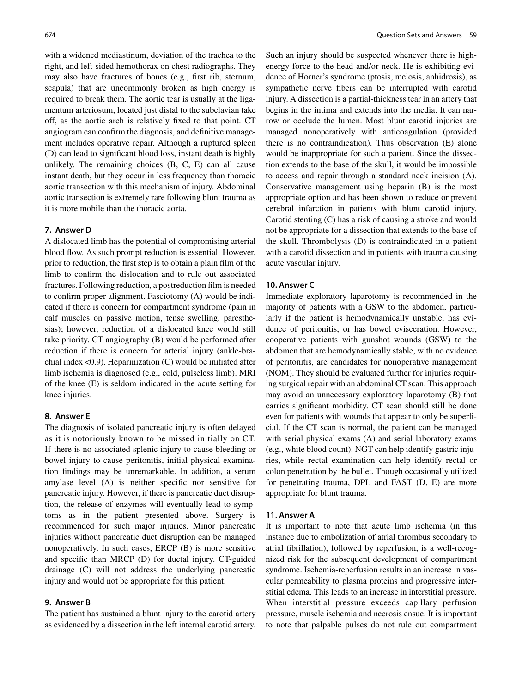with a widened mediastinum, deviation of the trachea to the right, and left-sided hemothorax on chest radiographs. They may also have fractures of bones (e.g., first rib, sternum, scapula) that are uncommonly broken as high energy is required to break them. The aortic tear is usually at the ligamentum arteriosum, located just distal to the subclavian take off, as the aortic arch is relatively fixed to that point. CT angiogram can confirm the diagnosis, and definitive management includes operative repair. Although a ruptured spleen (D) can lead to significant blood loss, instant death is highly unlikely. The remaining choices (B, C, E) can all cause instant death, but they occur in less frequency than thoracic aortic transection with this mechanism of injury. Abdominal aortic transection is extremely rare following blunt trauma as it is more mobile than the thoracic aorta.

## **7. Answer D**

 A dislocated limb has the potential of compromising arterial blood flow. As such prompt reduction is essential. However, prior to reduction, the first step is to obtain a plain film of the limb to confirm the dislocation and to rule out associated fractures. Following reduction, a postreduction film is needed to confirm proper alignment. Fasciotomy  $(A)$  would be indicated if there is concern for compartment syndrome (pain in calf muscles on passive motion, tense swelling, paresthesias); however, reduction of a dislocated knee would still take priority. CT angiography (B) would be performed after reduction if there is concern for arterial injury (ankle-brachial index  $\langle 0.9 \rangle$ . Heparinization (C) would be initiated after limb ischemia is diagnosed (e.g., cold, pulseless limb). MRI of the knee (E) is seldom indicated in the acute setting for knee injuries.

# **8. Answer E**

 The diagnosis of isolated pancreatic injury is often delayed as it is notoriously known to be missed initially on CT. If there is no associated splenic injury to cause bleeding or bowel injury to cause peritonitis, initial physical examination findings may be unremarkable. In addition, a serum amylase level (A) is neither specific nor sensitive for pancreatic injury. However, if there is pancreatic duct disruption, the release of enzymes will eventually lead to symptoms as in the patient presented above. Surgery is recommended for such major injuries. Minor pancreatic injuries without pancreatic duct disruption can be managed nonoperatively. In such cases, ERCP (B) is more sensitive and specific than MRCP (D) for ductal injury. CT-guided drainage (C) will not address the underlying pancreatic injury and would not be appropriate for this patient.

#### **9. Answer B**

 The patient has sustained a blunt injury to the carotid artery as evidenced by a dissection in the left internal carotid artery.

Such an injury should be suspected whenever there is highenergy force to the head and/or neck. He is exhibiting evidence of Horner's syndrome (ptosis, meiosis, anhidrosis), as sympathetic nerve fibers can be interrupted with carotid injury. A dissection is a partial-thickness tear in an artery that begins in the intima and extends into the media. It can narrow or occlude the lumen. Most blunt carotid injuries are managed nonoperatively with anticoagulation (provided there is no contraindication). Thus observation (E) alone would be inappropriate for such a patient. Since the dissection extends to the base of the skull, it would be impossible to access and repair through a standard neck incision (A). Conservative management using heparin (B) is the most appropriate option and has been shown to reduce or prevent cerebral infarction in patients with blunt carotid injury. Carotid stenting (C) has a risk of causing a stroke and would not be appropriate for a dissection that extends to the base of the skull. Thrombolysis (D) is contraindicated in a patient with a carotid dissection and in patients with trauma causing acute vascular injury.

#### **10. Answer C**

 Immediate exploratory laparotomy is recommended in the majority of patients with a GSW to the abdomen, particularly if the patient is hemodynamically unstable, has evidence of peritonitis, or has bowel evisceration. However, cooperative patients with gunshot wounds (GSW) to the abdomen that are hemodynamically stable, with no evidence of peritonitis, are candidates for nonoperative management (NOM). They should be evaluated further for injuries requiring surgical repair with an abdominal CT scan. This approach may avoid an unnecessary exploratory laparotomy (B) that carries significant morbidity. CT scan should still be done even for patients with wounds that appear to only be superficial. If the CT scan is normal, the patient can be managed with serial physical exams (A) and serial laboratory exams (e.g., white blood count). NGT can help identify gastric injuries, while rectal examination can help identify rectal or colon penetration by the bullet. Though occasionally utilized for penetrating trauma, DPL and FAST (D, E) are more appropriate for blunt trauma.

### **11. Answer A**

 It is important to note that acute limb ischemia (in this instance due to embolization of atrial thrombus secondary to atrial fibrillation), followed by reperfusion, is a well-recognized risk for the subsequent development of compartment syndrome. Ischemia-reperfusion results in an increase in vascular permeability to plasma proteins and progressive interstitial edema. This leads to an increase in interstitial pressure. When interstitial pressure exceeds capillary perfusion pressure, muscle ischemia and necrosis ensue. It is important to note that palpable pulses do not rule out compartment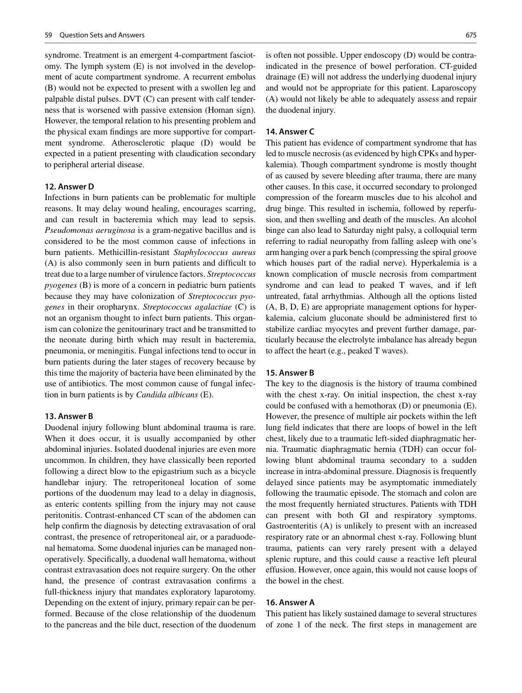syndrome. Treatment is an emergent 4-compartment fasciotomy. The lymph system (E) is not involved in the development of acute compartment syndrome. A recurrent embolus (B) would not be expected to present with a swollen leg and palpable distal pulses. DVT (C) can present with calf tenderness that is worsened with passive extension (Homan sign). However, the temporal relation to his presenting problem and the physical exam findings are more supportive for compartment syndrome. Atherosclerotic plaque (D) would be expected in a patient presenting with claudication secondary to peripheral arterial disease.

### **12. Answer D**

 Infections in burn patients can be problematic for multiple reasons. It may delay wound healing, encourages scarring, and can result in bacteremia which may lead to sepsis. *Pseudomonas aeruginosa* is a gram-negative bacillus and is considered to be the most common cause of infections in burn patients. Methicillin-resistant *Staphylococcus aureus*  $(A)$  is also commonly seen in burn patients and difficult to treat due to a large number of virulence factors. *Streptococcus pyogenes* (B) is more of a concern in pediatric burn patients because they may have colonization of *Streptococcus pyogenes* in their oropharynx. *Streptococcus agalactiae* (C) is not an organism thought to infect burn patients. This organism can colonize the genitourinary tract and be transmitted to the neonate during birth which may result in bacteremia, pneumonia, or meningitis. Fungal infections tend to occur in burn patients during the later stages of recovery because by this time the majority of bacteria have been eliminated by the use of antibiotics. The most common cause of fungal infection in burn patients is by *Candida albicans* (E).

### **13. Answer B**

 Duodenal injury following blunt abdominal trauma is rare. When it does occur, it is usually accompanied by other abdominal injuries. Isolated duodenal injuries are even more uncommon. In children, they have classically been reported following a direct blow to the epigastrium such as a bicycle handlebar injury. The retroperitoneal location of some portions of the duodenum may lead to a delay in diagnosis, as enteric contents spilling from the injury may not cause peritonitis. Contrast-enhanced CT scan of the abdomen can help confirm the diagnosis by detecting extravasation of oral contrast, the presence of retroperitoneal air, or a paraduodenal hematoma. Some duodenal injuries can be managed nonoperatively. Specifically, a duodenal wall hematoma, without contrast extravasation does not require surgery. On the other hand, the presence of contrast extravasation confirms a full-thickness injury that mandates exploratory laparotomy. Depending on the extent of injury, primary repair can be performed. Because of the close relationship of the duodenum to the pancreas and the bile duct, resection of the duodenum is often not possible. Upper endoscopy (D) would be contraindicated in the presence of bowel perforation. CT-guided drainage (E) will not address the underlying duodenal injury and would not be appropriate for this patient. Laparoscopy (A) would not likely be able to adequately assess and repair the duodenal injury.

#### **14. Answer C**

 This patient has evidence of compartment syndrome that has led to muscle necrosis (as evidenced by high CPKs and hyperkalemia). Though compartment syndrome is mostly thought of as caused by severe bleeding after trauma, there are many other causes. In this case, it occurred secondary to prolonged compression of the forearm muscles due to his alcohol and drug binge. This resulted in ischemia, followed by reperfusion, and then swelling and death of the muscles. An alcohol binge can also lead to Saturday night palsy, a colloquial term referring to radial neuropathy from falling asleep with one's arm hanging over a park bench (compressing the spiral groove which houses part of the radial nerve). Hyperkalemia is a known complication of muscle necrosis from compartment syndrome and can lead to peaked T waves, and if left untreated, fatal arrhythmias. Although all the options listed (A, B, D, E) are appropriate management options for hyperkalemia, calcium gluconate should be administered first to stabilize cardiac myocytes and prevent further damage, particularly because the electrolyte imbalance has already begun to affect the heart (e.g., peaked T waves).

## **15. Answer B**

 The key to the diagnosis is the history of trauma combined with the chest x-ray. On initial inspection, the chest x-ray could be confused with a hemothorax (D) or pneumonia (E). However, the presence of multiple air pockets within the left lung field indicates that there are loops of bowel in the left chest, likely due to a traumatic left-sided diaphragmatic hernia. Traumatic diaphragmatic hernia (TDH) can occur following blunt abdominal trauma secondary to a sudden increase in intra-abdominal pressure. Diagnosis is frequently delayed since patients may be asymptomatic immediately following the traumatic episode. The stomach and colon are the most frequently herniated structures. Patients with TDH can present with both GI and respiratory symptoms. Gastroenteritis (A) is unlikely to present with an increased respiratory rate or an abnormal chest x-ray. Following blunt trauma, patients can very rarely present with a delayed splenic rupture, and this could cause a reactive left pleural effusion. However, once again, this would not cause loops of the bowel in the chest.

# **16. Answer A**

 This patient has likely sustained damage to several structures of zone 1 of the neck. The first steps in management are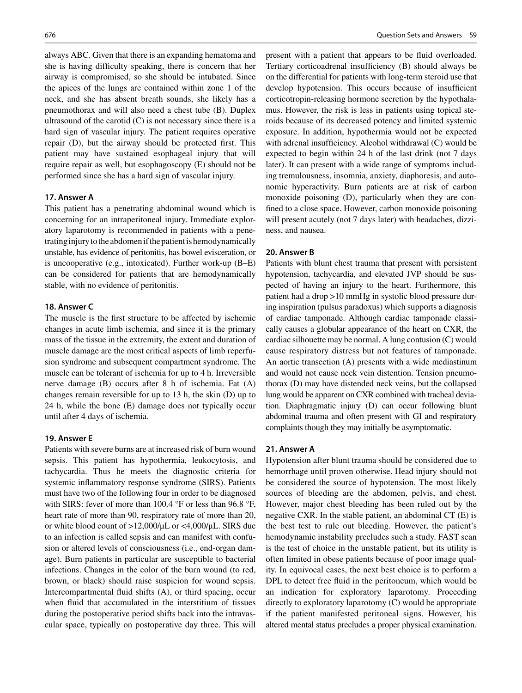always ABC. Given that there is an expanding hematoma and she is having difficulty speaking, there is concern that her airway is compromised, so she should be intubated. Since the apices of the lungs are contained within zone 1 of the neck, and she has absent breath sounds, she likely has a pneumothorax and will also need a chest tube (B). Duplex ultrasound of the carotid  $(C)$  is not necessary since there is a hard sign of vascular injury. The patient requires operative repair (D), but the airway should be protected first. This patient may have sustained esophageal injury that will require repair as well, but esophagoscopy (E) should not be performed since she has a hard sign of vascular injury.

#### **17. Answer A**

 This patient has a penetrating abdominal wound which is concerning for an intraperitoneal injury. Immediate exploratory laparotomy is recommended in patients with a penetrating injury to the abdomen if the patient is hemodynamically unstable, has evidence of peritonitis, has bowel evisceration, or is uncooperative (e.g., intoxicated). Further work-up (B–E) can be considered for patients that are hemodynamically stable, with no evidence of peritonitis.

#### **18. Answer C**

The muscle is the first structure to be affected by ischemic changes in acute limb ischemia, and since it is the primary mass of the tissue in the extremity, the extent and duration of muscle damage are the most critical aspects of limb reperfusion syndrome and subsequent compartment syndrome. The muscle can be tolerant of ischemia for up to 4 h. Irreversible nerve damage (B) occurs after 8 h of ischemia. Fat (A) changes remain reversible for up to 13 h, the skin (D) up to 24 h, while the bone (E) damage does not typically occur until after 4 days of ischemia.

### **19. Answer E**

 Patients with severe burns are at increased risk of burn wound sepsis. This patient has hypothermia, leukocytosis, and tachycardia. Thus he meets the diagnostic criteria for systemic inflammatory response syndrome (SIRS). Patients must have two of the following four in order to be diagnosed with SIRS: fever of more than 100.4 °F or less than 96.8 °F, heart rate of more than 90, respiratory rate of more than 20, or white blood count of >12,000/μL or <4,000/μL. SIRS due to an infection is called sepsis and can manifest with confusion or altered levels of consciousness (i.e., end-organ damage). Burn patients in particular are susceptible to bacterial infections. Changes in the color of the burn wound (to red, brown, or black) should raise suspicion for wound sepsis. Intercompartmental fluid shifts  $(A)$ , or third spacing, occur when fluid that accumulated in the interstitium of tissues during the postoperative period shifts back into the intravascular space, typically on postoperative day three. This will

present with a patient that appears to be fluid overloaded. Tertiary corticoadrenal insufficiency (B) should always be on the differential for patients with long-term steroid use that develop hypotension. This occurs because of insufficient corticotropin-releasing hormone secretion by the hypothalamus. However, the risk is less in patients using topical steroids because of its decreased potency and limited systemic exposure. In addition, hypothermia would not be expected with adrenal insufficiency. Alcohol withdrawal  $(C)$  would be expected to begin within 24 h of the last drink (not 7 days later). It can present with a wide range of symptoms including tremulousness, insomnia, anxiety, diaphoresis, and autonomic hyperactivity. Burn patients are at risk of carbon monoxide poisoning (D), particularly when they are confined to a close space. However, carbon monoxide poisoning will present acutely (not 7 days later) with headaches, dizziness, and nausea.

#### **20. Answer B**

 Patients with blunt chest trauma that present with persistent hypotension, tachycardia, and elevated JVP should be suspected of having an injury to the heart. Furthermore, this patient had a drop  $\geq$  10 mmHg in systolic blood pressure during inspiration (pulsus paradoxus) which supports a diagnosis of cardiac tamponade. Although cardiac tamponade classically causes a globular appearance of the heart on CXR, the cardiac silhouette may be normal. A lung contusion (C) would cause respiratory distress but not features of tamponade. An aortic transection (A) presents with a wide mediastinum and would not cause neck vein distention. Tension pneumothorax (D) may have distended neck veins, but the collapsed lung would be apparent on CXR combined with tracheal deviation. Diaphragmatic injury (D) can occur following blunt abdominal trauma and often present with GI and respiratory complaints though they may initially be asymptomatic.

### **21. Answer A**

 Hypotension after blunt trauma should be considered due to hemorrhage until proven otherwise. Head injury should not be considered the source of hypotension. The most likely sources of bleeding are the abdomen, pelvis, and chest. However, major chest bleeding has been ruled out by the negative CXR. In the stable patient, an abdominal CT (E) is the best test to rule out bleeding. However, the patient's hemodynamic instability precludes such a study. FAST scan is the test of choice in the unstable patient, but its utility is often limited in obese patients because of poor image quality. In equivocal cases, the next best choice is to perform a DPL to detect free fluid in the peritoneum, which would be an indication for exploratory laparotomy. Proceeding directly to exploratory laparotomy (C) would be appropriate if the patient manifested peritoneal signs. However, his altered mental status precludes a proper physical examination.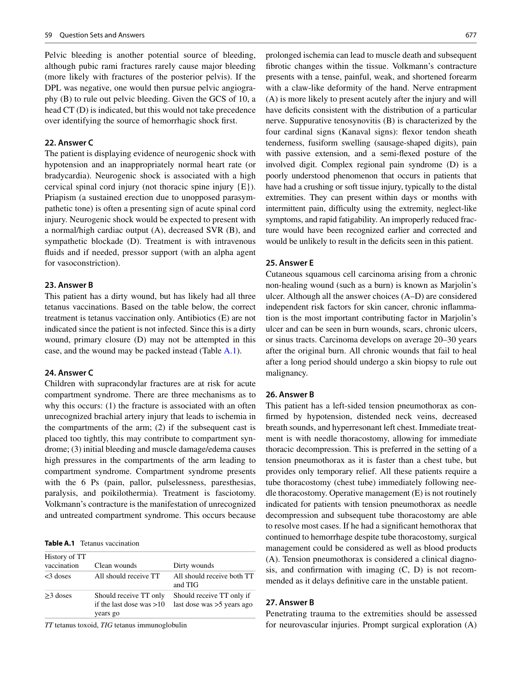Pelvic bleeding is another potential source of bleeding, although pubic rami fractures rarely cause major bleeding (more likely with fractures of the posterior pelvis). If the DPL was negative, one would then pursue pelvic angiography (B) to rule out pelvic bleeding. Given the GCS of 10, a head CT (D) is indicated, but this would not take precedence over identifying the source of hemorrhagic shock first.

# **22. Answer C**

 The patient is displaying evidence of neurogenic shock with hypotension and an inappropriately normal heart rate (or bradycardia). Neurogenic shock is associated with a high cervical spinal cord injury (not thoracic spine injury {E}). Priapism (a sustained erection due to unopposed parasympathetic tone) is often a presenting sign of acute spinal cord injury. Neurogenic shock would be expected to present with a normal/high cardiac output (A), decreased SVR (B), and sympathetic blockade (D). Treatment is with intravenous fluids and if needed, pressor support (with an alpha agent for vasoconstriction).

#### **23. Answer B**

 This patient has a dirty wound, but has likely had all three tetanus vaccinations. Based on the table below, the correct treatment is tetanus vaccination only. Antibiotics (E) are not indicated since the patient is not infected. Since this is a dirty wound, primary closure (D) may not be attempted in this case, and the wound may be packed instead (Table A.1).

# **24. Answer C**

 Children with supracondylar fractures are at risk for acute compartment syndrome. There are three mechanisms as to why this occurs: (1) the fracture is associated with an often unrecognized brachial artery injury that leads to ischemia in the compartments of the arm; (2) if the subsequent cast is placed too tightly, this may contribute to compartment syndrome; (3) initial bleeding and muscle damage/edema causes high pressures in the compartments of the arm leading to compartment syndrome. Compartment syndrome presents with the 6 Ps (pain, pallor, pulselessness, paresthesias, paralysis, and poikilothermia). Treatment is fasciotomy. Volkmann's contracture is the manifestation of unrecognized and untreated compartment syndrome. This occurs because

 **Table A.1** Tetanus vaccination

| History of TT<br>vaccination | Clean wounds                                                     | Dirty wounds                                              |
|------------------------------|------------------------------------------------------------------|-----------------------------------------------------------|
| $<$ 3 doses                  | All should receive TT                                            | All should receive both TT<br>and TIG                     |
| $>$ 3 doses                  | Should receive TT only<br>if the last dose was $>10$<br>years go | Should receive TT only if<br>last dose was $>5$ years ago |

*TT* tetanus toxoid, *TIG* tetanus immunoglobulin

prolonged ischemia can lead to muscle death and subsequent fibrotic changes within the tissue. Volkmann's contracture presents with a tense, painful, weak, and shortened forearm with a claw-like deformity of the hand. Nerve entrapment (A) is more likely to present acutely after the injury and will have deficits consistent with the distribution of a particular nerve. Suppurative tenosynovitis (B) is characterized by the four cardinal signs (Kanaval signs): flexor tendon sheath tenderness, fusiform swelling (sausage-shaped digits), pain with passive extension, and a semi-flexed posture of the involved digit. Complex regional pain syndrome (D) is a poorly understood phenomenon that occurs in patients that have had a crushing or soft tissue injury, typically to the distal extremities. They can present within days or months with intermittent pain, difficulty using the extremity, neglect-like symptoms, and rapid fatigability. An improperly reduced fracture would have been recognized earlier and corrected and would be unlikely to result in the deficits seen in this patient.

## **25. Answer E**

 Cutaneous squamous cell carcinoma arising from a chronic non-healing wound (such as a burn) is known as Marjolin's ulcer. Although all the answer choices (A–D) are considered independent risk factors for skin cancer, chronic inflammation is the most important contributing factor in Marjolin's ulcer and can be seen in burn wounds, scars, chronic ulcers, or sinus tracts. Carcinoma develops on average 20–30 years after the original burn. All chronic wounds that fail to heal after a long period should undergo a skin biopsy to rule out malignancy.

#### **26. Answer B**

 This patient has a left-sided tension pneumothorax as confirmed by hypotension, distended neck veins, decreased breath sounds, and hyperresonant left chest. Immediate treatment is with needle thoracostomy, allowing for immediate thoracic decompression. This is preferred in the setting of a tension pneumothorax as it is faster than a chest tube, but provides only temporary relief. All these patients require a tube thoracostomy (chest tube) immediately following needle thoracostomy. Operative management (E) is not routinely indicated for patients with tension pneumothorax as needle decompression and subsequent tube thoracostomy are able to resolve most cases. If he had a significant hemothorax that continued to hemorrhage despite tube thoracostomy, surgical management could be considered as well as blood products (A). Tension pneumothorax is considered a clinical diagnosis, and confirmation with imaging  $(C, D)$  is not recommended as it delays definitive care in the unstable patient.

#### **27. Answer B**

 Penetrating trauma to the extremities should be assessed for neurovascular injuries. Prompt surgical exploration (A)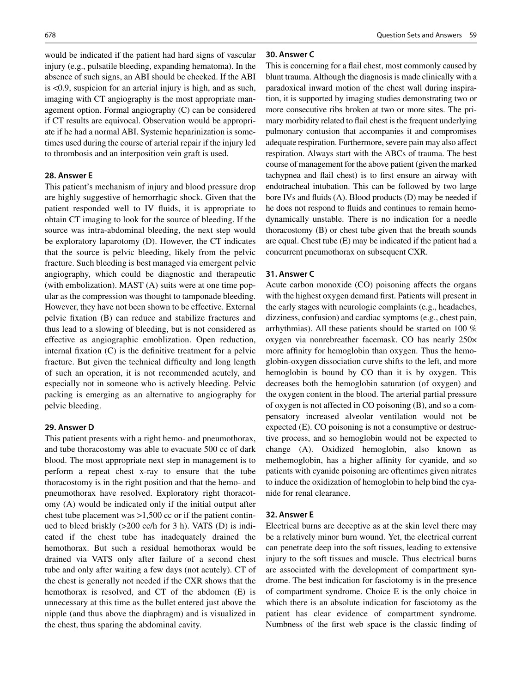would be indicated if the patient had hard signs of vascular injury (e.g., pulsatile bleeding, expanding hematoma). In the absence of such signs, an ABI should be checked. If the ABI is <0.9, suspicion for an arterial injury is high, and as such, imaging with CT angiography is the most appropriate management option. Formal angiography (C) can be considered if CT results are equivocal. Observation would be appropriate if he had a normal ABI. Systemic heparinization is sometimes used during the course of arterial repair if the injury led to thrombosis and an interposition vein graft is used.

# **28. Answer E**

 This patient's mechanism of injury and blood pressure drop are highly suggestive of hemorrhagic shock. Given that the patient responded well to IV fluids, it is appropriate to obtain CT imaging to look for the source of bleeding. If the source was intra-abdominal bleeding, the next step would be exploratory laparotomy (D). However, the CT indicates that the source is pelvic bleeding, likely from the pelvic fracture. Such bleeding is best managed via emergent pelvic angiography, which could be diagnostic and therapeutic (with embolization). MAST (A) suits were at one time popular as the compression was thought to tamponade bleeding. However, they have not been shown to be effective. External pelvic fixation (B) can reduce and stabilize fractures and thus lead to a slowing of bleeding, but is not considered as effective as angiographic emoblization. Open reduction, internal fixation  $(C)$  is the definitive treatment for a pelvic fracture. But given the technical difficulty and long length of such an operation, it is not recommended acutely, and especially not in someone who is actively bleeding. Pelvic packing is emerging as an alternative to angiography for pelvic bleeding.

# **29. Answer D**

 This patient presents with a right hemo- and pneumothorax, and tube thoracostomy was able to evacuate 500 cc of dark blood. The most appropriate next step in management is to perform a repeat chest x-ray to ensure that the tube thoracostomy is in the right position and that the hemo- and pneumothorax have resolved. Exploratory right thoracotomy (A) would be indicated only if the initial output after chest tube placement was  $>1,500$  cc or if the patient continued to bleed briskly (>200 cc/h for 3 h). VATS (D) is indicated if the chest tube has inadequately drained the hemothorax. But such a residual hemothorax would be drained via VATS only after failure of a second chest tube and only after waiting a few days (not acutely). CT of the chest is generally not needed if the CXR shows that the hemothorax is resolved, and CT of the abdomen (E) is unnecessary at this time as the bullet entered just above the nipple (and thus above the diaphragm) and is visualized in the chest, thus sparing the abdominal cavity.

# **30. Answer C**

This is concerning for a flail chest, most commonly caused by blunt trauma. Although the diagnosis is made clinically with a paradoxical inward motion of the chest wall during inspiration, it is supported by imaging studies demonstrating two or more consecutive ribs broken at two or more sites. The primary morbidity related to flail chest is the frequent underlying pulmonary contusion that accompanies it and compromises adequate respiration. Furthermore, severe pain may also affect respiration. Always start with the ABCs of trauma. The best course of management for the above patient (given the marked tachypnea and flail chest) is to first ensure an airway with endotracheal intubation. This can be followed by two large bore IVs and fluids  $(A)$ . Blood products  $(D)$  may be needed if he does not respond to fluids and continues to remain hemodynamically unstable. There is no indication for a needle thoracostomy (B) or chest tube given that the breath sounds are equal. Chest tube (E) may be indicated if the patient had a concurrent pneumothorax on subsequent CXR.

# **31. Answer C**

 Acute carbon monoxide (CO) poisoning affects the organs with the highest oxygen demand first. Patients will present in the early stages with neurologic complaints (e.g., headaches, dizziness, confusion) and cardiac symptoms (e.g., chest pain, arrhythmias). All these patients should be started on 100 % oxygen via nonrebreather facemask. CO has nearly 250× more affinity for hemoglobin than oxygen. Thus the hemoglobin-oxygen dissociation curve shifts to the left, and more hemoglobin is bound by CO than it is by oxygen. This decreases both the hemoglobin saturation (of oxygen) and the oxygen content in the blood. The arterial partial pressure of oxygen is not affected in CO poisoning (B), and so a compensatory increased alveolar ventilation would not be expected (E). CO poisoning is not a consumptive or destructive process, and so hemoglobin would not be expected to change (A). Oxidized hemoglobin, also known as methemoglobin, has a higher affinity for cyanide, and so patients with cyanide poisoning are oftentimes given nitrates to induce the oxidization of hemoglobin to help bind the cyanide for renal clearance.

# **32. Answer E**

 Electrical burns are deceptive as at the skin level there may be a relatively minor burn wound. Yet, the electrical current can penetrate deep into the soft tissues, leading to extensive injury to the soft tissues and muscle. Thus electrical burns are associated with the development of compartment syndrome. The best indication for fasciotomy is in the presence of compartment syndrome. Choice E is the only choice in which there is an absolute indication for fasciotomy as the patient has clear evidence of compartment syndrome. Numbness of the first web space is the classic finding of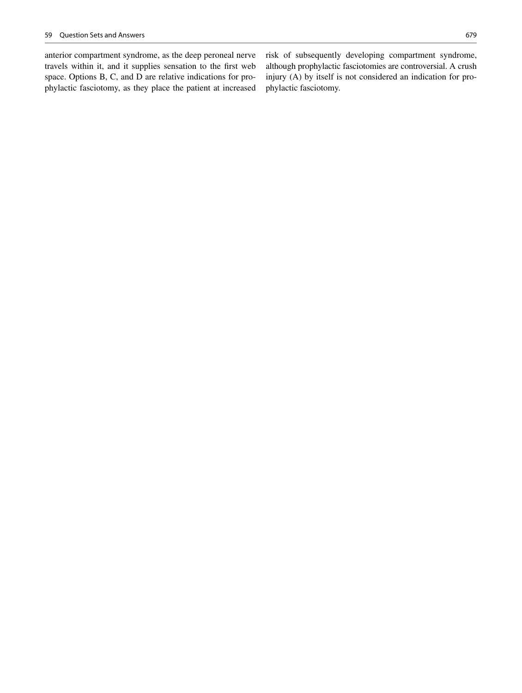anterior compartment syndrome, as the deep peroneal nerve travels within it, and it supplies sensation to the first web space. Options B, C, and D are relative indications for prophylactic fasciotomy, as they place the patient at increased risk of subsequently developing compartment syndrome, although prophylactic fasciotomies are controversial. A crush injury (A) by itself is not considered an indication for prophylactic fasciotomy.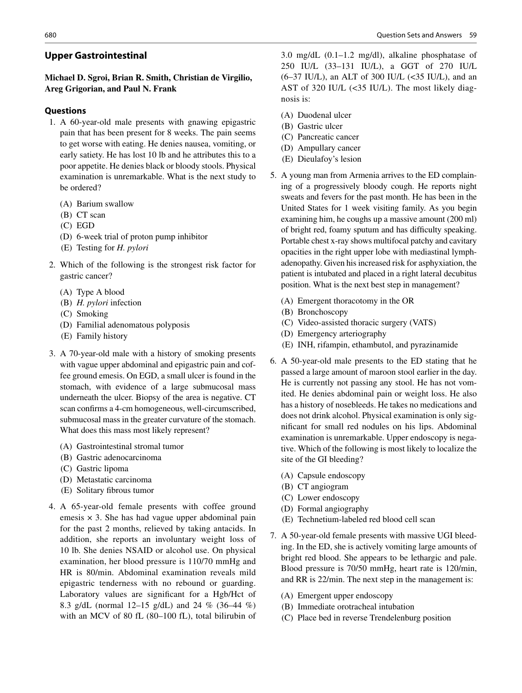**Michael D. Sgroi, Brian R. Smith, Christian de Virgilio, Areg Grigorian, and Paul N. Frank** 

## **Questions**

- 1. A 60-year-old male presents with gnawing epigastric pain that has been present for 8 weeks. The pain seems to get worse with eating. He denies nausea, vomiting, or early satiety. He has lost 10 lb and he attributes this to a poor appetite. He denies black or bloody stools. Physical examination is unremarkable. What is the next study to be ordered?
	- (A) Barium swallow
	- (B) CT scan
	- (C) EGD
	- (D) 6-week trial of proton pump inhibitor
	- (E) Testing for *H. pylori*
- 2. Which of the following is the strongest risk factor for gastric cancer?
	- (A) Type A blood
	- (B) *H. pylori* infection
	- (C) Smoking
	- (D) Familial adenomatous polyposis
	- (E) Family history
- 3. A 70-year-old male with a history of smoking presents with vague upper abdominal and epigastric pain and coffee ground emesis. On EGD, a small ulcer is found in the stomach, with evidence of a large submucosal mass underneath the ulcer. Biopsy of the area is negative. CT scan confirms a 4-cm homogeneous, well-circumscribed, submucosal mass in the greater curvature of the stomach. What does this mass most likely represent?
	- (A) Gastrointestinal stromal tumor
	- (B) Gastric adenocarcinoma
	- (C) Gastric lipoma
	- (D) Metastatic carcinoma
	- (E) Solitary fibrous tumor
- 4. A 65-year-old female presents with coffee ground emesis  $\times$  3. She has had vague upper abdominal pain for the past 2 months, relieved by taking antacids. In addition, she reports an involuntary weight loss of 10 lb. She denies NSAID or alcohol use. On physical examination, her blood pressure is 110/70 mmHg and HR is 80/min. Abdominal examination reveals mild epigastric tenderness with no rebound or guarding. Laboratory values are significant for a Hgb/Hct of 8.3 g/dL (normal 12–15 g/dL) and 24 % (36–44 %) with an MCV of 80 fL (80–100 fL), total bilirubin of

3.0 mg/dL (0.1–1.2 mg/dl), alkaline phosphatase of 250 IU/L (33–131 IU/L), a GGT of 270 IU/L  $(6-37 \text{ IU/L})$ , an ALT of 300 IU/L  $(<35 \text{ IU/L})$ , and an AST of 320 IU/L (<35 IU/L). The most likely diagnosis is:

- (A) Duodenal ulcer
- (B) Gastric ulcer
- (C) Pancreatic cancer
- (D) Ampullary cancer
- (E) Dieulafoy's lesion
- 5. A young man from Armenia arrives to the ED complaining of a progressively bloody cough. He reports night sweats and fevers for the past month. He has been in the United States for 1 week visiting family. As you begin examining him, he coughs up a massive amount (200 ml) of bright red, foamy sputum and has difficulty speaking. Portable chest x-ray shows multifocal patchy and cavitary opacities in the right upper lobe with mediastinal lymphadenopathy. Given his increased risk for asphyxiation, the patient is intubated and placed in a right lateral decubitus position. What is the next best step in management?
	- (A) Emergent thoracotomy in the OR
	- (B) Bronchoscopy
	- (C) Video-assisted thoracic surgery (VATS)
	- (D) Emergency arteriography
	- (E) INH, rifampin, ethambutol, and pyrazinamide
- 6. A 50-year-old male presents to the ED stating that he passed a large amount of maroon stool earlier in the day. He is currently not passing any stool. He has not vomited. He denies abdominal pain or weight loss. He also has a history of nosebleeds. He takes no medications and does not drink alcohol. Physical examination is only significant for small red nodules on his lips. Abdominal examination is unremarkable. Upper endoscopy is negative. Which of the following is most likely to localize the site of the GI bleeding?
	- (A) Capsule endoscopy
	- (B) CT angiogram
	- (C) Lower endoscopy
	- (D) Formal angiography
	- (E) Technetium-labeled red blood cell scan
- 7. A 50-year-old female presents with massive UGI bleeding. In the ED, she is actively vomiting large amounts of bright red blood. She appears to be lethargic and pale. Blood pressure is 70/50 mmHg, heart rate is 120/min, and RR is 22/min. The next step in the management is:
	- (A) Emergent upper endoscopy
	- (B) Immediate orotracheal intubation
	- (C) Place bed in reverse Trendelenburg position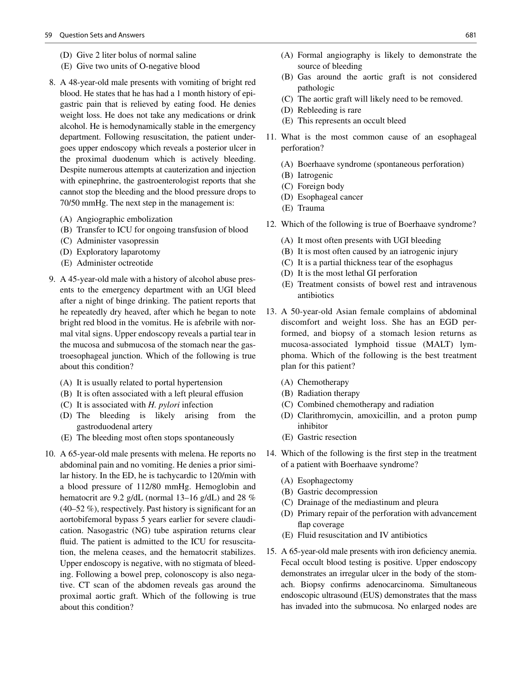- (D) Give 2 liter bolus of normal saline
- (E) Give two units of O-negative blood
- 8. A 48-year-old male presents with vomiting of bright red blood. He states that he has had a 1 month history of epigastric pain that is relieved by eating food. He denies weight loss. He does not take any medications or drink alcohol. He is hemodynamically stable in the emergency department. Following resuscitation, the patient undergoes upper endoscopy which reveals a posterior ulcer in the proximal duodenum which is actively bleeding. Despite numerous attempts at cauterization and injection with epinephrine, the gastroenterologist reports that she cannot stop the bleeding and the blood pressure drops to 70/50 mmHg. The next step in the management is:
	- (A) Angiographic embolization
	- (B) Transfer to ICU for ongoing transfusion of blood
	- (C) Administer vasopressin
	- (D) Exploratory laparotomy
	- (E) Administer octreotide
- 9. A 45-year-old male with a history of alcohol abuse presents to the emergency department with an UGI bleed after a night of binge drinking. The patient reports that he repeatedly dry heaved, after which he began to note bright red blood in the vomitus. He is afebrile with normal vital signs. Upper endoscopy reveals a partial tear in the mucosa and submucosa of the stomach near the gastroesophageal junction. Which of the following is true about this condition?
	- (A) It is usually related to portal hypertension
	- (B) It is often associated with a left pleural effusion
	- (C) It is associated with *H. pylori* infection
	- (D) The bleeding is likely arising from the gastroduodenal artery
	- (E) The bleeding most often stops spontaneously
- 10. A 65-year-old male presents with melena. He reports no abdominal pain and no vomiting. He denies a prior similar history. In the ED, he is tachycardic to 120/min with a blood pressure of 112/80 mmHg. Hemoglobin and hematocrit are 9.2 g/dL (normal 13–16 g/dL) and 28 %  $(40-52\%)$ , respectively. Past history is significant for an aortobifemoral bypass 5 years earlier for severe claudication. Nasogastric (NG) tube aspiration returns clear fluid. The patient is admitted to the ICU for resuscitation, the melena ceases, and the hematocrit stabilizes. Upper endoscopy is negative, with no stigmata of bleeding. Following a bowel prep, colonoscopy is also negative. CT scan of the abdomen reveals gas around the proximal aortic graft. Which of the following is true about this condition?
- (A) Formal angiography is likely to demonstrate the source of bleeding
- (B) Gas around the aortic graft is not considered pathologic
- (C) The aortic graft will likely need to be removed.
- (D) Rebleeding is rare
- (E) This represents an occult bleed
- 11. What is the most common cause of an esophageal perforation?
	- (A) Boerhaave syndrome (spontaneous perforation)
	- (B) Iatrogenic
	- (C) Foreign body
	- (D) Esophageal cancer
	- (E) Trauma
- 12. Which of the following is true of Boerhaave syndrome?
	- (A) It most often presents with UGI bleeding
	- (B) It is most often caused by an iatrogenic injury
	- (C) It is a partial thickness tear of the esophagus
	- (D) It is the most lethal GI perforation
	- (E) Treatment consists of bowel rest and intravenous antibiotics
- 13. A 50-year-old Asian female complains of abdominal discomfort and weight loss. She has an EGD performed, and biopsy of a stomach lesion returns as mucosa-associated lymphoid tissue (MALT) lymphoma. Which of the following is the best treatment plan for this patient?
	- (A) Chemotherapy
	- (B) Radiation therapy
	- (C) Combined chemotherapy and radiation
	- (D) Clarithromycin, amoxicillin, and a proton pump inhibitor
	- (E) Gastric resection
- 14. Which of the following is the first step in the treatment of a patient with Boerhaave syndrome?
	- (A) Esophagectomy
	- (B) Gastric decompression
	- (C) Drainage of the mediastinum and pleura
	- (D) Primary repair of the perforation with advancement flap coverage
	- (E) Fluid resuscitation and IV antibiotics
- 15. A 65-year-old male presents with iron deficiency anemia. Fecal occult blood testing is positive. Upper endoscopy demonstrates an irregular ulcer in the body of the stomach. Biopsy confirms adenocarcinoma. Simultaneous endoscopic ultrasound (EUS) demonstrates that the mass has invaded into the submucosa. No enlarged nodes are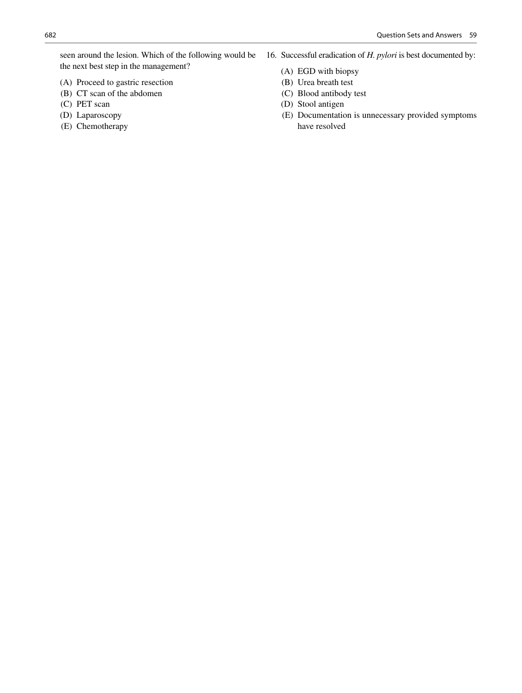seen around the lesion. Which of the following would be the next best step in the management? 16. Successful eradication of *H. pylori* is best documented by:

- (A) Proceed to gastric resection
- (B) CT scan of the abdomen
- (C) PET scan
- (D) Laparoscopy
- (E) Chemotherapy
- (A) EGD with biopsy
- (B) Urea breath test
- (C) Blood antibody test
- (D) Stool antigen
- (E) Documentation is unnecessary provided symptoms have resolved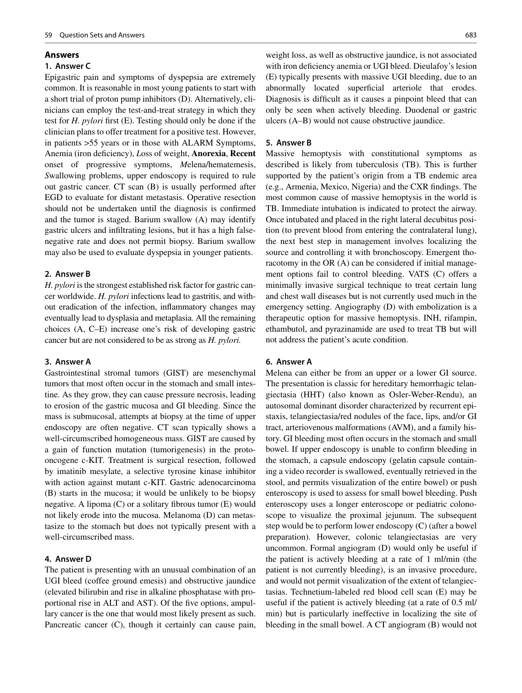#### **Answers**

## **1. Answer C**

 Epigastric pain and symptoms of dyspepsia are extremely common. It is reasonable in most young patients to start with a short trial of proton pump inhibitors (D). Alternatively, clinicians can employ the test-and-treat strategy in which they test for  $H$ . *pylori* first  $(E)$ . Testing should only be done if the clinician plans to offer treatment for a positive test. However, in patients >55 years or in those with ALARM Symptoms, Anemia (iron deficiency), *L*oss of weight, **Anorexia**, **Recent** onset of progressive symptoms, Melena/hematemesis, *S* wallowing problems, upper endoscopy is required to rule out gastric cancer. CT scan (B) is usually performed after EGD to evaluate for distant metastasis. Operative resection should not be undertaken until the diagnosis is confirmed and the tumor is staged. Barium swallow (A) may identify gastric ulcers and infiltrating lesions, but it has a high falsenegative rate and does not permit biopsy. Barium swallow may also be used to evaluate dyspepsia in younger patients.

#### **2. Answer B**

*H. pylori* is the strongest established risk factor for gastric cancer worldwide. *H. pylori* infections lead to gastritis, and without eradication of the infection, inflammatory changes may eventually lead to dysplasia and metaplasia. All the remaining choices (A, C–E) increase one's risk of developing gastric cancer but are not considered to be as strong as *H. pylori.*

## **3. Answer A**

 Gastrointestinal stromal tumors (GIST) are mesenchymal tumors that most often occur in the stomach and small intestine. As they grow, they can cause pressure necrosis, leading to erosion of the gastric mucosa and GI bleeding. Since the mass is submucosal, attempts at biopsy at the time of upper endoscopy are often negative. CT scan typically shows a well-circumscribed homogeneous mass. GIST are caused by a gain of function mutation (tumorigenesis) in the protooncogene c-KIT. Treatment is surgical resection, followed by imatinib mesylate, a selective tyrosine kinase inhibitor with action against mutant c-KIT. Gastric adenocarcinoma (B) starts in the mucosa; it would be unlikely to be biopsy negative. A lipoma  $(C)$  or a solitary fibrous tumor  $(E)$  would not likely erode into the mucosa. Melanoma (D) can metastasize to the stomach but does not typically present with a well-circumscribed mass.

# **4. Answer D**

 The patient is presenting with an unusual combination of an UGI bleed (coffee ground emesis) and obstructive jaundice (elevated bilirubin and rise in alkaline phosphatase with proportional rise in ALT and AST). Of the five options, ampullary cancer is the one that would most likely present as such. Pancreatic cancer (C), though it certainly can cause pain,

weight loss, as well as obstructive jaundice, is not associated with iron deficiency anemia or UGI bleed. Dieulafoy's lesion (E) typically presents with massive UGI bleeding, due to an abnormally located superficial arteriole that erodes. Diagnosis is difficult as it causes a pinpoint bleed that can only be seen when actively bleeding. Duodenal or gastric ulcers (A–B) would not cause obstructive jaundice.

#### **5. Answer B**

 Massive hemoptysis with constitutional symptoms as described is likely from tuberculosis (TB). This is further supported by the patient's origin from a TB endemic area (e.g., Armenia, Mexico, Nigeria) and the CXR findings. The most common cause of massive hemoptysis in the world is TB. Immediate intubation is indicated to protect the airway. Once intubated and placed in the right lateral decubitus position (to prevent blood from entering the contralateral lung), the next best step in management involves localizing the source and controlling it with bronchoscopy. Emergent thoracotomy in the OR (A) can be considered if initial management options fail to control bleeding. VATS (C) offers a minimally invasive surgical technique to treat certain lung and chest wall diseases but is not currently used much in the emergency setting. Angiography (D) with embolization is a therapeutic option for massive hemoptysis. INH, rifampin, ethambutol, and pyrazinamide are used to treat TB but will not address the patient's acute condition.

## **6. Answer A**

 Melena can either be from an upper or a lower GI source. The presentation is classic for hereditary hemorrhagic telangiectasia (HHT) (also known as Osler-Weber-Rendu), an autosomal dominant disorder characterized by recurrent epistaxis, telangiectasia/red nodules of the face, lips, and/or GI tract, arteriovenous malformations (AVM), and a family history. GI bleeding most often occurs in the stomach and small bowel. If upper endoscopy is unable to confirm bleeding in the stomach, a capsule endoscopy (gelatin capsule containing a video recorder is swallowed, eventually retrieved in the stool, and permits visualization of the entire bowel) or push enteroscopy is used to assess for small bowel bleeding. Push enteroscopy uses a longer enteroscope or pediatric colonoscope to visualize the proximal jejunum. The subsequent step would be to perform lower endoscopy (C) (after a bowel preparation). However, colonic telangiectasias are very uncommon. Formal angiogram (D) would only be useful if the patient is actively bleeding at a rate of 1 ml/min (the patient is not currently bleeding), is an invasive procedure, and would not permit visualization of the extent of telangiectasias. Technetium-labeled red blood cell scan (E) may be useful if the patient is actively bleeding (at a rate of 0.5 ml/ min) but is particularly ineffective in localizing the site of bleeding in the small bowel. A CT angiogram (B) would not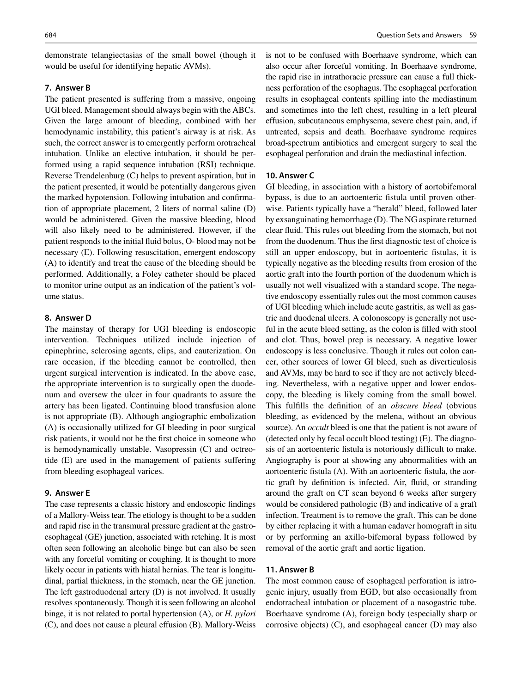demonstrate telangiectasias of the small bowel (though it would be useful for identifying hepatic AVMs).

# **7. Answer B**

 The patient presented is suffering from a massive, ongoing UGI bleed. Management should always begin with the ABCs. Given the large amount of bleeding, combined with her hemodynamic instability, this patient's airway is at risk. As such, the correct answer is to emergently perform orotracheal intubation. Unlike an elective intubation, it should be performed using a rapid sequence intubation (RSI) technique. Reverse Trendelenburg (C) helps to prevent aspiration, but in the patient presented, it would be potentially dangerous given the marked hypotension. Following intubation and confirmation of appropriate placement, 2 liters of normal saline (D) would be administered. Given the massive bleeding, blood will also likely need to be administered. However, if the patient responds to the initial fluid bolus, O- blood may not be necessary (E). Following resuscitation, emergent endoscopy (A) to identify and treat the cause of the bleeding should be performed. Additionally, a Foley catheter should be placed to monitor urine output as an indication of the patient's volume status.

# **8. Answer D**

 The mainstay of therapy for UGI bleeding is endoscopic intervention. Techniques utilized include injection of epinephrine, sclerosing agents, clips, and cauterization. On rare occasion, if the bleeding cannot be controlled, then urgent surgical intervention is indicated. In the above case, the appropriate intervention is to surgically open the duodenum and oversew the ulcer in four quadrants to assure the artery has been ligated. Continuing blood transfusion alone is not appropriate (B). Although angiographic embolization (A) is occasionally utilized for GI bleeding in poor surgical risk patients, it would not be the first choice in someone who is hemodynamically unstable. Vasopressin (C) and octreotide (E) are used in the management of patients suffering from bleeding esophageal varices.

### **9. Answer E**

The case represents a classic history and endoscopic findings of a Mallory-Weiss tear. The etiology is thought to be a sudden and rapid rise in the transmural pressure gradient at the gastroesophageal (GE) junction, associated with retching. It is most often seen following an alcoholic binge but can also be seen with any forceful vomiting or coughing. It is thought to more likely occur in patients with hiatal hernias. The tear is longitudinal, partial thickness, in the stomach, near the GE junction. The left gastroduodenal artery (D) is not involved. It usually resolves spontaneously. Though it is seen following an alcohol binge, it is not related to portal hypertension (A), or *H. pylori* (C), and does not cause a pleural effusion (B). Mallory-Weiss

is not to be confused with Boerhaave syndrome, which can also occur after forceful vomiting. In Boerhaave syndrome, the rapid rise in intrathoracic pressure can cause a full thickness perforation of the esophagus. The esophageal perforation results in esophageal contents spilling into the mediastinum and sometimes into the left chest, resulting in a left pleural effusion, subcutaneous emphysema, severe chest pain, and, if untreated, sepsis and death. Boerhaave syndrome requires broad- spectrum antibiotics and emergent surgery to seal the esophageal perforation and drain the mediastinal infection.

# **10. Answer C**

 GI bleeding, in association with a history of aortobifemoral bypass, is due to an aortoenteric fistula until proven otherwise. Patients typically have a "herald" bleed, followed later by exsanguinating hemorrhage (D). The NG aspirate returned clear fluid. This rules out bleeding from the stomach, but not from the duodenum. Thus the first diagnostic test of choice is still an upper endoscopy, but in aortoenteric fistulas, it is typically negative as the bleeding results from erosion of the aortic graft into the fourth portion of the duodenum which is usually not well visualized with a standard scope. The negative endoscopy essentially rules out the most common causes of UGI bleeding which include acute gastritis, as well as gastric and duodenal ulcers. A colonoscopy is generally not useful in the acute bleed setting, as the colon is filled with stool and clot. Thus, bowel prep is necessary. A negative lower endoscopy is less conclusive. Though it rules out colon cancer, other sources of lower GI bleed, such as diverticulosis and AVMs, may be hard to see if they are not actively bleeding. Nevertheless, with a negative upper and lower endoscopy, the bleeding is likely coming from the small bowel. This fulfills the definition of an *obscure bleed* (obvious bleeding, as evidenced by the melena, without an obvious source). An *occult* bleed is one that the patient is not aware of (detected only by fecal occult blood testing) (E). The diagnosis of an aortoenteric fistula is notoriously difficult to make. Angiography is poor at showing any abnormalities with an aortoenteric fistula  $(A)$ . With an aortoenteric fistula, the aortic graft by definition is infected. Air, fluid, or stranding around the graft on CT scan beyond 6 weeks after surgery would be considered pathologic (B) and indicative of a graft infection. Treatment is to remove the graft. This can be done by either replacing it with a human cadaver homograft in situ or by performing an axillo-bifemoral bypass followed by removal of the aortic graft and aortic ligation.

#### **11. Answer B**

 The most common cause of esophageal perforation is iatrogenic injury, usually from EGD, but also occasionally from endotracheal intubation or placement of a nasogastric tube. Boerhaave syndrome (A), foreign body (especially sharp or corrosive objects) (C), and esophageal cancer (D) may also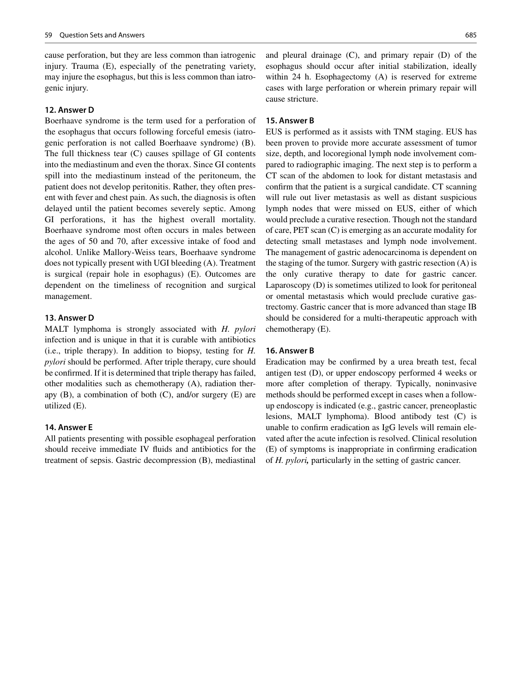cause perforation, but they are less common than iatrogenic injury. Trauma (E), especially of the penetrating variety, may injure the esophagus, but this is less common than iatrogenic injury.

#### **12. Answer D**

 Boerhaave syndrome is the term used for a perforation of the esophagus that occurs following forceful emesis (iatrogenic perforation is not called Boerhaave syndrome) (B). The full thickness tear (C) causes spillage of GI contents into the mediastinum and even the thorax. Since GI contents spill into the mediastinum instead of the peritoneum, the patient does not develop peritonitis. Rather, they often present with fever and chest pain. As such, the diagnosis is often delayed until the patient becomes severely septic. Among GI perforations, it has the highest overall mortality. Boerhaave syndrome most often occurs in males between the ages of 50 and 70, after excessive intake of food and alcohol. Unlike Mallory-Weiss tears, Boerhaave syndrome does not typically present with UGI bleeding (A). Treatment is surgical (repair hole in esophagus) (E). Outcomes are dependent on the timeliness of recognition and surgical management.

#### **13. Answer D**

 MALT lymphoma is strongly associated with *H. pylori* infection and is unique in that it is curable with antibiotics (i.e., triple therapy). In addition to biopsy, testing for *H. pylori* should be performed. After triple therapy, cure should be confirmed. If it is determined that triple therapy has failed, other modalities such as chemotherapy (A), radiation therapy  $(B)$ , a combination of both  $(C)$ , and/or surgery  $(E)$  are utilized (E).

### **14. Answer E**

 All patients presenting with possible esophageal perforation should receive immediate IV fluids and antibiotics for the treatment of sepsis. Gastric decompression (B), mediastinal and pleural drainage (C), and primary repair (D) of the esophagus should occur after initial stabilization, ideally within 24 h. Esophagectomy (A) is reserved for extreme cases with large perforation or wherein primary repair will cause stricture.

# **15. Answer B**

 EUS is performed as it assists with TNM staging. EUS has been proven to provide more accurate assessment of tumor size, depth, and locoregional lymph node involvement compared to radiographic imaging. The next step is to perform a CT scan of the abdomen to look for distant metastasis and confirm that the patient is a surgical candidate. CT scanning will rule out liver metastasis as well as distant suspicious lymph nodes that were missed on EUS, either of which would preclude a curative resection. Though not the standard of care, PET scan (C) is emerging as an accurate modality for detecting small metastases and lymph node involvement. The management of gastric adenocarcinoma is dependent on the staging of the tumor. Surgery with gastric resection (A) is the only curative therapy to date for gastric cancer. Laparoscopy (D) is sometimes utilized to look for peritoneal or omental metastasis which would preclude curative gastrectomy. Gastric cancer that is more advanced than stage IB should be considered for a multi-therapeutic approach with chemotherapy (E).

#### **16. Answer B**

Eradication may be confirmed by a urea breath test, fecal antigen test (D), or upper endoscopy performed 4 weeks or more after completion of therapy. Typically, noninvasive methods should be performed except in cases when a followup endoscopy is indicated (e.g., gastric cancer, preneoplastic lesions, MALT lymphoma). Blood antibody test (C) is unable to confirm eradication as IgG levels will remain elevated after the acute infection is resolved. Clinical resolution (E) of symptoms is inappropriate in confirming eradication of *H. pylori,* particularly in the setting of gastric cancer.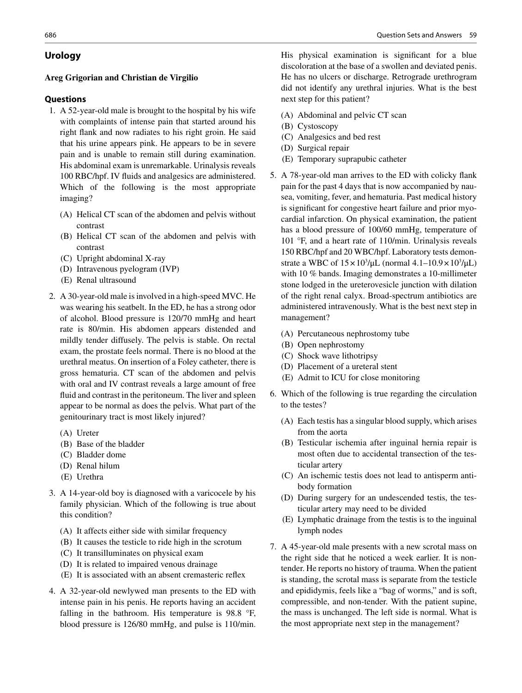# **Urology**

### **Areg Grigorian and Christian de Virgilio**

# **Questions**

- 1. A 52-year-old male is brought to the hospital by his wife with complaints of intense pain that started around his right flank and now radiates to his right groin. He said that his urine appears pink. He appears to be in severe pain and is unable to remain still during examination. His abdominal exam is unremarkable. Urinalysis reveals 100 RBC/hpf. IV fluids and analgesics are administered. Which of the following is the most appropriate imaging?
	- (A) Helical CT scan of the abdomen and pelvis without contrast
	- (B) Helical CT scan of the abdomen and pelvis with contrast
	- (C) Upright abdominal X-ray
	- (D) Intravenous pyelogram (IVP)
	- (E) Renal ultrasound
- 2. A 30-year-old male is involved in a high-speed MVC. He was wearing his seatbelt. In the ED, he has a strong odor of alcohol. Blood pressure is 120/70 mmHg and heart rate is 80/min. His abdomen appears distended and mildly tender diffusely. The pelvis is stable. On rectal exam, the prostate feels normal. There is no blood at the urethral meatus. On insertion of a Foley catheter, there is gross hematuria. CT scan of the abdomen and pelvis with oral and IV contrast reveals a large amount of free fluid and contrast in the peritoneum. The liver and spleen appear to be normal as does the pelvis. What part of the genitourinary tract is most likely injured?
	- (A) Ureter
	- (B) Base of the bladder
	- (C) Bladder dome
	- (D) Renal hilum
	- (E) Urethra
- 3. A 14-year-old boy is diagnosed with a varicocele by his family physician. Which of the following is true about this condition?
	- (A) It affects either side with similar frequency
	- (B) It causes the testicle to ride high in the scrotum
	- (C) It transilluminates on physical exam
	- (D) It is related to impaired venous drainage
	- (E) It is associated with an absent cremasteric reflex
- 4. A 32-year-old newlywed man presents to the ED with intense pain in his penis. He reports having an accident falling in the bathroom. His temperature is 98.8 °F, blood pressure is 126/80 mmHg, and pulse is 110/min.

His physical examination is significant for a blue discoloration at the base of a swollen and deviated penis. He has no ulcers or discharge. Retrograde urethrogram did not identify any urethral injuries. What is the best next step for this patient?

- (A) Abdominal and pelvic CT scan
- (B) Cystoscopy
- (C) Analgesics and bed rest
- (D) Surgical repair
- (E) Temporary suprapubic catheter
- 5. A 78-year-old man arrives to the ED with colicky flank pain for the past 4 days that is now accompanied by nausea, vomiting, fever, and hematuria. Past medical history is significant for congestive heart failure and prior myocardial infarction. On physical examination, the patient has a blood pressure of 100/60 mmHg, temperature of 101 °F, and a heart rate of 110/min. Urinalysis reveals 150 RBC/hpf and 20 WBC/hpf. Laboratory tests demonstrate a WBC of  $15 \times 10^3/\mu$ L (normal  $4.1-10.9 \times 10^3/\mu$ L) with 10 % bands. Imaging demonstrates a 10-millimeter stone lodged in the ureterovesicle junction with dilation of the right renal calyx. Broad-spectrum antibiotics are administered intravenously. What is the best next step in management?
	- (A) Percutaneous nephrostomy tube
	- (B) Open nephrostomy
	- (C) Shock wave lithotripsy
	- (D) Placement of a ureteral stent
	- (E) Admit to ICU for close monitoring
- 6. Which of the following is true regarding the circulation to the testes?
	- (A) Each testis has a singular blood supply, which arises from the aorta
	- (B) Testicular ischemia after inguinal hernia repair is most often due to accidental transection of the testicular artery
	- (C) An ischemic testis does not lead to antisperm antibody formation
	- (D) During surgery for an undescended testis, the testicular artery may need to be divided
	- (E) Lymphatic drainage from the testis is to the inguinal lymph nodes
- 7. A 45-year-old male presents with a new scrotal mass on the right side that he noticed a week earlier. It is nontender. He reports no history of trauma. When the patient is standing, the scrotal mass is separate from the testicle and epididymis, feels like a "bag of worms," and is soft, compressible, and non-tender. With the patient supine, the mass is unchanged. The left side is normal. What is the most appropriate next step in the management?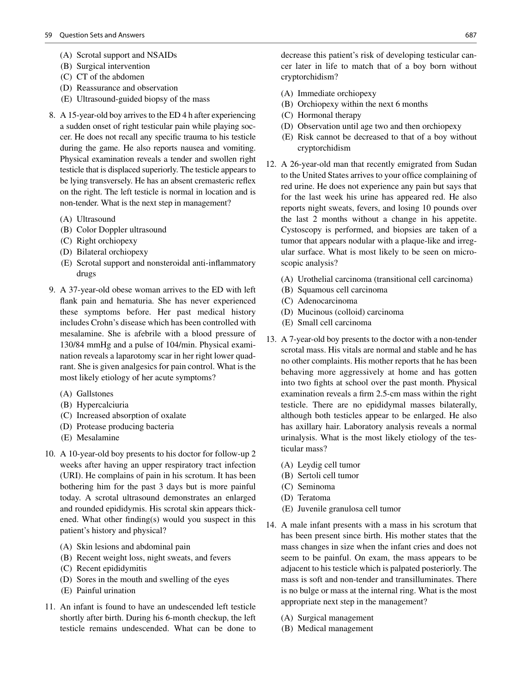- (A) Scrotal support and NSAIDs
- (B) Surgical intervention
- (C) CT of the abdomen
- (D) Reassurance and observation
- (E) Ultrasound-guided biopsy of the mass
- 8. A 15-year-old boy arrives to the ED 4 h after experiencing a sudden onset of right testicular pain while playing soccer. He does not recall any specific trauma to his testicle during the game. He also reports nausea and vomiting. Physical examination reveals a tender and swollen right testicle that is displaced superiorly. The testicle appears to be lying transversely. He has an absent cremasteric reflex on the right. The left testicle is normal in location and is non-tender. What is the next step in management?
	- (A) Ultrasound
	- (B) Color Doppler ultrasound
	- (C) Right orchiopexy
	- (D) Bilateral orchiopexy
	- (E) Scrotal support and nonsteroidal anti-inflammatory drugs
- 9. A 37-year-old obese woman arrives to the ED with left flank pain and hematuria. She has never experienced these symptoms before. Her past medical history includes Crohn's disease which has been controlled with mesalamine. She is afebrile with a blood pressure of 130/84 mmHg and a pulse of 104/min. Physical examination reveals a laparotomy scar in her right lower quadrant. She is given analgesics for pain control. What is the most likely etiology of her acute symptoms?
	- (A) Gallstones
	- (B) Hypercalciuria
	- (C) Increased absorption of oxalate
	- (D) Protease producing bacteria
	- (E) Mesalamine
- 10. A 10-year-old boy presents to his doctor for follow-up 2 weeks after having an upper respiratory tract infection (URI). He complains of pain in his scrotum. It has been bothering him for the past 3 days but is more painful today. A scrotal ultrasound demonstrates an enlarged and rounded epididymis. His scrotal skin appears thickened. What other finding(s) would you suspect in this patient's history and physical?
	- (A) Skin lesions and abdominal pain
	- (B) Recent weight loss, night sweats, and fevers
	- (C) Recent epididymitis
	- (D) Sores in the mouth and swelling of the eyes
	- (E) Painful urination
- 11. An infant is found to have an undescended left testicle shortly after birth. During his 6-month checkup, the left testicle remains undescended. What can be done to

decrease this patient's risk of developing testicular cancer later in life to match that of a boy born without cryptorchidism?

- (A) Immediate orchiopexy
- (B) Orchiopexy within the next 6 months
- (C) Hormonal therapy
- (D) Observation until age two and then orchiopexy
- (E) Risk cannot be decreased to that of a boy without cryptorchidism
- 12. A 26-year-old man that recently emigrated from Sudan to the United States arrives to your office complaining of red urine. He does not experience any pain but says that for the last week his urine has appeared red. He also reports night sweats, fevers, and losing 10 pounds over the last 2 months without a change in his appetite. Cystoscopy is performed, and biopsies are taken of a tumor that appears nodular with a plaque-like and irregular surface. What is most likely to be seen on microscopic analysis?
	- (A) Urothelial carcinoma (transitional cell carcinoma)
	- (B) Squamous cell carcinoma
	- (C) Adenocarcinoma
	- (D) Mucinous (colloid) carcinoma
	- (E) Small cell carcinoma
- 13. A 7-year-old boy presents to the doctor with a non-tender scrotal mass. His vitals are normal and stable and he has no other complaints. His mother reports that he has been behaving more aggressively at home and has gotten into two fights at school over the past month. Physical examination reveals a firm 2.5-cm mass within the right testicle. There are no epididymal masses bilaterally, although both testicles appear to be enlarged. He also has axillary hair. Laboratory analysis reveals a normal urinalysis. What is the most likely etiology of the testicular mass?
	- (A) Leydig cell tumor
	- (B) Sertoli cell tumor
	- (C) Seminoma
	- (D) Teratoma
	- (E) Juvenile granulosa cell tumor
- 14. A male infant presents with a mass in his scrotum that has been present since birth. His mother states that the mass changes in size when the infant cries and does not seem to be painful. On exam, the mass appears to be adjacent to his testicle which is palpated posteriorly. The mass is soft and non-tender and transilluminates. There is no bulge or mass at the internal ring. What is the most appropriate next step in the management?
	- (A) Surgical management
	- (B) Medical management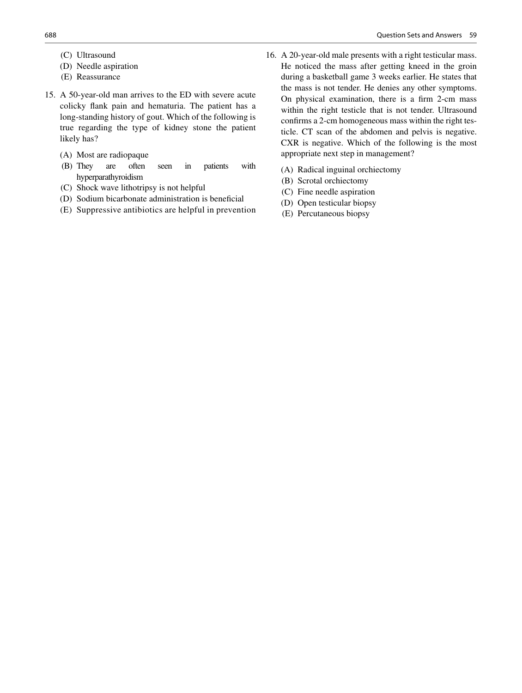- (C) Ultrasound
- (D) Needle aspiration
- (E) Reassurance
- 15. A 50-year-old man arrives to the ED with severe acute colicky flank pain and hematuria. The patient has a long-standing history of gout. Which of the following is true regarding the type of kidney stone the patient likely has?
	- (A) Most are radiopaque
	- (B) They are often seen in patients with hyperparathyroidism
	- (C) Shock wave lithotripsy is not helpful
	- (D) Sodium bicarbonate administration is beneficial
	- (E) Suppressive antibiotics are helpful in prevention
- 16. A 20-year-old male presents with a right testicular mass. He noticed the mass after getting kneed in the groin during a basketball game 3 weeks earlier. He states that the mass is not tender. He denies any other symptoms. On physical examination, there is a firm 2-cm mass within the right testicle that is not tender. Ultrasound confirms a 2-cm homogeneous mass within the right testicle. CT scan of the abdomen and pelvis is negative. CXR is negative. Which of the following is the most appropriate next step in management?
	- (A) Radical inguinal orchiectomy
	- (B) Scrotal orchiectomy
	- (C) Fine needle aspiration
	- (D) Open testicular biopsy
	- (E) Percutaneous biopsy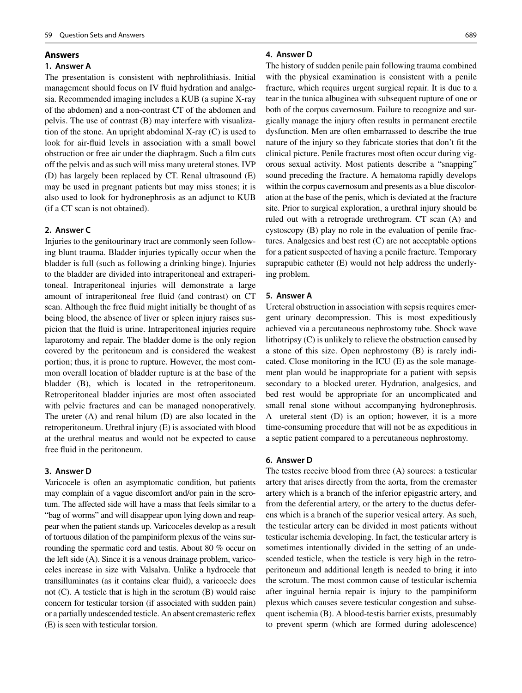#### **Answers**

### **1. Answer A**

 The presentation is consistent with nephrolithiasis. Initial management should focus on IV fluid hydration and analgesia. Recommended imaging includes a KUB (a supine X-ray of the abdomen) and a non-contrast CT of the abdomen and pelvis. The use of contrast (B) may interfere with visualization of the stone. An upright abdominal X-ray (C) is used to look for air-fluid levels in association with a small bowel obstruction or free air under the diaphragm. Such a film cuts off the pelvis and as such will miss many ureteral stones. IVP (D) has largely been replaced by CT. Renal ultrasound (E) may be used in pregnant patients but may miss stones; it is also used to look for hydronephrosis as an adjunct to KUB (if a CT scan is not obtained).

## **2. Answer C**

 Injuries to the genitourinary tract are commonly seen following blunt trauma. Bladder injuries typically occur when the bladder is full (such as following a drinking binge). Injuries to the bladder are divided into intraperitoneal and extraperitoneal. Intraperitoneal injuries will demonstrate a large amount of intraperitoneal free fluid (and contrast) on CT scan. Although the free fluid might initially be thought of as being blood, the absence of liver or spleen injury raises suspicion that the fluid is urine. Intraperitoneal injuries require laparotomy and repair. The bladder dome is the only region covered by the peritoneum and is considered the weakest portion; thus, it is prone to rupture. However, the most common overall location of bladder rupture is at the base of the bladder (B), which is located in the retroperitoneum. Retroperitoneal bladder injuries are most often associated with pelvic fractures and can be managed nonoperatively. The ureter (A) and renal hilum (D) are also located in the retroperitoneum. Urethral injury (E) is associated with blood at the urethral meatus and would not be expected to cause free fluid in the peritoneum.

# **3. Answer D**

 Varicocele is often an asymptomatic condition, but patients may complain of a vague discomfort and/or pain in the scrotum. The affected side will have a mass that feels similar to a "bag of worms" and will disappear upon lying down and reappear when the patient stands up. Varicoceles develop as a result of tortuous dilation of the pampiniform plexus of the veins surrounding the spermatic cord and testis. About 80 % occur on the left side (A). Since it is a venous drainage problem, varicoceles increase in size with Valsalva. Unlike a hydrocele that transilluminates (as it contains clear fluid), a varicocele does not (C). A testicle that is high in the scrotum (B) would raise concern for testicular torsion (if associated with sudden pain) or a partially undescended testicle. An absent cremasteric reflex (E) is seen with testicular torsion.

#### 689

#### **4. Answer D**

 The history of sudden penile pain following trauma combined with the physical examination is consistent with a penile fracture, which requires urgent surgical repair. It is due to a tear in the tunica albuginea with subsequent rupture of one or both of the corpus cavernosum. Failure to recognize and surgically manage the injury often results in permanent erectile dysfunction. Men are often embarrassed to describe the true nature of the injury so they fabricate stories that don't fit the clinical picture. Penile fractures most often occur during vigorous sexual activity. Most patients describe a "snapping" sound preceding the fracture. A hematoma rapidly develops within the corpus cavernosum and presents as a blue discoloration at the base of the penis, which is deviated at the fracture site. Prior to surgical exploration, a urethral injury should be ruled out with a retrograde urethrogram. CT scan (A) and cystoscopy (B) play no role in the evaluation of penile fractures. Analgesics and best rest (C) are not acceptable options for a patient suspected of having a penile fracture. Temporary suprapubic catheter (E) would not help address the underlying problem.

#### **5. Answer A**

 Ureteral obstruction in association with sepsis requires emergent urinary decompression. This is most expeditiously achieved via a percutaneous nephrostomy tube. Shock wave lithotripsy (C) is unlikely to relieve the obstruction caused by a stone of this size. Open nephrostomy (B) is rarely indicated. Close monitoring in the ICU (E) as the sole management plan would be inappropriate for a patient with sepsis secondary to a blocked ureter. Hydration, analgesics, and bed rest would be appropriate for an uncomplicated and small renal stone without accompanying hydronephrosis. A ureteral stent (D) is an option; however, it is a more time-consuming procedure that will not be as expeditious in a septic patient compared to a percutaneous nephrostomy.

### **6. Answer D**

 The testes receive blood from three (A) sources: a testicular artery that arises directly from the aorta, from the cremaster artery which is a branch of the inferior epigastric artery, and from the deferential artery, or the artery to the ductus deferens which is a branch of the superior vesical artery. As such, the testicular artery can be divided in most patients without testicular ischemia developing. In fact, the testicular artery is sometimes intentionally divided in the setting of an undescended testicle, when the testicle is very high in the retroperitoneum and additional length is needed to bring it into the scrotum. The most common cause of testicular ischemia after inguinal hernia repair is injury to the pampiniform plexus which causes severe testicular congestion and subsequent ischemia (B). A blood-testis barrier exists, presumably to prevent sperm (which are formed during adolescence)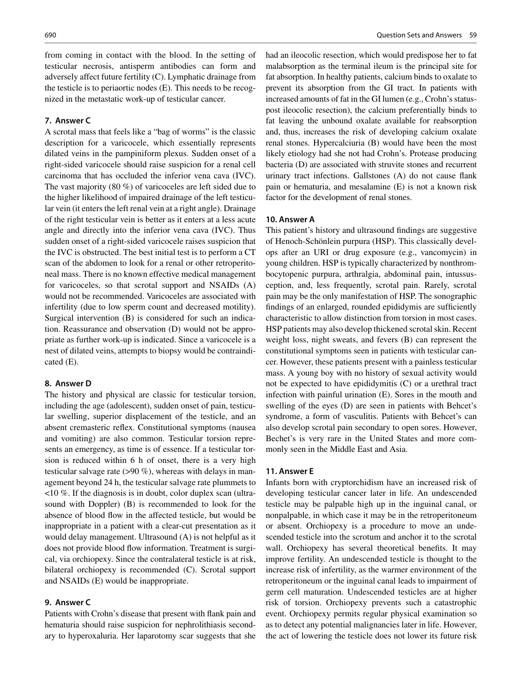from coming in contact with the blood. In the setting of testicular necrosis, antisperm antibodies can form and adversely affect future fertility (C). Lymphatic drainage from the testicle is to periaortic nodes (E). This needs to be recognized in the metastatic work-up of testicular cancer.

# **7. Answer C**

 A scrotal mass that feels like a "bag of worms" is the classic description for a varicocele, which essentially represents dilated veins in the pampiniform plexus. Sudden onset of a right-sided varicocele should raise suspicion for a renal cell carcinoma that has occluded the inferior vena cava (IVC). The vast majority (80 %) of varicoceles are left sided due to the higher likelihood of impaired drainage of the left testicular vein (it enters the left renal vein at a right angle). Drainage of the right testicular vein is better as it enters at a less acute angle and directly into the inferior vena cava (IVC). Thus sudden onset of a right-sided varicocele raises suspicion that the IVC is obstructed. The best initial test is to perform a CT scan of the abdomen to look for a renal or other retroperitoneal mass. There is no known effective medical management for varicoceles, so that scrotal support and NSAIDs (A) would not be recommended. Varicoceles are associated with infertility (due to low sperm count and decreased motility). Surgical intervention (B) is considered for such an indication. Reassurance and observation (D) would not be appropriate as further work-up is indicated. Since a varicocele is a nest of dilated veins, attempts to biopsy would be contraindicated (E).

## **8. Answer D**

 The history and physical are classic for testicular torsion, including the age (adolescent), sudden onset of pain, testicular swelling, superior displacement of the testicle, and an absent cremasteric reflex. Constitutional symptoms (nausea and vomiting) are also common. Testicular torsion represents an emergency, as time is of essence. If a testicular torsion is reduced within 6 h of onset, there is a very high testicular salvage rate (>90 %), whereas with delays in management beyond 24 h, the testicular salvage rate plummets to <10 %. If the diagnosis is in doubt, color duplex scan (ultrasound with Doppler) (B) is recommended to look for the absence of blood flow in the affected testicle, but would be inappropriate in a patient with a clear-cut presentation as it would delay management. Ultrasound (A) is not helpful as it does not provide blood flow information. Treatment is surgical, via orchiopexy. Since the contralateral testicle is at risk, bilateral orchiopexy is recommended (C). Scrotal support and NSAIDs (E) would be inappropriate.

# **9. Answer C**

Patients with Crohn's disease that present with flank pain and hematuria should raise suspicion for nephrolithiasis secondary to hyperoxaluria. Her laparotomy scar suggests that she

had an ileocolic resection, which would predispose her to fat malabsorption as the terminal ileum is the principal site for fat absorption. In healthy patients, calcium binds to oxalate to prevent its absorption from the GI tract. In patients with increased amounts of fat in the GI lumen (e.g., Crohn's statuspost ileocolic resection), the calcium preferentially binds to fat leaving the unbound oxalate available for reabsorption and, thus, increases the risk of developing calcium oxalate renal stones. Hypercalciuria (B) would have been the most likely etiology had she not had Crohn's. Protease producing bacteria (D) are associated with struvite stones and recurrent urinary tract infections. Gallstones (A) do not cause flank pain or hematuria, and mesalamine (E) is not a known risk factor for the development of renal stones.

# **10. Answer A**

This patient's history and ultrasound findings are suggestive of Henoch-Schönlein purpura (HSP). This classically develops after an URI or drug exposure (e.g., vancomycin) in young children. HSP is typically characterized by nonthrombocytopenic purpura, arthralgia, abdominal pain, intussusception, and, less frequently, scrotal pain. Rarely, scrotal pain may be the only manifestation of HSP. The sonographic findings of an enlarged, rounded epididymis are sufficiently characteristic to allow distinction from torsion in most cases. HSP patients may also develop thickened scrotal skin. Recent weight loss, night sweats, and fevers (B) can represent the constitutional symptoms seen in patients with testicular cancer. However, these patients present with a painless testicular mass. A young boy with no history of sexual activity would not be expected to have epididymitis (C) or a urethral tract infection with painful urination (E). Sores in the mouth and swelling of the eyes (D) are seen in patients with Behcet's syndrome, a form of vasculitis. Patients with Behcet's can also develop scrotal pain secondary to open sores. However, Bechet's is very rare in the United States and more commonly seen in the Middle East and Asia.

#### **11. Answer E**

 Infants born with cryptorchidism have an increased risk of developing testicular cancer later in life. An undescended testicle may be palpable high up in the inguinal canal, or nonpalpable, in which case it may be in the retroperitoneum or absent. Orchiopexy is a procedure to move an undescended testicle into the scrotum and anchor it to the scrotal wall. Orchiopexy has several theoretical benefits. It may improve fertility. An undescended testicle is thought to the increase risk of infertility, as the warmer environment of the retroperitoneum or the inguinal canal leads to impairment of germ cell maturation. Undescended testicles are at higher risk of torsion. Orchiopexy prevents such a catastrophic event. Orchiopexy permits regular physical examination so as to detect any potential malignancies later in life. However, the act of lowering the testicle does not lower its future risk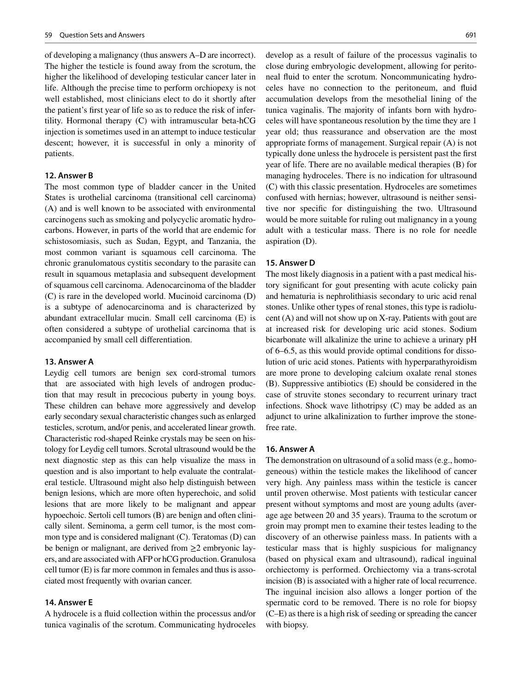of developing a malignancy (thus answers A–D are incorrect). The higher the testicle is found away from the scrotum, the higher the likelihood of developing testicular cancer later in life. Although the precise time to perform orchiopexy is not well established, most clinicians elect to do it shortly after the patient's first year of life so as to reduce the risk of infertility. Hormonal therapy (C) with intramuscular beta-hCG injection is sometimes used in an attempt to induce testicular descent; however, it is successful in only a minority of patients.

# **12. Answer B**

 The most common type of bladder cancer in the United States is urothelial carcinoma (transitional cell carcinoma) (A) and is well known to be associated with environmental carcinogens such as smoking and polycyclic aromatic hydrocarbons. However, in parts of the world that are endemic for schistosomiasis, such as Sudan, Egypt, and Tanzania, the most common variant is squamous cell carcinoma. The chronic granulomatous cystitis secondary to the parasite can result in squamous metaplasia and subsequent development of squamous cell carcinoma. Adenocarcinoma of the bladder (C) is rare in the developed world. Mucinoid carcinoma (D) is a subtype of adenocarcinoma and is characterized by abundant extracellular mucin. Small cell carcinoma (E) is often considered a subtype of urothelial carcinoma that is accompanied by small cell differentiation.

## **13. Answer A**

 Leydig cell tumors are benign sex cord-stromal tumors that are associated with high levels of androgen production that may result in precocious puberty in young boys. These children can behave more aggressively and develop early secondary sexual characteristic changes such as enlarged testicles, scrotum, and/or penis, and accelerated linear growth. Characteristic rod-shaped Reinke crystals may be seen on histology for Leydig cell tumors. Scrotal ultrasound would be the next diagnostic step as this can help visualize the mass in question and is also important to help evaluate the contralateral testicle. Ultrasound might also help distinguish between benign lesions, which are more often hyperechoic, and solid lesions that are more likely to be malignant and appear hypoechoic. Sertoli cell tumors (B) are benign and often clinically silent. Seminoma, a germ cell tumor, is the most common type and is considered malignant (C). Teratomas (D) can be benign or malignant, are derived from  $\geq$ 2 embryonic layers, and are associated with AFP or hCG production. Granulosa cell tumor (E) is far more common in females and thus is associated most frequently with ovarian cancer.

#### **14. Answer E**

A hydrocele is a fluid collection within the processus and/or tunica vaginalis of the scrotum. Communicating hydroceles

develop as a result of failure of the processus vaginalis to close during embryologic development, allowing for peritoneal fluid to enter the scrotum. Noncommunicating hydroceles have no connection to the peritoneum, and fluid accumulation develops from the mesothelial lining of the tunica vaginalis. The majority of infants born with hydroceles will have spontaneous resolution by the time they are 1 year old; thus reassurance and observation are the most appropriate forms of management. Surgical repair (A) is not typically done unless the hydrocele is persistent past the first year of life. There are no available medical therapies (B) for managing hydroceles. There is no indication for ultrasound (C) with this classic presentation. Hydroceles are sometimes confused with hernias; however, ultrasound is neither sensitive nor specific for distinguishing the two. Ultrasound would be more suitable for ruling out malignancy in a young adult with a testicular mass. There is no role for needle aspiration (D).

#### **15. Answer D**

 The most likely diagnosis in a patient with a past medical history significant for gout presenting with acute colicky pain and hematuria is nephrolithiasis secondary to uric acid renal stones. Unlike other types of renal stones, this type is radiolucent (A) and will not show up on X-ray. Patients with gout are at increased risk for developing uric acid stones. Sodium bicarbonate will alkalinize the urine to achieve a urinary pH of 6–6.5, as this would provide optimal conditions for dissolution of uric acid stones. Patients with hyperparathyroidism are more prone to developing calcium oxalate renal stones (B). Suppressive antibiotics (E) should be considered in the case of struvite stones secondary to recurrent urinary tract infections. Shock wave lithotripsy (C) may be added as an adjunct to urine alkalinization to further improve the stonefree rate.

#### **16. Answer A**

 The demonstration on ultrasound of a solid mass (e.g., homogeneous) within the testicle makes the likelihood of cancer very high. Any painless mass within the testicle is cancer until proven otherwise. Most patients with testicular cancer present without symptoms and most are young adults (average age between 20 and 35 years). Trauma to the scrotum or groin may prompt men to examine their testes leading to the discovery of an otherwise painless mass. In patients with a testicular mass that is highly suspicious for malignancy (based on physical exam and ultrasound), radical inguinal orchiectomy is performed. Orchiectomy via a trans-scrotal incision (B) is associated with a higher rate of local recurrence. The inguinal incision also allows a longer portion of the spermatic cord to be removed. There is no role for biopsy (C–E) as there is a high risk of seeding or spreading the cancer with biopsy.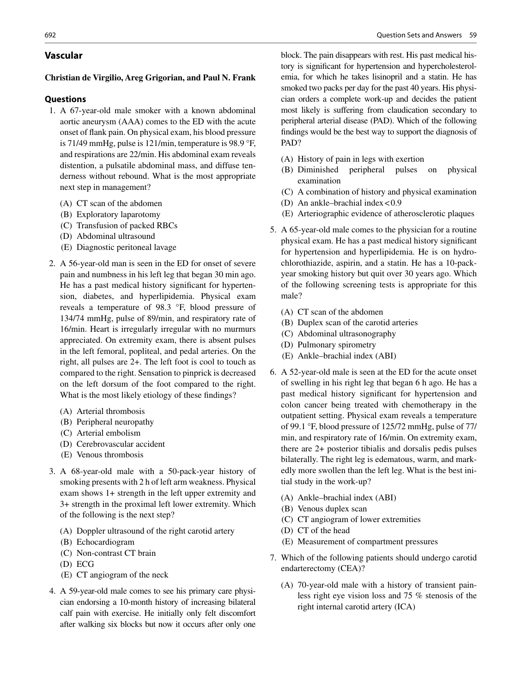# **Vascular**

#### **Christian de Virgilio, Areg Grigorian, and Paul N. Frank**

# **Questions**

- 1. A 67-year-old male smoker with a known abdominal aortic aneurysm (AAA) comes to the ED with the acute onset of flank pain. On physical exam, his blood pressure is 71/49 mmHg, pulse is 121/min, temperature is 98.9 °F, and respirations are 22/min. His abdominal exam reveals distention, a pulsatile abdominal mass, and diffuse tenderness without rebound. What is the most appropriate next step in management?
	- (A) CT scan of the abdomen
	- (B) Exploratory laparotomy
	- (C) Transfusion of packed RBCs
	- (D) Abdominal ultrasound
	- (E) Diagnostic peritoneal lavage
- 2. A 56-year-old man is seen in the ED for onset of severe pain and numbness in his left leg that began 30 min ago. He has a past medical history significant for hypertension, diabetes, and hyperlipidemia. Physical exam reveals a temperature of 98.3 °F, blood pressure of 134/74 mmHg, pulse of 89/min, and respiratory rate of 16/min. Heart is irregularly irregular with no murmurs appreciated. On extremity exam, there is absent pulses in the left femoral, popliteal, and pedal arteries. On the right, all pulses are 2+. The left foot is cool to touch as compared to the right. Sensation to pinprick is decreased on the left dorsum of the foot compared to the right. What is the most likely etiology of these findings?
	- (A) Arterial thrombosis
	- (B) Peripheral neuropathy
	- (C) Arterial embolism
	- (D) Cerebrovascular accident
	- (E) Venous thrombosis
- 3. A 68-year-old male with a 50-pack-year history of smoking presents with 2 h of left arm weakness. Physical exam shows 1+ strength in the left upper extremity and 3+ strength in the proximal left lower extremity. Which of the following is the next step?
	- (A) Doppler ultrasound of the right carotid artery
	- (B) Echocardiogram
	- (C) Non-contrast CT brain
	- (D) ECG
	- (E) CT angiogram of the neck
- 4. A 59-year-old male comes to see his primary care physician endorsing a 10-month history of increasing bilateral calf pain with exercise. He initially only felt discomfort after walking six blocks but now it occurs after only one

block. The pain disappears with rest. His past medical history is significant for hypertension and hypercholesterolemia, for which he takes lisinopril and a statin. He has smoked two packs per day for the past 40 years. His physician orders a complete work-up and decides the patient most likely is suffering from claudication secondary to peripheral arterial disease (PAD). Which of the following findings would be the best way to support the diagnosis of PAD?

- (A) History of pain in legs with exertion
- (B) Diminished peripheral pulses on physical examination
- (C) A combination of history and physical examination
- (D) An ankle–brachial index < 0.9
- (E) Arteriographic evidence of atherosclerotic plaques
- 5. A 65-year-old male comes to the physician for a routine physical exam. He has a past medical history significant for hypertension and hyperlipidemia. He is on hydrochlorothiazide, aspirin, and a statin. He has a 10-packyear smoking history but quit over 30 years ago. Which of the following screening tests is appropriate for this male?
	- (A) CT scan of the abdomen
	- (B) Duplex scan of the carotid arteries
	- (C) Abdominal ultrasonography
	- (D) Pulmonary spirometry
	- (E) Ankle–brachial index (ABI)
- 6. A 52-year-old male is seen at the ED for the acute onset of swelling in his right leg that began 6 h ago. He has a past medical history significant for hypertension and colon cancer being treated with chemotherapy in the outpatient setting. Physical exam reveals a temperature of 99.1 °F, blood pressure of 125/72 mmHg, pulse of 77/ min, and respiratory rate of 16/min. On extremity exam, there are 2+ posterior tibialis and dorsalis pedis pulses bilaterally. The right leg is edematous, warm, and markedly more swollen than the left leg. What is the best initial study in the work-up?
	- (A) Ankle–brachial index (ABI)
	- (B) Venous duplex scan
	- (C) CT angiogram of lower extremities
	- (D) CT of the head
	- (E) Measurement of compartment pressures
- 7. Which of the following patients should undergo carotid endarterectomy (CEA)?
	- (A) 70-year-old male with a history of transient painless right eye vision loss and 75 % stenosis of the right internal carotid artery (ICA)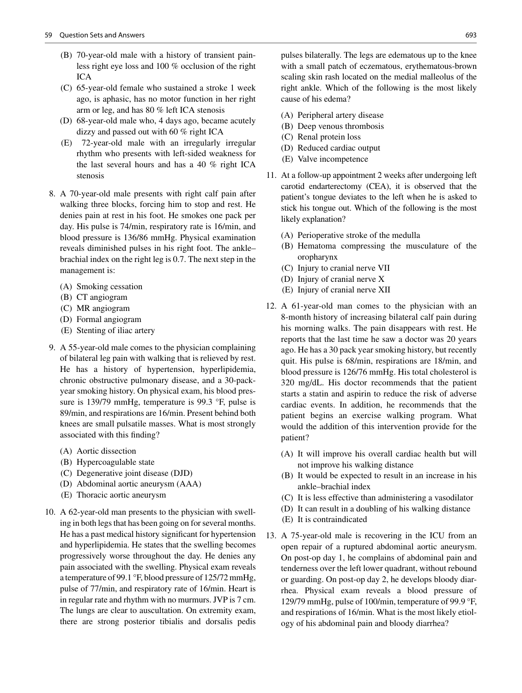- (B) 70-year-old male with a history of transient painless right eye loss and 100 % occlusion of the right ICA
- (C) 65-year-old female who sustained a stroke 1 week ago, is aphasic, has no motor function in her right arm or leg, and has 80 % left ICA stenosis
- (D) 68-year-old male who, 4 days ago, became acutely dizzy and passed out with 60 % right ICA
- (E) 72-year-old male with an irregularly irregular rhythm who presents with left-sided weakness for the last several hours and has a 40 % right ICA stenosis
- 8. A 70-year-old male presents with right calf pain after walking three blocks, forcing him to stop and rest. He denies pain at rest in his foot. He smokes one pack per day. His pulse is 74/min, respiratory rate is 16/min, and blood pressure is 136/86 mmHg. Physical examination reveals diminished pulses in his right foot. The ankle– brachial index on the right leg is 0.7. The next step in the management is:
	- (A) Smoking cessation
	- (B) CT angiogram
	- (C) MR angiogram
	- (D) Formal angiogram
	- (E) Stenting of iliac artery
- 9. A 55-year-old male comes to the physician complaining of bilateral leg pain with walking that is relieved by rest. He has a history of hypertension, hyperlipidemia, chronic obstructive pulmonary disease, and a 30-packyear smoking history. On physical exam, his blood pressure is 139/79 mmHg, temperature is 99.3 °F, pulse is 89/min, and respirations are 16/min. Present behind both knees are small pulsatile masses. What is most strongly associated with this finding?
	- (A) Aortic dissection
	- (B) Hypercoagulable state
	- (C) Degenerative joint disease (DJD)
	- (D) Abdominal aortic aneurysm (AAA)
	- (E) Thoracic aortic aneurysm
- 10. A 62-year-old man presents to the physician with swelling in both legs that has been going on for several months. He has a past medical history significant for hypertension and hyperlipidemia. He states that the swelling becomes progressively worse throughout the day. He denies any pain associated with the swelling. Physical exam reveals a temperature of 99.1 °F, blood pressure of 125/72 mmHg, pulse of 77/min, and respiratory rate of 16/min. Heart is in regular rate and rhythm with no murmurs. JVP is 7 cm. The lungs are clear to auscultation. On extremity exam, there are strong posterior tibialis and dorsalis pedis

pulses bilaterally. The legs are edematous up to the knee with a small patch of eczematous, erythematous-brown scaling skin rash located on the medial malleolus of the right ankle. Which of the following is the most likely cause of his edema?

- (A) Peripheral artery disease
- (B) Deep venous thrombosis
- (C) Renal protein loss
- (D) Reduced cardiac output
- (E) Valve incompetence
- 11. At a follow-up appointment 2 weeks after undergoing left carotid endarterectomy (CEA), it is observed that the patient's tongue deviates to the left when he is asked to stick his tongue out. Which of the following is the most likely explanation?
	- (A) Perioperative stroke of the medulla
	- (B) Hematoma compressing the musculature of the oropharynx
	- (C) Injury to cranial nerve VII
	- (D) Injury of cranial nerve X
	- (E) Injury of cranial nerve XII
- 12. A 61-year-old man comes to the physician with an 8-month history of increasing bilateral calf pain during his morning walks. The pain disappears with rest. He reports that the last time he saw a doctor was 20 years ago. He has a 30 pack year smoking history, but recently quit. His pulse is 68/min, respirations are 18/min, and blood pressure is 126/76 mmHg. His total cholesterol is 320 mg/dL. His doctor recommends that the patient starts a statin and aspirin to reduce the risk of adverse cardiac events. In addition, he recommends that the patient begins an exercise walking program. What would the addition of this intervention provide for the patient?
	- (A) It will improve his overall cardiac health but will not improve his walking distance
	- (B) It would be expected to result in an increase in his ankle–brachial index
	- (C) It is less effective than administering a vasodilator
	- (D) It can result in a doubling of his walking distance
	- (E) It is contraindicated
- 13. A 75-year-old male is recovering in the ICU from an open repair of a ruptured abdominal aortic aneurysm. On post-op day 1, he complains of abdominal pain and tenderness over the left lower quadrant, without rebound or guarding. On post-op day 2, he develops bloody diarrhea. Physical exam reveals a blood pressure of 129/79 mmHg, pulse of 100/min, temperature of 99.9 °F, and respirations of 16/min. What is the most likely etiology of his abdominal pain and bloody diarrhea?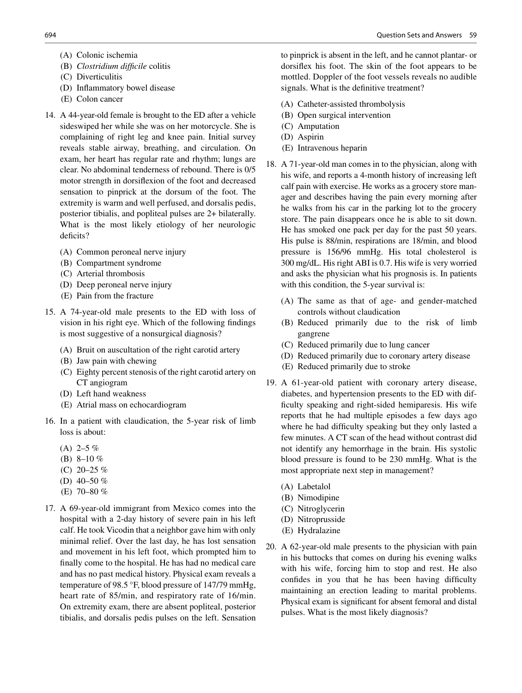- (A) Colonic ischemia
- (B) *Clostridium difficile* colitis
- (C) Diverticulitis
- (D) Inflammatory bowel disease
- (E) Colon cancer
- 14. A 44-year-old female is brought to the ED after a vehicle sideswiped her while she was on her motorcycle. She is complaining of right leg and knee pain. Initial survey reveals stable airway, breathing, and circulation. On exam, her heart has regular rate and rhythm; lungs are clear. No abdominal tenderness of rebound. There is 0/5 motor strength in dorsiflexion of the foot and decreased sensation to pinprick at the dorsum of the foot. The extremity is warm and well perfused, and dorsalis pedis, posterior tibialis, and popliteal pulses are 2+ bilaterally. What is the most likely etiology of her neurologic deficits?
	- (A) Common peroneal nerve injury
	- (B) Compartment syndrome
	- (C) Arterial thrombosis
	- (D) Deep peroneal nerve injury
	- (E) Pain from the fracture
- 15. A 74-year-old male presents to the ED with loss of vision in his right eye. Which of the following findings is most suggestive of a nonsurgical diagnosis?
	- (A) Bruit on auscultation of the right carotid artery
	- (B) Jaw pain with chewing
	- (C) Eighty percent stenosis of the right carotid artery on CT angiogram
	- (D) Left hand weakness
	- (E) Atrial mass on echocardiogram
- 16. In a patient with claudication, the 5-year risk of limb loss is about:
	- (A)  $2-5\%$
	- (B) 8–10 %
	- (C) 20–25  $%$
	- (D)  $40-50\%$
	- (E) 70–80 %
- 17. A 69-year-old immigrant from Mexico comes into the hospital with a 2-day history of severe pain in his left calf. He took Vicodin that a neighbor gave him with only minimal relief. Over the last day, he has lost sensation and movement in his left foot, which prompted him to finally come to the hospital. He has had no medical care and has no past medical history. Physical exam reveals a temperature of 98.5 °F, blood pressure of 147/79 mmHg, heart rate of 85/min, and respiratory rate of 16/min. On extremity exam, there are absent popliteal, posterior tibialis, and dorsalis pedis pulses on the left. Sensation

to pinprick is absent in the left, and he cannot plantar- or dorsiflex his foot. The skin of the foot appears to be mottled. Doppler of the foot vessels reveals no audible signals. What is the definitive treatment?

- (A) Catheter-assisted thrombolysis
- (B) Open surgical intervention
- (C) Amputation
- (D) Aspirin
- (E) Intravenous heparin
- 18. A 71-year-old man comes in to the physician, along with his wife, and reports a 4-month history of increasing left calf pain with exercise. He works as a grocery store manager and describes having the pain every morning after he walks from his car in the parking lot to the grocery store. The pain disappears once he is able to sit down. He has smoked one pack per day for the past 50 years. His pulse is 88/min, respirations are 18/min, and blood pressure is 156/96 mmHg. His total cholesterol is 300 mg/dL. His right ABI is 0.7. His wife is very worried and asks the physician what his prognosis is. In patients with this condition, the 5-year survival is:
	- (A) The same as that of age- and gender-matched controls without claudication
	- (B) Reduced primarily due to the risk of limb gangrene
	- (C) Reduced primarily due to lung cancer
	- (D) Reduced primarily due to coronary artery disease
	- (E) Reduced primarily due to stroke
- 19. A 61-year-old patient with coronary artery disease, diabetes, and hypertension presents to the ED with difficulty speaking and right-sided hemiparesis. His wife reports that he had multiple episodes a few days ago where he had difficulty speaking but they only lasted a few minutes. A CT scan of the head without contrast did not identify any hemorrhage in the brain. His systolic blood pressure is found to be 230 mmHg. What is the most appropriate next step in management?
	- (A) Labetalol
	- (B) Nimodipine
	- (C) Nitroglycerin
	- (D) Nitroprusside
	- (E) Hydralazine
- 20. A 62-year-old male presents to the physician with pain in his buttocks that comes on during his evening walks with his wife, forcing him to stop and rest. He also confides in you that he has been having difficulty maintaining an erection leading to marital problems. Physical exam is significant for absent femoral and distal pulses. What is the most likely diagnosis?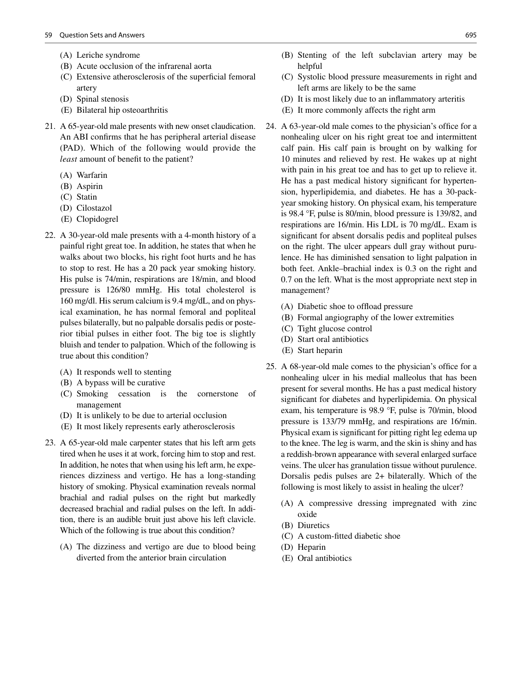- (A) Leriche syndrome
- (B) Acute occlusion of the infrarenal aorta
- $(C)$  Extensive atherosclerosis of the superficial femoral artery
- (D) Spinal stenosis
- (E) Bilateral hip osteoarthritis
- 21. A 65-year-old male presents with new onset claudication. An ABI confirms that he has peripheral arterial disease (PAD). Which of the following would provide the *least* amount of benefit to the patient?
	- (A) Warfarin
	- (B) Aspirin
	- (C) Statin
	- (D) Cilostazol
	- (E) Clopidogrel
- 22. A 30-year-old male presents with a 4-month history of a painful right great toe. In addition, he states that when he walks about two blocks, his right foot hurts and he has to stop to rest. He has a 20 pack year smoking history. His pulse is 74/min, respirations are 18/min, and blood pressure is 126/80 mmHg. His total cholesterol is 160 mg/dl. His serum calcium is 9.4 mg/dL, and on physical examination, he has normal femoral and popliteal pulses bilaterally, but no palpable dorsalis pedis or posterior tibial pulses in either foot. The big toe is slightly bluish and tender to palpation. Which of the following is true about this condition?
	- (A) It responds well to stenting
	- (B) A bypass will be curative
	- (C) Smoking cessation is the cornerstone of management
	- (D) It is unlikely to be due to arterial occlusion
	- (E) It most likely represents early atherosclerosis
- 23. A 65-year-old male carpenter states that his left arm gets tired when he uses it at work, forcing him to stop and rest. In addition, he notes that when using his left arm, he experiences dizziness and vertigo. He has a long-standing history of smoking. Physical examination reveals normal brachial and radial pulses on the right but markedly decreased brachial and radial pulses on the left. In addition, there is an audible bruit just above his left clavicle. Which of the following is true about this condition?
	- (A) The dizziness and vertigo are due to blood being diverted from the anterior brain circulation
- (B) Stenting of the left subclavian artery may be helpful
- (C) Systolic blood pressure measurements in right and left arms are likely to be the same
- (D) It is most likely due to an inflammatory arteritis
- (E) It more commonly affects the right arm
- 24. A 63-year-old male comes to the physician's office for a nonhealing ulcer on his right great toe and intermittent calf pain. His calf pain is brought on by walking for 10 minutes and relieved by rest. He wakes up at night with pain in his great toe and has to get up to relieve it. He has a past medical history significant for hypertension, hyperlipidemia, and diabetes. He has a 30-packyear smoking history. On physical exam, his temperature is 98.4 °F, pulse is 80/min, blood pressure is 139/82, and respirations are 16/min. His LDL is 70 mg/dL. Exam is significant for absent dorsalis pedis and popliteal pulses on the right. The ulcer appears dull gray without purulence. He has diminished sensation to light palpation in both feet. Ankle–brachial index is 0.3 on the right and 0.7 on the left. What is the most appropriate next step in management?
	- (A) Diabetic shoe to offload pressure
	- (B) Formal angiography of the lower extremities
	- (C) Tight glucose control
	- (D) Start oral antibiotics
	- (E) Start heparin
- 25. A 68-year-old male comes to the physician's office for a nonhealing ulcer in his medial malleolus that has been present for several months. He has a past medical history significant for diabetes and hyperlipidemia. On physical exam, his temperature is 98.9 °F, pulse is 70/min, blood pressure is 133/79 mmHg, and respirations are 16/min. Physical exam is significant for pitting right leg edema up to the knee. The leg is warm, and the skin is shiny and has a reddish-brown appearance with several enlarged surface veins. The ulcer has granulation tissue without purulence. Dorsalis pedis pulses are 2+ bilaterally. Which of the following is most likely to assist in healing the ulcer?
	- (A) A compressive dressing impregnated with zinc oxide
	- (B) Diuretics
	- (C) A custom-fitted diabetic shoe
	- (D) Heparin
	- (E) Oral antibiotics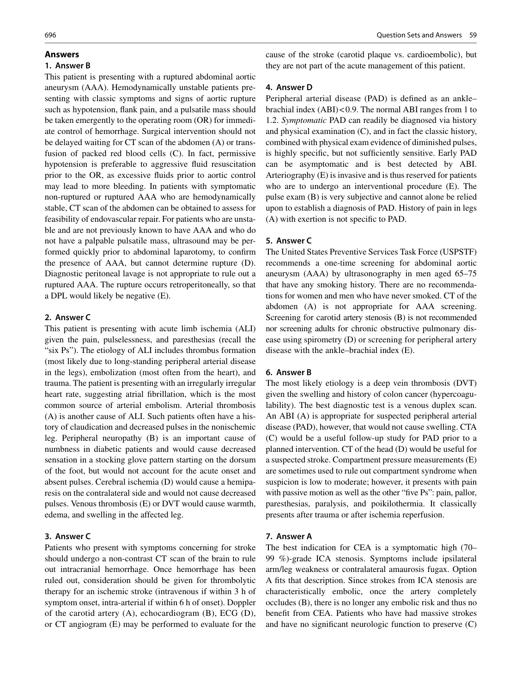# **Answers**

# **1. Answer B**

 This patient is presenting with a ruptured abdominal aortic aneurysm (AAA). Hemodynamically unstable patients presenting with classic symptoms and signs of aortic rupture such as hypotension, flank pain, and a pulsatile mass should be taken emergently to the operating room (OR) for immediate control of hemorrhage. Surgical intervention should not be delayed waiting for CT scan of the abdomen (A) or transfusion of packed red blood cells (C). In fact, permissive hypotension is preferable to aggressive fluid resuscitation prior to the OR, as excessive fluids prior to aortic control may lead to more bleeding. In patients with symptomatic non-ruptured or ruptured AAA who are hemodynamically stable, CT scan of the abdomen can be obtained to assess for feasibility of endovascular repair. For patients who are unstable and are not previously known to have AAA and who do not have a palpable pulsatile mass, ultrasound may be performed quickly prior to abdominal laparotomy, to confirm the presence of AAA, but cannot determine rupture (D). Diagnostic peritoneal lavage is not appropriate to rule out a ruptured AAA. The rupture occurs retroperitoneally, so that a DPL would likely be negative (E).

## **2. Answer C**

 This patient is presenting with acute limb ischemia (ALI) given the pain, pulselessness, and paresthesias (recall the "six Ps"). The etiology of ALI includes thrombus formation (most likely due to long-standing peripheral arterial disease in the legs), embolization (most often from the heart), and trauma. The patient is presenting with an irregularly irregular heart rate, suggesting atrial fibrillation, which is the most common source of arterial embolism. Arterial thrombosis (A) is another cause of ALI. Such patients often have a history of claudication and decreased pulses in the nonischemic leg. Peripheral neuropathy (B) is an important cause of numbness in diabetic patients and would cause decreased sensation in a stocking glove pattern starting on the dorsum of the foot, but would not account for the acute onset and absent pulses. Cerebral ischemia (D) would cause a hemiparesis on the contralateral side and would not cause decreased pulses. Venous thrombosis (E) or DVT would cause warmth, edema, and swelling in the affected leg.

# **3. Answer C**

 Patients who present with symptoms concerning for stroke should undergo a non-contrast CT scan of the brain to rule out intracranial hemorrhage. Once hemorrhage has been ruled out, consideration should be given for thrombolytic therapy for an ischemic stroke (intravenous if within 3 h of symptom onset, intra-arterial if within 6 h of onset). Doppler of the carotid artery (A), echocardiogram (B), ECG (D), or CT angiogram (E) may be performed to evaluate for the

cause of the stroke (carotid plaque vs. cardioembolic), but they are not part of the acute management of this patient.

#### **4. Answer D**

Peripheral arterial disease (PAD) is defined as an anklebrachial index (ABI) < 0.9. The normal ABI ranges from 1 to 1.2. *Symptomatic* PAD can readily be diagnosed via history and physical examination (C), and in fact the classic history, combined with physical exam evidence of diminished pulses, is highly specific, but not sufficiently sensitive. Early PAD can be asymptomatic and is best detected by ABI. Arteriography (E) is invasive and is thus reserved for patients who are to undergo an interventional procedure (E). The pulse exam (B) is very subjective and cannot alone be relied upon to establish a diagnosis of PAD. History of pain in legs  $(A)$  with exertion is not specific to PAD.

# **5. Answer C**

 The United States Preventive Services Task Force (USPSTF) recommends a one-time screening for abdominal aortic aneurysm (AAA) by ultrasonography in men aged 65–75 that have any smoking history. There are no recommendations for women and men who have never smoked. CT of the abdomen (A) is not appropriate for AAA screening. Screening for carotid artery stenosis (B) is not recommended nor screening adults for chronic obstructive pulmonary disease using spirometry (D) or screening for peripheral artery disease with the ankle–brachial index (E).

### **6. Answer B**

 The most likely etiology is a deep vein thrombosis (DVT) given the swelling and history of colon cancer (hypercoagulability). The best diagnostic test is a venous duplex scan. An ABI (A) is appropriate for suspected peripheral arterial disease (PAD), however, that would not cause swelling. CTA (C) would be a useful follow-up study for PAD prior to a planned intervention. CT of the head (D) would be useful for a suspected stroke. Compartment pressure measurements (E) are sometimes used to rule out compartment syndrome when suspicion is low to moderate; however, it presents with pain with passive motion as well as the other "five Ps": pain, pallor, paresthesias, paralysis, and poikilothermia. It classically presents after trauma or after ischemia reperfusion.

#### **7. Answer A**

 The best indication for CEA is a symptomatic high (70– 99 %)-grade ICA stenosis. Symptoms include ipsilateral arm/leg weakness or contralateral amaurosis fugax. Option A fits that description. Since strokes from ICA stenosis are characteristically embolic, once the artery completely occludes (B), there is no longer any embolic risk and thus no benefit from CEA. Patients who have had massive strokes and have no significant neurologic function to preserve  $(C)$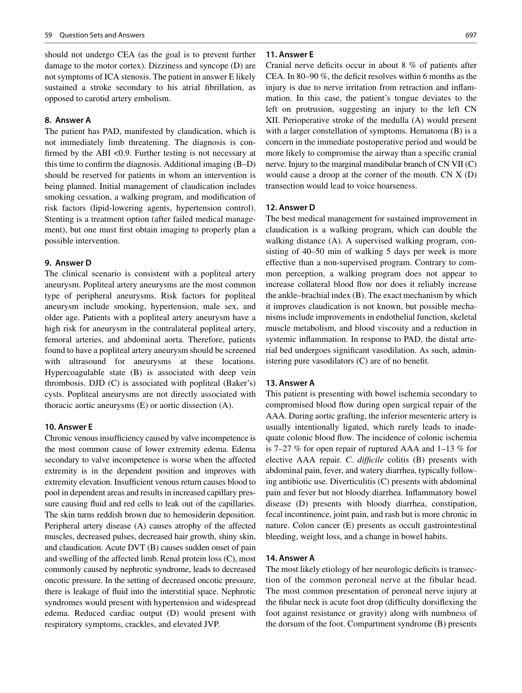should not undergo CEA (as the goal is to prevent further damage to the motor cortex). Dizziness and syncope (D) are not symptoms of ICA stenosis. The patient in answer E likely sustained a stroke secondary to his atrial fibrillation, as opposed to carotid artery embolism.

# **8. Answer A**

 The patient has PAD, manifested by claudication, which is not immediately limb threatening. The diagnosis is confirmed by the ABI <0.9. Further testing is not necessary at this time to confirm the diagnosis. Additional imaging  $(B-D)$ should be reserved for patients in whom an intervention is being planned. Initial management of claudication includes smoking cessation, a walking program, and modification of risk factors (lipid-lowering agents, hypertension control). Stenting is a treatment option (after failed medical management), but one must first obtain imaging to properly plan a possible intervention.

# **9. Answer D**

 The clinical scenario is consistent with a popliteal artery aneurysm. Popliteal artery aneurysms are the most common type of peripheral aneurysms. Risk factors for popliteal aneurysm include smoking, hypertension, male sex, and older age. Patients with a popliteal artery aneurysm have a high risk for aneurysm in the contralateral popliteal artery, femoral arteries, and abdominal aorta. Therefore, patients found to have a popliteal artery aneurysm should be screened with ultrasound for aneurysms at these locations. Hypercoagulable state (B) is associated with deep vein thrombosis. DJD (C) is associated with popliteal (Baker's) cysts. Popliteal aneurysms are not directly associated with thoracic aortic aneurysms (E) or aortic dissection (A).

### **10. Answer E**

Chronic venous insufficiency caused by valve incompetence is the most common cause of lower extremity edema. Edema secondary to valve incompetence is worse when the affected extremity is in the dependent position and improves with extremity elevation. Insufficient venous return causes blood to pool in dependent areas and results in increased capillary pressure causing fluid and red cells to leak out of the capillaries. The skin turns reddish brown due to hemosiderin deposition. Peripheral artery disease (A) causes atrophy of the affected muscles, decreased pulses, decreased hair growth, shiny skin, and claudication. Acute DVT (B) causes sudden onset of pain and swelling of the affected limb. Renal protein loss (C), most commonly caused by nephrotic syndrome, leads to decreased oncotic pressure. In the setting of decreased oncotic pressure, there is leakage of fluid into the interstitial space. Nephrotic syndromes would present with hypertension and widespread edema. Reduced cardiac output (D) would present with respiratory symptoms, crackles, and elevated JVP.

#### **11. Answer E**

Cranial nerve deficits occur in about  $8\%$  of patients after CEA. In 80–90  $\%$ , the deficit resolves within 6 months as the injury is due to nerve irritation from retraction and inflammation. In this case, the patient's tongue deviates to the left on protrusion, suggesting an injury to the left CN XII. Perioperative stroke of the medulla (A) would present with a larger constellation of symptoms. Hematoma (B) is a concern in the immediate postoperative period and would be more likely to compromise the airway than a specific cranial nerve. Injury to the marginal mandibular branch of CN VII (C) would cause a droop at the corner of the mouth. CN X (D) transection would lead to voice hoarseness.

## **12. Answer D**

 The best medical management for sustained improvement in claudication is a walking program, which can double the walking distance (A). A supervised walking program, consisting of 40–50 min of walking 5 days per week is more effective than a non-supervised program. Contrary to common perception, a walking program does not appear to increase collateral blood flow nor does it reliably increase the ankle–brachial index (B). The exact mechanism by which it improves claudication is not known, but possible mechanisms include improvements in endothelial function, skeletal muscle metabolism, and blood viscosity and a reduction in systemic inflammation. In response to PAD, the distal arterial bed undergoes significant vasodilation. As such, administering pure vasodilators  $(C)$  are of no benefit.

#### **13. Answer A**

 This patient is presenting with bowel ischemia secondary to compromised blood flow during open surgical repair of the AAA. During aortic grafting, the inferior mesenteric artery is usually intentionally ligated, which rarely leads to inadequate colonic blood flow. The incidence of colonic ischemia is 7–27 % for open repair of ruptured AAA and 1–13 % for elective AAA repair. *C. difficile* colitis (B) presents with abdominal pain, fever, and watery diarrhea, typically following antibiotic use. Diverticulitis (C) presents with abdominal pain and fever but not bloody diarrhea. Inflammatory bowel disease (D) presents with bloody diarrhea, constipation, fecal incontinence, joint pain, and rash but is more chronic in nature. Colon cancer (E) presents as occult gastrointestinal bleeding, weight loss, and a change in bowel habits.

#### **14. Answer A**

The most likely etiology of her neurologic deficits is transection of the common peroneal nerve at the fibular head. The most common presentation of peroneal nerve injury at the fibular neck is acute foot drop (difficulty dorsiflexing the foot against resistance or gravity) along with numbness of the dorsum of the foot. Compartment syndrome (B) presents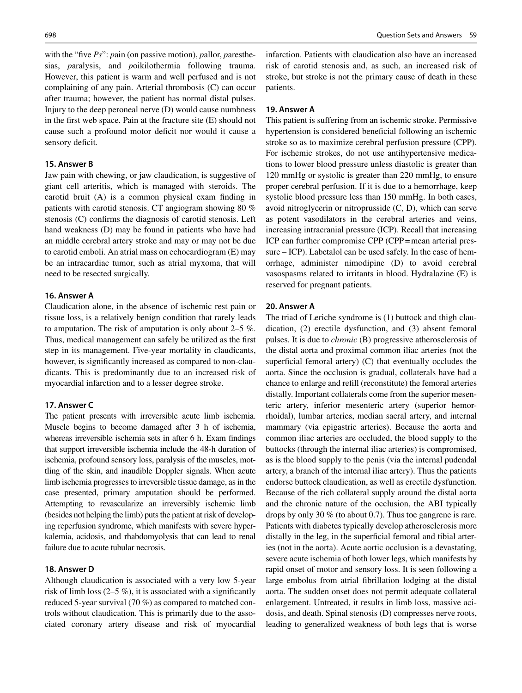with the "five *Ps*": *p*ain (on passive motion), *p* allor, *p* are sthesias, *paralysis*, and *p* oikilothermia following trauma. However, this patient is warm and well perfused and is not complaining of any pain. Arterial thrombosis (C) can occur after trauma; however, the patient has normal distal pulses. Injury to the deep peroneal nerve (D) would cause numbness in the first web space. Pain at the fracture site  $(E)$  should not cause such a profound motor deficit nor would it cause a sensory deficit.

# **15. Answer B**

 Jaw pain with chewing, or jaw claudication, is suggestive of giant cell arteritis, which is managed with steroids. The carotid bruit  $(A)$  is a common physical exam finding in patients with carotid stenosis. CT angiogram showing 80 % stenosis  $(C)$  confirms the diagnosis of carotid stenosis. Left hand weakness (D) may be found in patients who have had an middle cerebral artery stroke and may or may not be due to carotid emboli. An atrial mass on echocardiogram (E) may be an intracardiac tumor, such as atrial myxoma, that will need to be resected surgically.

## **16. Answer A**

 Claudication alone, in the absence of ischemic rest pain or tissue loss, is a relatively benign condition that rarely leads to amputation. The risk of amputation is only about 2–5 %. Thus, medical management can safely be utilized as the first step in its management. Five-year mortality in claudicants, however, is significantly increased as compared to non-claudicants. This is predominantly due to an increased risk of myocardial infarction and to a lesser degree stroke.

#### **17. Answer C**

 The patient presents with irreversible acute limb ischemia. Muscle begins to become damaged after 3 h of ischemia, whereas irreversible ischemia sets in after 6 h. Exam findings that support irreversible ischemia include the 48-h duration of ischemia, profound sensory loss, paralysis of the muscles, mottling of the skin, and inaudible Doppler signals. When acute limb ischemia progresses to irreversible tissue damage, as in the case presented, primary amputation should be performed. Attempting to revascularize an irreversibly ischemic limb (besides not helping the limb) puts the patient at risk of developing reperfusion syndrome, which manifests with severe hyperkalemia, acidosis, and rhabdomyolysis that can lead to renal failure due to acute tubular necrosis.

# **18. Answer D**

 Although claudication is associated with a very low 5-year risk of limb loss  $(2-5\%)$ , it is associated with a significantly reduced 5-year survival (70 %) as compared to matched controls without claudication. This is primarily due to the associated coronary artery disease and risk of myocardial

infarction. Patients with claudication also have an increased risk of carotid stenosis and, as such, an increased risk of stroke, but stroke is not the primary cause of death in these patients.

# **19. Answer A**

 This patient is suffering from an ischemic stroke. Permissive hypertension is considered beneficial following an ischemic stroke so as to maximize cerebral perfusion pressure (CPP). For ischemic strokes, do not use antihypertensive medications to lower blood pressure unless diastolic is greater than 120 mmHg or systolic is greater than 220 mmHg, to ensure proper cerebral perfusion. If it is due to a hemorrhage, keep systolic blood pressure less than 150 mmHg. In both cases, avoid nitroglycerin or nitroprusside (C, D), which can serve as potent vasodilators in the cerebral arteries and veins, increasing intracranial pressure (ICP). Recall that increasing ICP can further compromise CPP (CPP = mean arterial pressure – ICP). Labetalol can be used safely. In the case of hemorrhage, administer nimodipine (D) to avoid cerebral vasospasms related to irritants in blood. Hydralazine (E) is reserved for pregnant patients.

# **20. Answer A**

 The triad of Leriche syndrome is (1) buttock and thigh claudication, (2) erectile dysfunction, and (3) absent femoral pulses. It is due to *chronic* (B) progressive atherosclerosis of the distal aorta and proximal common iliac arteries (not the superficial femoral artery)  $(C)$  that eventually occludes the aorta. Since the occlusion is gradual, collaterals have had a chance to enlarge and refill (reconstitute) the femoral arteries distally. Important collaterals come from the superior mesenteric artery, inferior mesenteric artery (superior hemorrhoidal), lumbar arteries, median sacral artery, and internal mammary (via epigastric arteries). Because the aorta and common iliac arteries are occluded, the blood supply to the buttocks (through the internal iliac arteries) is compromised, as is the blood supply to the penis (via the internal pudendal artery, a branch of the internal iliac artery). Thus the patients endorse buttock claudication, as well as erectile dysfunction. Because of the rich collateral supply around the distal aorta and the chronic nature of the occlusion, the ABI typically drops by only 30 % (to about 0.7). Thus toe gangrene is rare. Patients with diabetes typically develop atherosclerosis more distally in the leg, in the superficial femoral and tibial arteries (not in the aorta). Acute aortic occlusion is a devastating, severe acute ischemia of both lower legs, which manifests by rapid onset of motor and sensory loss. It is seen following a large embolus from atrial fibrillation lodging at the distal aorta. The sudden onset does not permit adequate collateral enlargement. Untreated, it results in limb loss, massive acidosis, and death. Spinal stenosis (D) compresses nerve roots, leading to generalized weakness of both legs that is worse